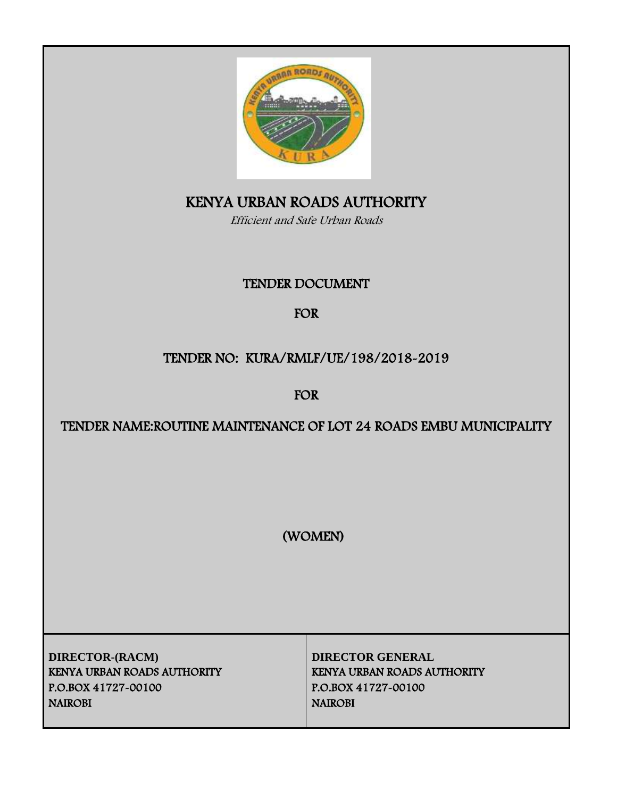

# KENYA URBAN ROADS AUTHORITY

Efficient and Safe Urban Roads

# TENDER DOCUMENT

# FOR

# TENDER NO: KURA/RMLF/UE/198/2018-2019

FOR

# TENDER NAME:ROUTINE MAINTENANCE OF LOT 24 ROADS EMBU MUNICIPALITY

(WOMEN)

**DIRECTOR-(RACM) DIRECTOR GENERAL** KENYA URBAN ROADS AUTHORITY KENYA URBAN ROADS AUTHORITY P.O.BOX 41727-00100 P.O.BOX 41727-00100 NAIROBI NAIROBI NAIROBI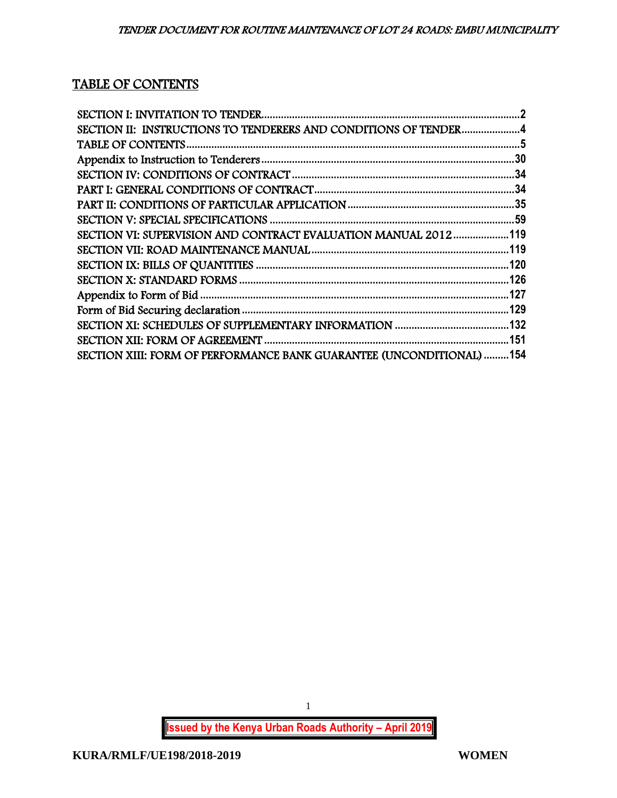# TABLE OF CONTENTS

| SECTION II: INSTRUCTIONS TO TENDERERS AND CONDITIONS OF TENDER4      |  |
|----------------------------------------------------------------------|--|
|                                                                      |  |
|                                                                      |  |
|                                                                      |  |
|                                                                      |  |
|                                                                      |  |
|                                                                      |  |
| SECTION VI: SUPERVISION AND CONTRACT EVALUATION MANUAL 2012119       |  |
|                                                                      |  |
|                                                                      |  |
|                                                                      |  |
|                                                                      |  |
|                                                                      |  |
|                                                                      |  |
|                                                                      |  |
| SECTION XIII: FORM OF PERFORMANCE BANK GUARANTEE (UNCONDITIONAL) 154 |  |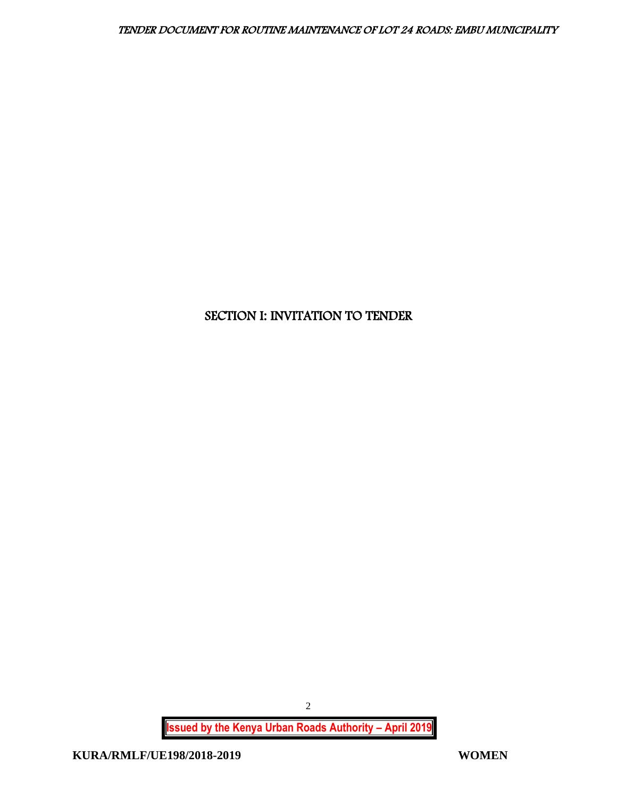# <span id="page-2-0"></span>SECTION I: INVITATION TO TENDER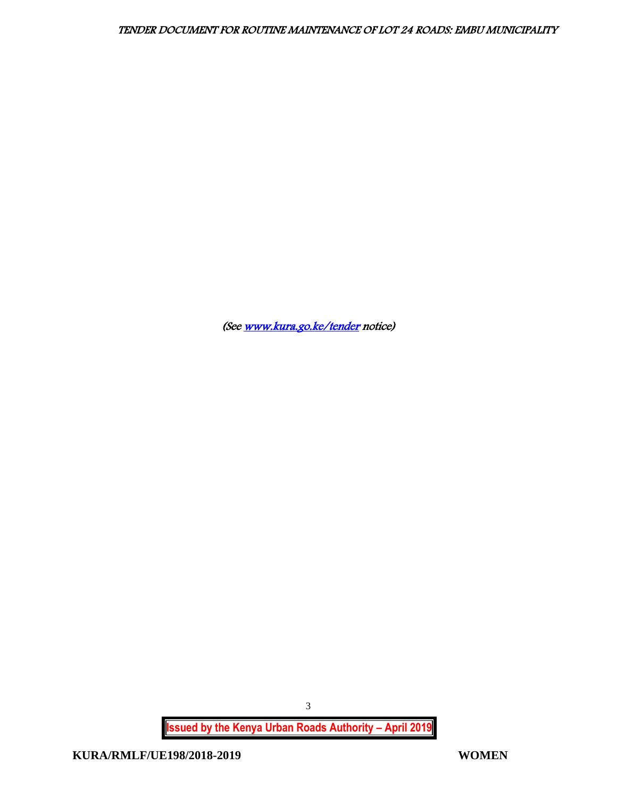(Se[e www.kura.go.ke/tender](http://www.kura.go.ke/tender) notice)

**Issued by the Kenya Urban Roads Authority – April 2019**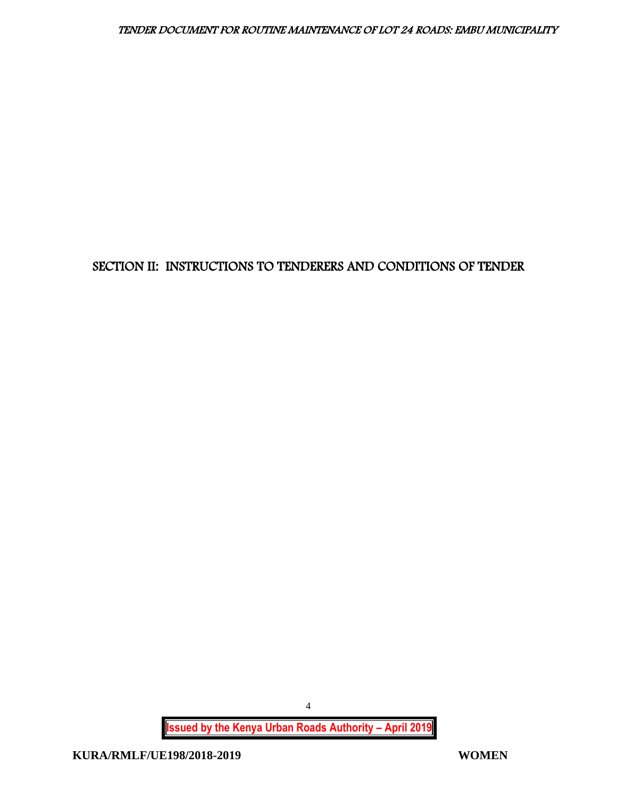# <span id="page-4-0"></span>SECTION II: INSTRUCTIONS TO TENDERERS AND CONDITIONS OF TENDER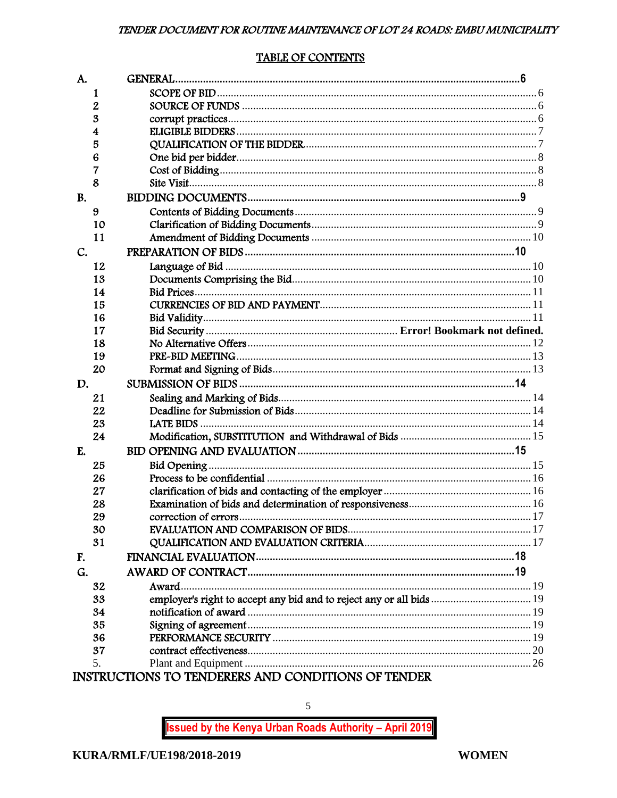#### **TABLE OF CONTENTS**

<span id="page-5-0"></span>

| A.        |          |                                                                      |  |
|-----------|----------|----------------------------------------------------------------------|--|
|           | 1        |                                                                      |  |
|           | 2        |                                                                      |  |
|           | 3        |                                                                      |  |
|           | 4        |                                                                      |  |
|           | 5        |                                                                      |  |
|           | 6        |                                                                      |  |
|           | 7        |                                                                      |  |
|           | 8        |                                                                      |  |
| <b>B.</b> |          |                                                                      |  |
|           | 9        |                                                                      |  |
|           | 10       |                                                                      |  |
|           | 11       |                                                                      |  |
| C.        |          |                                                                      |  |
|           | 12       |                                                                      |  |
|           | 13       |                                                                      |  |
|           | 14       |                                                                      |  |
|           | 15       |                                                                      |  |
|           | 16       |                                                                      |  |
|           | 17       |                                                                      |  |
|           | 18       |                                                                      |  |
|           | 19       |                                                                      |  |
|           |          |                                                                      |  |
|           |          |                                                                      |  |
| D.        | 20       |                                                                      |  |
|           |          |                                                                      |  |
|           | 21       |                                                                      |  |
|           | 22       |                                                                      |  |
|           | 23       |                                                                      |  |
| E.        | 24       |                                                                      |  |
|           |          |                                                                      |  |
|           | 25       |                                                                      |  |
|           | 26<br>27 |                                                                      |  |
|           | 28       |                                                                      |  |
|           |          |                                                                      |  |
|           | 29       |                                                                      |  |
|           | 30<br>31 |                                                                      |  |
| F.        |          |                                                                      |  |
| G.        |          |                                                                      |  |
|           | 32       | Award.                                                               |  |
|           | 33       |                                                                      |  |
|           | 34       | employer's right to accept any bid and to reject any or all bids  19 |  |
|           | 35       |                                                                      |  |
|           | 36       |                                                                      |  |
|           | 37       |                                                                      |  |
|           | 5.       | INSTRI ICTIONS TO TENDERERS AND CONDITIONS OF TENDER                 |  |

) TENDERERS AND CONDITIONS OF TENDEI IKUUIIUNS

**Issued by the Kenya Urban Roads Authority - April 2019** 

 $\mathfrak{S}$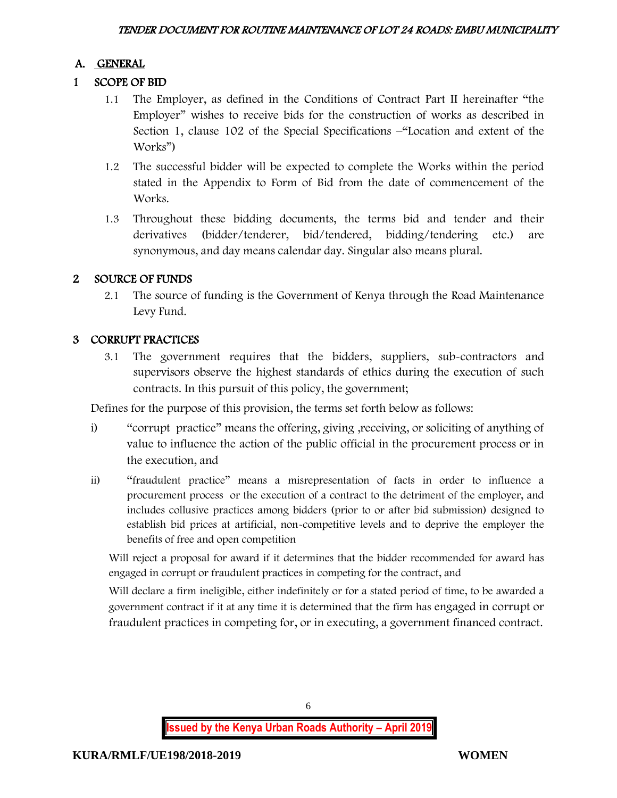# A. GENERAL

# 1 SCOPE OF BID

- 1.1 The Employer, as defined in the Conditions of Contract Part II hereinafter "the Employer" wishes to receive bids for the construction of works as described in Section 1, clause 102 of the Special Specifications –"Location and extent of the Works")
- 1.2 The successful bidder will be expected to complete the Works within the period stated in the Appendix to Form of Bid from the date of commencement of the Works.
- 1.3 Throughout these bidding documents, the terms bid and tender and their derivatives (bidder/tenderer, bid/tendered, bidding/tendering etc.) are synonymous, and day means calendar day. Singular also means plural.

# 2 SOURCE OF FUNDS

2.1 The source of funding is the Government of Kenya through the Road Maintenance Levy Fund.

# 3 CORRUPT PRACTICES

3.1 The government requires that the bidders, suppliers, sub-contractors and supervisors observe the highest standards of ethics during the execution of such contracts. In this pursuit of this policy, the government;

Defines for the purpose of this provision, the terms set forth below as follows:

- i) "corrupt practice" means the offering, giving ,receiving, or soliciting of anything of value to influence the action of the public official in the procurement process or in the execution, and
- ii) "fraudulent practice" means a misrepresentation of facts in order to influence a procurement process or the execution of a contract to the detriment of the employer, and includes collusive practices among bidders (prior to or after bid submission) designed to establish bid prices at artificial, non-competitive levels and to deprive the employer the benefits of free and open competition

Will reject a proposal for award if it determines that the bidder recommended for award has engaged in corrupt or fraudulent practices in competing for the contract, and

Will declare a firm ineligible, either indefinitely or for a stated period of time, to be awarded a government contract if it at any time it is determined that the firm has engaged in corrupt or fraudulent practices in competing for, or in executing, a government financed contract.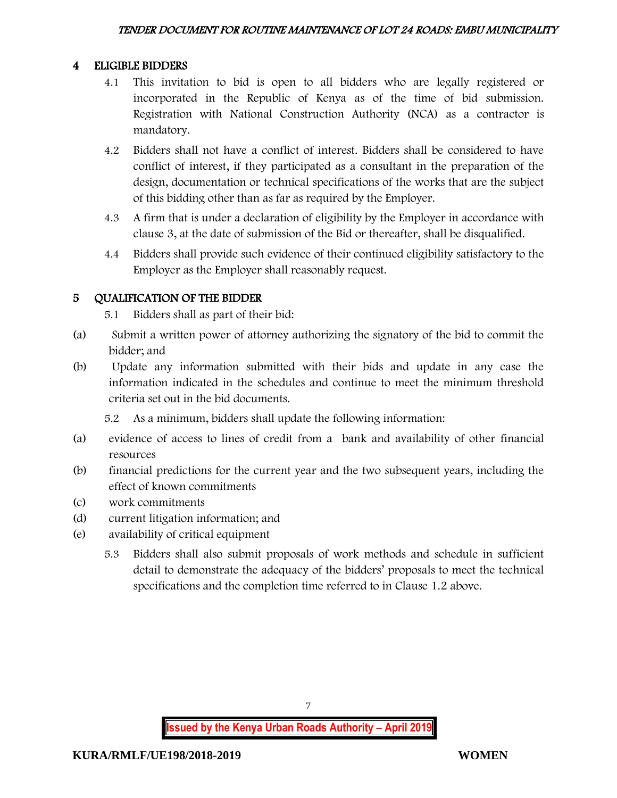# 4 ELIGIBLE BIDDERS

- 4.1 This invitation to bid is open to all bidders who are legally registered or incorporated in the Republic of Kenya as of the time of bid submission. Registration with National Construction Authority (NCA) as a contractor is mandatory.
- 4.2 Bidders shall not have a conflict of interest. Bidders shall be considered to have conflict of interest, if they participated as a consultant in the preparation of the design, documentation or technical specifications of the works that are the subject of this bidding other than as far as required by the Employer.
- 4.3 A firm that is under a declaration of eligibility by the Employer in accordance with clause 3, at the date of submission of the Bid or thereafter, shall be disqualified.
- 4.4 Bidders shall provide such evidence of their continued eligibility satisfactory to the Employer as the Employer shall reasonably request.

# 5 QUALIFICATION OF THE BIDDER

5.1 Bidders shall as part of their bid:

- (a) Submit a written power of attorney authorizing the signatory of the bid to commit the bidder; and
- (b) Update any information submitted with their bids and update in any case the information indicated in the schedules and continue to meet the minimum threshold criteria set out in the bid documents.

5.2 As a minimum, bidders shall update the following information:

- (a) evidence of access to lines of credit from a bank and availability of other financial resources
- (b) financial predictions for the current year and the two subsequent years, including the effect of known commitments
- (c) work commitments
- (d) current litigation information; and
- (e) availability of critical equipment
	- 5.3 Bidders shall also submit proposals of work methods and schedule in sufficient detail to demonstrate the adequacy of the bidders' proposals to meet the technical specifications and the completion time referred to in Clause 1.2 above.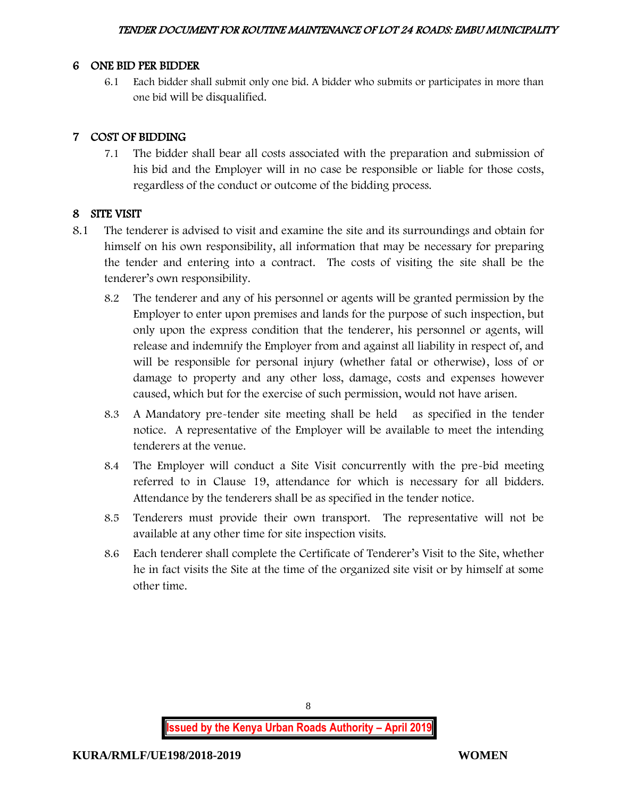### 6 ONE BID PER BIDDER

6.1 Each bidder shall submit only one bid. A bidder who submits or participates in more than one bid will be disqualified.

# 7 COST OF BIDDING

7.1 The bidder shall bear all costs associated with the preparation and submission of his bid and the Employer will in no case be responsible or liable for those costs, regardless of the conduct or outcome of the bidding process.

## 8 SITE VISIT

- 8.1 The tenderer is advised to visit and examine the site and its surroundings and obtain for himself on his own responsibility, all information that may be necessary for preparing the tender and entering into a contract. The costs of visiting the site shall be the tenderer's own responsibility.
	- 8.2 The tenderer and any of his personnel or agents will be granted permission by the Employer to enter upon premises and lands for the purpose of such inspection, but only upon the express condition that the tenderer, his personnel or agents, will release and indemnify the Employer from and against all liability in respect of, and will be responsible for personal injury (whether fatal or otherwise), loss of or damage to property and any other loss, damage, costs and expenses however caused, which but for the exercise of such permission, would not have arisen.
	- 8.3 A Mandatory pre-tender site meeting shall be held as specified in the tender notice. A representative of the Employer will be available to meet the intending tenderers at the venue.
	- 8.4 The Employer will conduct a Site Visit concurrently with the pre-bid meeting referred to in Clause 19, attendance for which is necessary for all bidders. Attendance by the tenderers shall be as specified in the tender notice.
	- 8.5 Tenderers must provide their own transport. The representative will not be available at any other time for site inspection visits.
	- 8.6 Each tenderer shall complete the Certificate of Tenderer's Visit to the Site, whether he in fact visits the Site at the time of the organized site visit or by himself at some other time.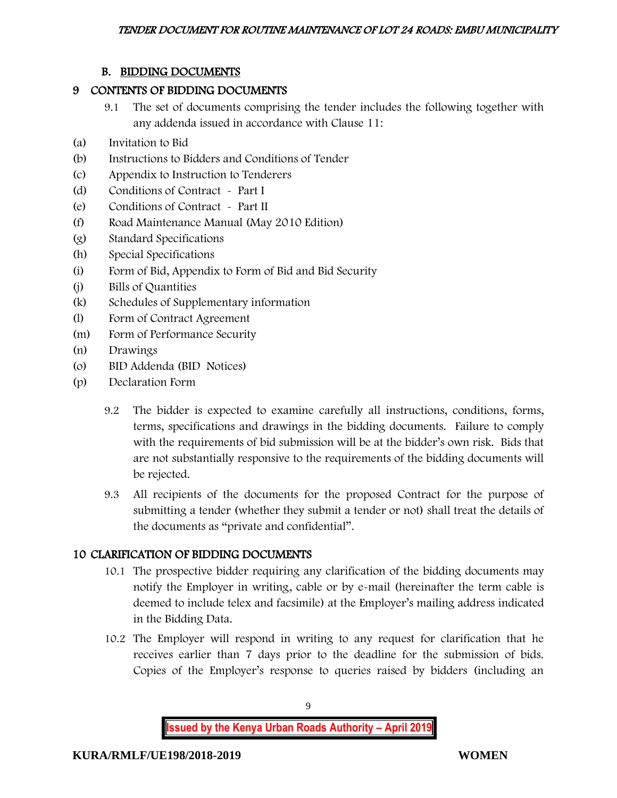# B. BIDDING DOCUMENTS

### 9 CONTENTS OF BIDDING DOCUMENTS

- 9.1 The set of documents comprising the tender includes the following together with any addenda issued in accordance with Clause 11:
- (a) Invitation to Bid
- (b) Instructions to Bidders and Conditions of Tender
- (c) Appendix to Instruction to Tenderers
- (d) Conditions of Contract Part I
- (e) Conditions of Contract Part II
- (f) Road Maintenance Manual (May 2010 Edition)
- (g) Standard Specifications
- (h) Special Specifications
- (i) Form of Bid, Appendix to Form of Bid and Bid Security
- (j) Bills of Quantities
- (k) Schedules of Supplementary information
- (l) Form of Contract Agreement
- (m) Form of Performance Security
- (n) Drawings
- (o) BID Addenda (BID Notices)
- (p) Declaration Form
	- 9.2 The bidder is expected to examine carefully all instructions, conditions, forms, terms, specifications and drawings in the bidding documents. Failure to comply with the requirements of bid submission will be at the bidder's own risk. Bids that are not substantially responsive to the requirements of the bidding documents will be rejected.
	- 9.3 All recipients of the documents for the proposed Contract for the purpose of submitting a tender (whether they submit a tender or not) shall treat the details of the documents as "private and confidential".

# 10 CLARIFICATION OF BIDDING DOCUMENTS

- 10.1 The prospective bidder requiring any clarification of the bidding documents may notify the Employer in writing, cable or by e-mail (hereinafter the term cable is deemed to include telex and facsimile) at the Employer's mailing address indicated in the Bidding Data.
- 10.2 The Employer will respond in writing to any request for clarification that he receives earlier than 7 days prior to the deadline for the submission of bids. Copies of the Employer's response to queries raised by bidders (including an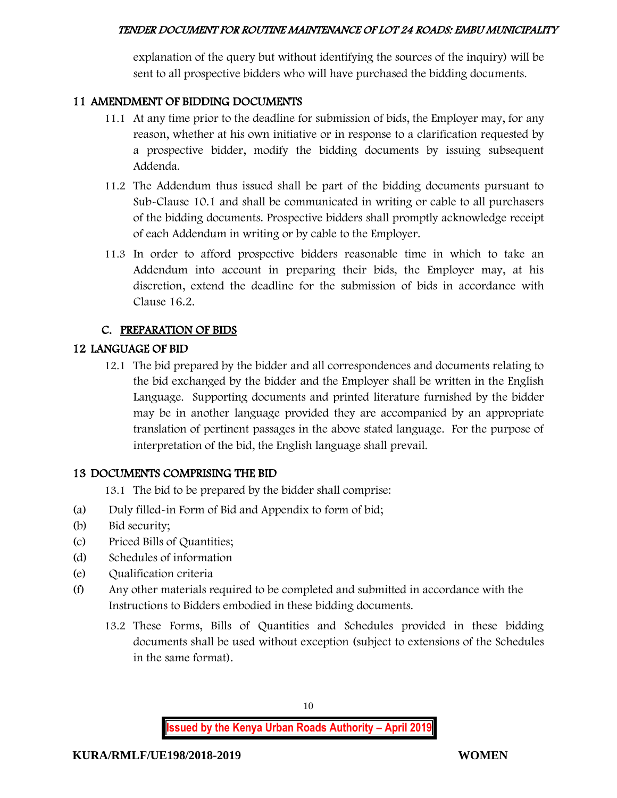explanation of the query but without identifying the sources of the inquiry) will be sent to all prospective bidders who will have purchased the bidding documents.

# 11 AMENDMENT OF BIDDING DOCUMENTS

- 11.1 At any time prior to the deadline for submission of bids, the Employer may, for any reason, whether at his own initiative or in response to a clarification requested by a prospective bidder, modify the bidding documents by issuing subsequent Addenda.
- 11.2 The Addendum thus issued shall be part of the bidding documents pursuant to Sub-Clause 10.1 and shall be communicated in writing or cable to all purchasers of the bidding documents. Prospective bidders shall promptly acknowledge receipt of each Addendum in writing or by cable to the Employer.
- 11.3 In order to afford prospective bidders reasonable time in which to take an Addendum into account in preparing their bids, the Employer may, at his discretion, extend the deadline for the submission of bids in accordance with Clause 16.2.

# C. PREPARATION OF BIDS

# 12 LANGUAGE OF BID

12.1 The bid prepared by the bidder and all correspondences and documents relating to the bid exchanged by the bidder and the Employer shall be written in the English Language. Supporting documents and printed literature furnished by the bidder may be in another language provided they are accompanied by an appropriate translation of pertinent passages in the above stated language. For the purpose of interpretation of the bid, the English language shall prevail.

## 13 DOCUMENTS COMPRISING THE BID

- 13.1 The bid to be prepared by the bidder shall comprise:
- (a) Duly filled-in Form of Bid and Appendix to form of bid;
- (b) Bid security;
- (c) Priced Bills of Quantities;
- (d) Schedules of information
- (e) Qualification criteria
- (f) Any other materials required to be completed and submitted in accordance with the Instructions to Bidders embodied in these bidding documents.
	- 13.2 These Forms, Bills of Quantities and Schedules provided in these bidding documents shall be used without exception (subject to extensions of the Schedules in the same format).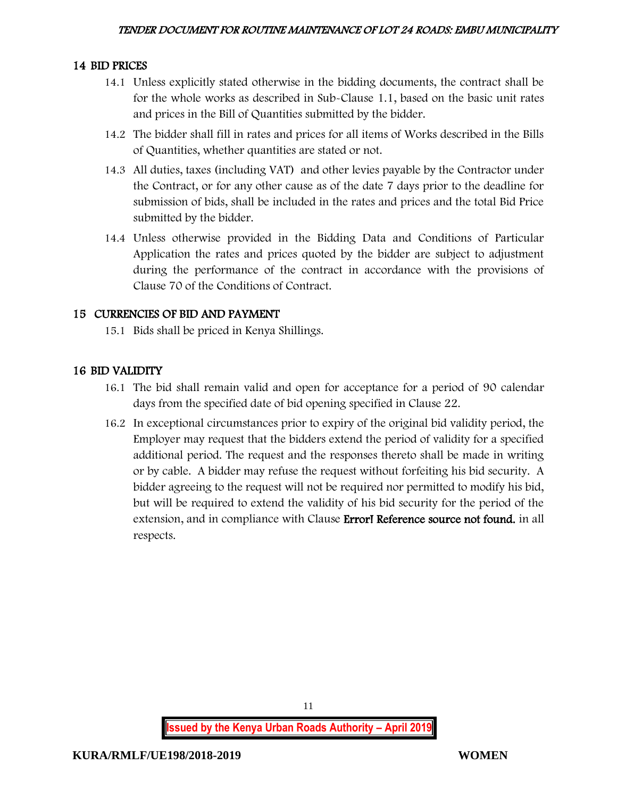## 14 BID PRICES

- 14.1 Unless explicitly stated otherwise in the bidding documents, the contract shall be for the whole works as described in Sub-Clause 1.1, based on the basic unit rates and prices in the Bill of Quantities submitted by the bidder.
- 14.2 The bidder shall fill in rates and prices for all items of Works described in the Bills of Quantities, whether quantities are stated or not.
- 14.3 All duties, taxes (including VAT) and other levies payable by the Contractor under the Contract, or for any other cause as of the date 7 days prior to the deadline for submission of bids, shall be included in the rates and prices and the total Bid Price submitted by the bidder.
- 14.4 Unless otherwise provided in the Bidding Data and Conditions of Particular Application the rates and prices quoted by the bidder are subject to adjustment during the performance of the contract in accordance with the provisions of Clause 70 of the Conditions of Contract.

# 15 CURRENCIES OF BID AND PAYMENT

15.1 Bids shall be priced in Kenya Shillings.

# 16 BID VALIDITY

- 16.1 The bid shall remain valid and open for acceptance for a period of 90 calendar days from the specified date of bid opening specified in Clause 22.
- 16.2 In exceptional circumstances prior to expiry of the original bid validity period, the Employer may request that the bidders extend the period of validity for a specified additional period. The request and the responses thereto shall be made in writing or by cable. A bidder may refuse the request without forfeiting his bid security. A bidder agreeing to the request will not be required nor permitted to modify his bid, but will be required to extend the validity of his bid security for the period of the extension, and in compliance with Clause Error! Reference source not found. in all respects.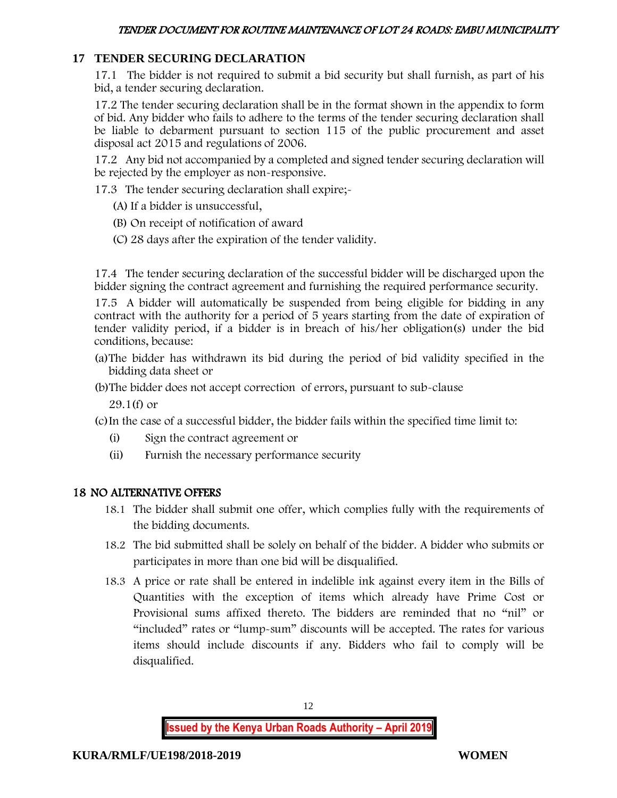## **17 TENDER SECURING DECLARATION**

17.1 The bidder is not required to submit a bid security but shall furnish, as part of his bid, a tender securing declaration.

17.2 The tender securing declaration shall be in the format shown in the appendix to form of bid. Any bidder who fails to adhere to the terms of the tender securing declaration shall be liable to debarment pursuant to section 115 of the public procurement and asset disposal act 2015 and regulations of 2006.

17.2 Any bid not accompanied by a completed and signed tender securing declaration will be rejected by the employer as non-responsive.

17.3 The tender securing declaration shall expire;-

- (A) If a bidder is unsuccessful,
- (B) On receipt of notification of award
- (C) 28 days after the expiration of the tender validity.

17.4 The tender securing declaration of the successful bidder will be discharged upon the bidder signing the contract agreement and furnishing the required performance security.

17.5 A bidder will automatically be suspended from being eligible for bidding in any contract with the authority for a period of 5 years starting from the date of expiration of tender validity period, if a bidder is in breach of his/her obligation(s) under the bid conditions, because:

- (a)The bidder has withdrawn its bid during the period of bid validity specified in the bidding data sheet or
- (b)The bidder does not accept correction of errors, pursuant to sub-clause

29.1(f) or

(c)In the case of a successful bidder, the bidder fails within the specified time limit to:

- (i) Sign the contract agreement or
- (ii) Furnish the necessary performance security

## 18 NO ALTERNATIVE OFFERS

- 18.1 The bidder shall submit one offer, which complies fully with the requirements of the bidding documents.
- 18.2 The bid submitted shall be solely on behalf of the bidder. A bidder who submits or participates in more than one bid will be disqualified.
- 18.3 A price or rate shall be entered in indelible ink against every item in the Bills of Quantities with the exception of items which already have Prime Cost or Provisional sums affixed thereto. The bidders are reminded that no "nil" or "included" rates or "lump-sum" discounts will be accepted. The rates for various items should include discounts if any. Bidders who fail to comply will be disqualified.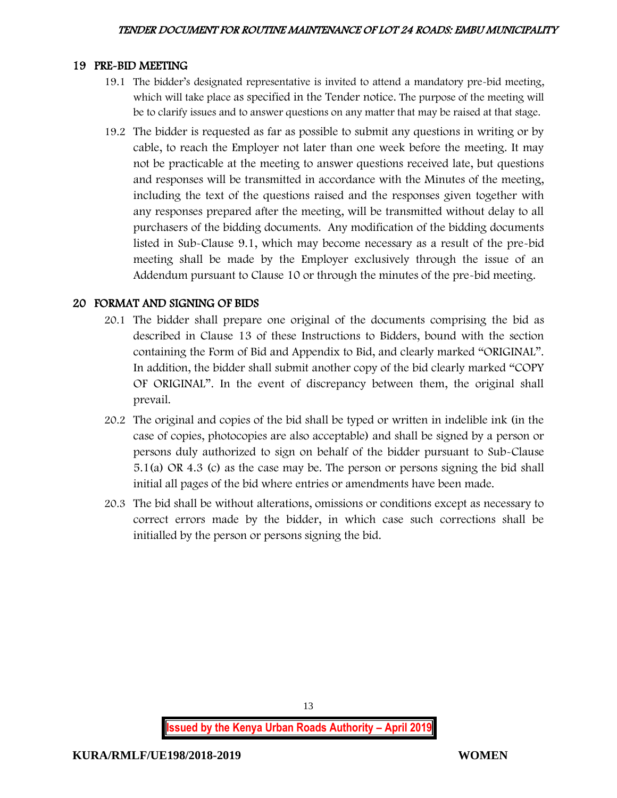#### 19 PRE-BID MEETING

- 19.1 The bidder's designated representative is invited to attend a mandatory pre-bid meeting, which will take place as specified in the Tender notice. The purpose of the meeting will be to clarify issues and to answer questions on any matter that may be raised at that stage.
- 19.2 The bidder is requested as far as possible to submit any questions in writing or by cable, to reach the Employer not later than one week before the meeting. It may not be practicable at the meeting to answer questions received late, but questions and responses will be transmitted in accordance with the Minutes of the meeting, including the text of the questions raised and the responses given together with any responses prepared after the meeting, will be transmitted without delay to all purchasers of the bidding documents. Any modification of the bidding documents listed in Sub-Clause 9.1, which may become necessary as a result of the pre-bid meeting shall be made by the Employer exclusively through the issue of an Addendum pursuant to Clause 10 or through the minutes of the pre-bid meeting.

## 20 FORMAT AND SIGNING OF BIDS

- 20.1 The bidder shall prepare one original of the documents comprising the bid as described in Clause 13 of these Instructions to Bidders, bound with the section containing the Form of Bid and Appendix to Bid, and clearly marked "ORIGINAL". In addition, the bidder shall submit another copy of the bid clearly marked "COPY OF ORIGINAL". In the event of discrepancy between them, the original shall prevail.
- 20.2 The original and copies of the bid shall be typed or written in indelible ink (in the case of copies, photocopies are also acceptable) and shall be signed by a person or persons duly authorized to sign on behalf of the bidder pursuant to Sub-Clause 5.1(a) OR 4.3 (c) as the case may be. The person or persons signing the bid shall initial all pages of the bid where entries or amendments have been made.
- 20.3 The bid shall be without alterations, omissions or conditions except as necessary to correct errors made by the bidder, in which case such corrections shall be initialled by the person or persons signing the bid.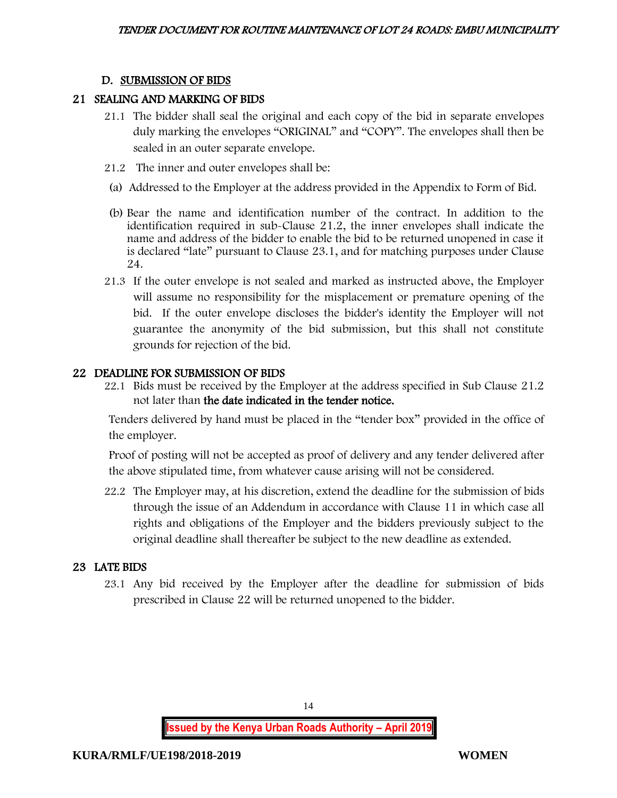## D. SUBMISSION OF BIDS

#### 21 SEALING AND MARKING OF BIDS

- 21.1 The bidder shall seal the original and each copy of the bid in separate envelopes duly marking the envelopes "ORIGINAL" and "COPY". The envelopes shall then be sealed in an outer separate envelope.
- 21.2 The inner and outer envelopes shall be:
- (a) Addressed to the Employer at the address provided in the Appendix to Form of Bid.
- (b) Bear the name and identification number of the contract. In addition to the identification required in sub-Clause 21.2, the inner envelopes shall indicate the name and address of the bidder to enable the bid to be returned unopened in case it is declared "late" pursuant to Clause 23.1, and for matching purposes under Clause 24.
- 21.3 If the outer envelope is not sealed and marked as instructed above, the Employer will assume no responsibility for the misplacement or premature opening of the bid. If the outer envelope discloses the bidder's identity the Employer will not guarantee the anonymity of the bid submission, but this shall not constitute grounds for rejection of the bid.

#### 22 DEADLINE FOR SUBMISSION OF BIDS

22.1 Bids must be received by the Employer at the address specified in Sub Clause 21.2 not later than the date indicated in the tender notice.

Tenders delivered by hand must be placed in the "tender box" provided in the office of the employer.

Proof of posting will not be accepted as proof of delivery and any tender delivered after the above stipulated time, from whatever cause arising will not be considered.

22.2 The Employer may, at his discretion, extend the deadline for the submission of bids through the issue of an Addendum in accordance with Clause 11 in which case all rights and obligations of the Employer and the bidders previously subject to the original deadline shall thereafter be subject to the new deadline as extended.

## 23 LATE BIDS

23.1 Any bid received by the Employer after the deadline for submission of bids prescribed in Clause 22 will be returned unopened to the bidder.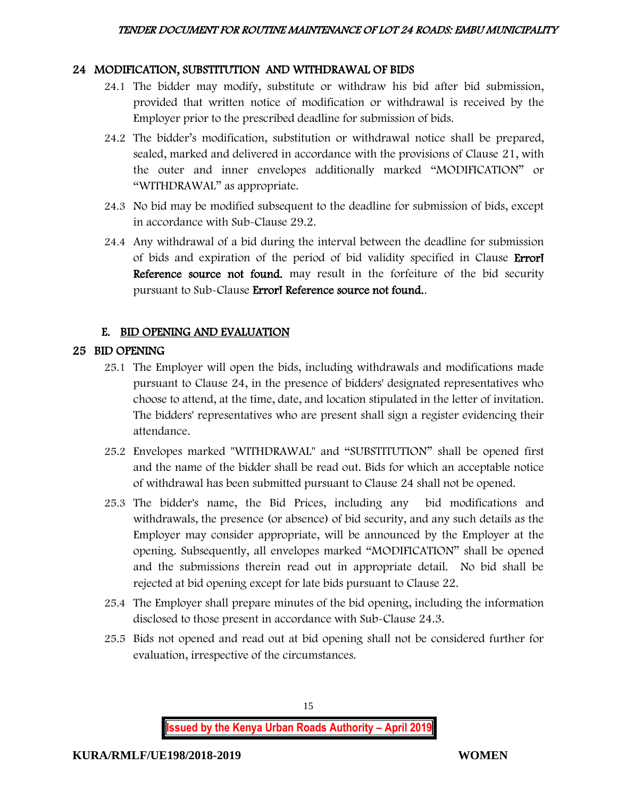# 24 MODIFICATION, SUBSTITUTION AND WITHDRAWAL OF BIDS

- 24.1 The bidder may modify, substitute or withdraw his bid after bid submission, provided that written notice of modification or withdrawal is received by the Employer prior to the prescribed deadline for submission of bids.
- 24.2 The bidder's modification, substitution or withdrawal notice shall be prepared, sealed, marked and delivered in accordance with the provisions of Clause 21, with the outer and inner envelopes additionally marked "MODIFICATION" or "WITHDRAWAL" as appropriate.
- 24.3 No bid may be modified subsequent to the deadline for submission of bids, except in accordance with Sub-Clause 29.2.
- 24.4 Any withdrawal of a bid during the interval between the deadline for submission of bids and expiration of the period of bid validity specified in Clause Error! Reference source not found. may result in the forfeiture of the bid security pursuant to Sub-Clause Error! Reference source not found..

# E. BID OPENING AND EVALUATION

# 25 BID OPENING

- 25.1 The Employer will open the bids, including withdrawals and modifications made pursuant to Clause 24, in the presence of bidders' designated representatives who choose to attend, at the time, date, and location stipulated in the letter of invitation. The bidders' representatives who are present shall sign a register evidencing their attendance.
- 25.2 Envelopes marked "WITHDRAWAL" and "SUBSTITUTION" shall be opened first and the name of the bidder shall be read out. Bids for which an acceptable notice of withdrawal has been submitted pursuant to Clause 24 shall not be opened.
- 25.3 The bidder's name, the Bid Prices, including any bid modifications and withdrawals, the presence (or absence) of bid security, and any such details as the Employer may consider appropriate, will be announced by the Employer at the opening. Subsequently, all envelopes marked "MODIFICATION" shall be opened and the submissions therein read out in appropriate detail. No bid shall be rejected at bid opening except for late bids pursuant to Clause 22.
- 25.4 The Employer shall prepare minutes of the bid opening, including the information disclosed to those present in accordance with Sub-Clause 24.3.
- 25.5 Bids not opened and read out at bid opening shall not be considered further for evaluation, irrespective of the circumstances.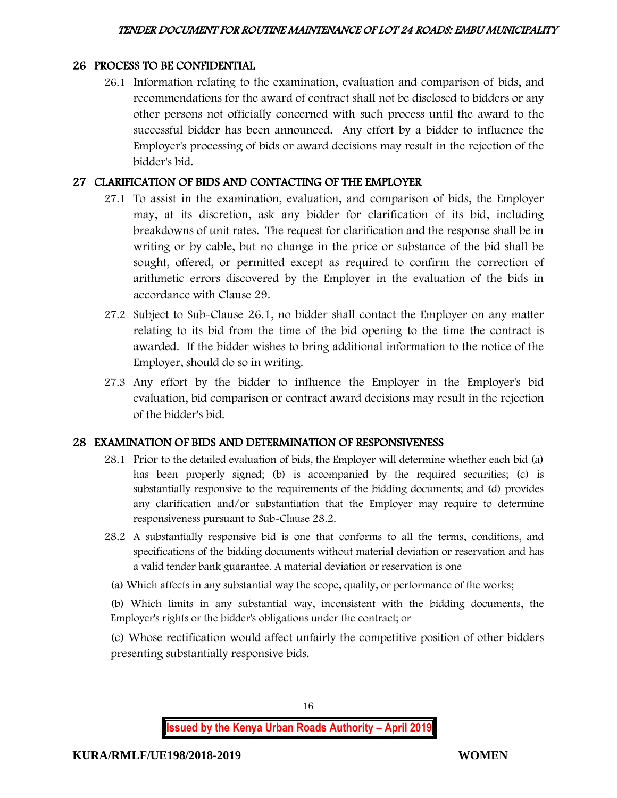## 26 PROCESS TO BE CONFIDENTIAL

26.1 Information relating to the examination, evaluation and comparison of bids, and recommendations for the award of contract shall not be disclosed to bidders or any other persons not officially concerned with such process until the award to the successful bidder has been announced. Any effort by a bidder to influence the Employer's processing of bids or award decisions may result in the rejection of the bidder's bid.

## 27 CLARIFICATION OF BIDS AND CONTACTING OF THE EMPLOYER

- 27.1 To assist in the examination, evaluation, and comparison of bids, the Employer may, at its discretion, ask any bidder for clarification of its bid, including breakdowns of unit rates. The request for clarification and the response shall be in writing or by cable, but no change in the price or substance of the bid shall be sought, offered, or permitted except as required to confirm the correction of arithmetic errors discovered by the Employer in the evaluation of the bids in accordance with Clause 29.
- 27.2 Subject to Sub-Clause 26.1, no bidder shall contact the Employer on any matter relating to its bid from the time of the bid opening to the time the contract is awarded. If the bidder wishes to bring additional information to the notice of the Employer, should do so in writing.
- 27.3 Any effort by the bidder to influence the Employer in the Employer's bid evaluation, bid comparison or contract award decisions may result in the rejection of the bidder's bid.

## 28 EXAMINATION OF BIDS AND DETERMINATION OF RESPONSIVENESS

- 28.1 Prior to the detailed evaluation of bids, the Employer will determine whether each bid (a) has been properly signed; (b) is accompanied by the required securities; (c) is substantially responsive to the requirements of the bidding documents; and (d) provides any clarification and/or substantiation that the Employer may require to determine responsiveness pursuant to Sub-Clause 28.2.
- 28.2 A substantially responsive bid is one that conforms to all the terms, conditions, and specifications of the bidding documents without material deviation or reservation and has a valid tender bank guarantee. A material deviation or reservation is one
- (a) Which affects in any substantial way the scope, quality, or performance of the works;

(b) Which limits in any substantial way, inconsistent with the bidding documents, the Employer's rights or the bidder's obligations under the contract; or

(c) Whose rectification would affect unfairly the competitive position of other bidders presenting substantially responsive bids.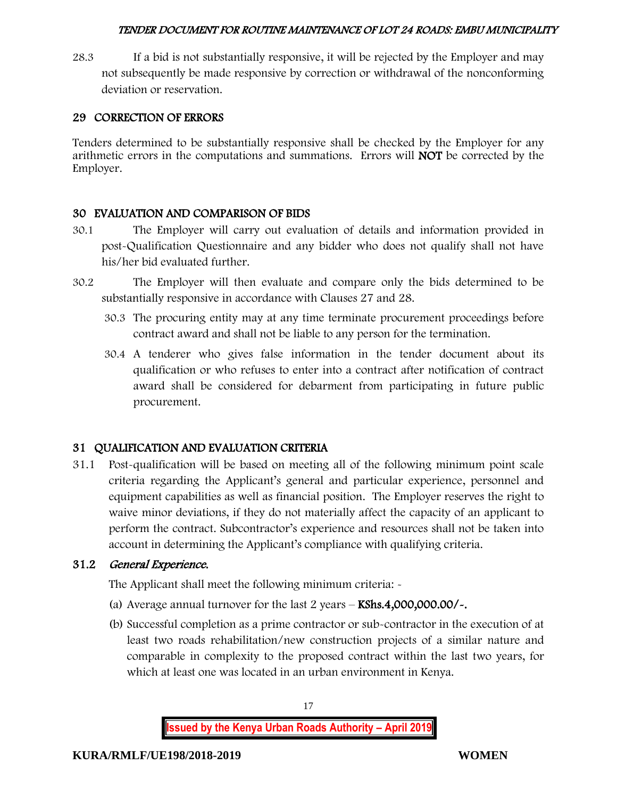28.3 If a bid is not substantially responsive, it will be rejected by the Employer and may not subsequently be made responsive by correction or withdrawal of the nonconforming deviation or reservation.

# 29 CORRECTION OF ERRORS

Tenders determined to be substantially responsive shall be checked by the Employer for any arithmetic errors in the computations and summations. Errors will NOT be corrected by the Employer.

# 30 EVALUATION AND COMPARISON OF BIDS

- 30.1 The Employer will carry out evaluation of details and information provided in post-Qualification Questionnaire and any bidder who does not qualify shall not have his/her bid evaluated further.
- 30.2 The Employer will then evaluate and compare only the bids determined to be substantially responsive in accordance with Clauses 27 and 28.
	- 30.3 The procuring entity may at any time terminate procurement proceedings before contract award and shall not be liable to any person for the termination.
	- 30.4 A tenderer who gives false information in the tender document about its qualification or who refuses to enter into a contract after notification of contract award shall be considered for debarment from participating in future public procurement.

# 31 QUALIFICATION AND EVALUATION CRITERIA

31.1 Post-qualification will be based on meeting all of the following minimum point scale criteria regarding the Applicant's general and particular experience, personnel and equipment capabilities as well as financial position. The Employer reserves the right to waive minor deviations, if they do not materially affect the capacity of an applicant to perform the contract. Subcontractor's experience and resources shall not be taken into account in determining the Applicant's compliance with qualifying criteria.

## 31.2 General Experience.

The Applicant shall meet the following minimum criteria: -

- (a) Average annual turnover for the last  $2$  years  $-$  KShs.4,000,000.00/ $\sim$ .
- (b) Successful completion as a prime contractor or sub-contractor in the execution of at least two roads rehabilitation/new construction projects of a similar nature and comparable in complexity to the proposed contract within the last two years, for which at least one was located in an urban environment in Kenya.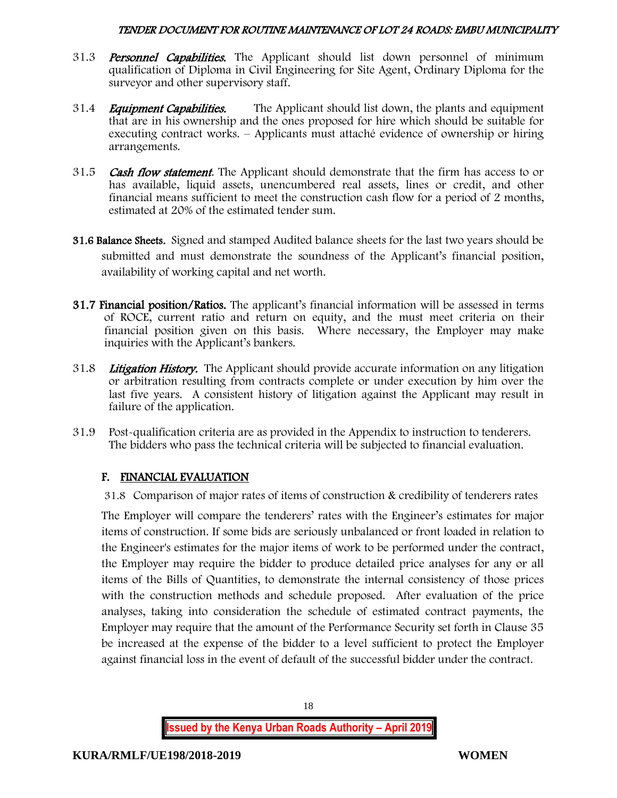- 31.3 **Personnel Capabilities.** The Applicant should list down personnel of minimum qualification of Diploma in Civil Engineering for Site Agent, Ordinary Diploma for the surveyor and other supervisory staff.
- 31.4 *Equipment Capabilities.* The Applicant should list down, the plants and equipment that are in his ownership and the ones proposed for hire which should be suitable for executing contract works. – Applicants must attaché evidence of ownership or hiring arrangements.
- 31.5 **Cash flow statement**. The Applicant should demonstrate that the firm has access to or has available, liquid assets, unencumbered real assets, lines or credit, and other financial means sufficient to meet the construction cash flow for a period of 2 months, estimated at 20% of the estimated tender sum.
- 31.6 Balance Sheets. Signed and stamped Audited balance sheets for the last two years should be submitted and must demonstrate the soundness of the Applicant's financial position, availability of working capital and net worth.
- 31.7 Financial position/Ratios. The applicant's financial information will be assessed in terms of ROCE, current ratio and return on equity, and the must meet criteria on their financial position given on this basis. Where necessary, the Employer may make inquiries with the Applicant's bankers.
- 31.8 Litigation History. The Applicant should provide accurate information on any litigation or arbitration resulting from contracts complete or under execution by him over the last five years. A consistent history of litigation against the Applicant may result in failure of the application.
- 31.9 Post-qualification criteria are as provided in the Appendix to instruction to tenderers. The bidders who pass the technical criteria will be subjected to financial evaluation.

# F. FINANCIAL EVALUATION

31.8 Comparison of major rates of items of construction & credibility of tenderers rates

The Employer will compare the tenderers' rates with the Engineer's estimates for major items of construction. If some bids are seriously unbalanced or front loaded in relation to the Engineer's estimates for the major items of work to be performed under the contract, the Employer may require the bidder to produce detailed price analyses for any or all items of the Bills of Quantities, to demonstrate the internal consistency of those prices with the construction methods and schedule proposed. After evaluation of the price analyses, taking into consideration the schedule of estimated contract payments, the Employer may require that the amount of the Performance Security set forth in Clause 35 be increased at the expense of the bidder to a level sufficient to protect the Employer against financial loss in the event of default of the successful bidder under the contract.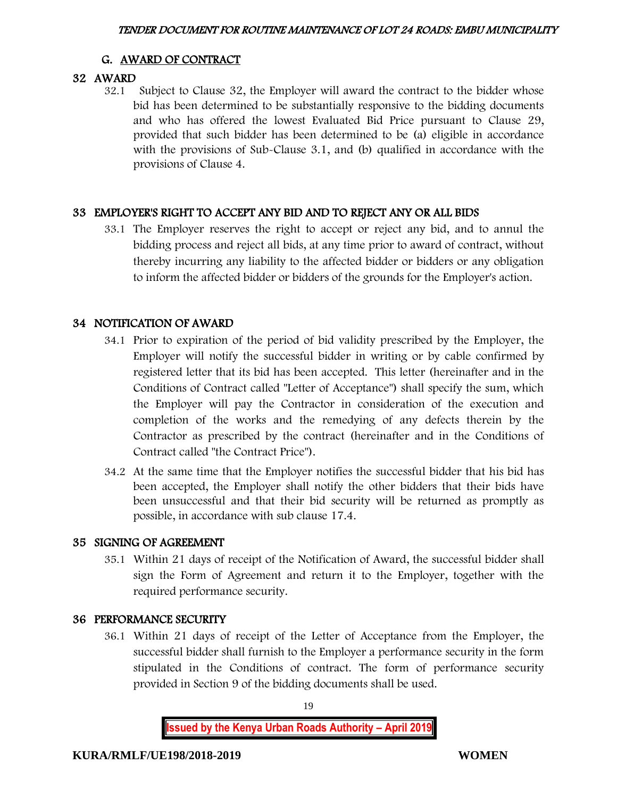# G. AWARD OF CONTRACT

# 32 AWARD

32.1 Subject to Clause 32, the Employer will award the contract to the bidder whose bid has been determined to be substantially responsive to the bidding documents and who has offered the lowest Evaluated Bid Price pursuant to Clause 29, provided that such bidder has been determined to be (a) eligible in accordance with the provisions of Sub-Clause 3.1, and (b) qualified in accordance with the provisions of Clause 4.

# 33 EMPLOYER'S RIGHT TO ACCEPT ANY BID AND TO REJECT ANY OR ALL BIDS

33.1 The Employer reserves the right to accept or reject any bid, and to annul the bidding process and reject all bids, at any time prior to award of contract, without thereby incurring any liability to the affected bidder or bidders or any obligation to inform the affected bidder or bidders of the grounds for the Employer's action.

# 34 NOTIFICATION OF AWARD

- 34.1 Prior to expiration of the period of bid validity prescribed by the Employer, the Employer will notify the successful bidder in writing or by cable confirmed by registered letter that its bid has been accepted. This letter (hereinafter and in the Conditions of Contract called "Letter of Acceptance") shall specify the sum, which the Employer will pay the Contractor in consideration of the execution and completion of the works and the remedying of any defects therein by the Contractor as prescribed by the contract (hereinafter and in the Conditions of Contract called "the Contract Price").
- 34.2 At the same time that the Employer notifies the successful bidder that his bid has been accepted, the Employer shall notify the other bidders that their bids have been unsuccessful and that their bid security will be returned as promptly as possible, in accordance with sub clause 17.4.

# 35 SIGNING OF AGREEMENT

35.1 Within 21 days of receipt of the Notification of Award, the successful bidder shall sign the Form of Agreement and return it to the Employer, together with the required performance security.

# 36 PERFORMANCE SECURITY

36.1 Within 21 days of receipt of the Letter of Acceptance from the Employer, the successful bidder shall furnish to the Employer a performance security in the form stipulated in the Conditions of contract. The form of performance security provided in Section 9 of the bidding documents shall be used.

19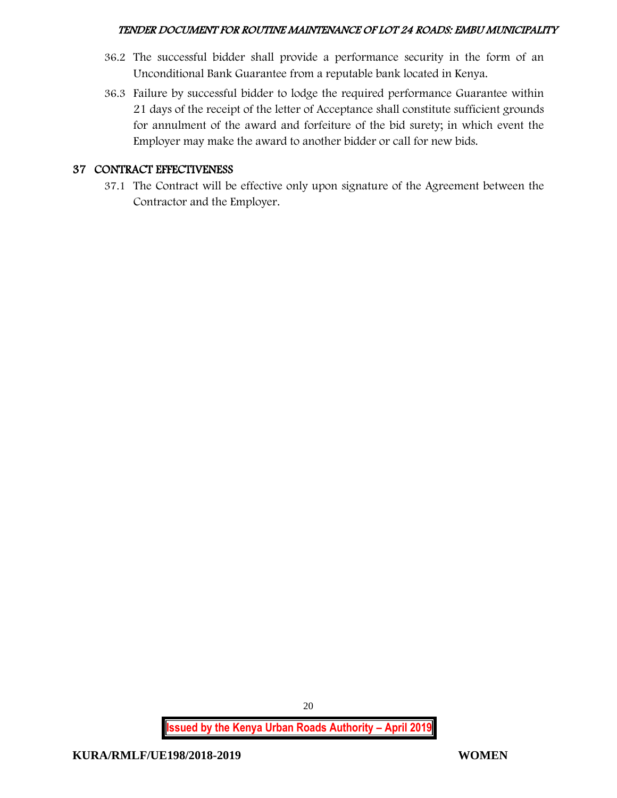- 36.2 The successful bidder shall provide a performance security in the form of an Unconditional Bank Guarantee from a reputable bank located in Kenya.
- 36.3 Failure by successful bidder to lodge the required performance Guarantee within 21 days of the receipt of the letter of Acceptance shall constitute sufficient grounds for annulment of the award and forfeiture of the bid surety; in which event the Employer may make the award to another bidder or call for new bids.

## 37 CONTRACT EFFECTIVENESS

37.1 The Contract will be effective only upon signature of the Agreement between the Contractor and the Employer.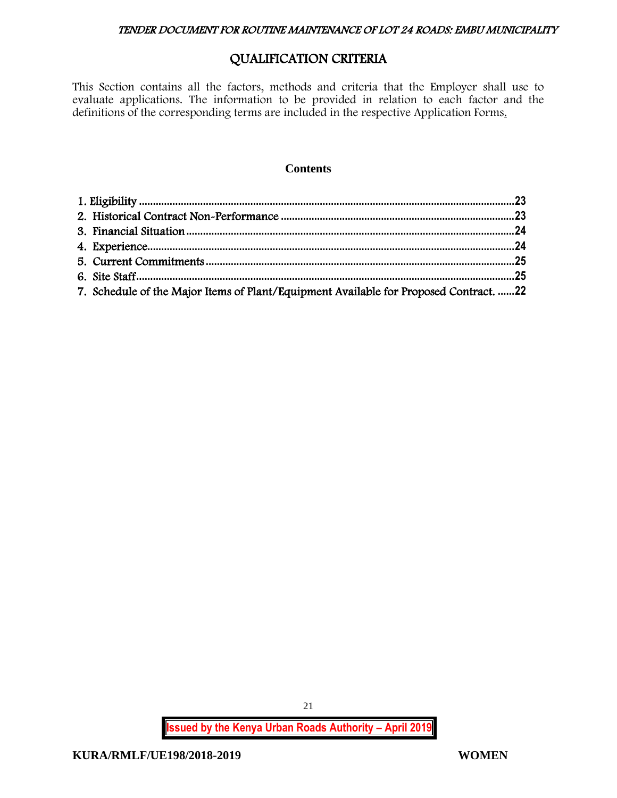# QUALIFICATION CRITERIA

This Section contains all the factors, methods and criteria that the Employer shall use to evaluate applications. The information to be provided in relation to each factor and the definitions of the corresponding terms are included in the respective Application Forms.

#### **Contents**

| 7. Schedule of the Major Items of Plant/Equipment Available for Proposed Contract. 22 |  |
|---------------------------------------------------------------------------------------|--|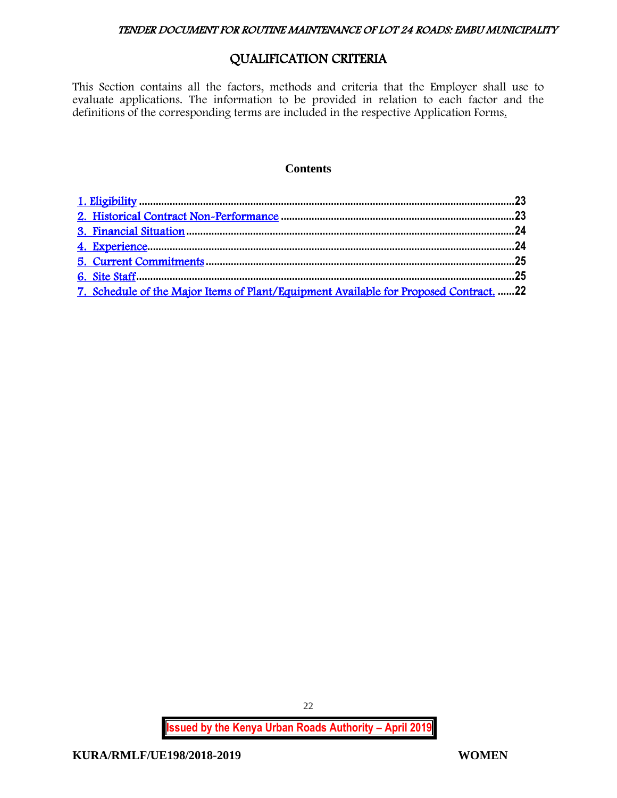# QUALIFICATION CRITERIA

<span id="page-22-0"></span>This Section contains all the factors, methods and criteria that the Employer shall use to evaluate applications. The information to be provided in relation to each factor and the definitions of the corresponding terms are included in the respective Application Forms.

#### **Contents**

| 7. Schedule of the Major Items of Plant/Equipment Available for Proposed Contract. 22 |  |
|---------------------------------------------------------------------------------------|--|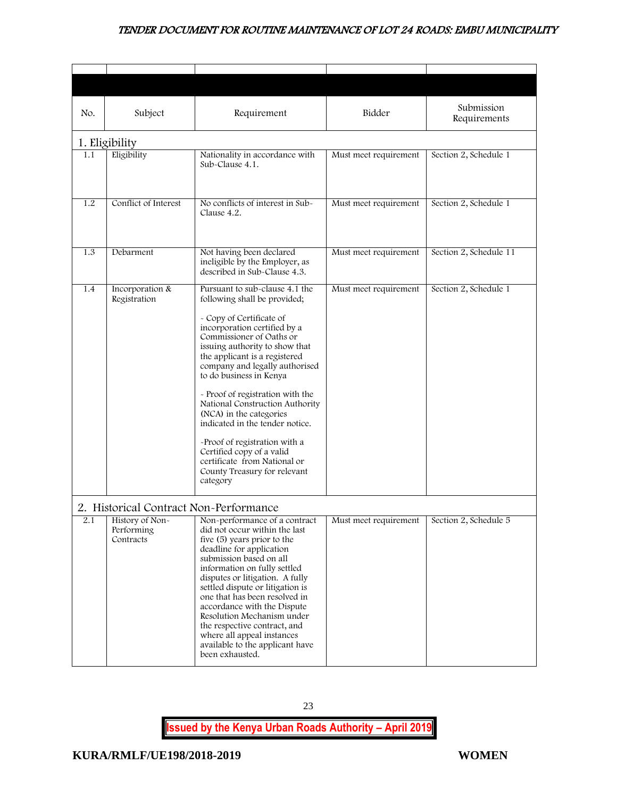<span id="page-23-1"></span><span id="page-23-0"></span>

| No. | Subject                                    | Requirement                                                                                                                                                                                                                                                                                                                                                                                                                                                                                                                                                           | Bidder                | Submission<br>Requirements |
|-----|--------------------------------------------|-----------------------------------------------------------------------------------------------------------------------------------------------------------------------------------------------------------------------------------------------------------------------------------------------------------------------------------------------------------------------------------------------------------------------------------------------------------------------------------------------------------------------------------------------------------------------|-----------------------|----------------------------|
|     | 1. Eligibility                             |                                                                                                                                                                                                                                                                                                                                                                                                                                                                                                                                                                       |                       |                            |
| 1.1 | Eligibility                                | Nationality in accordance with<br>Sub-Clause 4.1.                                                                                                                                                                                                                                                                                                                                                                                                                                                                                                                     | Must meet requirement | Section 2, Schedule 1      |
| 1.2 | Conflict of Interest                       | No conflicts of interest in Sub-<br>Clause 4.2.                                                                                                                                                                                                                                                                                                                                                                                                                                                                                                                       | Must meet requirement | Section 2, Schedule 1      |
| 1.3 | Debarment                                  | Not having been declared<br>ineligible by the Employer, as<br>described in Sub-Clause 4.3.                                                                                                                                                                                                                                                                                                                                                                                                                                                                            | Must meet requirement | Section 2, Schedule 11     |
| 1.4 | Incorporation &<br>Registration            | Pursuant to sub-clause 4.1 the<br>following shall be provided;<br>- Copy of Certificate of<br>incorporation certified by a<br>Commissioner of Oaths or<br>issuing authority to show that<br>the applicant is a registered<br>company and legally authorised<br>to do business in Kenya<br>- Proof of registration with the<br>National Construction Authority<br>(NCA) in the categories<br>indicated in the tender notice.<br>-Proof of registration with a<br>Certified copy of a valid<br>certificate from National or<br>County Treasury for relevant<br>category | Must meet requirement | Section 2, Schedule 1      |
|     | 2. Historical Contract Non-Performance     |                                                                                                                                                                                                                                                                                                                                                                                                                                                                                                                                                                       |                       |                            |
| 2.1 | History of Non-<br>Performing<br>Contracts | Non-performance of a contract<br>did not occur within the last<br>five (5) years prior to the<br>deadline for application<br>submission based on all<br>information on fully settled<br>disputes or litigation. A fully<br>settled dispute or litigation is<br>one that has been resolved in<br>accordance with the Dispute<br>Resolution Mechanism under<br>the respective contract, and<br>where all appeal instances<br>available to the applicant have<br>been exhausted.                                                                                         | Must meet requirement | Section 2, Schedule 5      |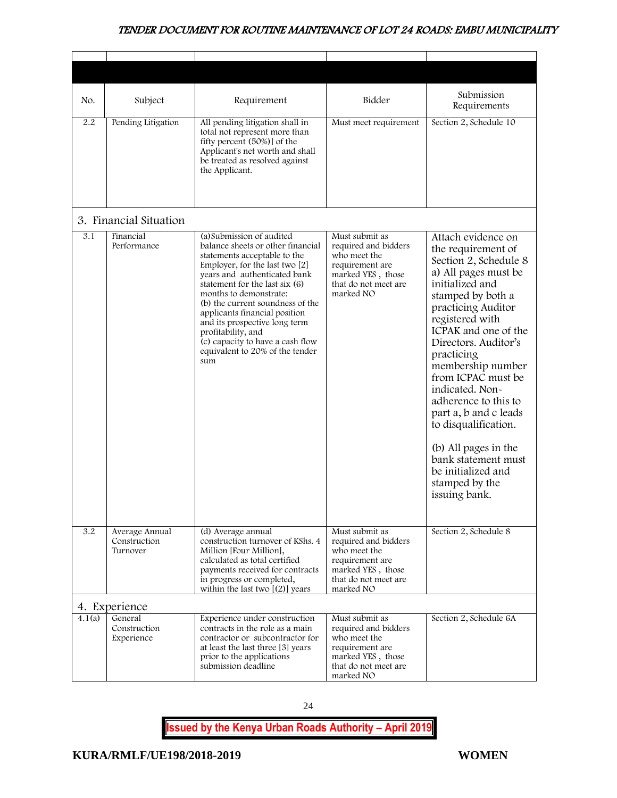<span id="page-24-1"></span><span id="page-24-0"></span>

| No.    | Subject                                    | Requirement                                                                                                                                                                                                                                                                                                                                                                                                                            | Bidder                                                                                                                              | Submission<br>Requirements                                                                                                                                                                                                                                                                                                                                                                                                                                                              |
|--------|--------------------------------------------|----------------------------------------------------------------------------------------------------------------------------------------------------------------------------------------------------------------------------------------------------------------------------------------------------------------------------------------------------------------------------------------------------------------------------------------|-------------------------------------------------------------------------------------------------------------------------------------|-----------------------------------------------------------------------------------------------------------------------------------------------------------------------------------------------------------------------------------------------------------------------------------------------------------------------------------------------------------------------------------------------------------------------------------------------------------------------------------------|
| 2.2    | Pending Litigation                         | All pending litigation shall in<br>total not represent more than<br>fifty percent (50%)] of the<br>Applicant's net worth and shall<br>be treated as resolved against<br>the Applicant.                                                                                                                                                                                                                                                 | Must meet requirement                                                                                                               | Section 2, Schedule 10                                                                                                                                                                                                                                                                                                                                                                                                                                                                  |
|        | 3. Financial Situation                     |                                                                                                                                                                                                                                                                                                                                                                                                                                        |                                                                                                                                     |                                                                                                                                                                                                                                                                                                                                                                                                                                                                                         |
| 3.1    | Financial<br>Performance                   | (a) Submission of audited<br>balance sheets or other financial<br>statements acceptable to the<br>Employer, for the last two [2]<br>years and authenticated bank<br>statement for the last six (6)<br>months to demonstrate:<br>(b) the current soundness of the<br>applicants financial position<br>and its prospective long term<br>profitability, and<br>(c) capacity to have a cash flow<br>equivalent to 20% of the tender<br>sum | Must submit as<br>required and bidders<br>who meet the<br>requirement are<br>marked YES, those<br>that do not meet are<br>marked NO | Attach evidence on<br>the requirement of<br>Section 2, Schedule 8<br>a) All pages must be<br>initialized and<br>stamped by both a<br>practicing Auditor<br>registered with<br>ICPAK and one of the<br>Directors. Auditor's<br>practicing<br>membership number<br>from ICPAC must be<br>indicated. Non-<br>adherence to this to<br>part a, b and c leads<br>to disqualification.<br>(b) All pages in the<br>bank statement must<br>be initialized and<br>stamped by the<br>issuing bank. |
| 3.2    | Average Annual<br>Construction<br>Turnover | (d) Average annual<br>construction turnover of KShs. 4<br>Million [Four Million],<br>calculated as total certified<br>payments received for contracts<br>in progress or completed,<br>within the last two $[(2)]$ years                                                                                                                                                                                                                | Must submit as<br>required and bidders<br>who meet the<br>requirement are<br>marked YES, those<br>that do not meet are<br>marked NO | Section 2, Schedule 8                                                                                                                                                                                                                                                                                                                                                                                                                                                                   |
|        | 4. Experience                              |                                                                                                                                                                                                                                                                                                                                                                                                                                        |                                                                                                                                     |                                                                                                                                                                                                                                                                                                                                                                                                                                                                                         |
| 4.1(a) | General<br>Construction<br>Experience      | Experience under construction<br>contracts in the role as a main<br>contractor or subcontractor for<br>at least the last three [3] years<br>prior to the applications<br>submission deadline                                                                                                                                                                                                                                           | Must submit as<br>required and bidders<br>who meet the<br>requirement are<br>marked YES, those<br>that do not meet are<br>marked NO | Section 2, Schedule 6A                                                                                                                                                                                                                                                                                                                                                                                                                                                                  |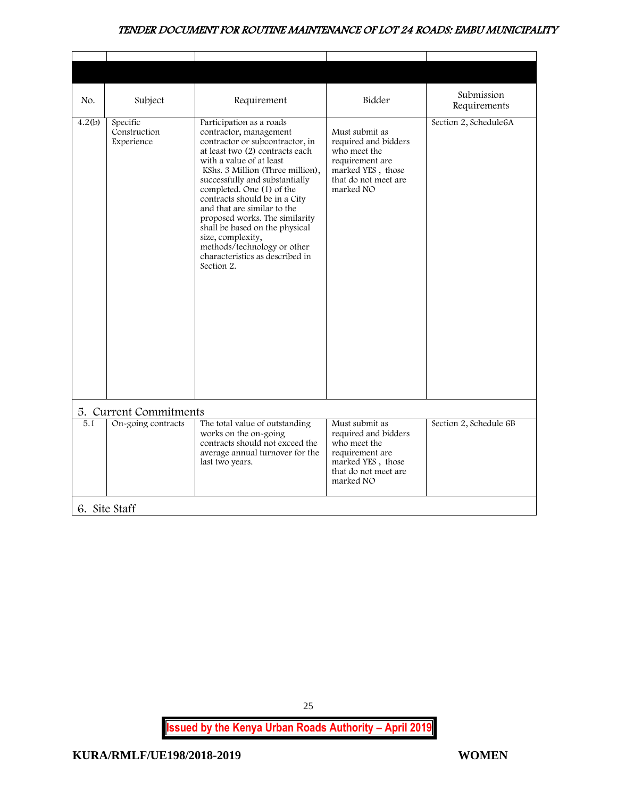| No.    | Subject                                | Requirement                                                                                                                                                                                                                                                                                                                                                                                                                                                                                      | Bidder                                                                                                                              | Submission<br>Requirements |
|--------|----------------------------------------|--------------------------------------------------------------------------------------------------------------------------------------------------------------------------------------------------------------------------------------------------------------------------------------------------------------------------------------------------------------------------------------------------------------------------------------------------------------------------------------------------|-------------------------------------------------------------------------------------------------------------------------------------|----------------------------|
| 4.2(b) | Specific<br>Construction<br>Experience | Participation as a roads<br>contractor, management<br>contractor or subcontractor, in<br>at least two (2) contracts each<br>with a value of at least<br>KShs. 3 Million (Three million),<br>successfully and substantially<br>completed. One (1) of the<br>contracts should be in a City<br>and that are similar to the<br>proposed works. The similarity<br>shall be based on the physical<br>size, complexity,<br>methods/technology or other<br>characteristics as described in<br>Section 2. | Must submit as<br>required and bidders<br>who meet the<br>requirement are<br>marked YES, those<br>that do not meet are<br>marked NO | Section 2, Schedule6A      |
|        | 5. Current Commitments                 |                                                                                                                                                                                                                                                                                                                                                                                                                                                                                                  |                                                                                                                                     |                            |
| 5.1    | On-going contracts                     | The total value of outstanding<br>works on the on-going<br>contracts should not exceed the<br>average annual turnover for the<br>last two years.                                                                                                                                                                                                                                                                                                                                                 | Must submit as<br>required and bidders<br>who meet the<br>requirement are<br>marked YES, those<br>that do not meet are<br>marked NO | Section 2, Schedule 6B     |
|        | 6. Site Staff                          |                                                                                                                                                                                                                                                                                                                                                                                                                                                                                                  |                                                                                                                                     |                            |

<span id="page-25-1"></span><span id="page-25-0"></span>**Issued by the Kenya Urban Roads Authority – April 2019**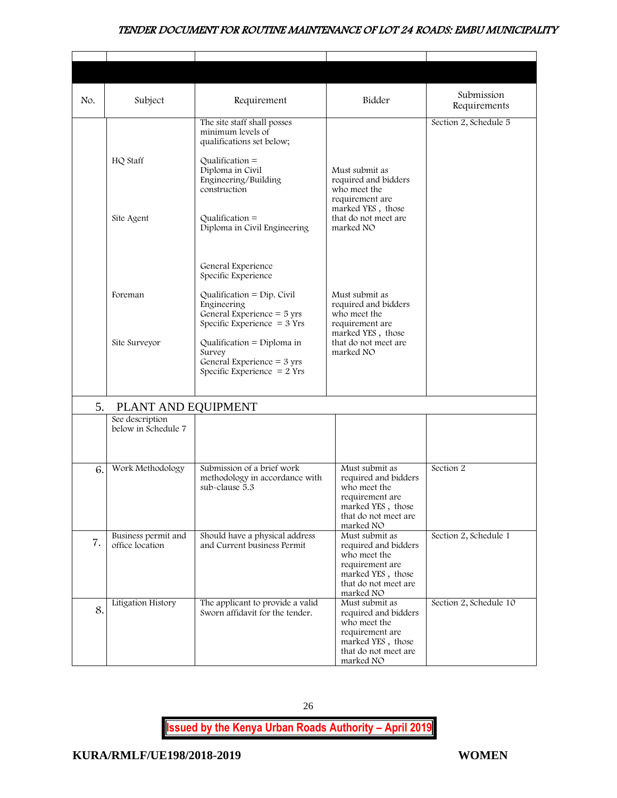| No. | Subject                                | Requirement                                                                                                                                                                                          | Bidder                                                                                                                              | Submission<br>Requirements |
|-----|----------------------------------------|------------------------------------------------------------------------------------------------------------------------------------------------------------------------------------------------------|-------------------------------------------------------------------------------------------------------------------------------------|----------------------------|
|     | HQ Staff                               | The site staff shall posses<br>minimum levels of<br>qualifications set below;<br>$Qualification =$<br>Diploma in Civil                                                                               | Must submit as                                                                                                                      | Section 2, Schedule 5      |
|     | Site Agent                             | Engineering/Building<br>construction<br>Qualification $=$<br>Diploma in Civil Engineering                                                                                                            | required and bidders<br>who meet the<br>requirement are<br>marked YES, those<br>that do not meet are<br>marked NO                   |                            |
|     | Foreman<br>Site Surveyor               | General Experience<br>Specific Experience<br>Qualification = $Dip$ . Civil<br>Engineering<br>General Experience $=$ 5 yrs<br>Specific Experience $=$ 3 Yrs<br>Qualification = $Diploma$ in<br>Survey | Must submit as<br>required and bidders<br>who meet the<br>requirement are<br>marked YES, those<br>that do not meet are<br>marked NO |                            |
|     |                                        | General Experience $=$ 3 yrs<br>Specific Experience $= 2$ Yrs                                                                                                                                        |                                                                                                                                     |                            |
| 5.  | PLANT AND EQUIPMENT                    |                                                                                                                                                                                                      |                                                                                                                                     |                            |
|     | See description<br>below in Schedule 7 |                                                                                                                                                                                                      |                                                                                                                                     |                            |
| 6.  | Work Methodology                       | Submission of a brief work<br>methodology in accordance with<br>sub-clause 5.3                                                                                                                       | Must submit as<br>required and bidders<br>who meet the<br>requirement are<br>marked YES, those<br>that do not meet are<br>marked NO | Section 2                  |
| 7.  | Business permit and<br>office location | Should have a physical address<br>and Current business Permit                                                                                                                                        | Must submit as<br>required and bidders<br>who meet the<br>requirement are<br>marked YES, those<br>that do not meet are<br>marked NO | Section 2, Schedule 1      |
| 8.  | Litigation History                     | The applicant to provide a valid<br>Sworn affidavit for the tender.                                                                                                                                  | Must submit as<br>required and bidders<br>who meet the<br>requirement are<br>marked YES, those<br>that do not meet are<br>marked NO | Section 2, Schedule 10     |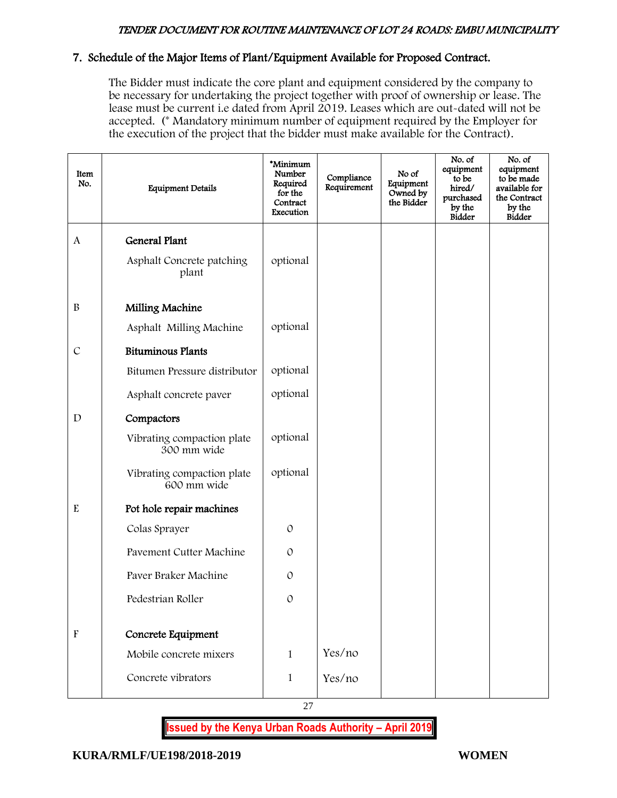## 7. Schedule of the Major Items of Plant/Equipment Available for Proposed Contract.

The Bidder must indicate the core plant and equipment considered by the company to be necessary for undertaking the project together with proof of ownership or lease. The lease must be current i.e dated from April 2019. Leases which are out-dated will not be accepted. (\* Mandatory minimum number of equipment required by the Employer for the execution of the project that the bidder must make available for the Contract).

| Item<br>No.               | <b>Equipment Details</b>                  | *Minimum<br>Number<br>Required<br>for the<br>Contract<br>Execution | Compliance<br>Requirement | No of<br>Equipment<br>Owned by<br>the Bidder | No. of<br>equipment<br>to be<br>hired/<br>purchased<br>by the<br><b>Bidder</b> | No. of<br>equipment<br>to be made<br>available for<br>the Contract<br>by the<br><b>Bidder</b> |
|---------------------------|-------------------------------------------|--------------------------------------------------------------------|---------------------------|----------------------------------------------|--------------------------------------------------------------------------------|-----------------------------------------------------------------------------------------------|
| A                         | <b>General Plant</b>                      |                                                                    |                           |                                              |                                                                                |                                                                                               |
|                           | Asphalt Concrete patching<br>plant        | optional                                                           |                           |                                              |                                                                                |                                                                                               |
| $\, {\bf B}$              | Milling Machine                           |                                                                    |                           |                                              |                                                                                |                                                                                               |
|                           | Asphalt Milling Machine                   | optional                                                           |                           |                                              |                                                                                |                                                                                               |
| $\mathcal{C}$             | <b>Bituminous Plants</b>                  |                                                                    |                           |                                              |                                                                                |                                                                                               |
|                           | Bitumen Pressure distributor              | optional                                                           |                           |                                              |                                                                                |                                                                                               |
|                           | Asphalt concrete paver                    | optional                                                           |                           |                                              |                                                                                |                                                                                               |
| $\mathbf D$               | Compactors                                |                                                                    |                           |                                              |                                                                                |                                                                                               |
|                           | Vibrating compaction plate<br>300 mm wide | optional                                                           |                           |                                              |                                                                                |                                                                                               |
|                           | Vibrating compaction plate<br>600 mm wide | optional                                                           |                           |                                              |                                                                                |                                                                                               |
| ${\bf E}$                 | Pot hole repair machines                  |                                                                    |                           |                                              |                                                                                |                                                                                               |
|                           | Colas Sprayer                             | $\mathcal{O}$                                                      |                           |                                              |                                                                                |                                                                                               |
|                           | Pavement Cutter Machine                   | $\mathcal{O}$                                                      |                           |                                              |                                                                                |                                                                                               |
|                           | Paver Braker Machine                      | $\mathcal{O}$                                                      |                           |                                              |                                                                                |                                                                                               |
|                           | Pedestrian Roller                         | $\mathcal{O}$                                                      |                           |                                              |                                                                                |                                                                                               |
|                           |                                           |                                                                    |                           |                                              |                                                                                |                                                                                               |
| $\boldsymbol{\mathrm{F}}$ | Concrete Equipment                        |                                                                    |                           |                                              |                                                                                |                                                                                               |
|                           | Mobile concrete mixers                    | $\mathbf{1}$                                                       | Yes/no                    |                                              |                                                                                |                                                                                               |
|                           | Concrete vibrators                        | $\mathbf{1}$                                                       | Yes/no                    |                                              |                                                                                |                                                                                               |

27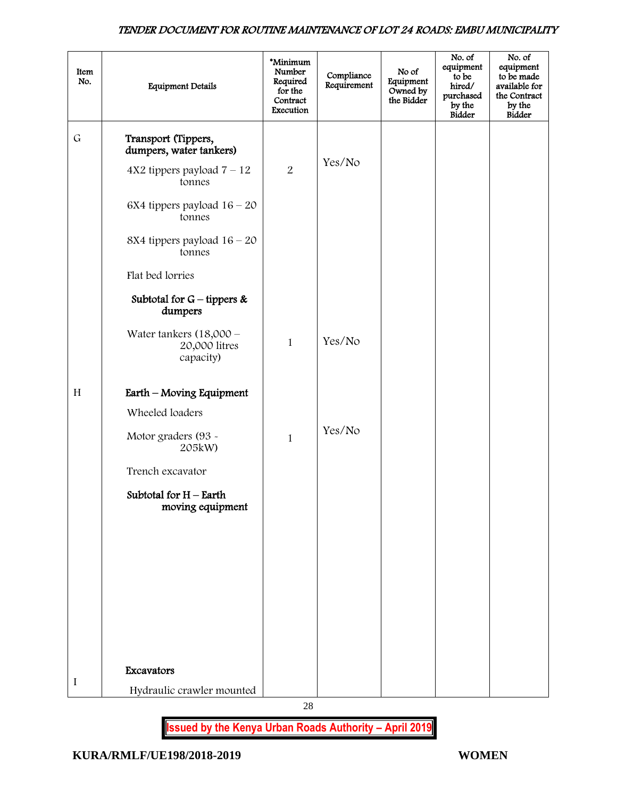| Item<br>No. | <b>Equipment Details</b>                                | *Minimum<br>Number<br>Required<br>for the<br>Contract<br>Execution | Compliance<br>Requirement | No of<br>Equipment<br>Owned by<br>the Bidder | No. of<br>equipment<br>to be<br>hired/<br>purchased<br>by the<br><b>Bidder</b> | No. of<br>equipment<br>to be made<br>available for<br>the Contract<br>by the<br><b>Bidder</b> |
|-------------|---------------------------------------------------------|--------------------------------------------------------------------|---------------------------|----------------------------------------------|--------------------------------------------------------------------------------|-----------------------------------------------------------------------------------------------|
| $\mathsf G$ | Transport (Tippers,<br>dumpers, water tankers)          |                                                                    |                           |                                              |                                                                                |                                                                                               |
|             | $4X2$ tippers payload $7 - 12$<br>tonnes                | $\overline{2}$                                                     | Yes/No                    |                                              |                                                                                |                                                                                               |
|             | 6X4 tippers payload $16 - 20$<br>tonnes                 |                                                                    |                           |                                              |                                                                                |                                                                                               |
|             | 8X4 tippers payload $16 - 20$<br>tonnes                 |                                                                    |                           |                                              |                                                                                |                                                                                               |
|             | Flat bed lorries                                        |                                                                    |                           |                                              |                                                                                |                                                                                               |
|             | Subtotal for $G$ – tippers &<br>dumpers                 |                                                                    |                           |                                              |                                                                                |                                                                                               |
|             | Water tankers $(18,000 -$<br>20,000 litres<br>capacity) | $\mathbf{1}$                                                       | Yes/No                    |                                              |                                                                                |                                                                                               |
| H           | Earth - Moving Equipment                                |                                                                    |                           |                                              |                                                                                |                                                                                               |
|             | Wheeled loaders                                         |                                                                    |                           |                                              |                                                                                |                                                                                               |
|             | Motor graders (93 -<br>205kW)                           | $\mathbf{1}$                                                       | Yes/No                    |                                              |                                                                                |                                                                                               |
|             | Trench excavator                                        |                                                                    |                           |                                              |                                                                                |                                                                                               |
|             | Subtotal for $H$ – Earth<br>moving equipment            |                                                                    |                           |                                              |                                                                                |                                                                                               |
|             |                                                         |                                                                    |                           |                                              |                                                                                |                                                                                               |
|             |                                                         |                                                                    |                           |                                              |                                                                                |                                                                                               |
|             |                                                         |                                                                    |                           |                                              |                                                                                |                                                                                               |
|             |                                                         |                                                                    |                           |                                              |                                                                                |                                                                                               |
|             |                                                         |                                                                    |                           |                                              |                                                                                |                                                                                               |
|             | Excavators                                              |                                                                    |                           |                                              |                                                                                |                                                                                               |
| I           | Hydraulic crawler mounted                               |                                                                    |                           |                                              |                                                                                |                                                                                               |

28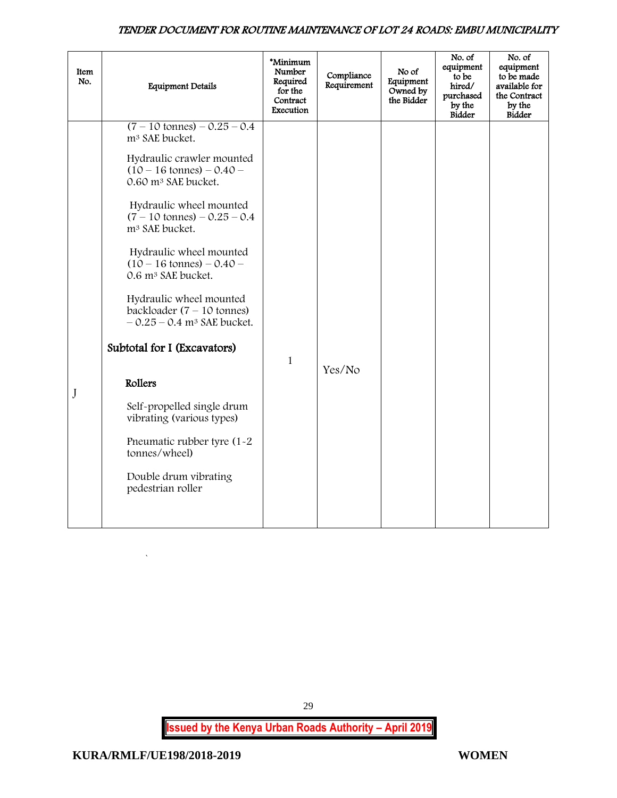| Item<br>No. | <b>Equipment Details</b>                                                                                    | *Minimum<br>Number<br>Required<br>for the<br>Contract<br>Execution | Compliance<br>Requirement | No of<br>Equipment<br>Owned by<br>the Bidder | No. of<br>equipment<br>to be<br>hired/<br>purchased<br>by the<br><b>Bidder</b> | No. of<br>equipment<br>to be made<br>available for<br>the Contract<br>by the<br><b>Bidder</b> |
|-------------|-------------------------------------------------------------------------------------------------------------|--------------------------------------------------------------------|---------------------------|----------------------------------------------|--------------------------------------------------------------------------------|-----------------------------------------------------------------------------------------------|
|             | $(7 - 10 \text{ tonnes}) - 0.25 - 0.4$<br>m <sup>3</sup> SAE bucket.                                        |                                                                    |                           |                                              |                                                                                |                                                                                               |
|             | Hydraulic crawler mounted<br>$(10 - 16 \text{ tonnes}) - 0.40 -$<br>0.60 m <sup>3</sup> SAE bucket.         |                                                                    |                           |                                              |                                                                                |                                                                                               |
|             | Hydraulic wheel mounted<br>$(7 - 10 \text{ tonnes}) - 0.25 - 0.4$<br>m <sup>3</sup> SAE bucket.             |                                                                    |                           |                                              |                                                                                |                                                                                               |
|             | Hydraulic wheel mounted<br>$(10 - 16 \text{ tonnes}) - 0.40 -$<br>0.6 m <sup>3</sup> SAE bucket.            |                                                                    |                           |                                              |                                                                                |                                                                                               |
|             | Hydraulic wheel mounted<br>backloader $(7 - 10 \text{ tonnes})$<br>$-0.25 - 0.4$ m <sup>3</sup> SAE bucket. |                                                                    |                           |                                              |                                                                                |                                                                                               |
|             | Subtotal for I (Excavators)                                                                                 | $\mathbf{1}$                                                       |                           |                                              |                                                                                |                                                                                               |
| J           | Rollers                                                                                                     |                                                                    | Yes/No                    |                                              |                                                                                |                                                                                               |
|             | Self-propelled single drum<br>vibrating (various types)                                                     |                                                                    |                           |                                              |                                                                                |                                                                                               |
|             | Pneumatic rubber tyre (1-2)<br>tonnes/wheel)                                                                |                                                                    |                           |                                              |                                                                                |                                                                                               |
|             | Double drum vibrating<br>pedestrian roller                                                                  |                                                                    |                           |                                              |                                                                                |                                                                                               |
|             |                                                                                                             |                                                                    |                           |                                              |                                                                                |                                                                                               |

**Issued by the Kenya Urban Roads Authority – April 2019**

29

`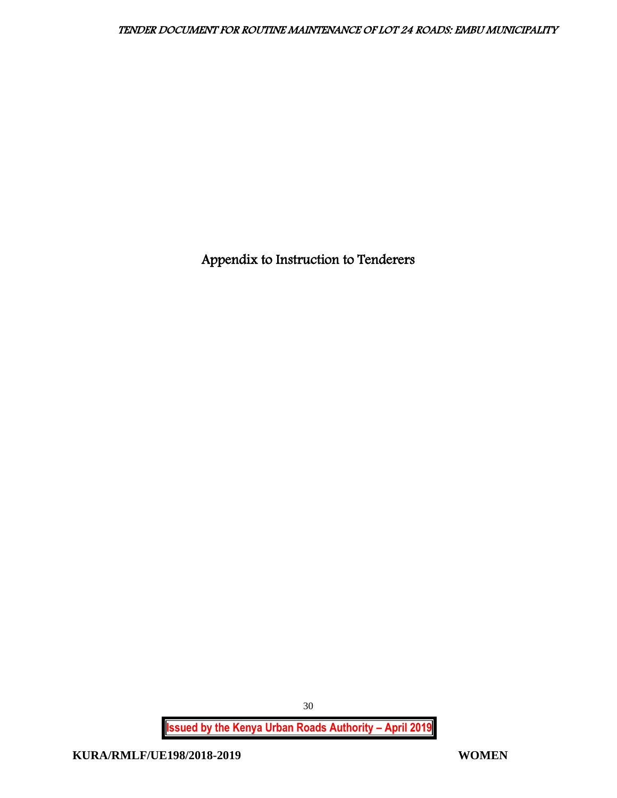<span id="page-30-0"></span>Appendix to Instruction to Tenderers

**Issued by the Kenya Urban Roads Authority – April 2019**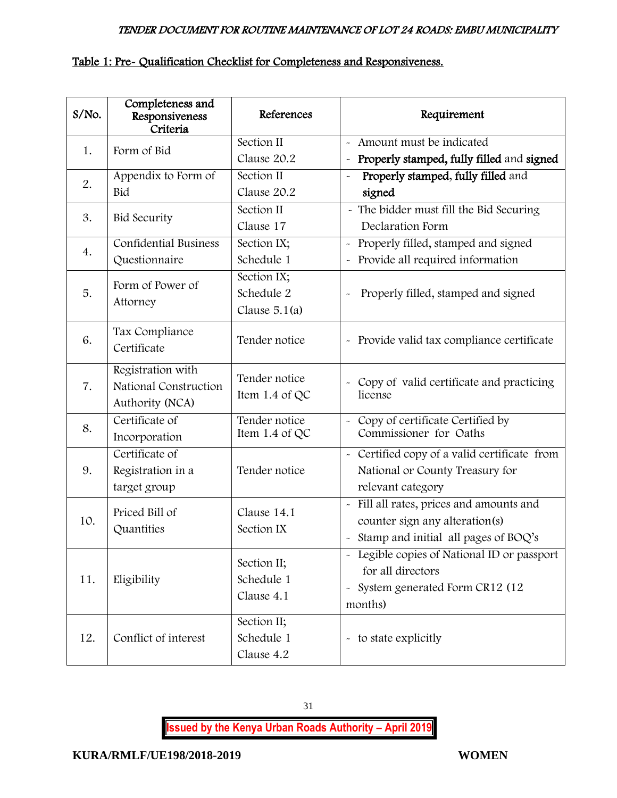#### Table 1: Pre- Qualification Checklist for Completeness and Responsiveness.

| S/No. | Completeness and<br>Responsiveness<br>Criteria                | References                                   | Requirement                                                                                                                                                       |
|-------|---------------------------------------------------------------|----------------------------------------------|-------------------------------------------------------------------------------------------------------------------------------------------------------------------|
| 1.    | Form of Bid                                                   | Section II<br>Clause 20.2                    | - Amount must be indicated<br>Properly stamped, fully filled and signed<br>$\widetilde{\phantom{m}}$                                                              |
| 2.    | Appendix to Form of<br>Bid                                    | Section II<br>Clause 20.2                    | Properly stamped, fully filled and<br>$\tilde{\phantom{a}}$<br>signed                                                                                             |
| 3.    | <b>Bid Security</b>                                           | Section II<br>Clause 17                      | - The bidder must fill the Bid Securing<br>Declaration Form                                                                                                       |
| 4.    | <b>Confidential Business</b><br>Questionnaire                 | Section IX;<br>Schedule 1                    | - Properly filled, stamped and signed<br>Provide all required information<br>$\tilde{\phantom{a}}$                                                                |
| 5.    | Form of Power of<br>Attorney                                  | Section IX;<br>Schedule 2<br>Clause $5.1(a)$ | Properly filled, stamped and signed<br>$\ddot{\phantom{1}}$                                                                                                       |
| 6.    | Tax Compliance<br>Certificate                                 | Tender notice                                | - Provide valid tax compliance certificate                                                                                                                        |
| 7.    | Registration with<br>National Construction<br>Authority (NCA) | Tender notice<br>Item 1.4 of QC              | Copy of valid certificate and practicing<br>$\ddot{\phantom{0}}$<br>license                                                                                       |
| 8.    | Certificate of<br>Incorporation                               | Tender notice<br>Item 1.4 of QC              | - Copy of certificate Certified by<br>Commissioner for Oaths                                                                                                      |
| 9.    | Certificate of<br>Registration in a<br>target group           | Tender notice                                | - Certified copy of a valid certificate from<br>National or County Treasury for<br>relevant category                                                              |
| 10.   | Priced Bill of<br>Quantities                                  | Clause 14.1<br>Section IX                    | - Fill all rates, prices and amounts and<br>counter sign any alteration(s)<br>- Stamp and initial all pages of BOQ's                                              |
| 11.   | Eligibility                                                   | Section II;<br>Schedule 1<br>Clause 4.1      | Legible copies of National ID or passport<br>$\tilde{\phantom{a}}$<br>for all directors<br>System generated Form CR12 (12<br>$\widetilde{\phantom{m}}$<br>months) |
| 12.   | Conflict of interest                                          | Section II;<br>Schedule 1<br>Clause 4.2      | - to state explicitly                                                                                                                                             |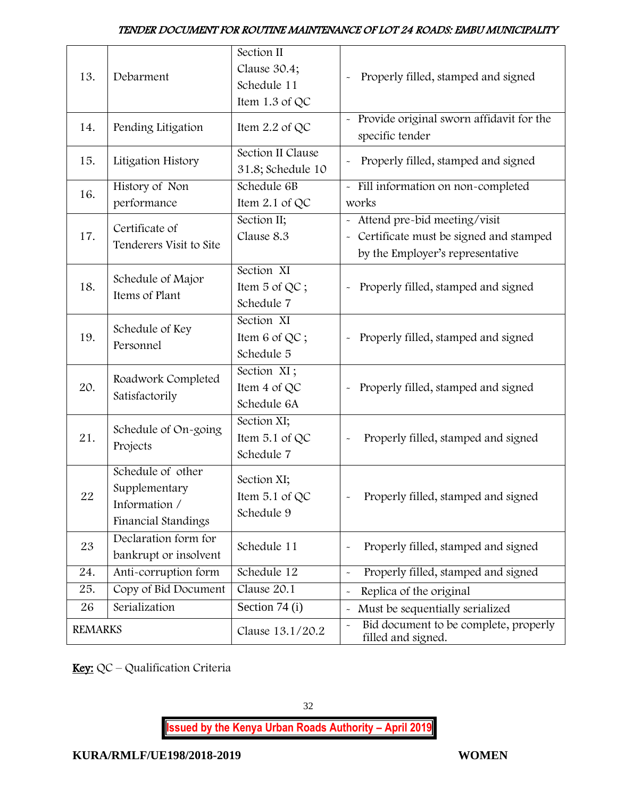| 13.            | Debarment                                                                  | Section II<br>Clause 30.4;<br>Schedule 11<br>Item 1.3 of QC | Properly filled, stamped and signed                                                                                        |
|----------------|----------------------------------------------------------------------------|-------------------------------------------------------------|----------------------------------------------------------------------------------------------------------------------------|
| 14.            | Pending Litigation                                                         | Item 2.2 of QC                                              | Provide original sworn affidavit for the<br>$\sim$<br>specific tender                                                      |
| 15.            | Litigation History                                                         | Section II Clause<br>31.8; Schedule 10                      | Properly filled, stamped and signed                                                                                        |
| 16.            | History of Non<br>performance                                              | Schedule 6B<br>Item 2.1 of QC                               | - Fill information on non-completed<br>works                                                                               |
| 17.            | Certificate of<br>Tenderers Visit to Site                                  | Section II;<br>Clause 8.3                                   | - Attend pre-bid meeting/visit<br>Certificate must be signed and stamped<br>$\tilde{}$<br>by the Employer's representative |
| 18.            | Schedule of Major<br>Items of Plant                                        | Section XI<br>Item 5 of QC;<br>Schedule 7                   | Properly filled, stamped and signed                                                                                        |
| 19.            | Schedule of Key<br>Personnel                                               | Section XI<br>Item 6 of QC;<br>Schedule 5                   | Properly filled, stamped and signed                                                                                        |
| 20.            | Roadwork Completed<br>Satisfactorily                                       | Section XI;<br>Item 4 of QC<br>Schedule 6A                  | Properly filled, stamped and signed<br>$\ddot{\phantom{0}}$                                                                |
| 21.            | Schedule of On-going<br>Projects                                           | Section XI;<br>Item 5.1 of QC<br>Schedule 7                 | Properly filled, stamped and signed                                                                                        |
| 22             | Schedule of other<br>Supplementary<br>Information /<br>Financial Standings | Section XI;<br>Item $5.1$ of QC<br>Schedule 9               | Properly filled, stamped and signed                                                                                        |
| 23             | Declaration form for<br>bankrupt or insolvent                              | Schedule 11                                                 | Properly filled, stamped and signed<br>$\ddot{\phantom{1}}$                                                                |
| 24.            | Anti-corruption form                                                       | Schedule 12                                                 | Properly filled, stamped and signed<br>$\tilde{}$                                                                          |
| 25.            | Copy of Bid Document                                                       | Clause 20.1                                                 | Replica of the original<br>$\ddot{\phantom{0}}$                                                                            |
| 26             | Serialization                                                              | Section 74 (i)                                              | Must be sequentially serialized<br>$\tilde{\phantom{a}}$                                                                   |
| <b>REMARKS</b> |                                                                            | Clause 13.1/20.2                                            | Bid document to be complete, properly<br>$\tilde{}$<br>filled and signed.                                                  |

Key: QC - Qualification Criteria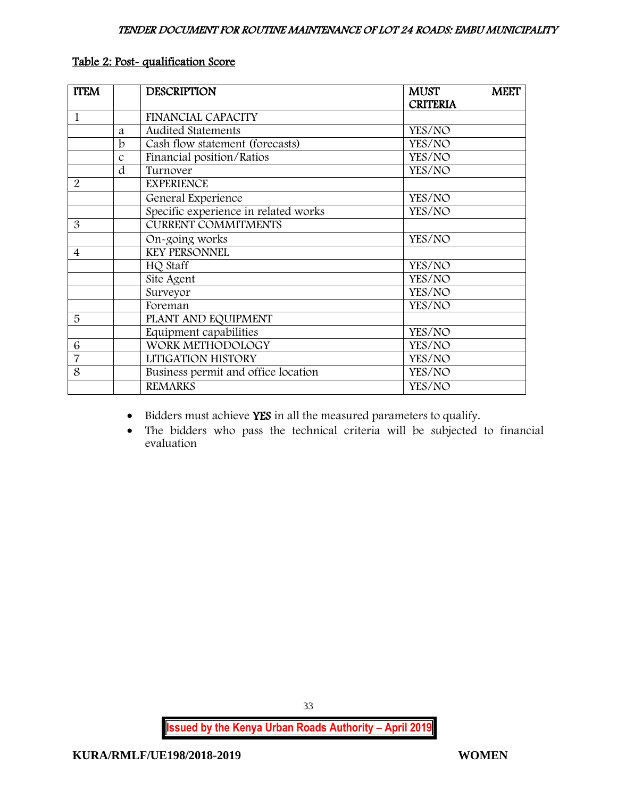| <b>ITEM</b>    |               | <b>DESCRIPTION</b>                   | <b>MUST</b><br><b>CRITERIA</b> | <b>MEET</b> |
|----------------|---------------|--------------------------------------|--------------------------------|-------------|
| $\mathbf{1}$   |               | FINANCIAL CAPACITY                   |                                |             |
|                | a             | <b>Audited Statements</b>            | YES/NO                         |             |
|                | b             | Cash flow statement (forecasts)      | YES/NO                         |             |
|                | $\mathcal{C}$ | Financial position/Ratios            | YES/NO                         |             |
|                | d             | Turnover                             | YES/NO                         |             |
| 2              |               | <b>EXPERIENCE</b>                    |                                |             |
|                |               | General Experience                   | YES/NO                         |             |
|                |               | Specific experience in related works | YES/NO                         |             |
| 3              |               | <b>CURRENT COMMITMENTS</b>           |                                |             |
|                |               | On-going works                       | YES/NO                         |             |
| $\overline{4}$ |               | <b>KEY PERSONNEL</b>                 |                                |             |
|                |               | HQ Staff                             | YES/NO                         |             |
|                |               | Site Agent                           | YES/NO                         |             |
|                |               | Surveyor                             | YES/NO                         |             |
|                |               | Foreman                              | YES/NO                         |             |
| 5              |               | PLANT AND EQUIPMENT                  |                                |             |
|                |               | Equipment capabilities               | YES/NO                         |             |
| 6              |               | WORK METHODOLOGY                     | YES/NO                         |             |
| $\overline{7}$ |               | LITIGATION HISTORY                   | YES/NO                         |             |
| 8              |               | Business permit and office location  | YES/NO                         |             |
|                |               | <b>REMARKS</b>                       | YES/NO                         |             |

# Table 2: Post- qualification Score

- Bidders must achieve YES in all the measured parameters to qualify.
- The bidders who pass the technical criteria will be subjected to financial evaluation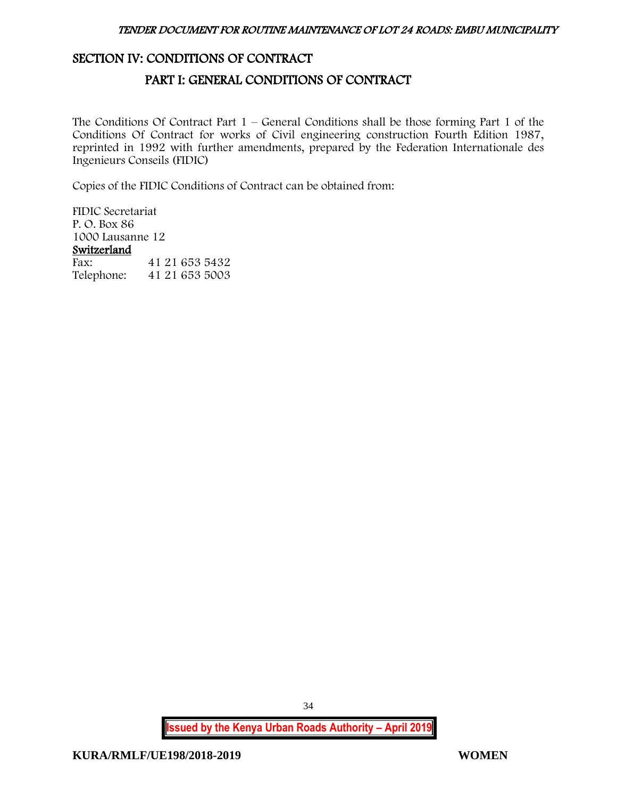# <span id="page-34-1"></span><span id="page-34-0"></span>SECTION IV: CONDITIONS OF CONTRACT

# PART I: GENERAL CONDITIONS OF CONTRACT

The Conditions Of Contract Part 1 – General Conditions shall be those forming Part 1 of the Conditions Of Contract for works of Civil engineering construction Fourth Edition 1987, reprinted in 1992 with further amendments, prepared by the Federation Internationale des Ingenieurs Conseils (FIDIC)

Copies of the FIDIC Conditions of Contract can be obtained from:

FIDIC Secretariat P. O. Box 86 1000 Lausanne 12 Switzerland<br>Fax: Fax: 41 21 653 5432 Telephone: 41 21 653 5003

**Issued by the Kenya Urban Roads Authority – April 2019**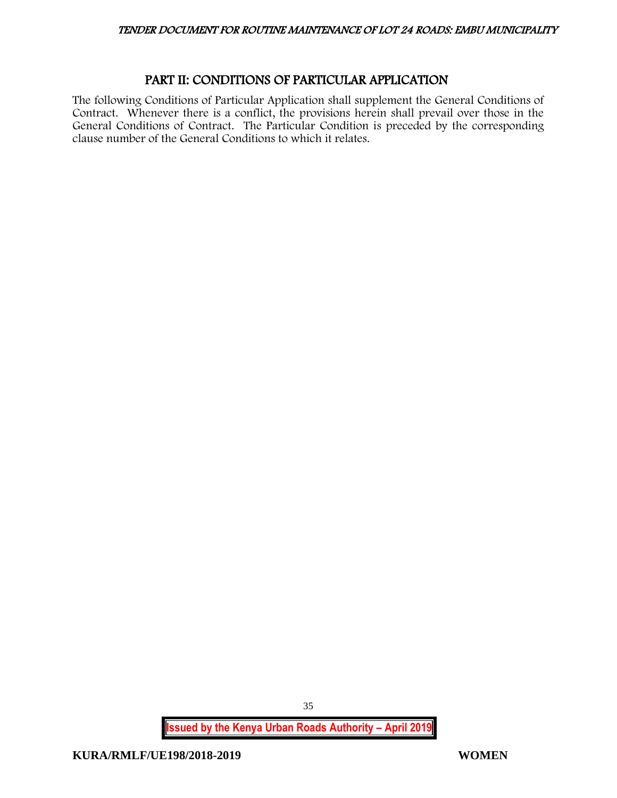# PART II: CONDITIONS OF PARTICULAR APPLICATION

<span id="page-35-0"></span>The following Conditions of Particular Application shall supplement the General Conditions of Contract. Whenever there is a conflict, the provisions herein shall prevail over those in the General Conditions of Contract. The Particular Condition is preceded by the corresponding clause number of the General Conditions to which it relates.

**Issued by the Kenya Urban Roads Authority – April 2019**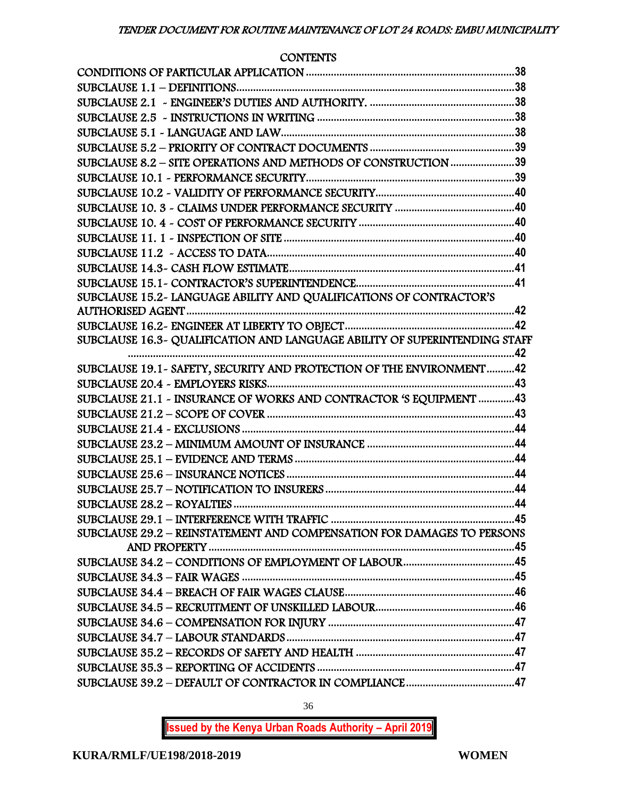# **CONTENTS**

| SUBCLAUSE 8.2 - SITE OPERATIONS AND METHODS OF CONSTRUCTION 39             |  |
|----------------------------------------------------------------------------|--|
|                                                                            |  |
|                                                                            |  |
|                                                                            |  |
|                                                                            |  |
|                                                                            |  |
|                                                                            |  |
|                                                                            |  |
|                                                                            |  |
| SUBCLAUSE 15.2- LANGUAGE ABILITY AND QUALIFICATIONS OF CONTRACTOR'S        |  |
|                                                                            |  |
|                                                                            |  |
| SUBCLAUSE 16.3~ QUALIFICATION AND LANGUAGE ABILITY OF SUPERINTENDING STAFF |  |
|                                                                            |  |
| SUBCLAUSE 19.1 - SAFETY, SECURITY AND PROTECTION OF THE ENVIRONMENT 42     |  |
|                                                                            |  |
| SUBCLAUSE 21.1 - INSURANCE OF WORKS AND CONTRACTOR 'S EQUIPMENT 43         |  |
|                                                                            |  |
|                                                                            |  |
|                                                                            |  |
|                                                                            |  |
|                                                                            |  |
|                                                                            |  |
|                                                                            |  |
| SUBCLAUSE 29.2 - REINSTATEMENT AND COMPENSATION FOR DAMAGES TO PERSONS     |  |
|                                                                            |  |
|                                                                            |  |
|                                                                            |  |
|                                                                            |  |
|                                                                            |  |
|                                                                            |  |
|                                                                            |  |
|                                                                            |  |
|                                                                            |  |
|                                                                            |  |
|                                                                            |  |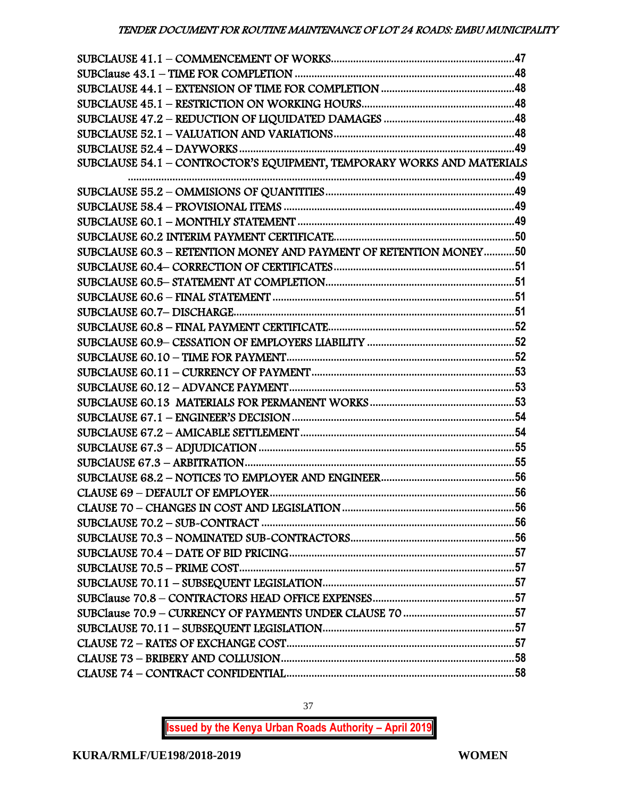| SUBCLAUSE 54.1 - CONTROCTOR'S EQUIPMENT, TEMPORARY WORKS AND MATERIALS |  |
|------------------------------------------------------------------------|--|
|                                                                        |  |
|                                                                        |  |
|                                                                        |  |
|                                                                        |  |
|                                                                        |  |
| SUBCLAUSE 60.3 - RETENTION MONEY AND PAYMENT OF RETENTION MONEY50      |  |
|                                                                        |  |
|                                                                        |  |
|                                                                        |  |
|                                                                        |  |
|                                                                        |  |
|                                                                        |  |
|                                                                        |  |
|                                                                        |  |
|                                                                        |  |
|                                                                        |  |
|                                                                        |  |
|                                                                        |  |
|                                                                        |  |
|                                                                        |  |
|                                                                        |  |
|                                                                        |  |
|                                                                        |  |
|                                                                        |  |
|                                                                        |  |
|                                                                        |  |
|                                                                        |  |
|                                                                        |  |
|                                                                        |  |
|                                                                        |  |
|                                                                        |  |
|                                                                        |  |
|                                                                        |  |
|                                                                        |  |

37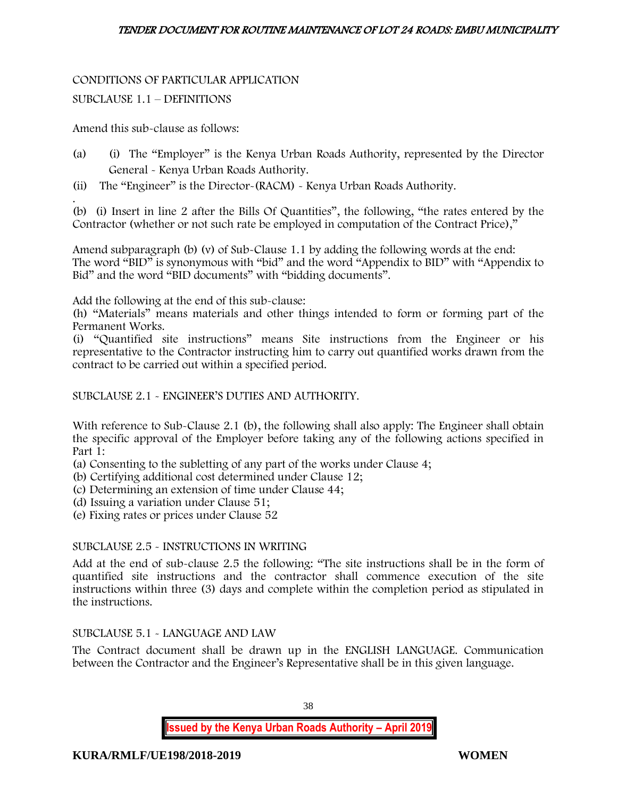# CONDITIONS OF PARTICULAR APPLICATION

# SUBCLAUSE 1.1 – DEFINITIONS

Amend this sub-clause as follows:

- (a) (i) The "Employer" is the Kenya Urban Roads Authority, represented by the Director General - Kenya Urban Roads Authority.
- (ii) The "Engineer" is the Director-(RACM) Kenya Urban Roads Authority.

. (b) (i) Insert in line 2 after the Bills Of Quantities", the following, "the rates entered by the Contractor (whether or not such rate be employed in computation of the Contract Price),"

Amend subparagraph (b) (v) of Sub-Clause 1.1 by adding the following words at the end: The word "BID" is synonymous with "bid" and the word "Appendix to BID" with "Appendix to Bid" and the word "BID documents" with "bidding documents".

Add the following at the end of this sub-clause:

(h) "Materials" means materials and other things intended to form or forming part of the Permanent Works.

(i) "Quantified site instructions" means Site instructions from the Engineer or his representative to the Contractor instructing him to carry out quantified works drawn from the contract to be carried out within a specified period.

SUBCLAUSE 2.1 - ENGINEER'S DUTIES AND AUTHORITY.

With reference to Sub-Clause 2.1 (b), the following shall also apply: The Engineer shall obtain the specific approval of the Employer before taking any of the following actions specified in Part 1:

- (a) Consenting to the subletting of any part of the works under Clause 4;
- (b) Certifying additional cost determined under Clause 12;
- (c) Determining an extension of time under Clause 44;
- (d) Issuing a variation under Clause 51;
- (e) Fixing rates or prices under Clause 52

# SUBCLAUSE 2.5 - INSTRUCTIONS IN WRITING

Add at the end of sub-clause 2.5 the following: "The site instructions shall be in the form of quantified site instructions and the contractor shall commence execution of the site instructions within three (3) days and complete within the completion period as stipulated in the instructions.

# SUBCLAUSE 5.1 - LANGUAGE AND LAW

The Contract document shall be drawn up in the ENGLISH LANGUAGE. Communication between the Contractor and the Engineer's Representative shall be in this given language.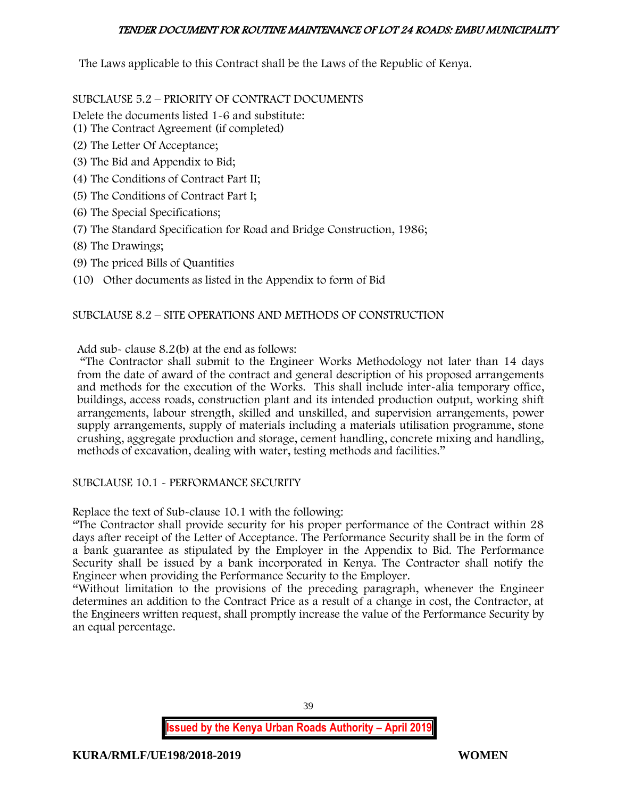The Laws applicable to this Contract shall be the Laws of the Republic of Kenya.

SUBCLAUSE 5.2 – PRIORITY OF CONTRACT DOCUMENTS

Delete the documents listed 1-6 and substitute:

- (1) The Contract Agreement (if completed)
- (2) The Letter Of Acceptance;
- (3) The Bid and Appendix to Bid;
- (4) The Conditions of Contract Part II;
- (5) The Conditions of Contract Part I;
- (6) The Special Specifications;
- (7) The Standard Specification for Road and Bridge Construction, 1986;
- (8) The Drawings;
- (9) The priced Bills of Quantities
- (10) Other documents as listed in the Appendix to form of Bid

# SUBCLAUSE 8.2 – SITE OPERATIONS AND METHODS OF CONSTRUCTION

Add sub- clause 8.2(b) at the end as follows:

"The Contractor shall submit to the Engineer Works Methodology not later than 14 days from the date of award of the contract and general description of his proposed arrangements and methods for the execution of the Works. This shall include inter-alia temporary office, buildings, access roads, construction plant and its intended production output, working shift arrangements, labour strength, skilled and unskilled, and supervision arrangements, power supply arrangements, supply of materials including a materials utilisation programme, stone crushing, aggregate production and storage, cement handling, concrete mixing and handling, methods of excavation, dealing with water, testing methods and facilities."

# SUBCLAUSE 10.1 - PERFORMANCE SECURITY

Replace the text of Sub-clause 10.1 with the following:

"The Contractor shall provide security for his proper performance of the Contract within 28 days after receipt of the Letter of Acceptance. The Performance Security shall be in the form of a bank guarantee as stipulated by the Employer in the Appendix to Bid. The Performance Security shall be issued by a bank incorporated in Kenya. The Contractor shall notify the Engineer when providing the Performance Security to the Employer.

"Without limitation to the provisions of the preceding paragraph, whenever the Engineer determines an addition to the Contract Price as a result of a change in cost, the Contractor, at the Engineers written request, shall promptly increase the value of the Performance Security by an equal percentage.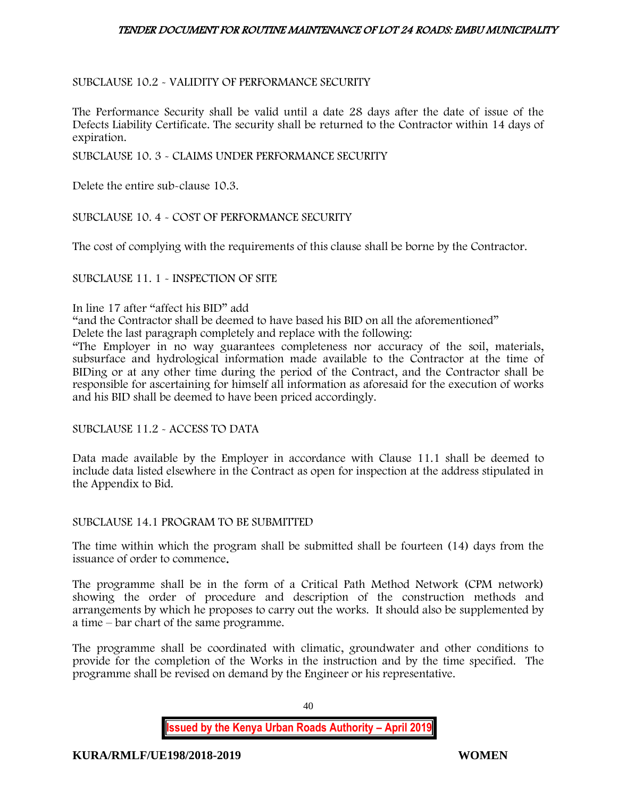# SUBCLAUSE 10.2 - VALIDITY OF PERFORMANCE SECURITY

The Performance Security shall be valid until a date 28 days after the date of issue of the Defects Liability Certificate. The security shall be returned to the Contractor within 14 days of expiration.

SUBCLAUSE 10. 3 - CLAIMS UNDER PERFORMANCE SECURITY

Delete the entire sub-clause 10.3.

SUBCLAUSE 10. 4 - COST OF PERFORMANCE SECURITY

The cost of complying with the requirements of this clause shall be borne by the Contractor.

SUBCLAUSE 11. 1 - INSPECTION OF SITE

#### In line 17 after "affect his BID" add

"and the Contractor shall be deemed to have based his BID on all the aforementioned"

Delete the last paragraph completely and replace with the following:

"The Employer in no way guarantees completeness nor accuracy of the soil, materials, subsurface and hydrological information made available to the Contractor at the time of BIDing or at any other time during the period of the Contract, and the Contractor shall be responsible for ascertaining for himself all information as aforesaid for the execution of works and his BID shall be deemed to have been priced accordingly.

SUBCLAUSE 11.2 - ACCESS TO DATA

Data made available by the Employer in accordance with Clause 11.1 shall be deemed to include data listed elsewhere in the Contract as open for inspection at the address stipulated in the Appendix to Bid.

#### SUBCLAUSE 14.1 PROGRAM TO BE SUBMITTED

The time within which the program shall be submitted shall be fourteen (14) days from the issuance of order to commence.

The programme shall be in the form of a Critical Path Method Network (CPM network) showing the order of procedure and description of the construction methods and arrangements by which he proposes to carry out the works. It should also be supplemented by a time – bar chart of the same programme.

The programme shall be coordinated with climatic, groundwater and other conditions to provide for the completion of the Works in the instruction and by the time specified. The programme shall be revised on demand by the Engineer or his representative.

40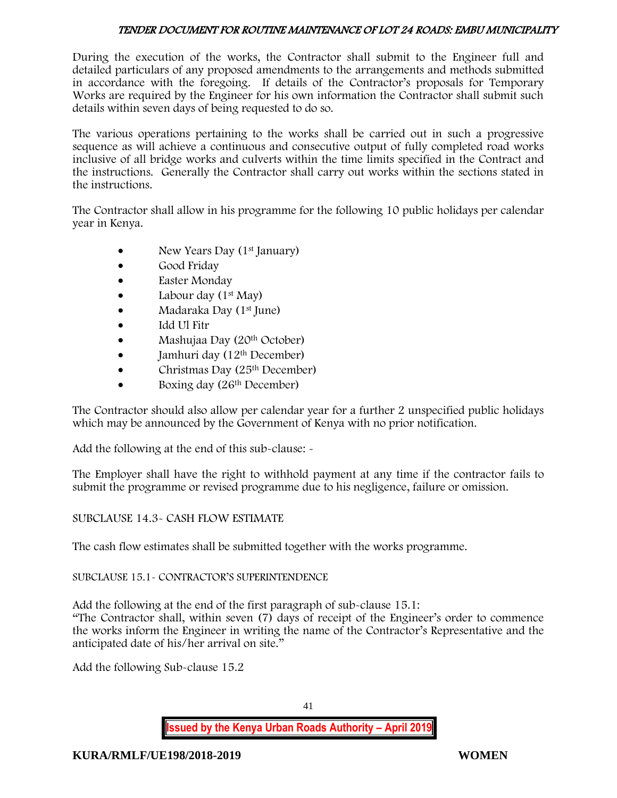During the execution of the works, the Contractor shall submit to the Engineer full and detailed particulars of any proposed amendments to the arrangements and methods submitted in accordance with the foregoing. If details of the Contractor's proposals for Temporary Works are required by the Engineer for his own information the Contractor shall submit such details within seven days of being requested to do so.

The various operations pertaining to the works shall be carried out in such a progressive sequence as will achieve a continuous and consecutive output of fully completed road works inclusive of all bridge works and culverts within the time limits specified in the Contract and the instructions. Generally the Contractor shall carry out works within the sections stated in the instructions.

The Contractor shall allow in his programme for the following 10 public holidays per calendar year in Kenya.

- New Years Day (1<sup>st</sup> January)
- Good Friday
- **Easter Monday**
- Labour day  $(1<sup>st</sup>$  May)
- Madaraka Day (1st June)
- Idd Ul Fitr
- Mashujaa Day (20<sup>th</sup> October)
- $\bullet$  Jamhuri day (12<sup>th</sup> December)
- $\bullet$  Christmas Day (25<sup>th</sup> December)
- Boxing day (26<sup>th</sup> December)

The Contractor should also allow per calendar year for a further 2 unspecified public holidays which may be announced by the Government of Kenya with no prior notification.

Add the following at the end of this sub-clause: -

The Employer shall have the right to withhold payment at any time if the contractor fails to submit the programme or revised programme due to his negligence, failure or omission.

# SUBCLAUSE 14.3- CASH FLOW ESTIMATE

The cash flow estimates shall be submitted together with the works programme.

# SUBCLAUSE 15.1- CONTRACTOR'S SUPERINTENDENCE

Add the following at the end of the first paragraph of sub-clause 15.1: "The Contractor shall, within seven (7) days of receipt of the Engineer's order to commence the works inform the Engineer in writing the name of the Contractor's Representative and the anticipated date of his/her arrival on site."

Add the following Sub-clause 15.2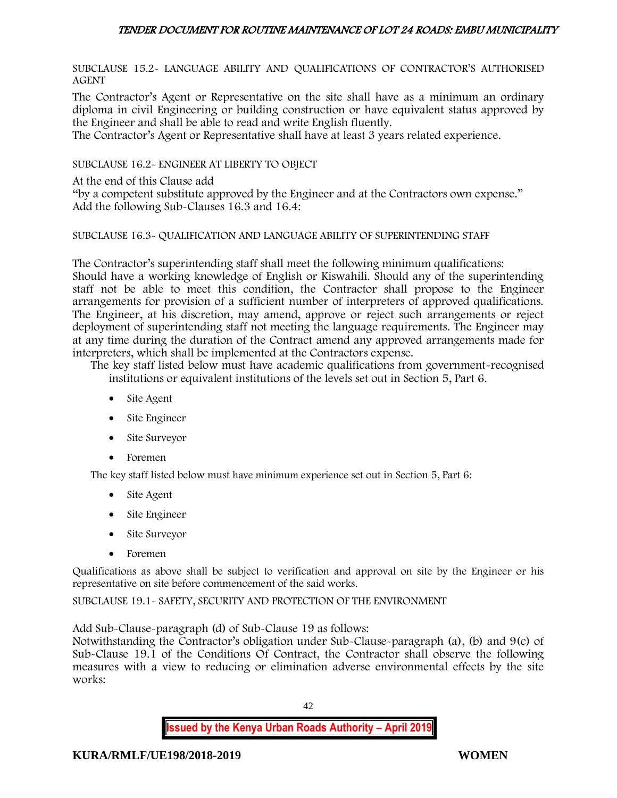SUBCLAUSE 15.2- LANGUAGE ABILITY AND QUALIFICATIONS OF CONTRACTOR'S AUTHORISED AGENT

The Contractor's Agent or Representative on the site shall have as a minimum an ordinary diploma in civil Engineering or building construction or have equivalent status approved by the Engineer and shall be able to read and write English fluently.

The Contractor's Agent or Representative shall have at least 3 years related experience.

SUBCLAUSE 16.2- ENGINEER AT LIBERTY TO OBJECT

At the end of this Clause add

"by a competent substitute approved by the Engineer and at the Contractors own expense." Add the following Sub-Clauses 16.3 and 16.4:

#### SUBCLAUSE 16.3- QUALIFICATION AND LANGUAGE ABILITY OF SUPERINTENDING STAFF

The Contractor's superintending staff shall meet the following minimum qualifications: Should have a working knowledge of English or Kiswahili. Should any of the superintending staff not be able to meet this condition, the Contractor shall propose to the Engineer arrangements for provision of a sufficient number of interpreters of approved qualifications. The Engineer, at his discretion, may amend, approve or reject such arrangements or reject deployment of superintending staff not meeting the language requirements. The Engineer may at any time during the duration of the Contract amend any approved arrangements made for interpreters, which shall be implemented at the Contractors expense.

The key staff listed below must have academic qualifications from government-recognised institutions or equivalent institutions of the levels set out in Section 5, Part 6.

- Site Agent
- Site Engineer
- Site Surveyor
- Foremen

The key staff listed below must have minimum experience set out in Section 5, Part 6:

- Site Agent
- Site Engineer
- Site Surveyor
- Foremen

Qualifications as above shall be subject to verification and approval on site by the Engineer or his representative on site before commencement of the said works.

SUBCLAUSE 19.1- SAFETY, SECURITY AND PROTECTION OF THE ENVIRONMENT

Add Sub-Clause-paragraph (d) of Sub-Clause 19 as follows:

Notwithstanding the Contractor's obligation under Sub-Clause-paragraph (a), (b) and 9(c) of Sub-Clause 19.1 of the Conditions Of Contract, the Contractor shall observe the following measures with a view to reducing or elimination adverse environmental effects by the site works: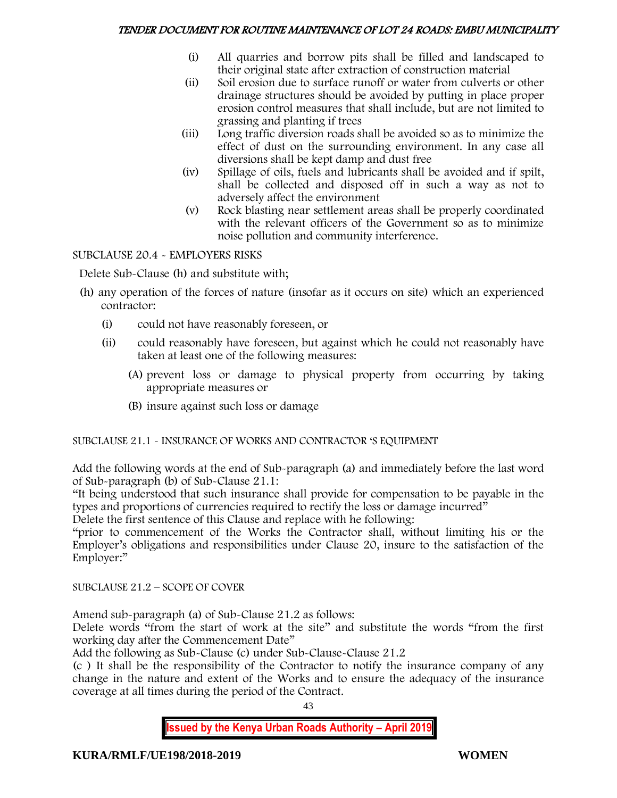- (i) All quarries and borrow pits shall be filled and landscaped to their original state after extraction of construction material
- (ii) Soil erosion due to surface runoff or water from culverts or other drainage structures should be avoided by putting in place proper erosion control measures that shall include, but are not limited to grassing and planting if trees
- (iii) Long traffic diversion roads shall be avoided so as to minimize the effect of dust on the surrounding environment. In any case all diversions shall be kept damp and dust free
- (iv) Spillage of oils, fuels and lubricants shall be avoided and if spilt, shall be collected and disposed off in such a way as not to adversely affect the environment
- (v) Rock blasting near settlement areas shall be properly coordinated with the relevant officers of the Government so as to minimize noise pollution and community interference.

# SUBCLAUSE 20.4 - EMPLOYERS RISKS

Delete Sub-Clause (h) and substitute with;

- (h) any operation of the forces of nature (insofar as it occurs on site) which an experienced contractor:
	- (i) could not have reasonably foreseen, or
	- (ii) could reasonably have foreseen, but against which he could not reasonably have taken at least one of the following measures:
		- (A) prevent loss or damage to physical property from occurring by taking appropriate measures or
		- (B) insure against such loss or damage

# SUBCLAUSE 21.1 - INSURANCE OF WORKS AND CONTRACTOR 'S EQUIPMENT

Add the following words at the end of Sub-paragraph (a) and immediately before the last word of Sub-paragraph (b) of Sub-Clause 21.1:

"It being understood that such insurance shall provide for compensation to be payable in the types and proportions of currencies required to rectify the loss or damage incurred"

Delete the first sentence of this Clause and replace with he following:

"prior to commencement of the Works the Contractor shall, without limiting his or the Employer's obligations and responsibilities under Clause 20, insure to the satisfaction of the Employer:"

SUBCLAUSE 21.2 – SCOPE OF COVER

Amend sub-paragraph (a) of Sub-Clause 21.2 as follows:

Delete words "from the start of work at the site" and substitute the words "from the first working day after the Commencement Date"

Add the following as Sub-Clause (c) under Sub-Clause-Clause 21.2

(c ) It shall be the responsibility of the Contractor to notify the insurance company of any change in the nature and extent of the Works and to ensure the adequacy of the insurance coverage at all times during the period of the Contract.

43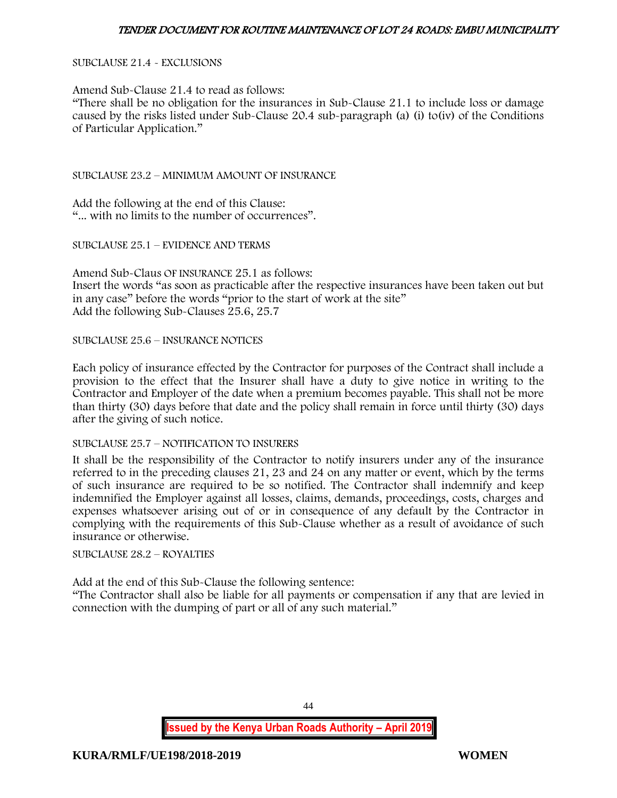SUBCLAUSE 21.4 - EXCLUSIONS

Amend Sub-Clause 21.4 to read as follows: "There shall be no obligation for the insurances in Sub-Clause 21.1 to include loss or damage caused by the risks listed under Sub-Clause 20.4 sub-paragraph (a) (i) to(iv) of the Conditions of Particular Application."

SUBCLAUSE 23.2 – MINIMUM AMOUNT OF INSURANCE

Add the following at the end of this Clause: "... with no limits to the number of occurrences".

SUBCLAUSE 25.1 – EVIDENCE AND TERMS

Amend Sub-Claus OF INSURANCE 25.1 as follows: Insert the words "as soon as practicable after the respective insurances have been taken out but in any case" before the words "prior to the start of work at the site" Add the following Sub-Clauses 25.6, 25.7

SUBCLAUSE 25.6 – INSURANCE NOTICES

Each policy of insurance effected by the Contractor for purposes of the Contract shall include a provision to the effect that the Insurer shall have a duty to give notice in writing to the Contractor and Employer of the date when a premium becomes payable. This shall not be more than thirty (30) days before that date and the policy shall remain in force until thirty (30) days after the giving of such notice.

SUBCLAUSE 25.7 – NOTIFICATION TO INSURERS

It shall be the responsibility of the Contractor to notify insurers under any of the insurance referred to in the preceding clauses 21, 23 and 24 on any matter or event, which by the terms of such insurance are required to be so notified. The Contractor shall indemnify and keep indemnified the Employer against all losses, claims, demands, proceedings, costs, charges and expenses whatsoever arising out of or in consequence of any default by the Contractor in complying with the requirements of this Sub-Clause whether as a result of avoidance of such insurance or otherwise.

SUBCLAUSE 28.2 – ROYALTIES

Add at the end of this Sub-Clause the following sentence:

"The Contractor shall also be liable for all payments or compensation if any that are levied in connection with the dumping of part or all of any such material."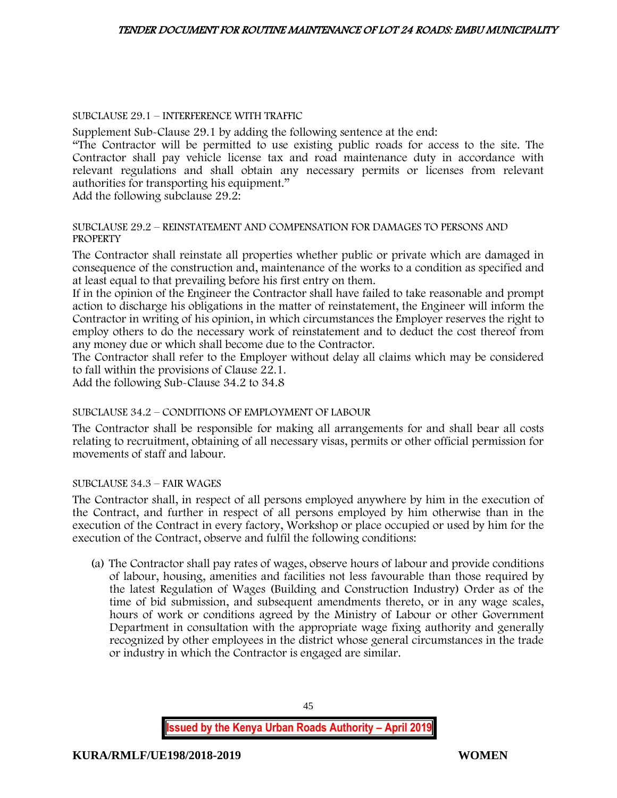### SUBCLAUSE 29.1 – INTERFERENCE WITH TRAFFIC

Supplement Sub-Clause 29.1 by adding the following sentence at the end:

"The Contractor will be permitted to use existing public roads for access to the site. The Contractor shall pay vehicle license tax and road maintenance duty in accordance with relevant regulations and shall obtain any necessary permits or licenses from relevant authorities for transporting his equipment."

Add the following subclause 29.2:

#### SUBCLAUSE 29.2 – REINSTATEMENT AND COMPENSATION FOR DAMAGES TO PERSONS AND PROPERTY

The Contractor shall reinstate all properties whether public or private which are damaged in consequence of the construction and, maintenance of the works to a condition as specified and at least equal to that prevailing before his first entry on them.

If in the opinion of the Engineer the Contractor shall have failed to take reasonable and prompt action to discharge his obligations in the matter of reinstatement, the Engineer will inform the Contractor in writing of his opinion, in which circumstances the Employer reserves the right to employ others to do the necessary work of reinstatement and to deduct the cost thereof from any money due or which shall become due to the Contractor.

The Contractor shall refer to the Employer without delay all claims which may be considered to fall within the provisions of Clause 22.1.

Add the following Sub-Clause 34.2 to 34.8

# SUBCLAUSE 34.2 – CONDITIONS OF EMPLOYMENT OF LABOUR

The Contractor shall be responsible for making all arrangements for and shall bear all costs relating to recruitment, obtaining of all necessary visas, permits or other official permission for movements of staff and labour.

#### SUBCLAUSE 34.3 – FAIR WAGES

The Contractor shall, in respect of all persons employed anywhere by him in the execution of the Contract, and further in respect of all persons employed by him otherwise than in the execution of the Contract in every factory, Workshop or place occupied or used by him for the execution of the Contract, observe and fulfil the following conditions:

(a) The Contractor shall pay rates of wages, observe hours of labour and provide conditions of labour, housing, amenities and facilities not less favourable than those required by the latest Regulation of Wages (Building and Construction Industry) Order as of the time of bid submission, and subsequent amendments thereto, or in any wage scales, hours of work or conditions agreed by the Ministry of Labour or other Government Department in consultation with the appropriate wage fixing authority and generally recognized by other employees in the district whose general circumstances in the trade or industry in which the Contractor is engaged are similar.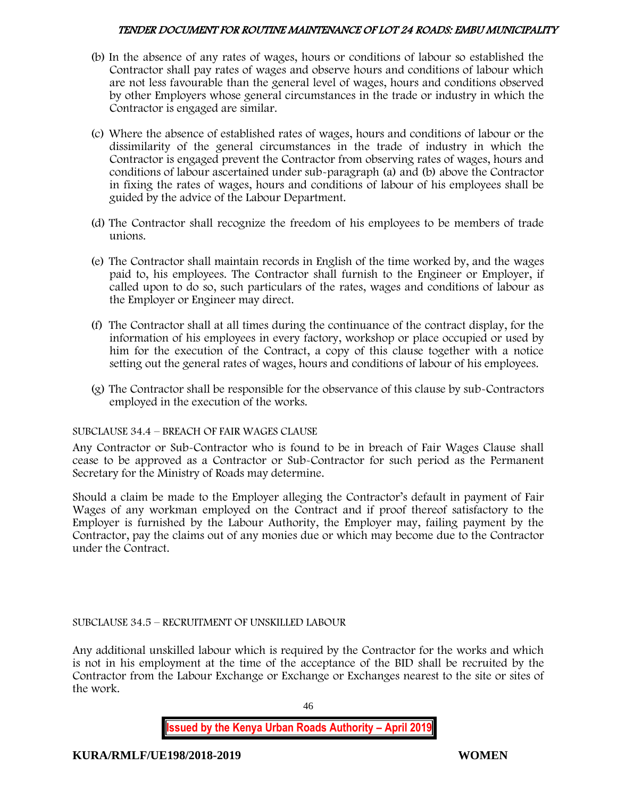- (b) In the absence of any rates of wages, hours or conditions of labour so established the Contractor shall pay rates of wages and observe hours and conditions of labour which are not less favourable than the general level of wages, hours and conditions observed by other Employers whose general circumstances in the trade or industry in which the Contractor is engaged are similar.
- (c) Where the absence of established rates of wages, hours and conditions of labour or the dissimilarity of the general circumstances in the trade of industry in which the Contractor is engaged prevent the Contractor from observing rates of wages, hours and conditions of labour ascertained under sub-paragraph (a) and (b) above the Contractor in fixing the rates of wages, hours and conditions of labour of his employees shall be guided by the advice of the Labour Department.
- (d) The Contractor shall recognize the freedom of his employees to be members of trade unions.
- (e) The Contractor shall maintain records in English of the time worked by, and the wages paid to, his employees. The Contractor shall furnish to the Engineer or Employer, if called upon to do so, such particulars of the rates, wages and conditions of labour as the Employer or Engineer may direct.
- (f) The Contractor shall at all times during the continuance of the contract display, for the information of his employees in every factory, workshop or place occupied or used by him for the execution of the Contract, a copy of this clause together with a notice setting out the general rates of wages, hours and conditions of labour of his employees.
- (g) The Contractor shall be responsible for the observance of this clause by sub-Contractors employed in the execution of the works.

# SUBCLAUSE 34.4 – BREACH OF FAIR WAGES CLAUSE

Any Contractor or Sub-Contractor who is found to be in breach of Fair Wages Clause shall cease to be approved as a Contractor or Sub-Contractor for such period as the Permanent Secretary for the Ministry of Roads may determine.

Should a claim be made to the Employer alleging the Contractor's default in payment of Fair Wages of any workman employed on the Contract and if proof thereof satisfactory to the Employer is furnished by the Labour Authority, the Employer may, failing payment by the Contractor, pay the claims out of any monies due or which may become due to the Contractor under the Contract.

# SUBCLAUSE 34.5 – RECRUITMENT OF UNSKILLED LABOUR

Any additional unskilled labour which is required by the Contractor for the works and which is not in his employment at the time of the acceptance of the BID shall be recruited by the Contractor from the Labour Exchange or Exchange or Exchanges nearest to the site or sites of the work.

46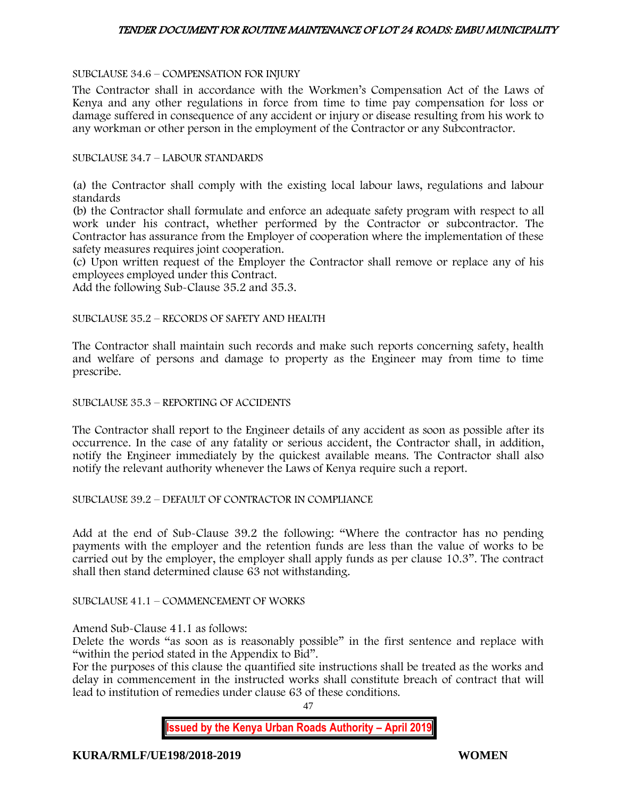#### SUBCLAUSE 34.6 – COMPENSATION FOR INJURY

The Contractor shall in accordance with the Workmen's Compensation Act of the Laws of Kenya and any other regulations in force from time to time pay compensation for loss or damage suffered in consequence of any accident or injury or disease resulting from his work to any workman or other person in the employment of the Contractor or any Subcontractor.

#### SUBCLAUSE 34.7 – LABOUR STANDARDS

(a) the Contractor shall comply with the existing local labour laws, regulations and labour standards

(b) the Contractor shall formulate and enforce an adequate safety program with respect to all work under his contract, whether performed by the Contractor or subcontractor. The Contractor has assurance from the Employer of cooperation where the implementation of these safety measures requires joint cooperation.

(c) Upon written request of the Employer the Contractor shall remove or replace any of his employees employed under this Contract.

Add the following Sub-Clause 35.2 and 35.3.

#### SUBCLAUSE 35.2 – RECORDS OF SAFETY AND HEALTH

The Contractor shall maintain such records and make such reports concerning safety, health and welfare of persons and damage to property as the Engineer may from time to time prescribe.

SUBCLAUSE 35.3 – REPORTING OF ACCIDENTS

The Contractor shall report to the Engineer details of any accident as soon as possible after its occurrence. In the case of any fatality or serious accident, the Contractor shall, in addition, notify the Engineer immediately by the quickest available means. The Contractor shall also notify the relevant authority whenever the Laws of Kenya require such a report.

SUBCLAUSE 39.2 – DEFAULT OF CONTRACTOR IN COMPLIANCE

Add at the end of Sub-Clause 39.2 the following: "Where the contractor has no pending payments with the employer and the retention funds are less than the value of works to be carried out by the employer, the employer shall apply funds as per clause 10.3". The contract shall then stand determined clause 63 not withstanding.

#### SUBCLAUSE 41.1 – COMMENCEMENT OF WORKS

Amend Sub-Clause 41.1 as follows:

Delete the words "as soon as is reasonably possible" in the first sentence and replace with "within the period stated in the Appendix to Bid".

For the purposes of this clause the quantified site instructions shall be treated as the works and delay in commencement in the instructed works shall constitute breach of contract that will lead to institution of remedies under clause 63 of these conditions.

47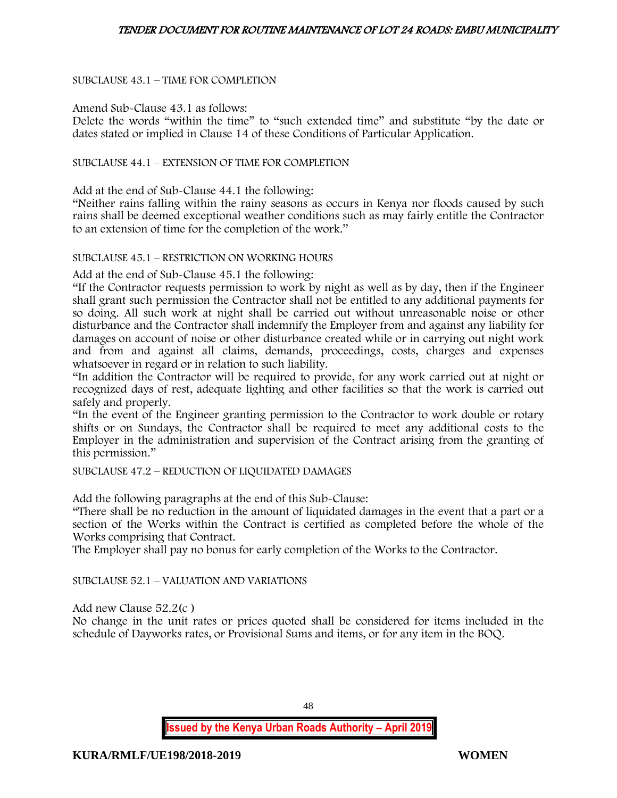### SUBCLAUSE 43.1 – TIME FOR COMPLETION

#### Amend Sub-Clause 43.1 as follows:

Delete the words "within the time" to "such extended time" and substitute "by the date or dates stated or implied in Clause 14 of these Conditions of Particular Application.

#### SUBCLAUSE 44.1 – EXTENSION OF TIME FOR COMPLETION

Add at the end of Sub-Clause 44.1 the following:

"Neither rains falling within the rainy seasons as occurs in Kenya nor floods caused by such rains shall be deemed exceptional weather conditions such as may fairly entitle the Contractor to an extension of time for the completion of the work."

#### SUBCLAUSE 45.1 – RESTRICTION ON WORKING HOURS

Add at the end of Sub-Clause 45.1 the following:

"If the Contractor requests permission to work by night as well as by day, then if the Engineer shall grant such permission the Contractor shall not be entitled to any additional payments for so doing. All such work at night shall be carried out without unreasonable noise or other disturbance and the Contractor shall indemnify the Employer from and against any liability for damages on account of noise or other disturbance created while or in carrying out night work and from and against all claims, demands, proceedings, costs, charges and expenses whatsoever in regard or in relation to such liability.

"In addition the Contractor will be required to provide, for any work carried out at night or recognized days of rest, adequate lighting and other facilities so that the work is carried out safely and properly.

"In the event of the Engineer granting permission to the Contractor to work double or rotary shifts or on Sundays, the Contractor shall be required to meet any additional costs to the Employer in the administration and supervision of the Contract arising from the granting of this permission."

#### SUBCLAUSE 47.2 – REDUCTION OF LIQUIDATED DAMAGES

Add the following paragraphs at the end of this Sub-Clause:

"There shall be no reduction in the amount of liquidated damages in the event that a part or a section of the Works within the Contract is certified as completed before the whole of the Works comprising that Contract.

The Employer shall pay no bonus for early completion of the Works to the Contractor.

#### SUBCLAUSE 52.1 – VALUATION AND VARIATIONS

Add new Clause 52.2(c )

No change in the unit rates or prices quoted shall be considered for items included in the schedule of Dayworks rates, or Provisional Sums and items, or for any item in the BOQ.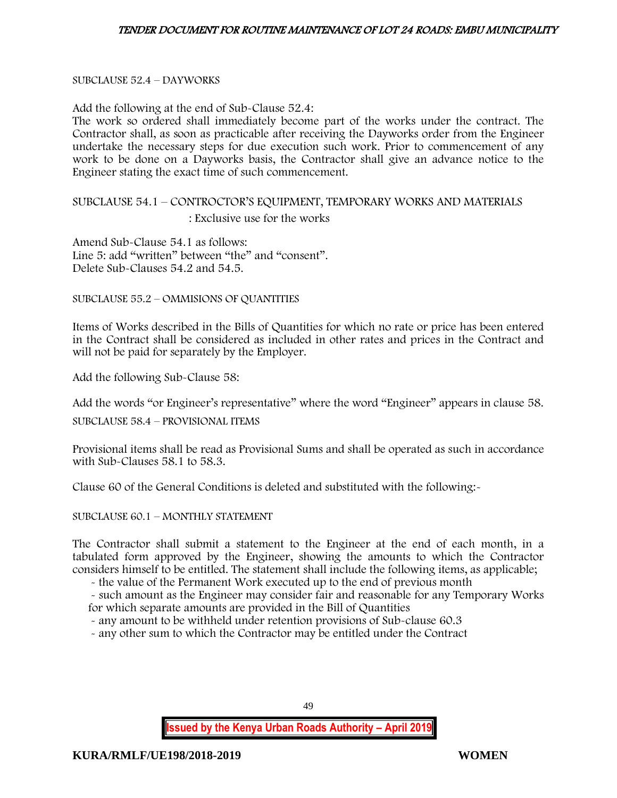#### SUBCLAUSE 52.4 – DAYWORKS

Add the following at the end of Sub-Clause 52.4:

The work so ordered shall immediately become part of the works under the contract. The Contractor shall, as soon as practicable after receiving the Dayworks order from the Engineer undertake the necessary steps for due execution such work. Prior to commencement of any work to be done on a Dayworks basis, the Contractor shall give an advance notice to the Engineer stating the exact time of such commencement.

# SUBCLAUSE 54.1 – CONTROCTOR'S EQUIPMENT, TEMPORARY WORKS AND MATERIALS : Exclusive use for the works

Amend Sub-Clause 54.1 as follows: Line 5: add "written" between "the" and "consent". Delete Sub-Clauses 54.2 and 54.5.

SUBCLAUSE 55.2 – OMMISIONS OF QUANTITIES

Items of Works described in the Bills of Quantities for which no rate or price has been entered in the Contract shall be considered as included in other rates and prices in the Contract and will not be paid for separately by the Employer.

Add the following Sub-Clause 58:

Add the words "or Engineer's representative" where the word "Engineer" appears in clause 58.

SUBCLAUSE 58.4 – PROVISIONAL ITEMS

Provisional items shall be read as Provisional Sums and shall be operated as such in accordance with Sub-Clauses 58.1 to 58.3.

Clause 60 of the General Conditions is deleted and substituted with the following:-

SUBCLAUSE 60.1 – MONTHLY STATEMENT

The Contractor shall submit a statement to the Engineer at the end of each month, in a tabulated form approved by the Engineer, showing the amounts to which the Contractor considers himself to be entitled. The statement shall include the following items, as applicable;

- the value of the Permanent Work executed up to the end of previous month

- such amount as the Engineer may consider fair and reasonable for any Temporary Works for which separate amounts are provided in the Bill of Quantities

- any amount to be withheld under retention provisions of Sub-clause 60.3

- any other sum to which the Contractor may be entitled under the Contract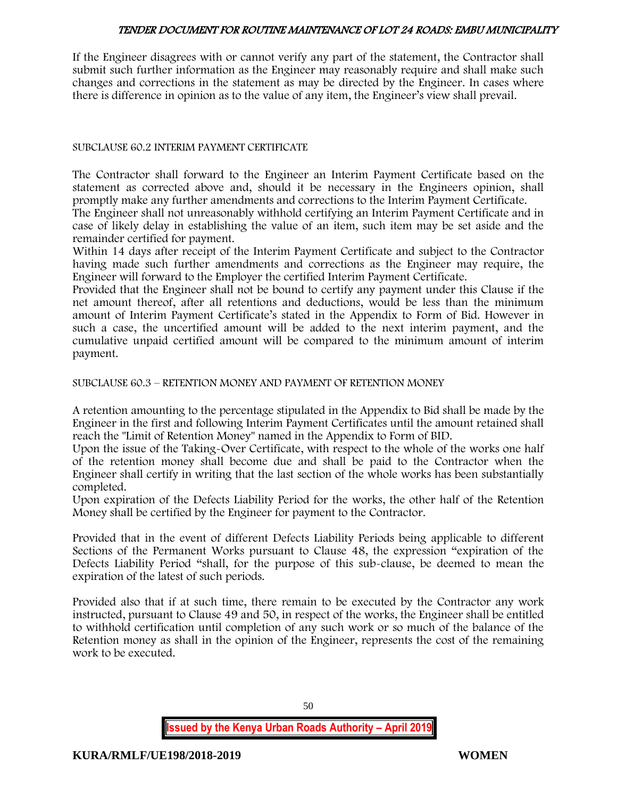If the Engineer disagrees with or cannot verify any part of the statement, the Contractor shall submit such further information as the Engineer may reasonably require and shall make such changes and corrections in the statement as may be directed by the Engineer. In cases where there is difference in opinion as to the value of any item, the Engineer's view shall prevail.

#### SUBCLAUSE 60.2 INTERIM PAYMENT CERTIFICATE

The Contractor shall forward to the Engineer an Interim Payment Certificate based on the statement as corrected above and, should it be necessary in the Engineers opinion, shall promptly make any further amendments and corrections to the Interim Payment Certificate.

The Engineer shall not unreasonably withhold certifying an Interim Payment Certificate and in case of likely delay in establishing the value of an item, such item may be set aside and the remainder certified for payment.

Within 14 days after receipt of the Interim Payment Certificate and subject to the Contractor having made such further amendments and corrections as the Engineer may require, the Engineer will forward to the Employer the certified Interim Payment Certificate.

Provided that the Engineer shall not be bound to certify any payment under this Clause if the net amount thereof, after all retentions and deductions, would be less than the minimum amount of Interim Payment Certificate's stated in the Appendix to Form of Bid. However in such a case, the uncertified amount will be added to the next interim payment, and the cumulative unpaid certified amount will be compared to the minimum amount of interim payment.

SUBCLAUSE 60.3 – RETENTION MONEY AND PAYMENT OF RETENTION MONEY

A retention amounting to the percentage stipulated in the Appendix to Bid shall be made by the Engineer in the first and following Interim Payment Certificates until the amount retained shall reach the "Limit of Retention Money" named in the Appendix to Form of BID.

Upon the issue of the Taking-Over Certificate, with respect to the whole of the works one half of the retention money shall become due and shall be paid to the Contractor when the Engineer shall certify in writing that the last section of the whole works has been substantially completed.

Upon expiration of the Defects Liability Period for the works, the other half of the Retention Money shall be certified by the Engineer for payment to the Contractor.

Provided that in the event of different Defects Liability Periods being applicable to different Sections of the Permanent Works pursuant to Clause 48, the expression "expiration of the Defects Liability Period "shall, for the purpose of this sub-clause, be deemed to mean the expiration of the latest of such periods.

Provided also that if at such time, there remain to be executed by the Contractor any work instructed, pursuant to Clause 49 and 50, in respect of the works, the Engineer shall be entitled to withhold certification until completion of any such work or so much of the balance of the Retention money as shall in the opinion of the Engineer, represents the cost of the remaining work to be executed.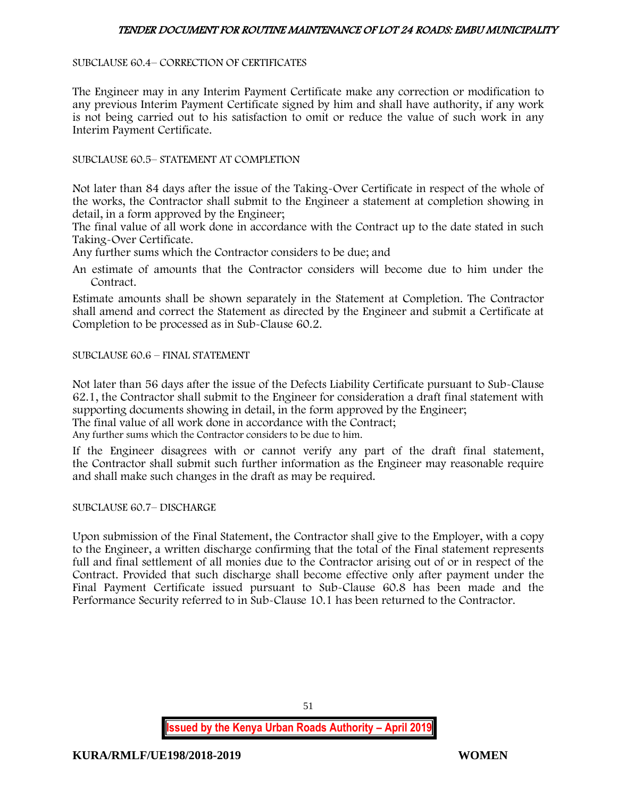#### SUBCLAUSE 60.4– CORRECTION OF CERTIFICATES

The Engineer may in any Interim Payment Certificate make any correction or modification to any previous Interim Payment Certificate signed by him and shall have authority, if any work is not being carried out to his satisfaction to omit or reduce the value of such work in any Interim Payment Certificate.

SUBCLAUSE 60.5– STATEMENT AT COMPLETION

Not later than 84 days after the issue of the Taking-Over Certificate in respect of the whole of the works, the Contractor shall submit to the Engineer a statement at completion showing in detail, in a form approved by the Engineer;

The final value of all work done in accordance with the Contract up to the date stated in such Taking-Over Certificate.

Any further sums which the Contractor considers to be due; and

An estimate of amounts that the Contractor considers will become due to him under the Contract.

Estimate amounts shall be shown separately in the Statement at Completion. The Contractor shall amend and correct the Statement as directed by the Engineer and submit a Certificate at Completion to be processed as in Sub-Clause 60.2.

SUBCLAUSE 60.6 – FINAL STATEMENT

Not later than 56 days after the issue of the Defects Liability Certificate pursuant to Sub-Clause 62.1, the Contractor shall submit to the Engineer for consideration a draft final statement with supporting documents showing in detail, in the form approved by the Engineer; The final value of all work done in accordance with the Contract;

Any further sums which the Contractor considers to be due to him.

If the Engineer disagrees with or cannot verify any part of the draft final statement, the Contractor shall submit such further information as the Engineer may reasonable require and shall make such changes in the draft as may be required.

SUBCLAUSE 60.7– DISCHARGE

Upon submission of the Final Statement, the Contractor shall give to the Employer, with a copy to the Engineer, a written discharge confirming that the total of the Final statement represents full and final settlement of all monies due to the Contractor arising out of or in respect of the Contract. Provided that such discharge shall become effective only after payment under the Final Payment Certificate issued pursuant to Sub-Clause 60.8 has been made and the Performance Security referred to in Sub-Clause 10.1 has been returned to the Contractor.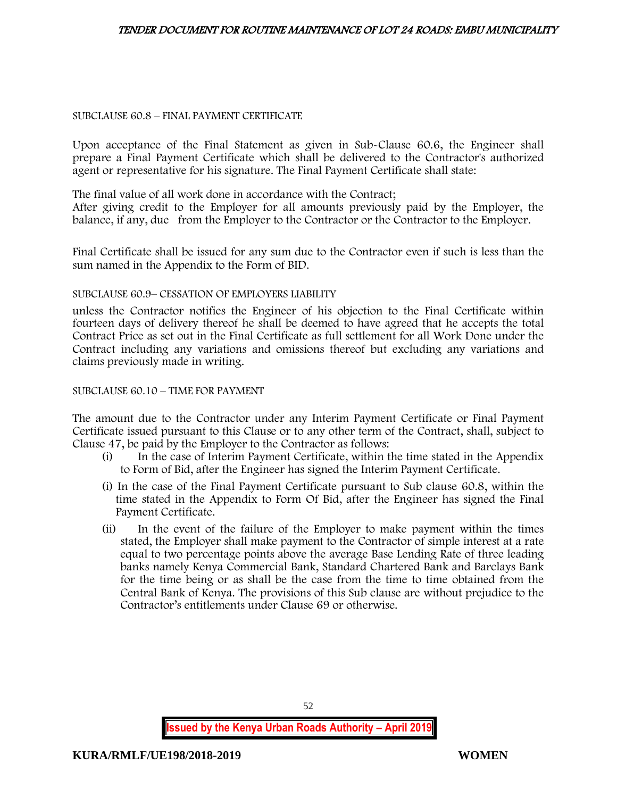#### SUBCLAUSE 60.8 – FINAL PAYMENT CERTIFICATE

Upon acceptance of the Final Statement as given in Sub-Clause 60.6, the Engineer shall prepare a Final Payment Certificate which shall be delivered to the Contractor's authorized agent or representative for his signature. The Final Payment Certificate shall state:

The final value of all work done in accordance with the Contract;

After giving credit to the Employer for all amounts previously paid by the Employer, the balance, if any, due from the Employer to the Contractor or the Contractor to the Employer.

Final Certificate shall be issued for any sum due to the Contractor even if such is less than the sum named in the Appendix to the Form of BID.

#### SUBCLAUSE 60.9– CESSATION OF EMPLOYERS LIABILITY

unless the Contractor notifies the Engineer of his objection to the Final Certificate within fourteen days of delivery thereof he shall be deemed to have agreed that he accepts the total Contract Price as set out in the Final Certificate as full settlement for all Work Done under the Contract including any variations and omissions thereof but excluding any variations and claims previously made in writing.

#### SUBCLAUSE 60.10 – TIME FOR PAYMENT

The amount due to the Contractor under any Interim Payment Certificate or Final Payment Certificate issued pursuant to this Clause or to any other term of the Contract, shall, subject to Clause 47, be paid by the Employer to the Contractor as follows:

- (i) In the case of Interim Payment Certificate, within the time stated in the Appendix to Form of Bid, after the Engineer has signed the Interim Payment Certificate.
- (i) In the case of the Final Payment Certificate pursuant to Sub clause 60.8, within the time stated in the Appendix to Form Of Bid, after the Engineer has signed the Final Payment Certificate.
- (ii) In the event of the failure of the Employer to make payment within the times stated, the Employer shall make payment to the Contractor of simple interest at a rate equal to two percentage points above the average Base Lending Rate of three leading banks namely Kenya Commercial Bank, Standard Chartered Bank and Barclays Bank for the time being or as shall be the case from the time to time obtained from the Central Bank of Kenya. The provisions of this Sub clause are without prejudice to the Contractor's entitlements under Clause 69 or otherwise.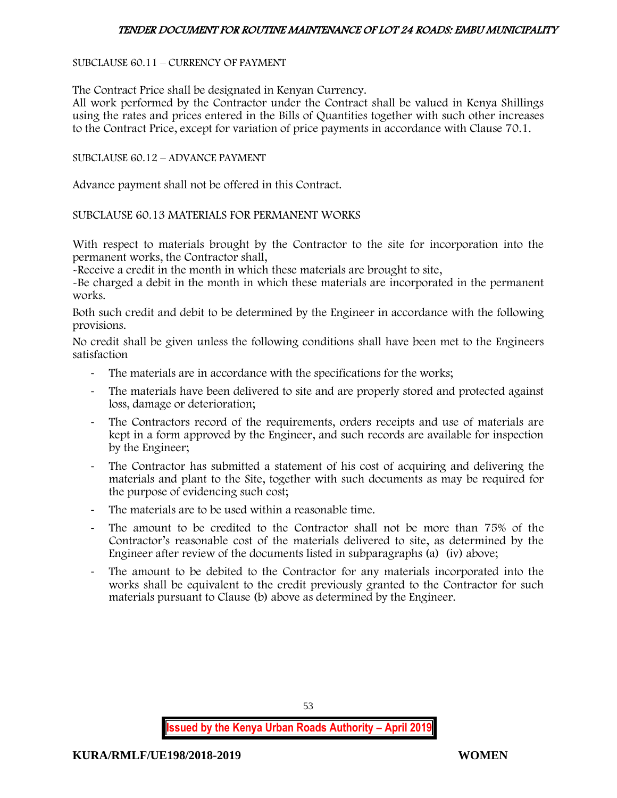#### SUBCLAUSE 60.11 – CURRENCY OF PAYMENT

The Contract Price shall be designated in Kenyan Currency.

All work performed by the Contractor under the Contract shall be valued in Kenya Shillings using the rates and prices entered in the Bills of Quantities together with such other increases to the Contract Price, except for variation of price payments in accordance with Clause 70.1.

#### SUBCLAUSE 60.12 – ADVANCE PAYMENT

Advance payment shall not be offered in this Contract.

#### SUBCLAUSE 60.13 MATERIALS FOR PERMANENT WORKS

With respect to materials brought by the Contractor to the site for incorporation into the permanent works, the Contractor shall,

-Receive a credit in the month in which these materials are brought to site,

-Be charged a debit in the month in which these materials are incorporated in the permanent works.

Both such credit and debit to be determined by the Engineer in accordance with the following provisions.

No credit shall be given unless the following conditions shall have been met to the Engineers satisfaction

- The materials are in accordance with the specifications for the works;
- The materials have been delivered to site and are properly stored and protected against loss, damage or deterioration;
- The Contractors record of the requirements, orders receipts and use of materials are kept in a form approved by the Engineer, and such records are available for inspection by the Engineer;
- The Contractor has submitted a statement of his cost of acquiring and delivering the materials and plant to the Site, together with such documents as may be required for the purpose of evidencing such cost;
- The materials are to be used within a reasonable time.
- The amount to be credited to the Contractor shall not be more than 75% of the Contractor's reasonable cost of the materials delivered to site, as determined by the Engineer after review of the documents listed in subparagraphs (a) (iv) above;
- The amount to be debited to the Contractor for any materials incorporated into the works shall be equivalent to the credit previously granted to the Contractor for such materials pursuant to Clause (b) above as determined by the Engineer.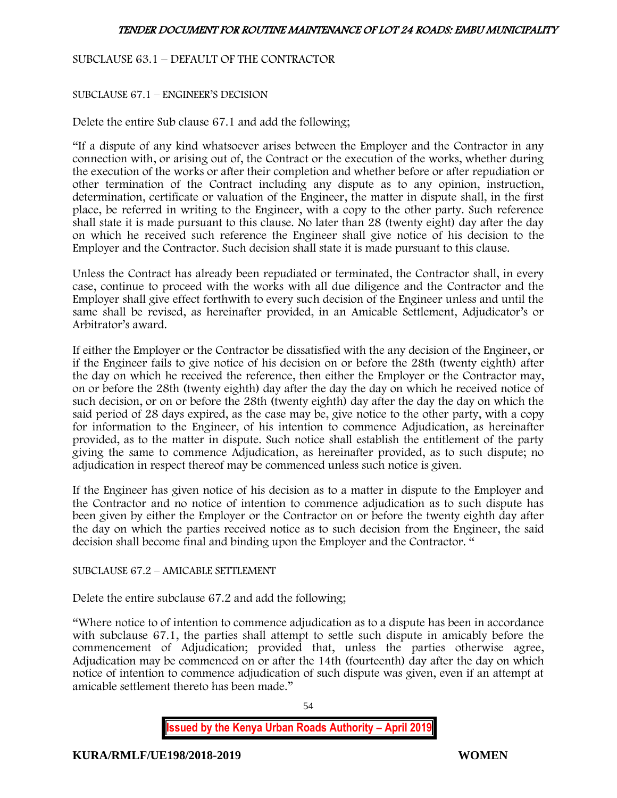# SUBCLAUSE 63.1 – DEFAULT OF THE CONTRACTOR

#### SUBCLAUSE 67.1 – ENGINEER'S DECISION

Delete the entire Sub clause 67.1 and add the following;

"If a dispute of any kind whatsoever arises between the Employer and the Contractor in any connection with, or arising out of, the Contract or the execution of the works, whether during the execution of the works or after their completion and whether before or after repudiation or other termination of the Contract including any dispute as to any opinion, instruction, determination, certificate or valuation of the Engineer, the matter in dispute shall, in the first place, be referred in writing to the Engineer, with a copy to the other party. Such reference shall state it is made pursuant to this clause. No later than 28 (twenty eight) day after the day on which he received such reference the Engineer shall give notice of his decision to the Employer and the Contractor. Such decision shall state it is made pursuant to this clause.

Unless the Contract has already been repudiated or terminated, the Contractor shall, in every case, continue to proceed with the works with all due diligence and the Contractor and the Employer shall give effect forthwith to every such decision of the Engineer unless and until the same shall be revised, as hereinafter provided, in an Amicable Settlement, Adjudicator's or Arbitrator's award.

If either the Employer or the Contractor be dissatisfied with the any decision of the Engineer, or if the Engineer fails to give notice of his decision on or before the 28th (twenty eighth) after the day on which he received the reference, then either the Employer or the Contractor may, on or before the 28th (twenty eighth) day after the day the day on which he received notice of such decision, or on or before the 28th (twenty eighth) day after the day the day on which the said period of 28 days expired, as the case may be, give notice to the other party, with a copy for information to the Engineer, of his intention to commence Adjudication, as hereinafter provided, as to the matter in dispute. Such notice shall establish the entitlement of the party giving the same to commence Adjudication, as hereinafter provided, as to such dispute; no adjudication in respect thereof may be commenced unless such notice is given.

If the Engineer has given notice of his decision as to a matter in dispute to the Employer and the Contractor and no notice of intention to commence adjudication as to such dispute has been given by either the Employer or the Contractor on or before the twenty eighth day after the day on which the parties received notice as to such decision from the Engineer, the said decision shall become final and binding upon the Employer and the Contractor. "

### SUBCLAUSE 67.2 – AMICABLE SETTLEMENT

Delete the entire subclause 67.2 and add the following;

"Where notice to of intention to commence adjudication as to a dispute has been in accordance with subclause 67.1, the parties shall attempt to settle such dispute in amicably before the commencement of Adjudication; provided that, unless the parties otherwise agree, Adjudication may be commenced on or after the 14th (fourteenth) day after the day on which notice of intention to commence adjudication of such dispute was given, even if an attempt at amicable settlement thereto has been made."

54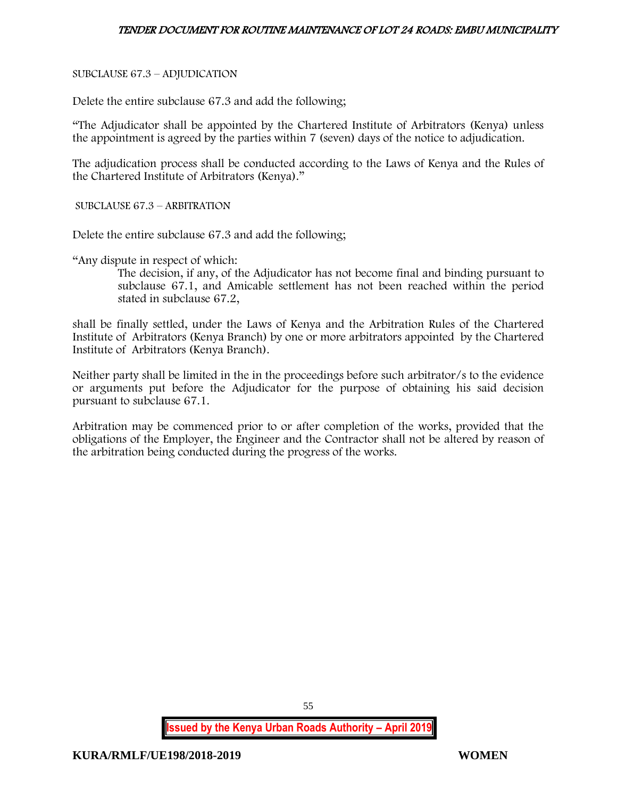# SUBCLAUSE 67.3 – ADJUDICATION

Delete the entire subclause 67.3 and add the following;

"The Adjudicator shall be appointed by the Chartered Institute of Arbitrators (Kenya) unless the appointment is agreed by the parties within 7 (seven) days of the notice to adjudication.

The adjudication process shall be conducted according to the Laws of Kenya and the Rules of the Chartered Institute of Arbitrators (Kenya)."

SUBCLAUSE 67.3 – ARBITRATION

Delete the entire subclause 67.3 and add the following;

"Any dispute in respect of which:

The decision, if any, of the Adjudicator has not become final and binding pursuant to subclause 67.1, and Amicable settlement has not been reached within the period stated in subclause 67.2,

shall be finally settled, under the Laws of Kenya and the Arbitration Rules of the Chartered Institute of Arbitrators (Kenya Branch) by one or more arbitrators appointed by the Chartered Institute of Arbitrators (Kenya Branch).

Neither party shall be limited in the in the proceedings before such arbitrator/s to the evidence or arguments put before the Adjudicator for the purpose of obtaining his said decision pursuant to subclause 67.1.

Arbitration may be commenced prior to or after completion of the works, provided that the obligations of the Employer, the Engineer and the Contractor shall not be altered by reason of the arbitration being conducted during the progress of the works.

55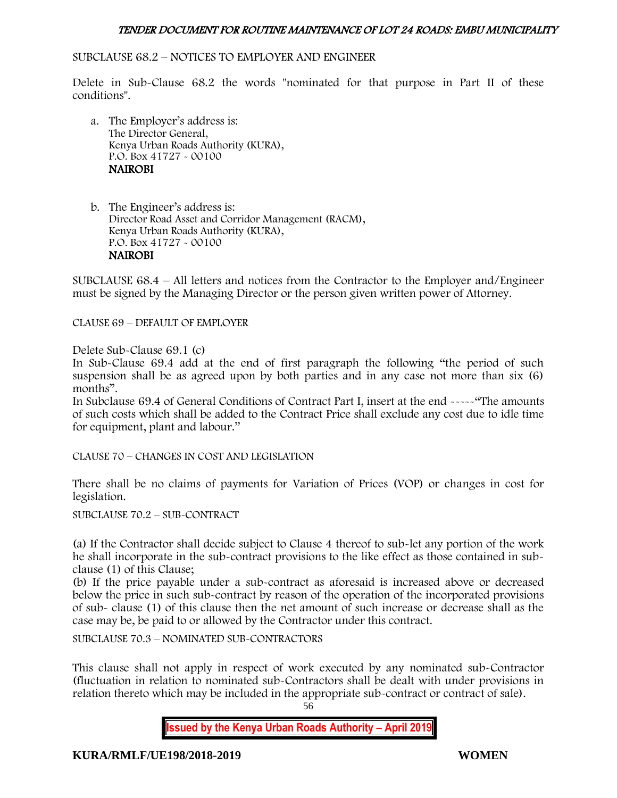#### SUBCLAUSE 68.2 – NOTICES TO EMPLOYER AND ENGINEER

Delete in Sub-Clause 68.2 the words "nominated for that purpose in Part II of these conditions".

a. The Employer's address is: The Director General, Kenya Urban Roads Authority (KURA), P.O. Box 41727 - 00100 NAIROBI

b. The Engineer's address is: Director Road Asset and Corridor Management (RACM), Kenya Urban Roads Authority (KURA), P.O. Box 41727 - 00100 NAIROBI

SUBCLAUSE 68.4 – All letters and notices from the Contractor to the Employer and/Engineer must be signed by the Managing Director or the person given written power of Attorney.

CLAUSE 69 – DEFAULT OF EMPLOYER

Delete Sub-Clause 69.1 (c)

In Sub-Clause 69.4 add at the end of first paragraph the following "the period of such suspension shall be as agreed upon by both parties and in any case not more than six (6) months".

In Subclause 69.4 of General Conditions of Contract Part I, insert at the end -----"The amounts of such costs which shall be added to the Contract Price shall exclude any cost due to idle time for equipment, plant and labour."

CLAUSE 70 – CHANGES IN COST AND LEGISLATION

There shall be no claims of payments for Variation of Prices (VOP) or changes in cost for legislation.

SUBCLAUSE 70.2 – SUB-CONTRACT

(a) If the Contractor shall decide subject to Clause 4 thereof to sub-let any portion of the work he shall incorporate in the sub-contract provisions to the like effect as those contained in subclause (1) of this Clause;

(b) If the price payable under a sub-contract as aforesaid is increased above or decreased below the price in such sub-contract by reason of the operation of the incorporated provisions of sub- clause (1) of this clause then the net amount of such increase or decrease shall as the case may be, be paid to or allowed by the Contractor under this contract.

SUBCLAUSE 70.3 – NOMINATED SUB-CONTRACTORS

This clause shall not apply in respect of work executed by any nominated sub-Contractor (fluctuation in relation to nominated sub-Contractors shall be dealt with under provisions in relation thereto which may be included in the appropriate sub-contract or contract of sale).

56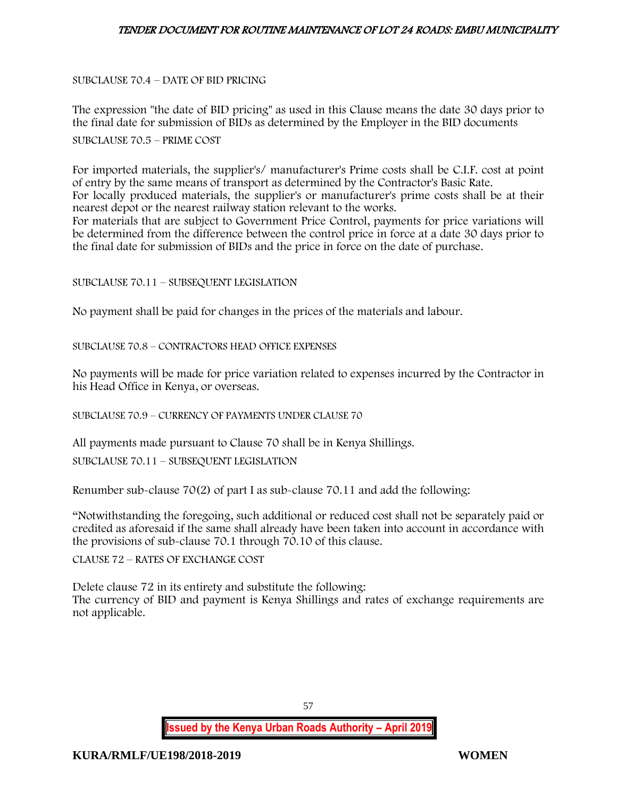SUBCLAUSE 70.4 – DATE OF BID PRICING

The expression "the date of BID pricing" as used in this Clause means the date 30 days prior to the final date for submission of BIDs as determined by the Employer in the BID documents

SUBCLAUSE 70.5 – PRIME COST

For imported materials, the supplier's/ manufacturer's Prime costs shall be C.I.F. cost at point of entry by the same means of transport as determined by the Contractor's Basic Rate. For locally produced materials, the supplier's or manufacturer's prime costs shall be at their nearest depot or the nearest railway station relevant to the works. For materials that are subject to Government Price Control, payments for price variations will be determined from the difference between the control price in force at a date 30 days prior to the final date for submission of BIDs and the price in force on the date of purchase.

SUBCLAUSE 70.11 – SUBSEQUENT LEGISLATION

No payment shall be paid for changes in the prices of the materials and labour.

SUBCLAUSE 70.8 – CONTRACTORS HEAD OFFICE EXPENSES

No payments will be made for price variation related to expenses incurred by the Contractor in his Head Office in Kenya, or overseas.

SUBCLAUSE 70.9 – CURRENCY OF PAYMENTS UNDER CLAUSE 70

All payments made pursuant to Clause 70 shall be in Kenya Shillings.

SUBCLAUSE 70.11 – SUBSEQUENT LEGISLATION

Renumber sub-clause 70(2) of part I as sub-clause 70.11 and add the following:

"Notwithstanding the foregoing, such additional or reduced cost shall not be separately paid or credited as aforesaid if the same shall already have been taken into account in accordance with the provisions of sub-clause 70.1 through 70.10 of this clause.

CLAUSE 72 – RATES OF EXCHANGE COST

Delete clause 72 in its entirety and substitute the following: The currency of BID and payment is Kenya Shillings and rates of exchange requirements are not applicable.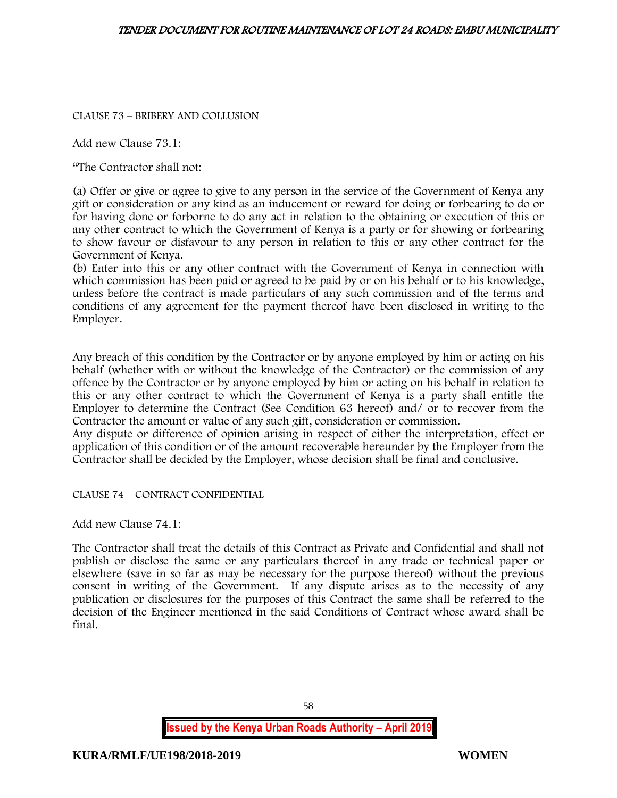CLAUSE 73 – BRIBERY AND COLLUSION

Add new Clause 73.1:

"The Contractor shall not:

(a) Offer or give or agree to give to any person in the service of the Government of Kenya any gift or consideration or any kind as an inducement or reward for doing or forbearing to do or for having done or forborne to do any act in relation to the obtaining or execution of this or any other contract to which the Government of Kenya is a party or for showing or forbearing to show favour or disfavour to any person in relation to this or any other contract for the Government of Kenya.

(b) Enter into this or any other contract with the Government of Kenya in connection with which commission has been paid or agreed to be paid by or on his behalf or to his knowledge, unless before the contract is made particulars of any such commission and of the terms and conditions of any agreement for the payment thereof have been disclosed in writing to the Employer.

Any breach of this condition by the Contractor or by anyone employed by him or acting on his behalf (whether with or without the knowledge of the Contractor) or the commission of any offence by the Contractor or by anyone employed by him or acting on his behalf in relation to this or any other contract to which the Government of Kenya is a party shall entitle the Employer to determine the Contract (See Condition 63 hereof) and/ or to recover from the Contractor the amount or value of any such gift, consideration or commission.

Any dispute or difference of opinion arising in respect of either the interpretation, effect or application of this condition or of the amount recoverable hereunder by the Employer from the Contractor shall be decided by the Employer, whose decision shall be final and conclusive.

CLAUSE 74 – CONTRACT CONFIDENTIAL

Add new Clause 74.1:

The Contractor shall treat the details of this Contract as Private and Confidential and shall not publish or disclose the same or any particulars thereof in any trade or technical paper or elsewhere (save in so far as may be necessary for the purpose thereof) without the previous consent in writing of the Government. If any dispute arises as to the necessity of any publication or disclosures for the purposes of this Contract the same shall be referred to the decision of the Engineer mentioned in the said Conditions of Contract whose award shall be final.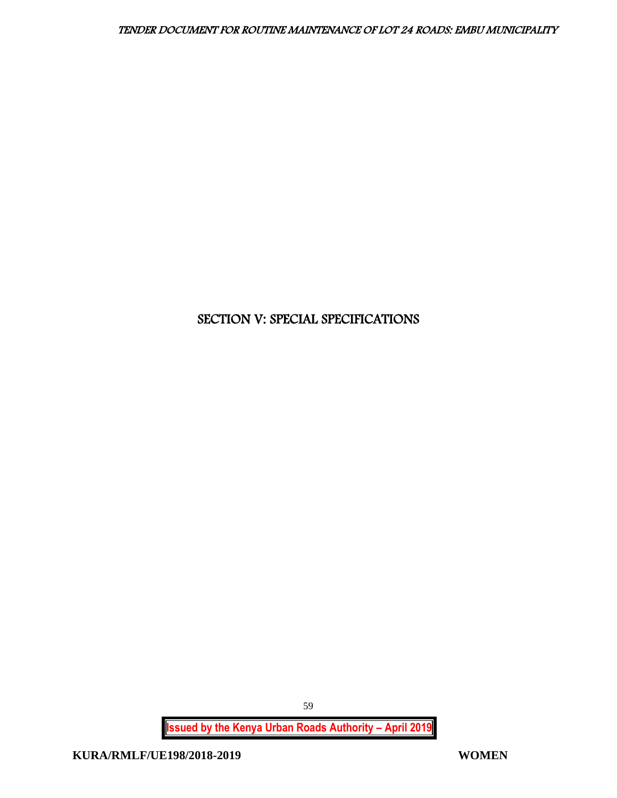# SECTION V: SPECIAL SPECIFICATIONS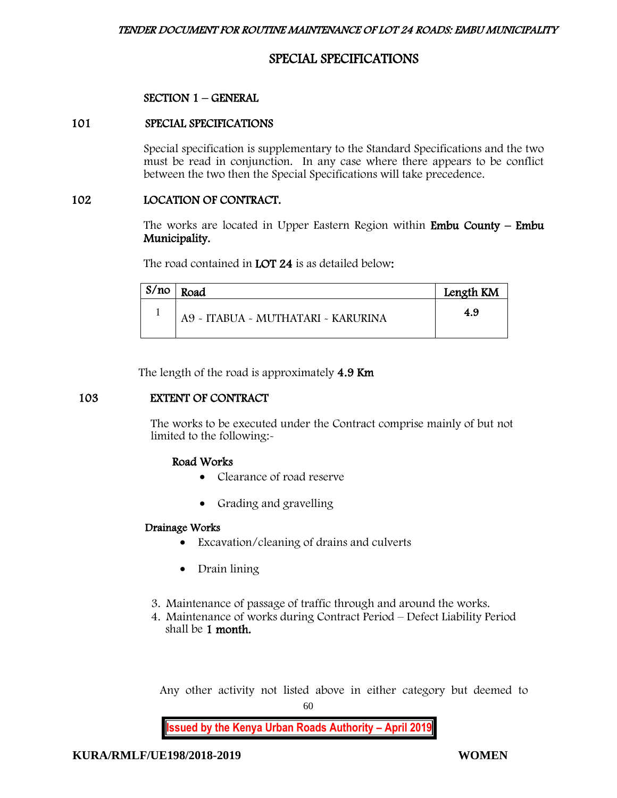# SPECIAL SPECIFICATIONS

#### SECTION 1 – GENERAL

#### 101 SPECIAL SPECIFICATIONS

Special specification is supplementary to the Standard Specifications and the two must be read in conjunction. In any case where there appears to be conflict between the two then the Special Specifications will take precedence.

#### 102 LOCATION OF CONTRACT.

The works are located in Upper Eastern Region within **Embu County – Embu** Municipality.

The road contained in **LOT 24** is as detailed below:

| S/no | Road                               | Length KM |
|------|------------------------------------|-----------|
|      | A9 - ITABUA - MUTHATARI - KARURINA | 4.9       |

The length of the road is approximately 4.9 Km

# 103 EXTENT OF CONTRACT

The works to be executed under the Contract comprise mainly of but not limited to the following:-

# Road Works

- Clearance of road reserve
- Grading and gravelling

#### Drainage Works

- Excavation/cleaning of drains and culverts
- Drain lining
- 3. Maintenance of passage of traffic through and around the works.
- 4. Maintenance of works during Contract Period Defect Liability Period shall be 1 month.

Any other activity not listed above in either category but deemed to

60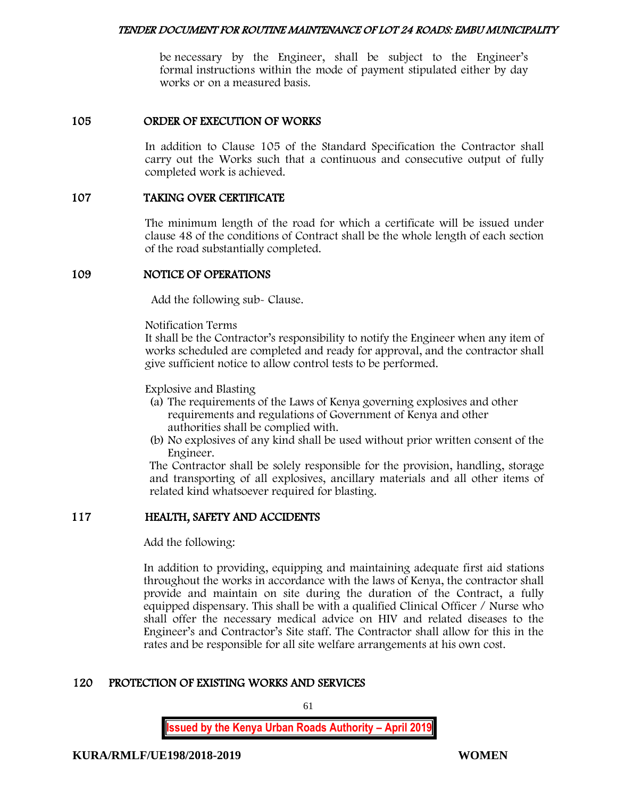be necessary by the Engineer, shall be subject to the Engineer's formal instructions within the mode of payment stipulated either by day works or on a measured basis.

### 105 ORDER OF EXECUTION OF WORKS

In addition to Clause 105 of the Standard Specification the Contractor shall carry out the Works such that a continuous and consecutive output of fully completed work is achieved.

#### 107 TAKING OVER CERTIFICATE

The minimum length of the road for which a certificate will be issued under clause 48 of the conditions of Contract shall be the whole length of each section of the road substantially completed.

#### 109 NOTICE OF OPERATIONS

Add the following sub- Clause.

Notification Terms

It shall be the Contractor's responsibility to notify the Engineer when any item of works scheduled are completed and ready for approval, and the contractor shall give sufficient notice to allow control tests to be performed.

Explosive and Blasting

- (a) The requirements of the Laws of Kenya governing explosives and other requirements and regulations of Government of Kenya and other authorities shall be complied with.
- (b) No explosives of any kind shall be used without prior written consent of the Engineer.

The Contractor shall be solely responsible for the provision, handling, storage and transporting of all explosives, ancillary materials and all other items of related kind whatsoever required for blasting.

# 117 HEALTH, SAFETY AND ACCIDENTS

Add the following:

In addition to providing, equipping and maintaining adequate first aid stations throughout the works in accordance with the laws of Kenya, the contractor shall provide and maintain on site during the duration of the Contract, a fully equipped dispensary. This shall be with a qualified Clinical Officer / Nurse who shall offer the necessary medical advice on HIV and related diseases to the Engineer's and Contractor's Site staff. The Contractor shall allow for this in the rates and be responsible for all site welfare arrangements at his own cost.

# 120 PROTECTION OF EXISTING WORKS AND SERVICES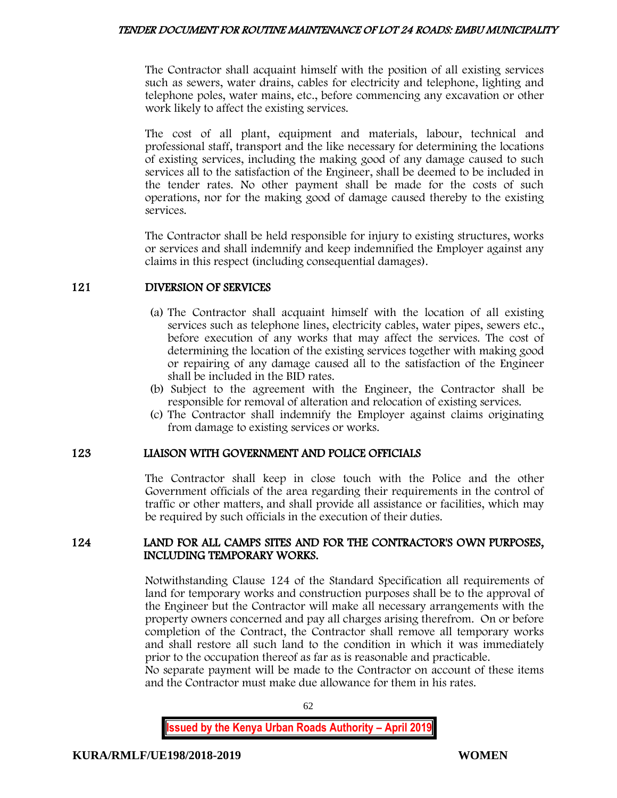The Contractor shall acquaint himself with the position of all existing services such as sewers, water drains, cables for electricity and telephone, lighting and telephone poles, water mains, etc., before commencing any excavation or other work likely to affect the existing services.

The cost of all plant, equipment and materials, labour, technical and professional staff, transport and the like necessary for determining the locations of existing services, including the making good of any damage caused to such services all to the satisfaction of the Engineer, shall be deemed to be included in the tender rates. No other payment shall be made for the costs of such operations, nor for the making good of damage caused thereby to the existing services.

The Contractor shall be held responsible for injury to existing structures, works or services and shall indemnify and keep indemnified the Employer against any claims in this respect (including consequential damages).

# 121 DIVERSION OF SERVICES

- (a) The Contractor shall acquaint himself with the location of all existing services such as telephone lines, electricity cables, water pipes, sewers etc., before execution of any works that may affect the services. The cost of determining the location of the existing services together with making good or repairing of any damage caused all to the satisfaction of the Engineer shall be included in the BID rates.
- (b) Subject to the agreement with the Engineer, the Contractor shall be responsible for removal of alteration and relocation of existing services.
- (c) The Contractor shall indemnify the Employer against claims originating from damage to existing services or works.

# 123 LIAISON WITH GOVERNMENT AND POLICE OFFICIALS

The Contractor shall keep in close touch with the Police and the other Government officials of the area regarding their requirements in the control of traffic or other matters, and shall provide all assistance or facilities, which may be required by such officials in the execution of their duties.

# 124 LAND FOR ALL CAMPS SITES AND FOR THE CONTRACTOR'S OWN PURPOSES, INCLUDING TEMPORARY WORKS.

Notwithstanding Clause 124 of the Standard Specification all requirements of land for temporary works and construction purposes shall be to the approval of the Engineer but the Contractor will make all necessary arrangements with the property owners concerned and pay all charges arising therefrom. On or before completion of the Contract, the Contractor shall remove all temporary works and shall restore all such land to the condition in which it was immediately prior to the occupation thereof as far as is reasonable and practicable.

No separate payment will be made to the Contractor on account of these items and the Contractor must make due allowance for them in his rates.

62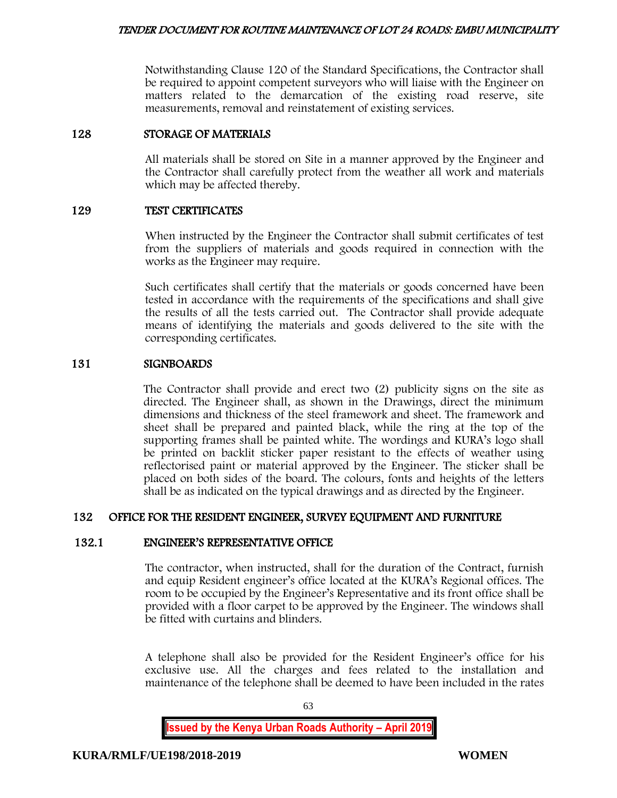Notwithstanding Clause 120 of the Standard Specifications, the Contractor shall be required to appoint competent surveyors who will liaise with the Engineer on matters related to the demarcation of the existing road reserve, site measurements, removal and reinstatement of existing services.

# 128 STORAGE OF MATERIALS

All materials shall be stored on Site in a manner approved by the Engineer and the Contractor shall carefully protect from the weather all work and materials which may be affected thereby.

#### 129 TEST CERTIFICATES

When instructed by the Engineer the Contractor shall submit certificates of test from the suppliers of materials and goods required in connection with the works as the Engineer may require.

Such certificates shall certify that the materials or goods concerned have been tested in accordance with the requirements of the specifications and shall give the results of all the tests carried out. The Contractor shall provide adequate means of identifying the materials and goods delivered to the site with the corresponding certificates.

#### 131 SIGNBOARDS

The Contractor shall provide and erect two (2) publicity signs on the site as directed. The Engineer shall, as shown in the Drawings, direct the minimum dimensions and thickness of the steel framework and sheet. The framework and sheet shall be prepared and painted black, while the ring at the top of the supporting frames shall be painted white. The wordings and KURA's logo shall be printed on backlit sticker paper resistant to the effects of weather using reflectorised paint or material approved by the Engineer. The sticker shall be placed on both sides of the board. The colours, fonts and heights of the letters shall be as indicated on the typical drawings and as directed by the Engineer.

# 132 OFFICE FOR THE RESIDENT ENGINEER, SURVEY EQUIPMENT AND FURNITURE

#### 132.1 ENGINEER'S REPRESENTATIVE OFFICE

The contractor, when instructed, shall for the duration of the Contract, furnish and equip Resident engineer's office located at the KURA's Regional offices. The room to be occupied by the Engineer's Representative and its front office shall be provided with a floor carpet to be approved by the Engineer. The windows shall be fitted with curtains and blinders.

A telephone shall also be provided for the Resident Engineer's office for his exclusive use. All the charges and fees related to the installation and maintenance of the telephone shall be deemed to have been included in the rates

63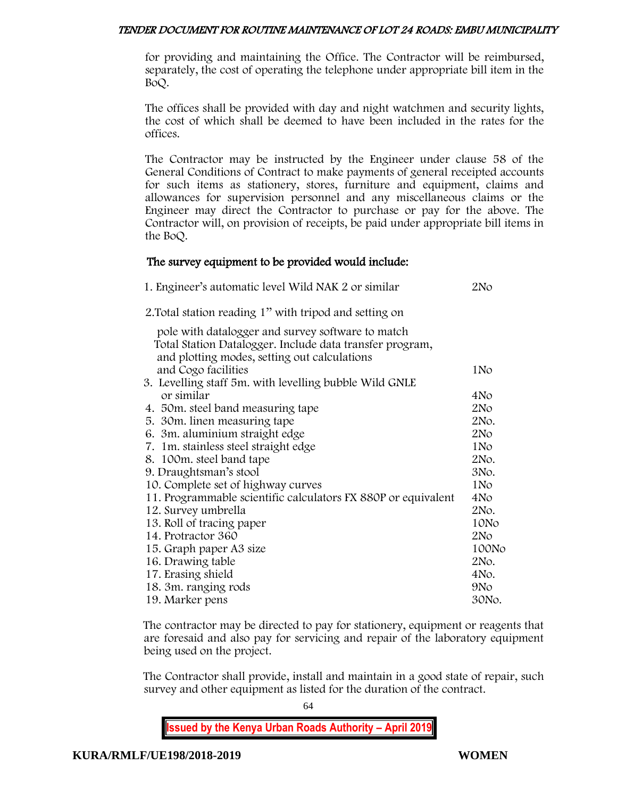for providing and maintaining the Office. The Contractor will be reimbursed, separately, the cost of operating the telephone under appropriate bill item in the BoQ.

The offices shall be provided with day and night watchmen and security lights, the cost of which shall be deemed to have been included in the rates for the offices.

The Contractor may be instructed by the Engineer under clause 58 of the General Conditions of Contract to make payments of general receipted accounts for such items as stationery, stores, furniture and equipment, claims and allowances for supervision personnel and any miscellaneous claims or the Engineer may direct the Contractor to purchase or pay for the above. The Contractor will, on provision of receipts, be paid under appropriate bill items in the BoQ.

# The survey equipment to be provided would include:

| 1. Engineer's automatic level Wild NAK 2 or similar                                                                                                           | 2No             |
|---------------------------------------------------------------------------------------------------------------------------------------------------------------|-----------------|
| 2. Total station reading 1" with tripod and setting on                                                                                                        |                 |
| pole with datalogger and survey software to match<br>Total Station Datalogger. Include data transfer program,<br>and plotting modes, setting out calculations |                 |
| and Cogo facilities                                                                                                                                           | 1N <sub>o</sub> |
| 3. Levelling staff 5m. with levelling bubble Wild GNLE                                                                                                        |                 |
| or similar                                                                                                                                                    | 4No             |
| 4. 50m. steel band measuring tape                                                                                                                             | 2N <sub>O</sub> |
| 5. 30 m. linen measuring tape                                                                                                                                 | 2No.            |
| 6. 3m. aluminium straight edge                                                                                                                                | 2N <sub>O</sub> |
| 7. 1m. stainless steel straight edge                                                                                                                          | 1N <sub>o</sub> |
| 8. 100m. steel band tape                                                                                                                                      | 2No.            |
| 9. Draughtsman's stool                                                                                                                                        | 3No.            |
| 10. Complete set of highway curves                                                                                                                            | 1No             |
| 11. Programmable scientific calculators FX 880P or equivalent                                                                                                 | 4No             |
| 12. Survey umbrella                                                                                                                                           | 2No.            |
| 13. Roll of tracing paper                                                                                                                                     | 10No            |
| 14. Protractor 360                                                                                                                                            | 2N <sub>O</sub> |
| 15. Graph paper A3 size                                                                                                                                       | 100No           |
| 16. Drawing table                                                                                                                                             | 2No.            |
| 17. Erasing shield                                                                                                                                            | 4No.            |
| 18. 3m. ranging rods                                                                                                                                          | 9No             |
| 19. Marker pens                                                                                                                                               | 30No.           |

The contractor may be directed to pay for stationery, equipment or reagents that are foresaid and also pay for servicing and repair of the laboratory equipment being used on the project.

The Contractor shall provide, install and maintain in a good state of repair, such survey and other equipment as listed for the duration of the contract.

64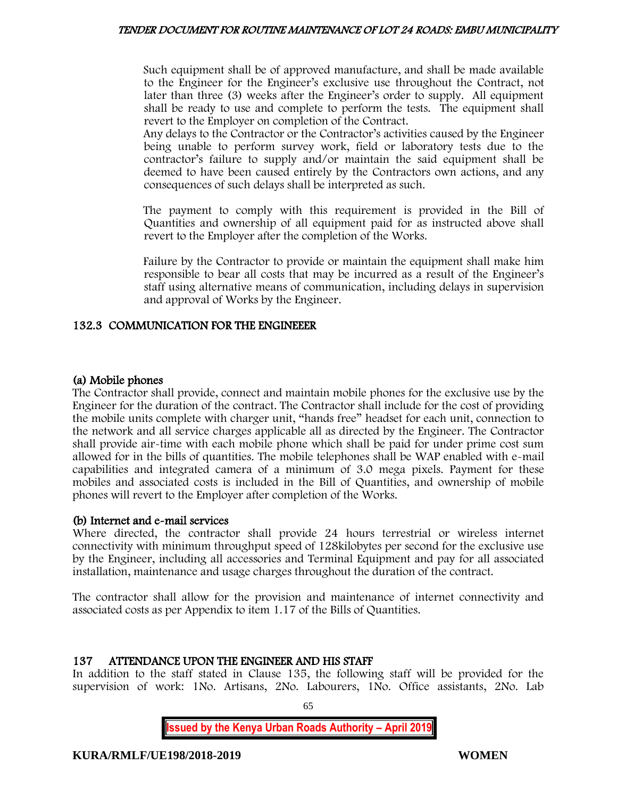Such equipment shall be of approved manufacture, and shall be made available to the Engineer for the Engineer's exclusive use throughout the Contract, not later than three (3) weeks after the Engineer's order to supply. All equipment shall be ready to use and complete to perform the tests. The equipment shall revert to the Employer on completion of the Contract.

Any delays to the Contractor or the Contractor's activities caused by the Engineer being unable to perform survey work, field or laboratory tests due to the contractor's failure to supply and/or maintain the said equipment shall be deemed to have been caused entirely by the Contractors own actions, and any consequences of such delays shall be interpreted as such.

The payment to comply with this requirement is provided in the Bill of Quantities and ownership of all equipment paid for as instructed above shall revert to the Employer after the completion of the Works.

Failure by the Contractor to provide or maintain the equipment shall make him responsible to bear all costs that may be incurred as a result of the Engineer's staff using alternative means of communication, including delays in supervision and approval of Works by the Engineer.

# 132.3 COMMUNICATION FOR THE ENGINEEER

# (a) Mobile phones

The Contractor shall provide, connect and maintain mobile phones for the exclusive use by the Engineer for the duration of the contract. The Contractor shall include for the cost of providing the mobile units complete with charger unit, "hands free" headset for each unit, connection to the network and all service charges applicable all as directed by the Engineer. The Contractor shall provide air-time with each mobile phone which shall be paid for under prime cost sum allowed for in the bills of quantities. The mobile telephones shall be WAP enabled with e-mail capabilities and integrated camera of a minimum of 3.0 mega pixels. Payment for these mobiles and associated costs is included in the Bill of Quantities, and ownership of mobile phones will revert to the Employer after completion of the Works.

# (b) Internet and e-mail services

Where directed, the contractor shall provide 24 hours terrestrial or wireless internet connectivity with minimum throughput speed of 128kilobytes per second for the exclusive use by the Engineer, including all accessories and Terminal Equipment and pay for all associated installation, maintenance and usage charges throughout the duration of the contract.

The contractor shall allow for the provision and maintenance of internet connectivity and associated costs as per Appendix to item 1.17 of the Bills of Quantities.

# 137 ATTENDANCE UPON THE ENGINEER AND HIS STAFF

In addition to the staff stated in Clause 135, the following staff will be provided for the supervision of work: 1No. Artisans, 2No. Labourers, 1No. Office assistants, 2No. Lab

65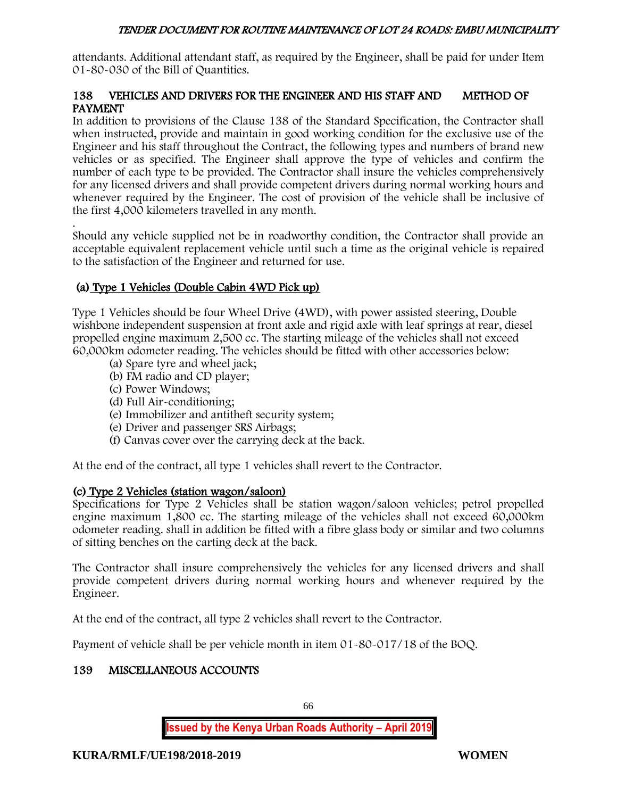attendants. Additional attendant staff, as required by the Engineer, shall be paid for under Item 01-80-030 of the Bill of Quantities.

# 138 VEHICLES AND DRIVERS FOR THE ENGINEER AND HIS STAFF AND METHOD OF PAYMENT

In addition to provisions of the Clause 138 of the Standard Specification, the Contractor shall when instructed, provide and maintain in good working condition for the exclusive use of the Engineer and his staff throughout the Contract, the following types and numbers of brand new vehicles or as specified. The Engineer shall approve the type of vehicles and confirm the number of each type to be provided. The Contractor shall insure the vehicles comprehensively for any licensed drivers and shall provide competent drivers during normal working hours and whenever required by the Engineer. The cost of provision of the vehicle shall be inclusive of the first 4,000 kilometers travelled in any month.

. Should any vehicle supplied not be in roadworthy condition, the Contractor shall provide an acceptable equivalent replacement vehicle until such a time as the original vehicle is repaired to the satisfaction of the Engineer and returned for use.

# (a) Type 1 Vehicles (Double Cabin 4WD Pick up)

Type 1 Vehicles should be four Wheel Drive (4WD), with power assisted steering, Double wishbone independent suspension at front axle and rigid axle with leaf springs at rear, diesel propelled engine maximum 2,500 cc. The starting mileage of the vehicles shall not exceed 60,000km odometer reading. The vehicles should be fitted with other accessories below:

- (a) Spare tyre and wheel jack;
- (b) FM radio and CD player;
- (c) Power Windows;
- (d) Full Air-conditioning;
- (e) Immobilizer and antitheft security system;
- (e) Driver and passenger SRS Airbags;
- (f) Canvas cover over the carrying deck at the back.

At the end of the contract, all type 1 vehicles shall revert to the Contractor.

# (c) Type 2 Vehicles (station wagon/saloon)

Specifications for Type 2 Vehicles shall be station wagon/saloon vehicles; petrol propelled engine maximum 1,800 cc. The starting mileage of the vehicles shall not exceed 60,000km odometer reading. shall in addition be fitted with a fibre glass body or similar and two columns of sitting benches on the carting deck at the back.

The Contractor shall insure comprehensively the vehicles for any licensed drivers and shall provide competent drivers during normal working hours and whenever required by the Engineer.

At the end of the contract, all type 2 vehicles shall revert to the Contractor.

Payment of vehicle shall be per vehicle month in item 01-80-017/18 of the BOQ.

# 139 MISCELLANEOUS ACCOUNTS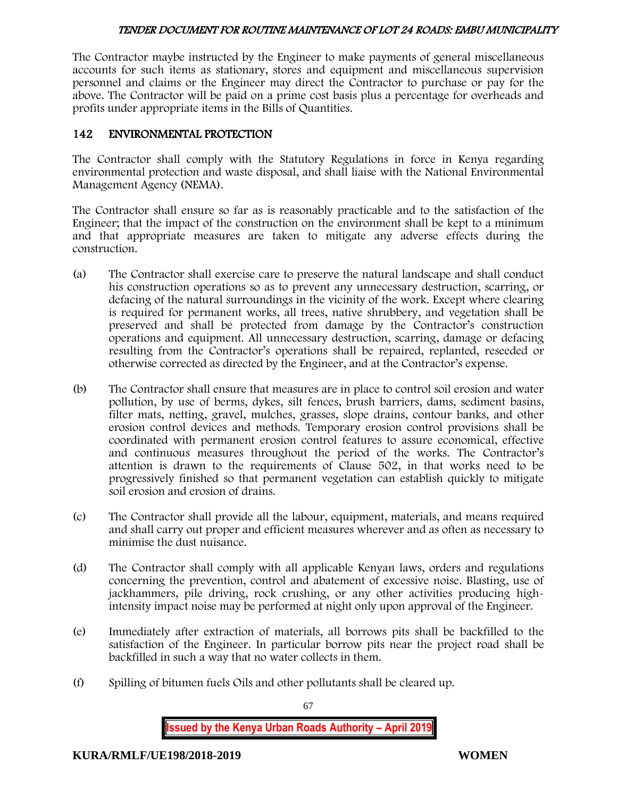The Contractor maybe instructed by the Engineer to make payments of general miscellaneous accounts for such items as stationary, stores and equipment and miscellaneous supervision personnel and claims or the Engineer may direct the Contractor to purchase or pay for the above. The Contractor will be paid on a prime cost basis plus a percentage for overheads and profits under appropriate items in the Bills of Quantities.

# 142 ENVIRONMENTAL PROTECTION

The Contractor shall comply with the Statutory Regulations in force in Kenya regarding environmental protection and waste disposal, and shall liaise with the National Environmental Management Agency (NEMA).

The Contractor shall ensure so far as is reasonably practicable and to the satisfaction of the Engineer; that the impact of the construction on the environment shall be kept to a minimum and that appropriate measures are taken to mitigate any adverse effects during the construction.

- (a) The Contractor shall exercise care to preserve the natural landscape and shall conduct his construction operations so as to prevent any unnecessary destruction, scarring, or defacing of the natural surroundings in the vicinity of the work. Except where clearing is required for permanent works, all trees, native shrubbery, and vegetation shall be preserved and shall be protected from damage by the Contractor's construction operations and equipment. All unnecessary destruction, scarring, damage or defacing resulting from the Contractor's operations shall be repaired, replanted, reseeded or otherwise corrected as directed by the Engineer, and at the Contractor's expense.
- (b) The Contractor shall ensure that measures are in place to control soil erosion and water pollution, by use of berms, dykes, silt fences, brush barriers, dams, sediment basins, filter mats, netting, gravel, mulches, grasses, slope drains, contour banks, and other erosion control devices and methods. Temporary erosion control provisions shall be coordinated with permanent erosion control features to assure economical, effective and continuous measures throughout the period of the works. The Contractor's attention is drawn to the requirements of Clause 502, in that works need to be progressively finished so that permanent vegetation can establish quickly to mitigate soil erosion and erosion of drains.
- (c) The Contractor shall provide all the labour, equipment, materials, and means required and shall carry out proper and efficient measures wherever and as often as necessary to minimise the dust nuisance.
- (d) The Contractor shall comply with all applicable Kenyan laws, orders and regulations concerning the prevention, control and abatement of excessive noise. Blasting, use of jackhammers, pile driving, rock crushing, or any other activities producing highintensity impact noise may be performed at night only upon approval of the Engineer.
- (e) Immediately after extraction of materials, all borrows pits shall be backfilled to the satisfaction of the Engineer. In particular borrow pits near the project road shall be backfilled in such a way that no water collects in them.
- (f) Spilling of bitumen fuels Oils and other pollutants shall be cleared up.

67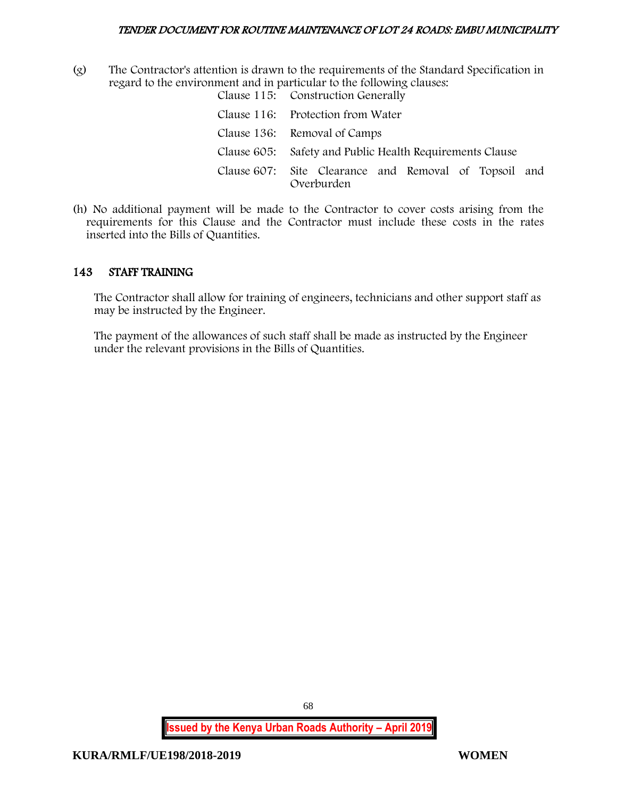(g) The Contractor's attention is drawn to the requirements of the Standard Specification in regard to the environment and in particular to the following clauses: Clause 115: Construction Generally

| Clause 110. Construction denotally                                  |
|---------------------------------------------------------------------|
| Clause 116: Protection from Water                                   |
| Clause 136: Removal of Camps                                        |
| Clause 605: Safety and Public Health Requirements Clause            |
| Clause 607: Site Clearance and Removal of Topsoil and<br>Overburden |

(h) No additional payment will be made to the Contractor to cover costs arising from the requirements for this Clause and the Contractor must include these costs in the rates inserted into the Bills of Quantities.

# 143 STAFF TRAINING

The Contractor shall allow for training of engineers, technicians and other support staff as may be instructed by the Engineer.

The payment of the allowances of such staff shall be made as instructed by the Engineer under the relevant provisions in the Bills of Quantities.

68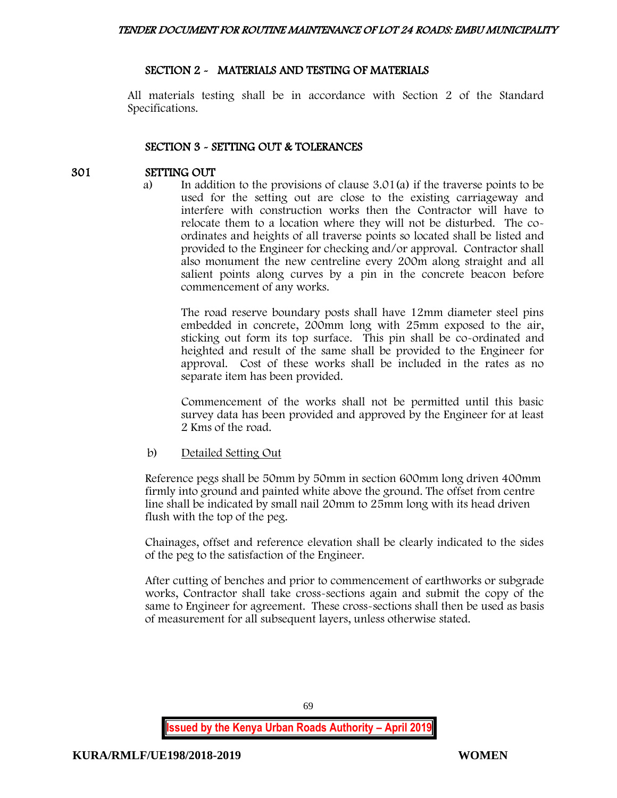# SECTION 2 - MATERIALS AND TESTING OF MATERIALS

All materials testing shall be in accordance with Section 2 of the Standard Specifications.

# SECTION 3 - SETTING OUT & TOLERANCES

# 301 SETTING OUT

a) In addition to the provisions of clause 3.01(a) if the traverse points to be used for the setting out are close to the existing carriageway and interfere with construction works then the Contractor will have to relocate them to a location where they will not be disturbed. The coordinates and heights of all traverse points so located shall be listed and provided to the Engineer for checking and/or approval. Contractor shall also monument the new centreline every 200m along straight and all salient points along curves by a pin in the concrete beacon before commencement of any works.

The road reserve boundary posts shall have 12mm diameter steel pins embedded in concrete, 200mm long with 25mm exposed to the air, sticking out form its top surface. This pin shall be co-ordinated and heighted and result of the same shall be provided to the Engineer for approval. Cost of these works shall be included in the rates as no separate item has been provided.

Commencement of the works shall not be permitted until this basic survey data has been provided and approved by the Engineer for at least 2 Kms of the road.

# b) Detailed Setting Out

Reference pegs shall be 50mm by 50mm in section 600mm long driven 400mm firmly into ground and painted white above the ground. The offset from centre line shall be indicated by small nail 20mm to 25mm long with its head driven flush with the top of the peg.

Chainages, offset and reference elevation shall be clearly indicated to the sides of the peg to the satisfaction of the Engineer.

After cutting of benches and prior to commencement of earthworks or subgrade works, Contractor shall take cross-sections again and submit the copy of the same to Engineer for agreement. These cross-sections shall then be used as basis of measurement for all subsequent layers, unless otherwise stated.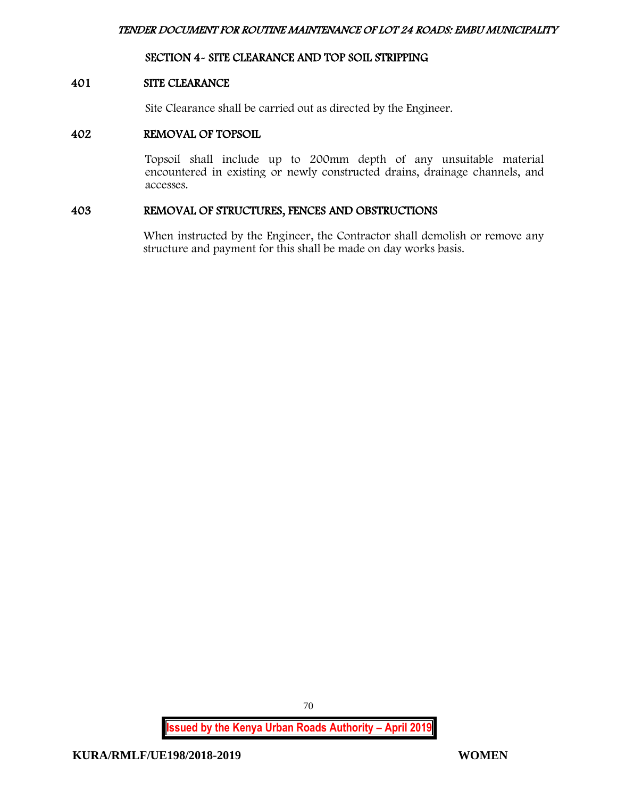# SECTION 4- SITE CLEARANCE AND TOP SOIL STRIPPING

### 401 SITE CLEARANCE

Site Clearance shall be carried out as directed by the Engineer.

### 402 REMOVAL OF TOPSOIL

Topsoil shall include up to 200mm depth of any unsuitable material encountered in existing or newly constructed drains, drainage channels, and accesses.

#### 403 REMOVAL OF STRUCTURES, FENCES AND OBSTRUCTIONS

When instructed by the Engineer, the Contractor shall demolish or remove any structure and payment for this shall be made on day works basis.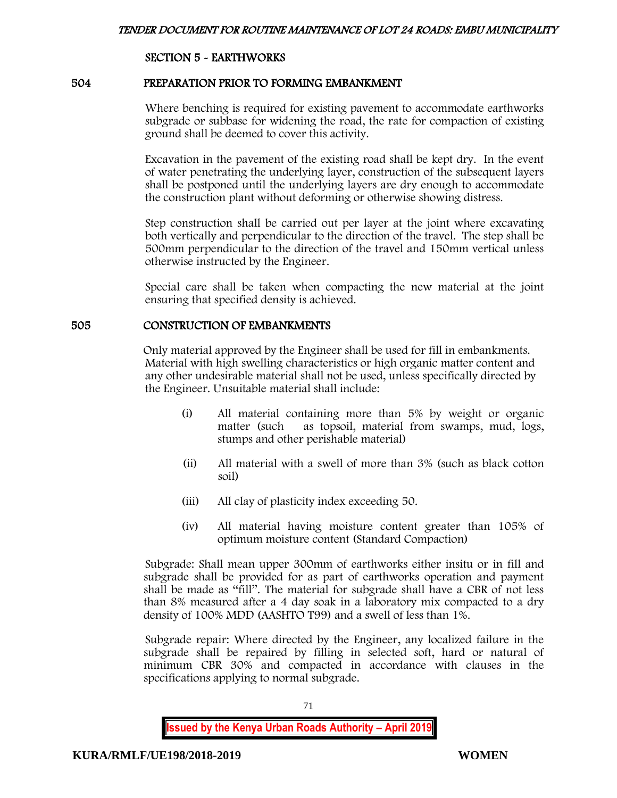# SECTION 5 - EARTHWORKS

#### 504 PREPARATION PRIOR TO FORMING EMBANKMENT

Where benching is required for existing pavement to accommodate earthworks subgrade or subbase for widening the road, the rate for compaction of existing ground shall be deemed to cover this activity.

Excavation in the pavement of the existing road shall be kept dry. In the event of water penetrating the underlying layer, construction of the subsequent layers shall be postponed until the underlying layers are dry enough to accommodate the construction plant without deforming or otherwise showing distress.

Step construction shall be carried out per layer at the joint where excavating both vertically and perpendicular to the direction of the travel. The step shall be 500mm perpendicular to the direction of the travel and 150mm vertical unless otherwise instructed by the Engineer.

Special care shall be taken when compacting the new material at the joint ensuring that specified density is achieved.

#### 505 CONSTRUCTION OF EMBANKMENTS

Only material approved by the Engineer shall be used for fill in embankments. Material with high swelling characteristics or high organic matter content and any other undesirable material shall not be used, unless specifically directed by the Engineer. Unsuitable material shall include:

- (i) All material containing more than 5% by weight or organic matter (such as topsoil, material from swamps, mud, logs, stumps and other perishable material)
- (ii) All material with a swell of more than 3% (such as black cotton soil)
- (iii) All clay of plasticity index exceeding 50.
- (iv) All material having moisture content greater than 105% of optimum moisture content (Standard Compaction)

Subgrade: Shall mean upper 300mm of earthworks either insitu or in fill and subgrade shall be provided for as part of earthworks operation and payment shall be made as "fill". The material for subgrade shall have a CBR of not less than 8% measured after a 4 day soak in a laboratory mix compacted to a dry density of 100% MDD (AASHTO T99) and a swell of less than 1%.

Subgrade repair: Where directed by the Engineer, any localized failure in the subgrade shall be repaired by filling in selected soft, hard or natural of minimum CBR 30% and compacted in accordance with clauses in the specifications applying to normal subgrade.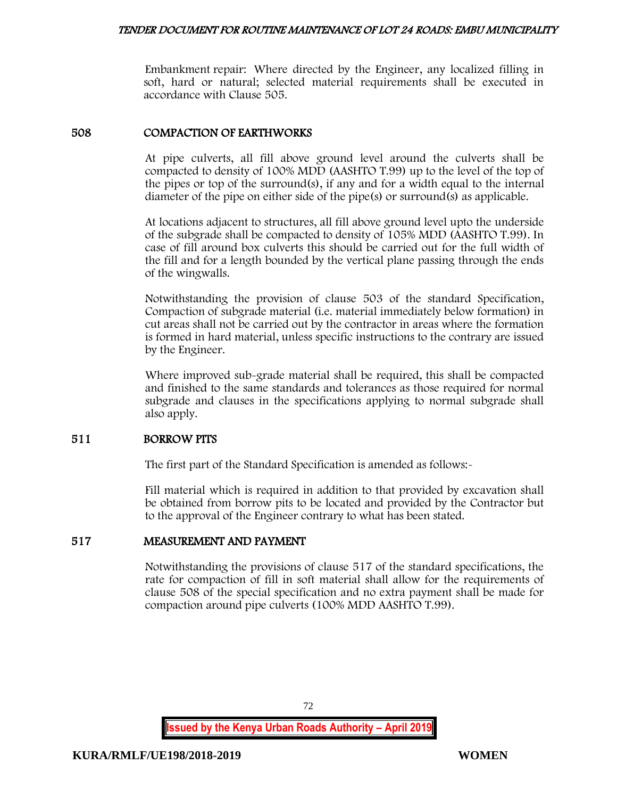Embankment repair: Where directed by the Engineer, any localized filling in soft, hard or natural; selected material requirements shall be executed in accordance with Clause 505.

### 508 COMPACTION OF EARTHWORKS

At pipe culverts, all fill above ground level around the culverts shall be compacted to density of 100% MDD (AASHTO T.99) up to the level of the top of the pipes or top of the surround(s), if any and for a width equal to the internal diameter of the pipe on either side of the pipe(s) or surround(s) as applicable.

At locations adjacent to structures, all fill above ground level upto the underside of the subgrade shall be compacted to density of 105% MDD (AASHTO T.99). In case of fill around box culverts this should be carried out for the full width of the fill and for a length bounded by the vertical plane passing through the ends of the wingwalls.

Notwithstanding the provision of clause 503 of the standard Specification, Compaction of subgrade material (i.e. material immediately below formation) in cut areas shall not be carried out by the contractor in areas where the formation is formed in hard material, unless specific instructions to the contrary are issued by the Engineer.

Where improved sub-grade material shall be required, this shall be compacted and finished to the same standards and tolerances as those required for normal subgrade and clauses in the specifications applying to normal subgrade shall also apply.

#### 511 BORROW PITS

The first part of the Standard Specification is amended as follows:-

Fill material which is required in addition to that provided by excavation shall be obtained from borrow pits to be located and provided by the Contractor but to the approval of the Engineer contrary to what has been stated.

#### 517 MEASUREMENT AND PAYMENT

Notwithstanding the provisions of clause 517 of the standard specifications, the rate for compaction of fill in soft material shall allow for the requirements of clause 508 of the special specification and no extra payment shall be made for compaction around pipe culverts (100% MDD AASHTO T.99).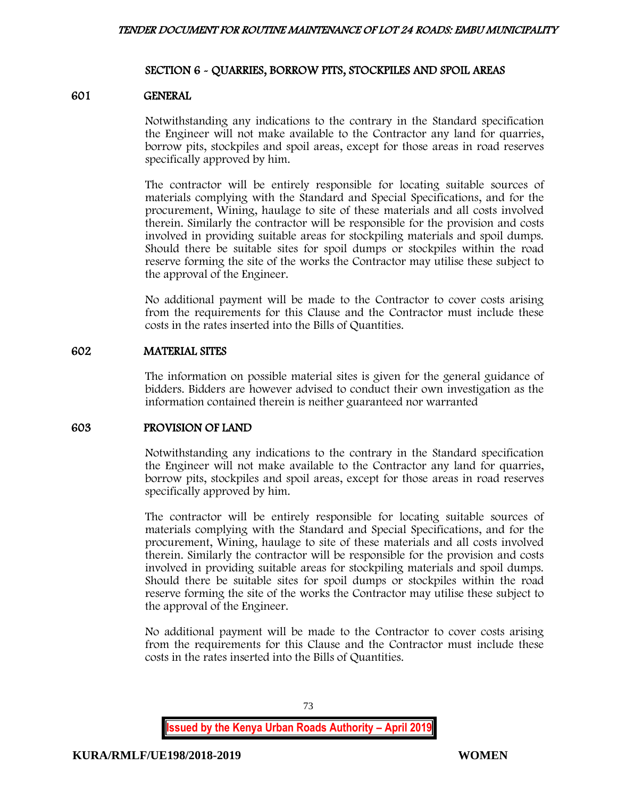## SECTION 6 - QUARRIES, BORROW PITS, STOCKPILES AND SPOIL AREAS

#### 601 GENERAL

Notwithstanding any indications to the contrary in the Standard specification the Engineer will not make available to the Contractor any land for quarries, borrow pits, stockpiles and spoil areas, except for those areas in road reserves specifically approved by him.

The contractor will be entirely responsible for locating suitable sources of materials complying with the Standard and Special Specifications, and for the procurement, Wining, haulage to site of these materials and all costs involved therein. Similarly the contractor will be responsible for the provision and costs involved in providing suitable areas for stockpiling materials and spoil dumps. Should there be suitable sites for spoil dumps or stockpiles within the road reserve forming the site of the works the Contractor may utilise these subject to the approval of the Engineer.

No additional payment will be made to the Contractor to cover costs arising from the requirements for this Clause and the Contractor must include these costs in the rates inserted into the Bills of Quantities.

#### 602 MATERIAL SITES

The information on possible material sites is given for the general guidance of bidders. Bidders are however advised to conduct their own investigation as the information contained therein is neither guaranteed nor warranted

#### 603 PROVISION OF LAND

Notwithstanding any indications to the contrary in the Standard specification the Engineer will not make available to the Contractor any land for quarries, borrow pits, stockpiles and spoil areas, except for those areas in road reserves specifically approved by him.

The contractor will be entirely responsible for locating suitable sources of materials complying with the Standard and Special Specifications, and for the procurement, Wining, haulage to site of these materials and all costs involved therein. Similarly the contractor will be responsible for the provision and costs involved in providing suitable areas for stockpiling materials and spoil dumps. Should there be suitable sites for spoil dumps or stockpiles within the road reserve forming the site of the works the Contractor may utilise these subject to the approval of the Engineer.

No additional payment will be made to the Contractor to cover costs arising from the requirements for this Clause and the Contractor must include these costs in the rates inserted into the Bills of Quantities.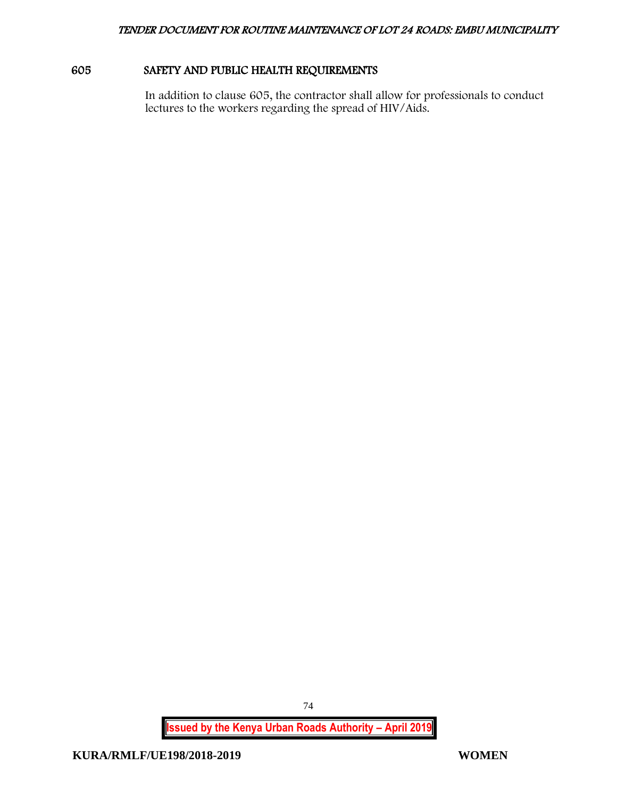# 605 SAFETY AND PUBLIC HEALTH REQUIREMENTS

In addition to clause 605, the contractor shall allow for professionals to conduct lectures to the workers regarding the spread of HIV/Aids.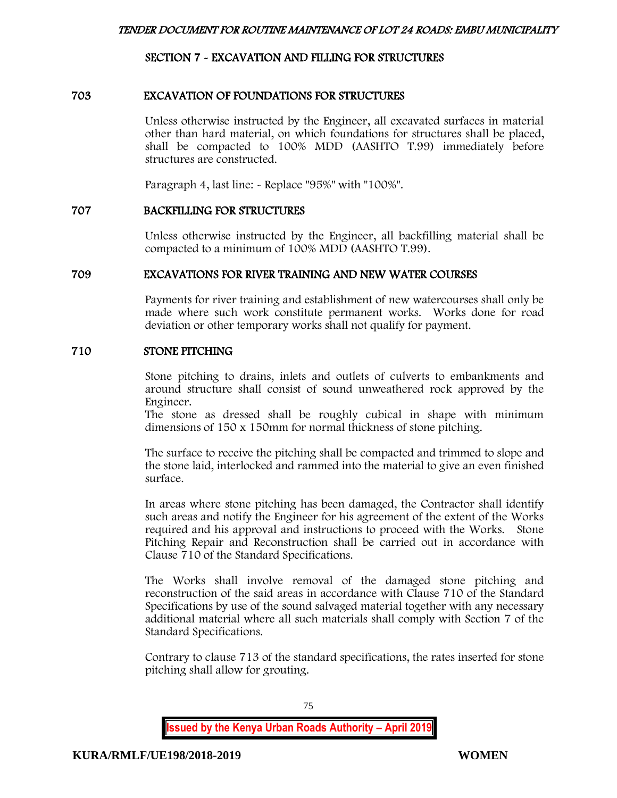# SECTION 7 - EXCAVATION AND FILLING FOR STRUCTURES

## 703 EXCAVATION OF FOUNDATIONS FOR STRUCTURES

Unless otherwise instructed by the Engineer, all excavated surfaces in material other than hard material, on which foundations for structures shall be placed, shall be compacted to 100% MDD (AASHTO T.99) immediately before structures are constructed.

Paragraph 4, last line:  $\sim$  Replace "95%" with "100%".

#### 707 BACKFILLING FOR STRUCTURES

Unless otherwise instructed by the Engineer, all backfilling material shall be compacted to a minimum of 100% MDD (AASHTO T.99).

#### 709 EXCAVATIONS FOR RIVER TRAINING AND NEW WATER COURSES

Payments for river training and establishment of new watercourses shall only be made where such work constitute permanent works. Works done for road deviation or other temporary works shall not qualify for payment.

#### 710 STONE PITCHING

Stone pitching to drains, inlets and outlets of culverts to embankments and around structure shall consist of sound unweathered rock approved by the Engineer.

The stone as dressed shall be roughly cubical in shape with minimum dimensions of 150 x 150mm for normal thickness of stone pitching.

The surface to receive the pitching shall be compacted and trimmed to slope and the stone laid, interlocked and rammed into the material to give an even finished surface.

In areas where stone pitching has been damaged, the Contractor shall identify such areas and notify the Engineer for his agreement of the extent of the Works required and his approval and instructions to proceed with the Works. Stone Pitching Repair and Reconstruction shall be carried out in accordance with Clause 710 of the Standard Specifications.

The Works shall involve removal of the damaged stone pitching and reconstruction of the said areas in accordance with Clause 710 of the Standard Specifications by use of the sound salvaged material together with any necessary additional material where all such materials shall comply with Section 7 of the Standard Specifications.

Contrary to clause 713 of the standard specifications, the rates inserted for stone pitching shall allow for grouting.

**Issued by the Kenya Urban Roads Authority – April 2019**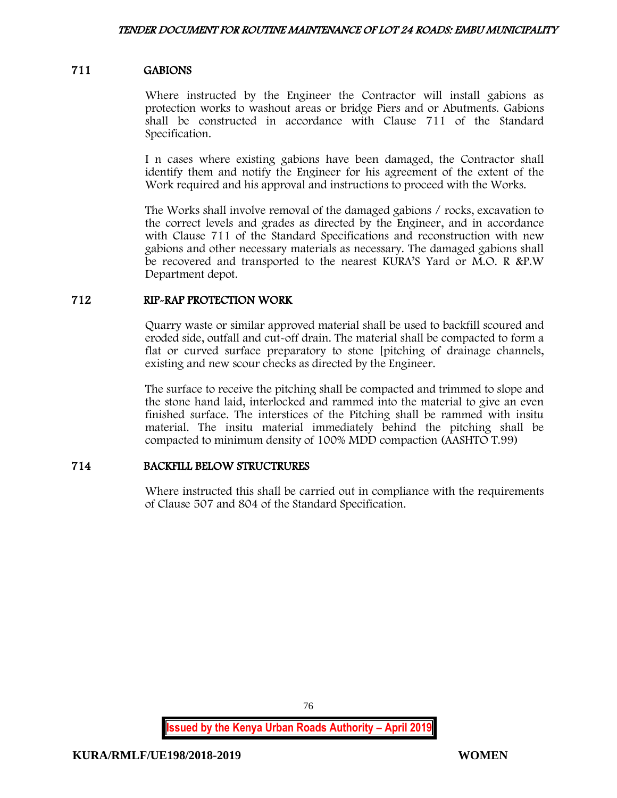# 711 GABIONS

Where instructed by the Engineer the Contractor will install gabions as protection works to washout areas or bridge Piers and or Abutments. Gabions shall be constructed in accordance with Clause 711 of the Standard Specification.

I n cases where existing gabions have been damaged, the Contractor shall identify them and notify the Engineer for his agreement of the extent of the Work required and his approval and instructions to proceed with the Works.

The Works shall involve removal of the damaged gabions / rocks, excavation to the correct levels and grades as directed by the Engineer, and in accordance with Clause 711 of the Standard Specifications and reconstruction with new gabions and other necessary materials as necessary. The damaged gabions shall be recovered and transported to the nearest KURA'S Yard or M.O. R &P.W Department depot.

# 712 RIP-RAP PROTECTION WORK

Quarry waste or similar approved material shall be used to backfill scoured and eroded side, outfall and cut-off drain. The material shall be compacted to form a flat or curved surface preparatory to stone [pitching of drainage channels, existing and new scour checks as directed by the Engineer.

The surface to receive the pitching shall be compacted and trimmed to slope and the stone hand laid, interlocked and rammed into the material to give an even finished surface. The interstices of the Pitching shall be rammed with insitu material. The insitu material immediately behind the pitching shall be compacted to minimum density of 100% MDD compaction (AASHTO T.99)

# 714 BACKFILL BELOW STRUCTRURES

Where instructed this shall be carried out in compliance with the requirements of Clause 507 and 804 of the Standard Specification.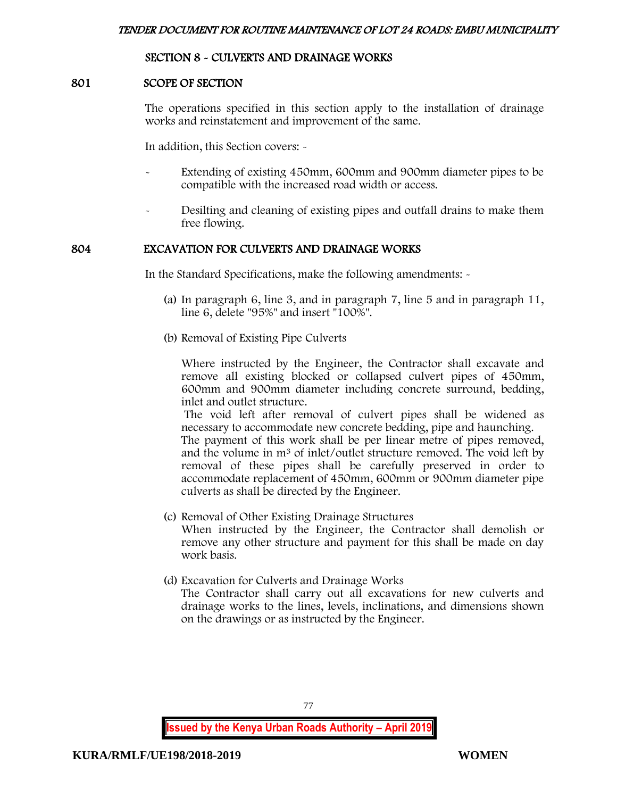## SECTION 8 - CULVERTS AND DRAINAGE WORKS

#### 801 SCOPE OF SECTION

The operations specified in this section apply to the installation of drainage works and reinstatement and improvement of the same.

In addition, this Section covers: -

- Extending of existing 450mm, 600mm and 900mm diameter pipes to be compatible with the increased road width or access.
- Desilting and cleaning of existing pipes and outfall drains to make them free flowing.

#### 804 EXCAVATION FOR CULVERTS AND DRAINAGE WORKS

In the Standard Specifications, make the following amendments: -

- (a) In paragraph 6, line 3, and in paragraph 7, line 5 and in paragraph 11, line 6, delete "95%" and insert "100%".
- (b) Removal of Existing Pipe Culverts

Where instructed by the Engineer, the Contractor shall excavate and remove all existing blocked or collapsed culvert pipes of 450mm, 600mm and 900mm diameter including concrete surround, bedding, inlet and outlet structure.

The void left after removal of culvert pipes shall be widened as necessary to accommodate new concrete bedding, pipe and haunching.

The payment of this work shall be per linear metre of pipes removed, and the volume in m<sup>3</sup> of inlet/outlet structure removed. The void left by removal of these pipes shall be carefully preserved in order to accommodate replacement of 450mm, 600mm or 900mm diameter pipe culverts as shall be directed by the Engineer.

- (c) Removal of Other Existing Drainage Structures When instructed by the Engineer, the Contractor shall demolish or remove any other structure and payment for this shall be made on day work basis.
- (d) Excavation for Culverts and Drainage Works

The Contractor shall carry out all excavations for new culverts and drainage works to the lines, levels, inclinations, and dimensions shown on the drawings or as instructed by the Engineer.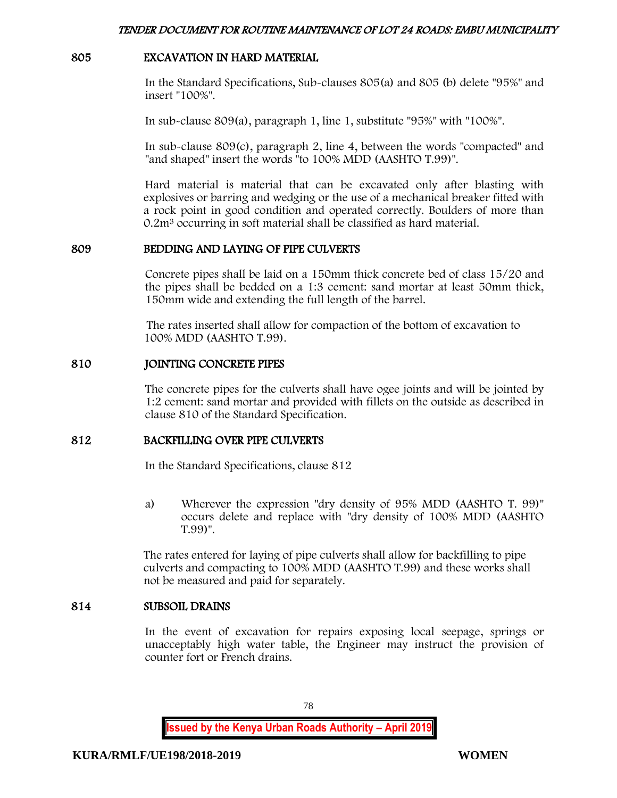### 805 EXCAVATION IN HARD MATERIAL

In the Standard Specifications, Sub-clauses 805(a) and 805 (b) delete "95%" and insert "100%".

In sub-clause 809(a), paragraph 1, line 1, substitute "95%" with "100%".

In sub-clause 809(c), paragraph 2, line 4, between the words "compacted" and "and shaped" insert the words "to 100% MDD (AASHTO T.99)".

Hard material is material that can be excavated only after blasting with explosives or barring and wedging or the use of a mechanical breaker fitted with a rock point in good condition and operated correctly. Boulders of more than 0.2m<sup>3</sup> occurring in soft material shall be classified as hard material.

## 809 BEDDING AND LAYING OF PIPE CULVERTS

Concrete pipes shall be laid on a 150mm thick concrete bed of class 15/20 and the pipes shall be bedded on a 1:3 cement: sand mortar at least 50mm thick, 150mm wide and extending the full length of the barrel.

The rates inserted shall allow for compaction of the bottom of excavation to 100% MDD (AASHTO T.99).

#### 810 JOINTING CONCRETE PIPES

The concrete pipes for the culverts shall have ogee joints and will be jointed by 1:2 cement: sand mortar and provided with fillets on the outside as described in clause 810 of the Standard Specification.

## 812 BACKFILLING OVER PIPE CULVERTS

In the Standard Specifications, clause 812

a) Wherever the expression "dry density of 95% MDD (AASHTO T. 99)" occurs delete and replace with "dry density of 100% MDD (AASHTO T.99)".

The rates entered for laying of pipe culverts shall allow for backfilling to pipe culverts and compacting to 100% MDD (AASHTO T.99) and these works shall not be measured and paid for separately.

#### 814 SUBSOIL DRAINS

In the event of excavation for repairs exposing local seepage, springs or unacceptably high water table, the Engineer may instruct the provision of counter fort or French drains.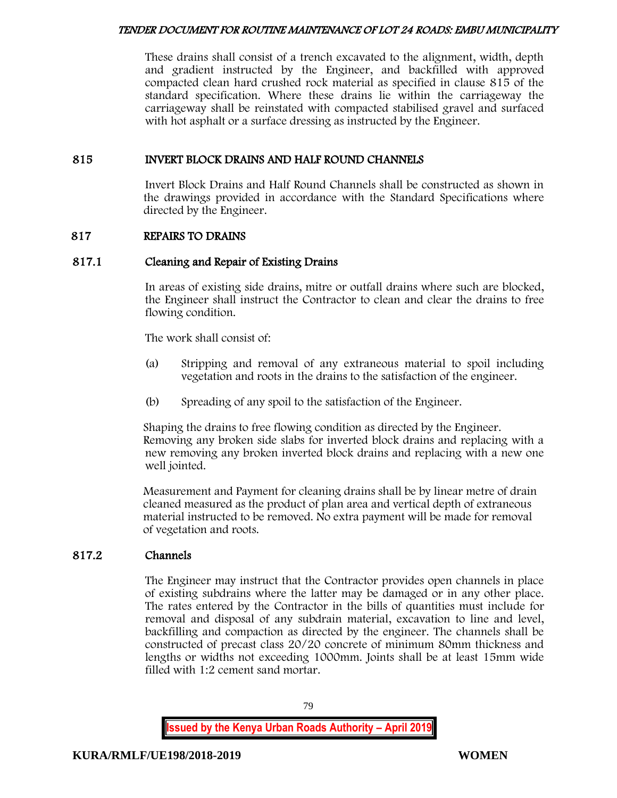These drains shall consist of a trench excavated to the alignment, width, depth and gradient instructed by the Engineer, and backfilled with approved compacted clean hard crushed rock material as specified in clause 815 of the standard specification. Where these drains lie within the carriageway the carriageway shall be reinstated with compacted stabilised gravel and surfaced with hot asphalt or a surface dressing as instructed by the Engineer.

# 815 INVERT BLOCK DRAINS AND HALF ROUND CHANNELS

Invert Block Drains and Half Round Channels shall be constructed as shown in the drawings provided in accordance with the Standard Specifications where directed by the Engineer.

# 817 REPAIRS TO DRAINS

# 817.1 Cleaning and Repair of Existing Drains

In areas of existing side drains, mitre or outfall drains where such are blocked, the Engineer shall instruct the Contractor to clean and clear the drains to free flowing condition.

The work shall consist of:

- (a) Stripping and removal of any extraneous material to spoil including vegetation and roots in the drains to the satisfaction of the engineer.
- (b) Spreading of any spoil to the satisfaction of the Engineer.

Shaping the drains to free flowing condition as directed by the Engineer. Removing any broken side slabs for inverted block drains and replacing with a new removing any broken inverted block drains and replacing with a new one well jointed.

Measurement and Payment for cleaning drains shall be by linear metre of drain cleaned measured as the product of plan area and vertical depth of extraneous material instructed to be removed. No extra payment will be made for removal of vegetation and roots.

# 817.2 Channels

The Engineer may instruct that the Contractor provides open channels in place of existing subdrains where the latter may be damaged or in any other place. The rates entered by the Contractor in the bills of quantities must include for removal and disposal of any subdrain material, excavation to line and level, backfilling and compaction as directed by the engineer. The channels shall be constructed of precast class 20/20 concrete of minimum 80mm thickness and lengths or widths not exceeding 1000mm. Joints shall be at least 15mm wide filled with 1:2 cement sand mortar.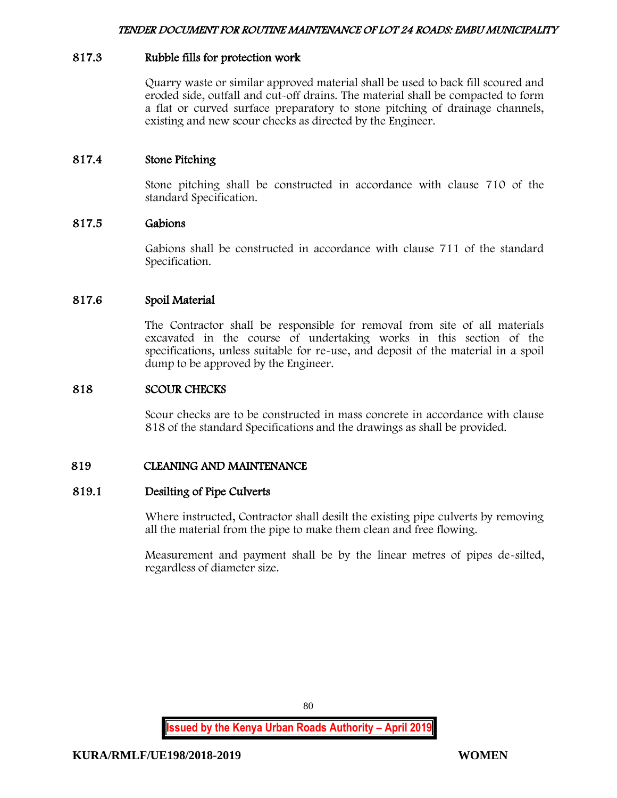## 817.3 Rubble fills for protection work

Quarry waste or similar approved material shall be used to back fill scoured and eroded side, outfall and cut-off drains. The material shall be compacted to form a flat or curved surface preparatory to stone pitching of drainage channels, existing and new scour checks as directed by the Engineer.

# 817.4 Stone Pitching

Stone pitching shall be constructed in accordance with clause 710 of the standard Specification.

## 817.5 Gabions

Gabions shall be constructed in accordance with clause 711 of the standard Specification.

## 817.6 Spoil Material

The Contractor shall be responsible for removal from site of all materials excavated in the course of undertaking works in this section of the specifications, unless suitable for re-use, and deposit of the material in a spoil dump to be approved by the Engineer.

#### 818 SCOUR CHECKS

Scour checks are to be constructed in mass concrete in accordance with clause 818 of the standard Specifications and the drawings as shall be provided.

## 819 CLEANING AND MAINTENANCE

#### 819.1 Desilting of Pipe Culverts

Where instructed, Contractor shall desilt the existing pipe culverts by removing all the material from the pipe to make them clean and free flowing.

Measurement and payment shall be by the linear metres of pipes de-silted, regardless of diameter size.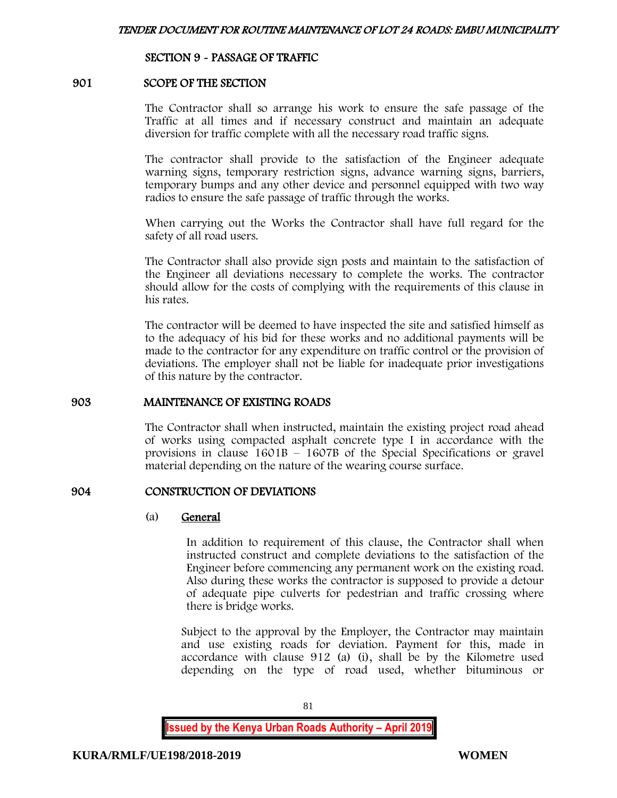### SECTION 9 - PASSAGE OF TRAFFIC

#### 901 SCOPE OF THE SECTION

The Contractor shall so arrange his work to ensure the safe passage of the Traffic at all times and if necessary construct and maintain an adequate diversion for traffic complete with all the necessary road traffic signs.

The contractor shall provide to the satisfaction of the Engineer adequate warning signs, temporary restriction signs, advance warning signs, barriers, temporary bumps and any other device and personnel equipped with two way radios to ensure the safe passage of traffic through the works.

When carrying out the Works the Contractor shall have full regard for the safety of all road users.

The Contractor shall also provide sign posts and maintain to the satisfaction of the Engineer all deviations necessary to complete the works. The contractor should allow for the costs of complying with the requirements of this clause in his rates.

The contractor will be deemed to have inspected the site and satisfied himself as to the adequacy of his bid for these works and no additional payments will be made to the contractor for any expenditure on traffic control or the provision of deviations. The employer shall not be liable for inadequate prior investigations of this nature by the contractor.

#### 903 MAINTENANCE OF EXISTING ROADS

The Contractor shall when instructed, maintain the existing project road ahead of works using compacted asphalt concrete type I in accordance with the provisions in clause 1601B – 1607B of the Special Specifications or gravel material depending on the nature of the wearing course surface.

#### 904 CONSTRUCTION OF DEVIATIONS

#### (a) General

In addition to requirement of this clause, the Contractor shall when instructed construct and complete deviations to the satisfaction of the Engineer before commencing any permanent work on the existing road. Also during these works the contractor is supposed to provide a detour of adequate pipe culverts for pedestrian and traffic crossing where there is bridge works.

Subject to the approval by the Employer, the Contractor may maintain and use existing roads for deviation. Payment for this, made in accordance with clause 912 (a) (i), shall be by the Kilometre used depending on the type of road used, whether bituminous or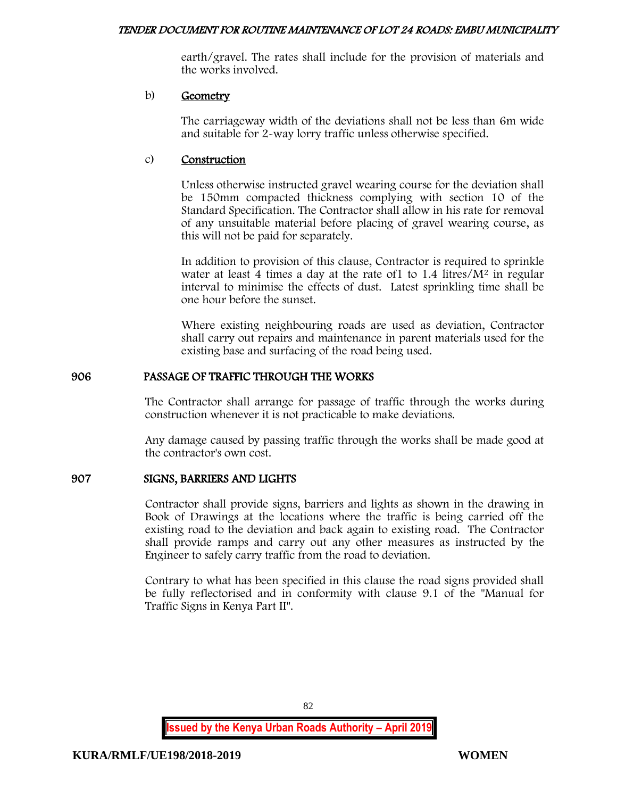earth/gravel. The rates shall include for the provision of materials and the works involved.

## b) Geometry

The carriageway width of the deviations shall not be less than 6m wide and suitable for 2-way lorry traffic unless otherwise specified.

# c) Construction

Unless otherwise instructed gravel wearing course for the deviation shall be 150mm compacted thickness complying with section 10 of the Standard Specification. The Contractor shall allow in his rate for removal of any unsuitable material before placing of gravel wearing course, as this will not be paid for separately.

In addition to provision of this clause, Contractor is required to sprinkle water at least 4 times a day at the rate of  $1$  to  $1.4$  litres/ $M<sup>2</sup>$  in regular interval to minimise the effects of dust. Latest sprinkling time shall be one hour before the sunset.

Where existing neighbouring roads are used as deviation, Contractor shall carry out repairs and maintenance in parent materials used for the existing base and surfacing of the road being used.

# 906 PASSAGE OF TRAFFIC THROUGH THE WORKS

The Contractor shall arrange for passage of traffic through the works during construction whenever it is not practicable to make deviations.

Any damage caused by passing traffic through the works shall be made good at the contractor's own cost.

# 907 SIGNS, BARRIERS AND LIGHTS

Contractor shall provide signs, barriers and lights as shown in the drawing in Book of Drawings at the locations where the traffic is being carried off the existing road to the deviation and back again to existing road. The Contractor shall provide ramps and carry out any other measures as instructed by the Engineer to safely carry traffic from the road to deviation.

Contrary to what has been specified in this clause the road signs provided shall be fully reflectorised and in conformity with clause 9.1 of the "Manual for Traffic Signs in Kenya Part II".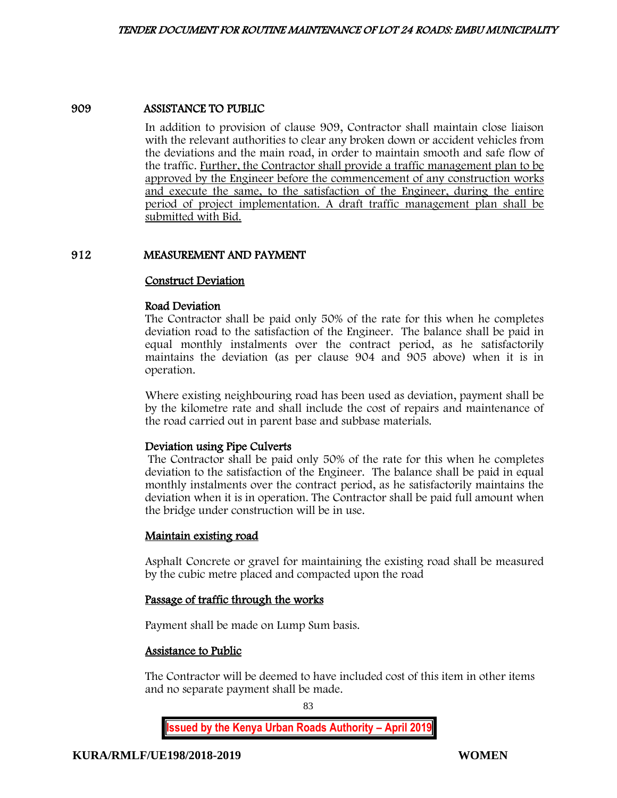#### 909 ASSISTANCE TO PUBLIC

In addition to provision of clause 909, Contractor shall maintain close liaison with the relevant authorities to clear any broken down or accident vehicles from the deviations and the main road, in order to maintain smooth and safe flow of the traffic. Further, the Contractor shall provide a traffic management plan to be approved by the Engineer before the commencement of any construction works and execute the same, to the satisfaction of the Engineer, during the entire period of project implementation. A draft traffic management plan shall be submitted with Bid.

## 912 MEASUREMENT AND PAYMENT

#### Construct Deviation

#### Road Deviation

The Contractor shall be paid only 50% of the rate for this when he completes deviation road to the satisfaction of the Engineer. The balance shall be paid in equal monthly instalments over the contract period, as he satisfactorily maintains the deviation (as per clause 904 and 905 above) when it is in operation.

Where existing neighbouring road has been used as deviation, payment shall be by the kilometre rate and shall include the cost of repairs and maintenance of the road carried out in parent base and subbase materials.

## Deviation using Pipe Culverts

The Contractor shall be paid only 50% of the rate for this when he completes deviation to the satisfaction of the Engineer. The balance shall be paid in equal monthly instalments over the contract period, as he satisfactorily maintains the deviation when it is in operation. The Contractor shall be paid full amount when the bridge under construction will be in use.

#### Maintain existing road

Asphalt Concrete or gravel for maintaining the existing road shall be measured by the cubic metre placed and compacted upon the road

#### Passage of traffic through the works

Payment shall be made on Lump Sum basis.

## Assistance to Public

The Contractor will be deemed to have included cost of this item in other items and no separate payment shall be made.

83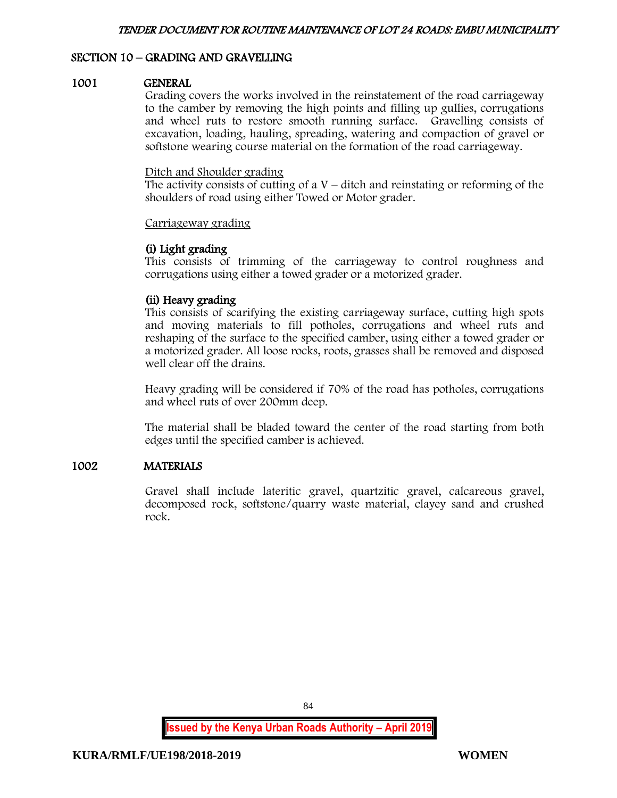# SECTION 10 – GRADING AND GRAVELLING

#### 1001 GENERAL

Grading covers the works involved in the reinstatement of the road carriageway to the camber by removing the high points and filling up gullies, corrugations and wheel ruts to restore smooth running surface. Gravelling consists of excavation, loading, hauling, spreading, watering and compaction of gravel or softstone wearing course material on the formation of the road carriageway.

#### Ditch and Shoulder grading

The activity consists of cutting of a  $V$  – ditch and reinstating or reforming of the shoulders of road using either Towed or Motor grader.

#### Carriageway grading

## (i) Light grading

This consists of trimming of the carriageway to control roughness and corrugations using either a towed grader or a motorized grader.

# (ii) Heavy grading

This consists of scarifying the existing carriageway surface, cutting high spots and moving materials to fill potholes, corrugations and wheel ruts and reshaping of the surface to the specified camber, using either a towed grader or a motorized grader. All loose rocks, roots, grasses shall be removed and disposed well clear off the drains.

Heavy grading will be considered if 70% of the road has potholes, corrugations and wheel ruts of over 200mm deep.

The material shall be bladed toward the center of the road starting from both edges until the specified camber is achieved.

## 1002 MATERIALS

Gravel shall include lateritic gravel, quartzitic gravel, calcareous gravel, decomposed rock, softstone/quarry waste material, clayey sand and crushed rock.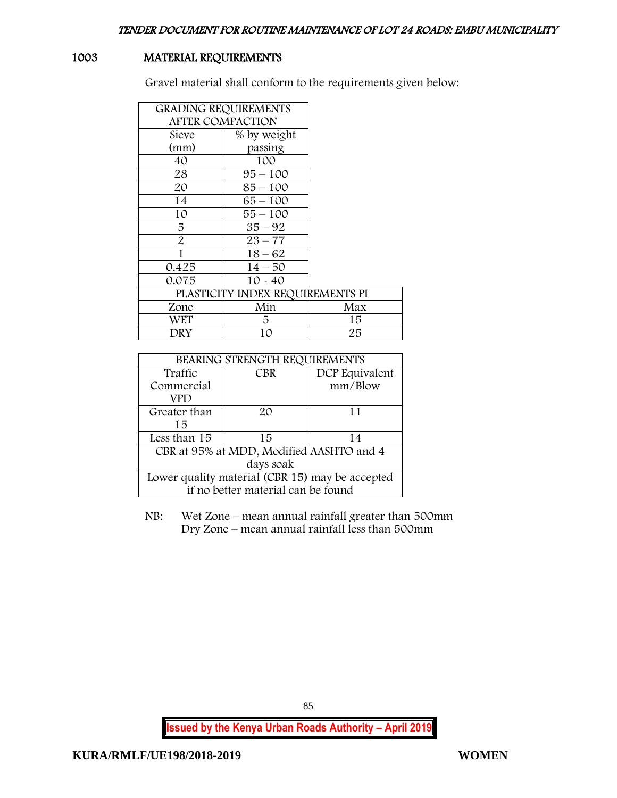# 1003 MATERIAL REQUIREMENTS

Gravel material shall conform to the requirements given below:

|                         | <b>GRADING REQUIREMENTS</b>      |     |
|-------------------------|----------------------------------|-----|
| <b>AFTER COMPACTION</b> |                                  |     |
| Sieve                   | % by weight                      |     |
| (mm)                    | passing                          |     |
| 40                      | 100                              |     |
| 28                      | $95 - 100$                       |     |
| 20                      | $85 - 100$                       |     |
| 14                      | $65 - 100$                       |     |
| 10                      | $55 - 100$                       |     |
| 5                       | $35 - 92$                        |     |
| $\overline{2}$          | $23 - 77$                        |     |
| 1                       | $18 - 62$                        |     |
| 0.425                   | $14 - 50$                        |     |
| 0.075                   | $10 - 40$                        |     |
|                         | PLASTICITY INDEX REQUIREMENTS PI |     |
| Zone                    | Min                              | Max |
| WET                     | 5                                | 15  |
| DRY                     | 10                               | 25  |

| BEARING STRENGTH REQUIREMENTS                   |            |                |
|-------------------------------------------------|------------|----------------|
| Traffic                                         | <b>CBR</b> | DCP Equivalent |
| Commercial                                      |            | mm/Blow        |
| VPD                                             |            |                |
| Greater than                                    | $2\Omega$  | 11             |
| 15                                              |            |                |
| Less than 15                                    | 15         | 14             |
| CBR at 95% at MDD, Modified AASHTO and 4        |            |                |
| days soak                                       |            |                |
| Lower quality material (CBR 15) may be accepted |            |                |
| if no better material can be found              |            |                |

NB: Wet Zone – mean annual rainfall greater than 500mm Dry Zone – mean annual rainfall less than 500mm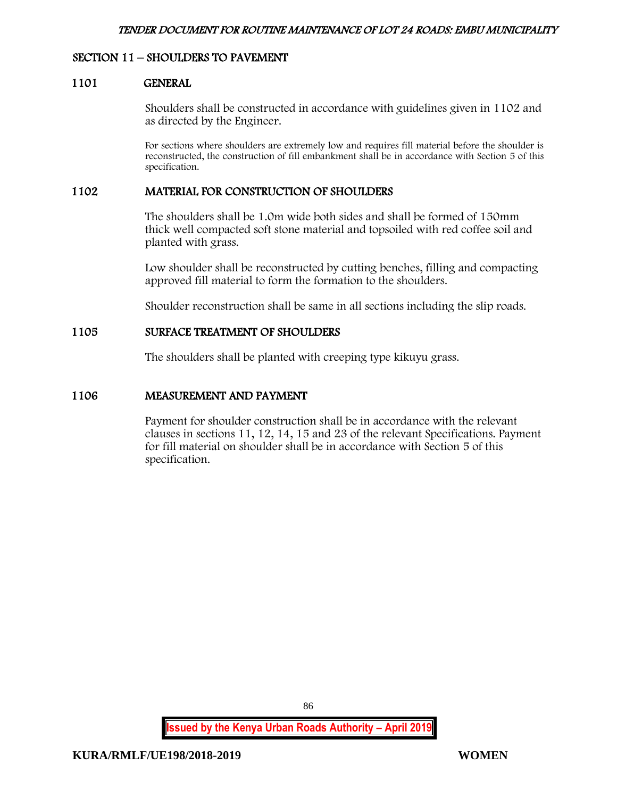## SECTION 11 – SHOULDERS TO PAVEMENT

#### 1101 GENERAL

Shoulders shall be constructed in accordance with guidelines given in 1102 and as directed by the Engineer.

For sections where shoulders are extremely low and requires fill material before the shoulder is reconstructed, the construction of fill embankment shall be in accordance with Section 5 of this specification.

### 1102 MATERIAL FOR CONSTRUCTION OF SHOULDERS

The shoulders shall be 1.0m wide both sides and shall be formed of 150mm thick well compacted soft stone material and topsoiled with red coffee soil and planted with grass.

Low shoulder shall be reconstructed by cutting benches, filling and compacting approved fill material to form the formation to the shoulders.

Shoulder reconstruction shall be same in all sections including the slip roads.

#### 1105 SURFACE TREATMENT OF SHOULDERS

The shoulders shall be planted with creeping type kikuyu grass.

#### 1106 MEASUREMENT AND PAYMENT

Payment for shoulder construction shall be in accordance with the relevant clauses in sections 11, 12, 14, 15 and 23 of the relevant Specifications. Payment for fill material on shoulder shall be in accordance with Section 5 of this specification.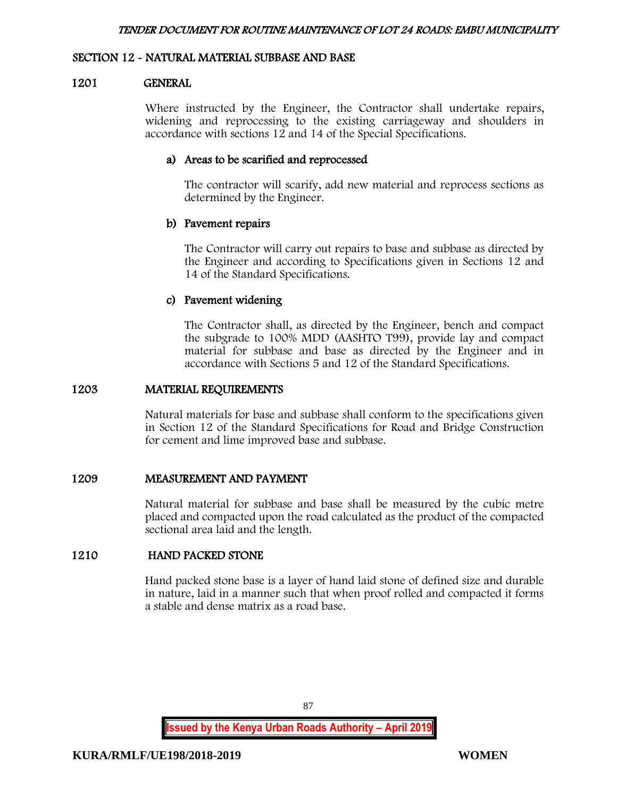### SECTION 12 - NATURAL MATERIAL SUBBASE AND BASE

#### 1201 GENERAL

Where instructed by the Engineer, the Contractor shall undertake repairs, widening and reprocessing to the existing carriageway and shoulders in accordance with sections 12 and 14 of the Special Specifications.

### a) Areas to be scarified and reprocessed

The contractor will scarify, add new material and reprocess sections as determined by the Engineer.

#### b) Pavement repairs

The Contractor will carry out repairs to base and subbase as directed by the Engineer and according to Specifications given in Sections 12 and 14 of the Standard Specifications.

## c) Pavement widening

The Contractor shall, as directed by the Engineer, bench and compact the subgrade to 100% MDD (AASHTO T99), provide lay and compact material for subbase and base as directed by the Engineer and in accordance with Sections 5 and 12 of the Standard Specifications.

#### 1203 MATERIAL REQUIREMENTS

Natural materials for base and subbase shall conform to the specifications given in Section 12 of the Standard Specifications for Road and Bridge Construction for cement and lime improved base and subbase.

## 1209 MEASUREMENT AND PAYMENT

Natural material for subbase and base shall be measured by the cubic metre placed and compacted upon the road calculated as the product of the compacted sectional area laid and the length.

# 1210 HAND PACKED STONE

Hand packed stone base is a layer of hand laid stone of defined size and durable in nature, laid in a manner such that when proof rolled and compacted it forms a stable and dense matrix as a road base.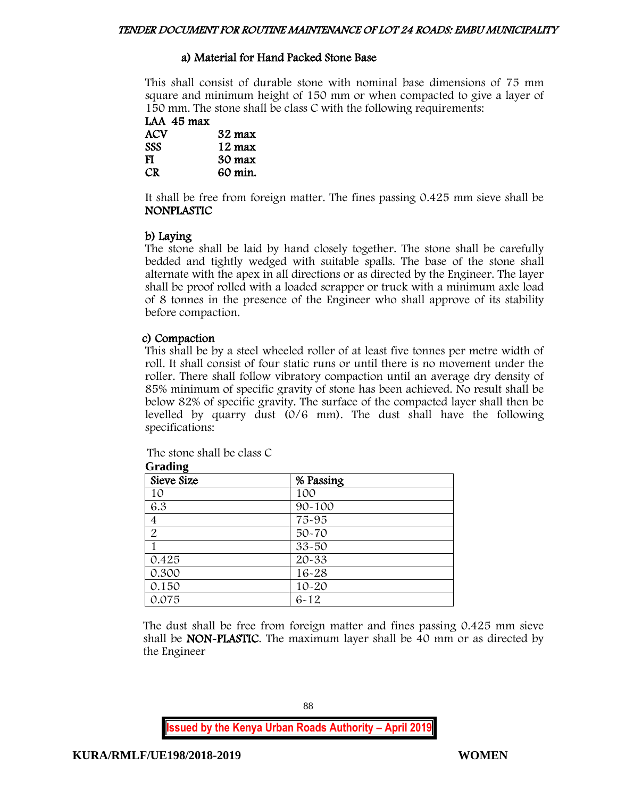# a) Material for Hand Packed Stone Base

This shall consist of durable stone with nominal base dimensions of 75 mm square and minimum height of 150 mm or when compacted to give a layer of 150 mm. The stone shall be class C with the following requirements:

LAA 45 max<br>ACV 32 max SSS 12 max FI 30 max CR 60 min.

It shall be free from foreign matter. The fines passing 0.425 mm sieve shall be NONPLASTIC

# b) Laying

The stone shall be laid by hand closely together. The stone shall be carefully bedded and tightly wedged with suitable spalls. The base of the stone shall alternate with the apex in all directions or as directed by the Engineer. The layer shall be proof rolled with a loaded scrapper or truck with a minimum axle load of 8 tonnes in the presence of the Engineer who shall approve of its stability before compaction.

# c) Compaction

This shall be by a steel wheeled roller of at least five tonnes per metre width of roll. It shall consist of four static runs or until there is no movement under the roller. There shall follow vibratory compaction until an average dry density of 85% minimum of specific gravity of stone has been achieved. No result shall be below 82% of specific gravity. The surface of the compacted layer shall then be levelled by quarry dust (0/6 mm). The dust shall have the following specifications:

| Grading        |           |
|----------------|-----------|
| Sieve Size     | % Passing |
| 10             | 100       |
| 6.3            | 90-100    |
| 4              | 75-95     |
| $\overline{2}$ | 50-70     |
|                | 33-50     |
| 0.425          | $20 - 33$ |
| 0.300          | $16 - 28$ |
| 0.150          | $10 - 20$ |
| 0.075          | $6 - 12$  |

The stone shall be class C  $G_{\text{max}}$ **Jime** 

The dust shall be free from foreign matter and fines passing 0.425 mm sieve shall be NON-PLASTIC. The maximum layer shall be 40 mm or as directed by the Engineer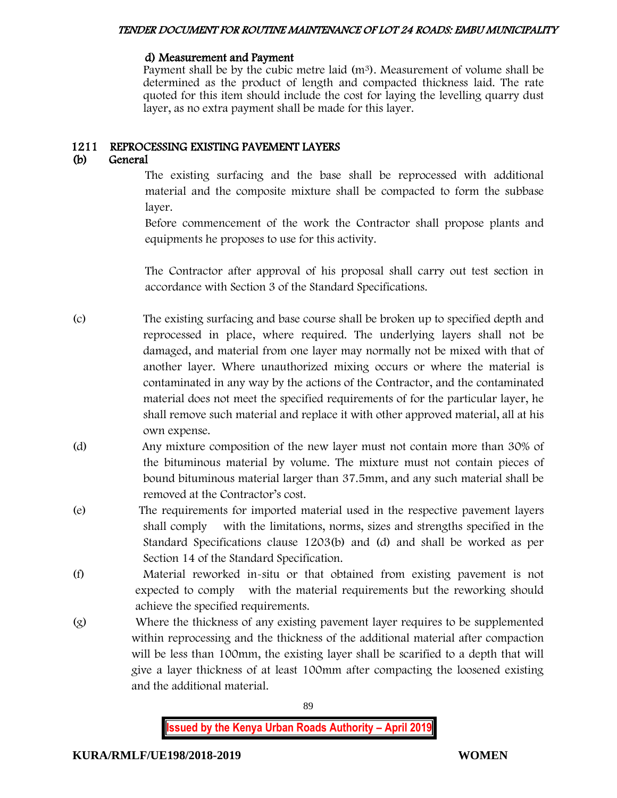#### d) Measurement and Payment

Payment shall be by the cubic metre laid  $(m<sup>3</sup>)$ . Measurement of volume shall be determined as the product of length and compacted thickness laid. The rate quoted for this item should include the cost for laying the levelling quarry dust layer, as no extra payment shall be made for this layer.

## 1211 REPROCESSING EXISTING PAVEMENT LAYERS

# (b) General

The existing surfacing and the base shall be reprocessed with additional material and the composite mixture shall be compacted to form the subbase layer.

Before commencement of the work the Contractor shall propose plants and equipments he proposes to use for this activity.

The Contractor after approval of his proposal shall carry out test section in accordance with Section 3 of the Standard Specifications.

- (c) The existing surfacing and base course shall be broken up to specified depth and reprocessed in place, where required. The underlying layers shall not be damaged, and material from one layer may normally not be mixed with that of another layer. Where unauthorized mixing occurs or where the material is contaminated in any way by the actions of the Contractor, and the contaminated material does not meet the specified requirements of for the particular layer, he shall remove such material and replace it with other approved material, all at his own expense.
- (d) Any mixture composition of the new layer must not contain more than 30% of the bituminous material by volume. The mixture must not contain pieces of bound bituminous material larger than 37.5mm, and any such material shall be removed at the Contractor's cost.
- (e) The requirements for imported material used in the respective pavement layers shall comply with the limitations, norms, sizes and strengths specified in the Standard Specifications clause 1203(b) and (d) and shall be worked as per Section 14 of the Standard Specification.
- (f) Material reworked in-situ or that obtained from existing pavement is not expected to comply with the material requirements but the reworking should achieve the specified requirements.
- (g) Where the thickness of any existing pavement layer requires to be supplemented within reprocessing and the thickness of the additional material after compaction will be less than 100mm, the existing layer shall be scarified to a depth that will give a layer thickness of at least 100mm after compacting the loosened existing and the additional material.

89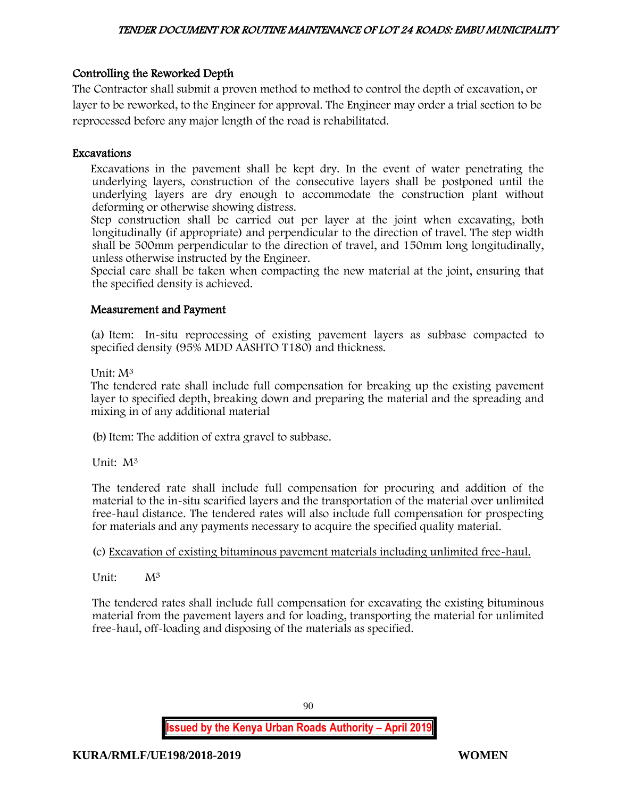# Controlling the Reworked Depth

The Contractor shall submit a proven method to method to control the depth of excavation, or layer to be reworked, to the Engineer for approval. The Engineer may order a trial section to be reprocessed before any major length of the road is rehabilitated.

## Excavations

Excavations in the pavement shall be kept dry. In the event of water penetrating the underlying layers, construction of the consecutive layers shall be postponed until the underlying layers are dry enough to accommodate the construction plant without deforming or otherwise showing distress.

Step construction shall be carried out per layer at the joint when excavating, both longitudinally (if appropriate) and perpendicular to the direction of travel. The step width shall be 500mm perpendicular to the direction of travel, and 150mm long longitudinally, unless otherwise instructed by the Engineer.

Special care shall be taken when compacting the new material at the joint, ensuring that the specified density is achieved.

## Measurement and Payment

(a) Item: In-situ reprocessing of existing pavement layers as subbase compacted to specified density (95% MDD AASHTO T180) and thickness.

Unit: M<sup>3</sup>

The tendered rate shall include full compensation for breaking up the existing pavement layer to specified depth, breaking down and preparing the material and the spreading and mixing in of any additional material

(b)Item: The addition of extra gravel to subbase.

Unit: M<sup>3</sup>

The tendered rate shall include full compensation for procuring and addition of the material to the in-situ scarified layers and the transportation of the material over unlimited free-haul distance. The tendered rates will also include full compensation for prospecting for materials and any payments necessary to acquire the specified quality material.

# (c) Excavation of existing bituminous pavement materials including unlimited free-haul.

Unit:  $M^3$ 

The tendered rates shall include full compensation for excavating the existing bituminous material from the pavement layers and for loading, transporting the material for unlimited free-haul, off-loading and disposing of the materials as specified.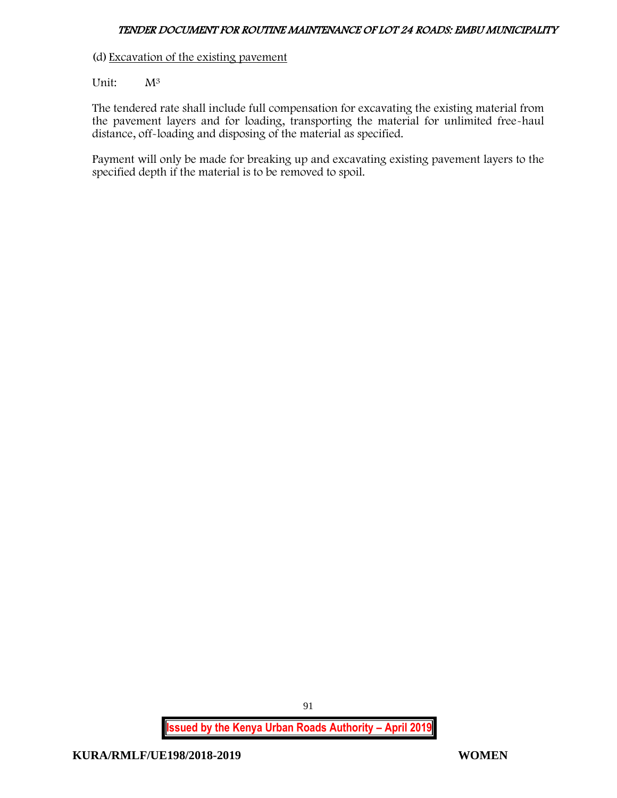(d) Excavation of the existing pavement

Unit:  $M^3$ 

The tendered rate shall include full compensation for excavating the existing material from the pavement layers and for loading, transporting the material for unlimited free-haul distance, off-loading and disposing of the material as specified.

Payment will only be made for breaking up and excavating existing pavement layers to the specified depth if the material is to be removed to spoil.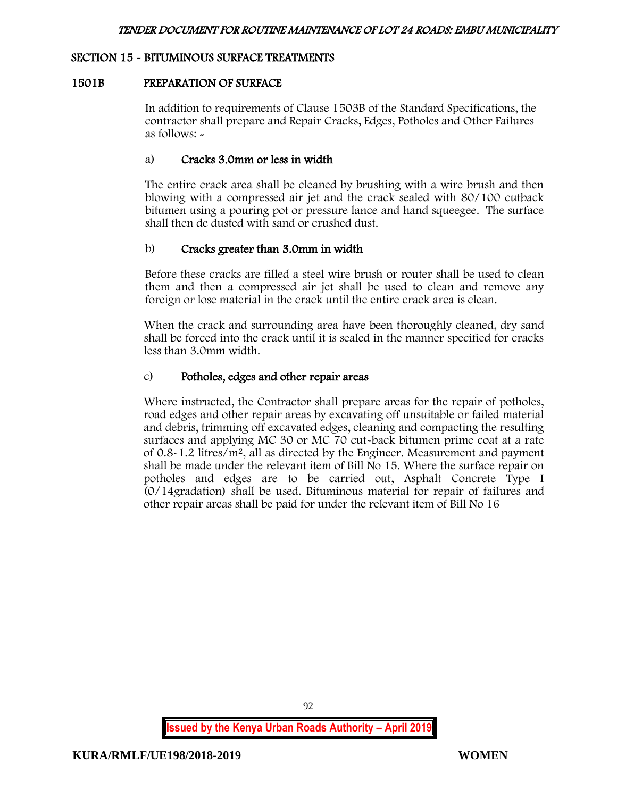## SECTION 15 - BITUMINOUS SURFACE TREATMENTS

## 1501B PREPARATION OF SURFACE

In addition to requirements of Clause 1503B of the Standard Specifications, the contractor shall prepare and Repair Cracks, Edges, Potholes and Other Failures as follows: -

## a) Cracks 3.0mm or less in width

The entire crack area shall be cleaned by brushing with a wire brush and then blowing with a compressed air jet and the crack sealed with 80/100 cutback bitumen using a pouring pot or pressure lance and hand squeegee. The surface shall then de dusted with sand or crushed dust.

## b) Cracks greater than 3.0mm in width

Before these cracks are filled a steel wire brush or router shall be used to clean them and then a compressed air jet shall be used to clean and remove any foreign or lose material in the crack until the entire crack area is clean.

When the crack and surrounding area have been thoroughly cleaned, dry sand shall be forced into the crack until it is sealed in the manner specified for cracks less than 3.0mm width.

## c) Potholes, edges and other repair areas

Where instructed, the Contractor shall prepare areas for the repair of potholes, road edges and other repair areas by excavating off unsuitable or failed material and debris, trimming off excavated edges, cleaning and compacting the resulting surfaces and applying MC 30 or MC 70 cut-back bitumen prime coat at a rate of  $0.8-1.2$  litres/ $m^2$ , all as directed by the Engineer. Measurement and payment shall be made under the relevant item of Bill No 15. Where the surface repair on potholes and edges are to be carried out, Asphalt Concrete Type I (0/14gradation) shall be used. Bituminous material for repair of failures and other repair areas shall be paid for under the relevant item of Bill No 16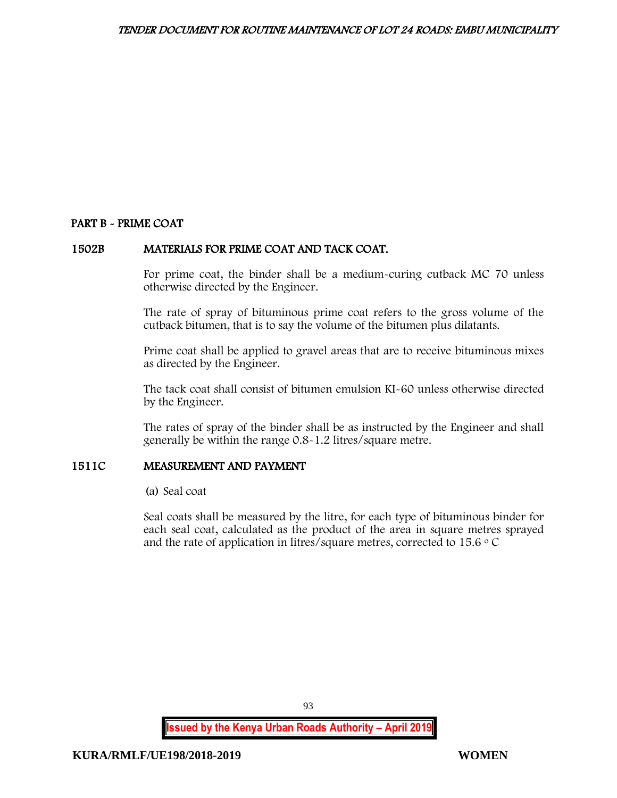# PART B - PRIME COAT

## 1502B MATERIALS FOR PRIME COAT AND TACK COAT.

For prime coat, the binder shall be a medium-curing cutback MC 70 unless otherwise directed by the Engineer.

The rate of spray of bituminous prime coat refers to the gross volume of the cutback bitumen, that is to say the volume of the bitumen plus dilatants.

Prime coat shall be applied to gravel areas that are to receive bituminous mixes as directed by the Engineer.

The tack coat shall consist of bitumen emulsion KI-60 unless otherwise directed by the Engineer.

The rates of spray of the binder shall be as instructed by the Engineer and shall generally be within the range 0.8-1.2 litres/square metre.

## 1511C MEASUREMENT AND PAYMENT

(a) Seal coat

Seal coats shall be measured by the litre, for each type of bituminous binder for each seal coat, calculated as the product of the area in square metres sprayed and the rate of application in litres/square metres, corrected to  $15.6 \degree$  C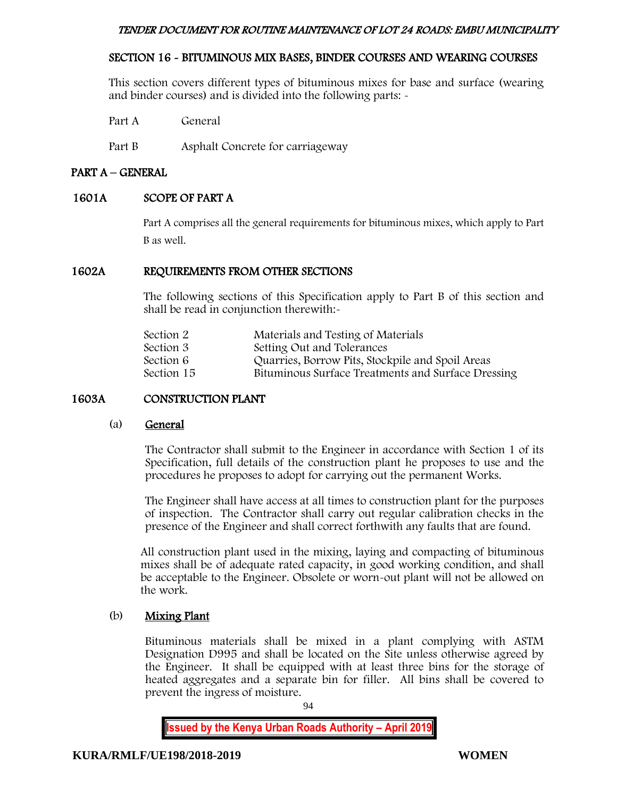# SECTION 16 - BITUMINOUS MIX BASES, BINDER COURSES AND WEARING COURSES

This section covers different types of bituminous mixes for base and surface (wearing and binder courses) and is divided into the following parts: -

Part A General

Part B Asphalt Concrete for carriageway

## PART A – GENERAL

## 1601A SCOPE OF PART A

Part A comprises all the general requirements for bituminous mixes, which apply to Part B as well.

## 1602A REQUIREMENTS FROM OTHER SECTIONS

The following sections of this Specification apply to Part B of this section and shall be read in conjunction therewith:-

| Section 2  | Materials and Testing of Materials                 |
|------------|----------------------------------------------------|
| Section 3  | Setting Out and Tolerances                         |
| Section 6  | Quarries, Borrow Pits, Stockpile and Spoil Areas   |
| Section 15 | Bituminous Surface Treatments and Surface Dressing |
|            |                                                    |

# 1603A CONSTRUCTION PLANT

#### (a) General

The Contractor shall submit to the Engineer in accordance with Section 1 of its Specification, full details of the construction plant he proposes to use and the procedures he proposes to adopt for carrying out the permanent Works.

The Engineer shall have access at all times to construction plant for the purposes of inspection. The Contractor shall carry out regular calibration checks in the presence of the Engineer and shall correct forthwith any faults that are found.

All construction plant used in the mixing, laying and compacting of bituminous mixes shall be of adequate rated capacity, in good working condition, and shall be acceptable to the Engineer. Obsolete or worn-out plant will not be allowed on the work.

## (b) Mixing Plant

Bituminous materials shall be mixed in a plant complying with ASTM Designation D995 and shall be located on the Site unless otherwise agreed by the Engineer. It shall be equipped with at least three bins for the storage of heated aggregates and a separate bin for filler. All bins shall be covered to prevent the ingress of moisture.

94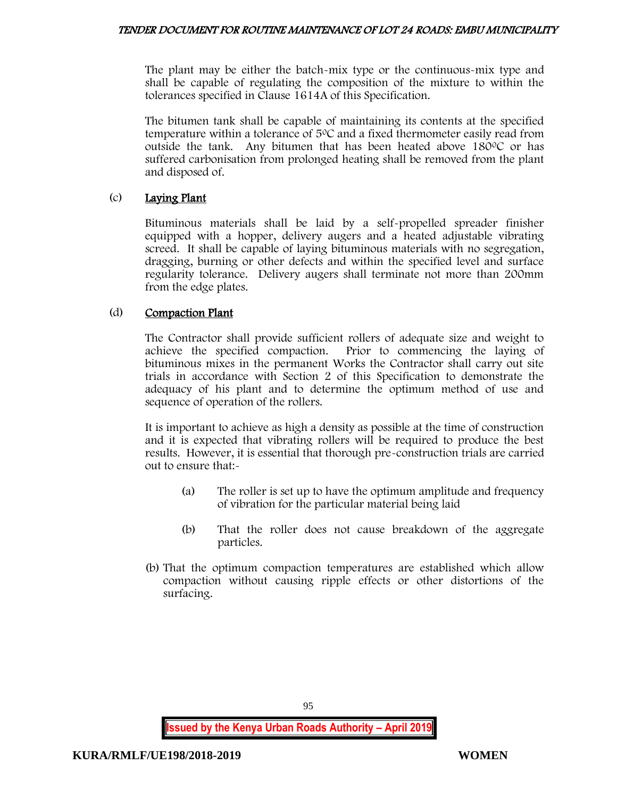The plant may be either the batch-mix type or the continuous-mix type and shall be capable of regulating the composition of the mixture to within the tolerances specified in Clause 1614A of this Specification.

The bitumen tank shall be capable of maintaining its contents at the specified temperature within a tolerance of  $5^{\circ}$ C and a fixed thermometer easily read from outside the tank. Any bitumen that has been heated above  $180^{\circ}$ C or has suffered carbonisation from prolonged heating shall be removed from the plant and disposed of.

# (c) Laying Plant

Bituminous materials shall be laid by a self-propelled spreader finisher equipped with a hopper, delivery augers and a heated adjustable vibrating screed. It shall be capable of laying bituminous materials with no segregation, dragging, burning or other defects and within the specified level and surface regularity tolerance. Delivery augers shall terminate not more than 200mm from the edge plates.

# (d) Compaction Plant

The Contractor shall provide sufficient rollers of adequate size and weight to achieve the specified compaction. Prior to commencing the laying of bituminous mixes in the permanent Works the Contractor shall carry out site trials in accordance with Section 2 of this Specification to demonstrate the adequacy of his plant and to determine the optimum method of use and sequence of operation of the rollers.

It is important to achieve as high a density as possible at the time of construction and it is expected that vibrating rollers will be required to produce the best results. However, it is essential that thorough pre-construction trials are carried out to ensure that:-

- (a) The roller is set up to have the optimum amplitude and frequency of vibration for the particular material being laid
- (b) That the roller does not cause breakdown of the aggregate particles.
- (b) That the optimum compaction temperatures are established which allow compaction without causing ripple effects or other distortions of the surfacing.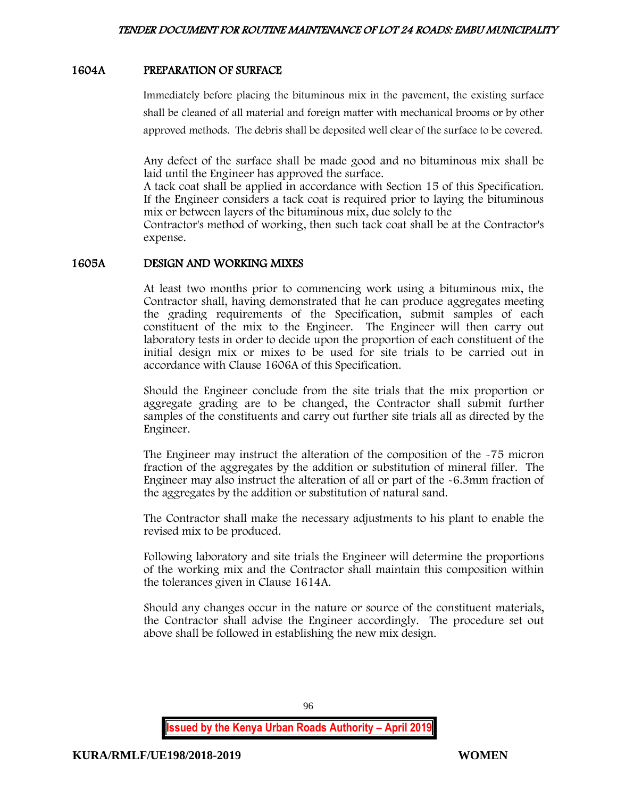## 1604A PREPARATION OF SURFACE

Immediately before placing the bituminous mix in the pavement, the existing surface shall be cleaned of all material and foreign matter with mechanical brooms or by other approved methods. The debris shall be deposited well clear of the surface to be covered.

Any defect of the surface shall be made good and no bituminous mix shall be laid until the Engineer has approved the surface.

A tack coat shall be applied in accordance with Section 15 of this Specification. If the Engineer considers a tack coat is required prior to laying the bituminous mix or between layers of the bituminous mix, due solely to the

Contractor's method of working, then such tack coat shall be at the Contractor's expense.

#### 1605A DESIGN AND WORKING MIXES

At least two months prior to commencing work using a bituminous mix, the Contractor shall, having demonstrated that he can produce aggregates meeting the grading requirements of the Specification, submit samples of each constituent of the mix to the Engineer. The Engineer will then carry out laboratory tests in order to decide upon the proportion of each constituent of the initial design mix or mixes to be used for site trials to be carried out in accordance with Clause 1606A of this Specification.

Should the Engineer conclude from the site trials that the mix proportion or aggregate grading are to be changed, the Contractor shall submit further samples of the constituents and carry out further site trials all as directed by the Engineer.

The Engineer may instruct the alteration of the composition of the -75 micron fraction of the aggregates by the addition or substitution of mineral filler. The Engineer may also instruct the alteration of all or part of the -6.3mm fraction of the aggregates by the addition or substitution of natural sand.

The Contractor shall make the necessary adjustments to his plant to enable the revised mix to be produced.

Following laboratory and site trials the Engineer will determine the proportions of the working mix and the Contractor shall maintain this composition within the tolerances given in Clause 1614A.

Should any changes occur in the nature or source of the constituent materials, the Contractor shall advise the Engineer accordingly. The procedure set out above shall be followed in establishing the new mix design.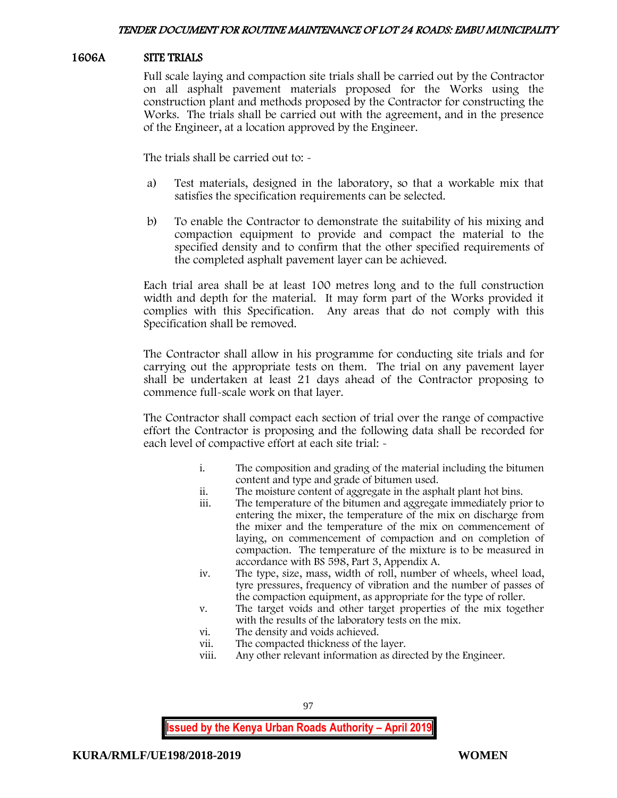## 1606A SITE TRIALS

Full scale laying and compaction site trials shall be carried out by the Contractor on all asphalt pavement materials proposed for the Works using the construction plant and methods proposed by the Contractor for constructing the Works. The trials shall be carried out with the agreement, and in the presence of the Engineer, at a location approved by the Engineer.

The trials shall be carried out to: -

- a) Test materials, designed in the laboratory, so that a workable mix that satisfies the specification requirements can be selected.
- b) To enable the Contractor to demonstrate the suitability of his mixing and compaction equipment to provide and compact the material to the specified density and to confirm that the other specified requirements of the completed asphalt pavement layer can be achieved.

Each trial area shall be at least 100 metres long and to the full construction width and depth for the material. It may form part of the Works provided it complies with this Specification. Any areas that do not comply with this Specification shall be removed.

The Contractor shall allow in his programme for conducting site trials and for carrying out the appropriate tests on them. The trial on any pavement layer shall be undertaken at least 21 days ahead of the Contractor proposing to commence full-scale work on that layer.

The Contractor shall compact each section of trial over the range of compactive effort the Contractor is proposing and the following data shall be recorded for each level of compactive effort at each site trial: -

- i. The composition and grading of the material including the bitumen content and type and grade of bitumen used.
- ii. The moisture content of aggregate in the asphalt plant hot bins.
- iii. The temperature of the bitumen and aggregate immediately prior to entering the mixer, the temperature of the mix on discharge from the mixer and the temperature of the mix on commencement of laying, on commencement of compaction and on completion of compaction. The temperature of the mixture is to be measured in accordance with BS 598, Part 3, Appendix A.
- iv. The type, size, mass, width of roll, number of wheels, wheel load, tyre pressures, frequency of vibration and the number of passes of the compaction equipment, as appropriate for the type of roller.
- v. The target voids and other target properties of the mix together with the results of the laboratory tests on the mix.
- vi. The density and voids achieved.
- vii. The compacted thickness of the layer.
- viii. Any other relevant information as directed by the Engineer.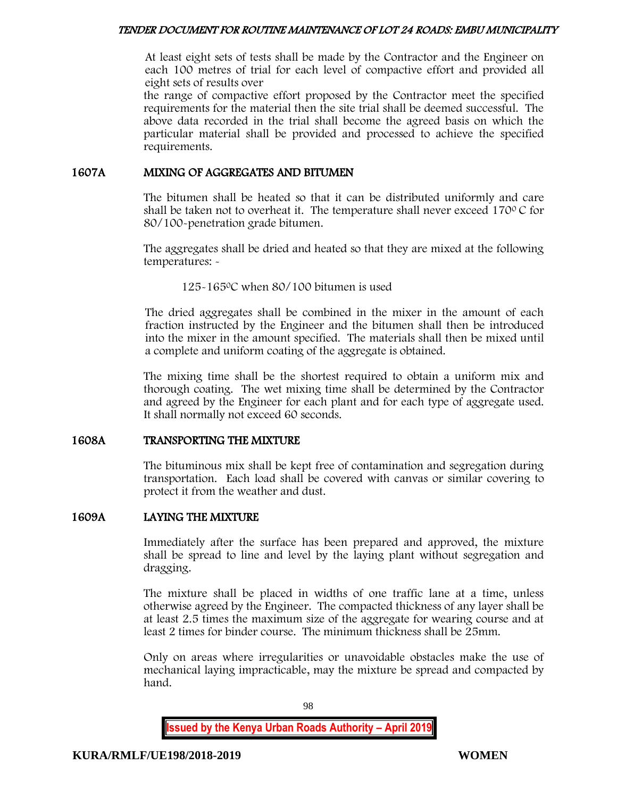At least eight sets of tests shall be made by the Contractor and the Engineer on each 100 metres of trial for each level of compactive effort and provided all eight sets of results over

the range of compactive effort proposed by the Contractor meet the specified requirements for the material then the site trial shall be deemed successful. The above data recorded in the trial shall become the agreed basis on which the particular material shall be provided and processed to achieve the specified requirements.

## 1607A MIXING OF AGGREGATES AND BITUMEN

The bitumen shall be heated so that it can be distributed uniformly and care shall be taken not to overheat it. The temperature shall never exceed  $170^{\circ}$ C for 80/100-penetration grade bitumen.

The aggregates shall be dried and heated so that they are mixed at the following temperatures: -

125-165<sup>0</sup>C when 80/100 bitumen is used

The dried aggregates shall be combined in the mixer in the amount of each fraction instructed by the Engineer and the bitumen shall then be introduced into the mixer in the amount specified. The materials shall then be mixed until a complete and uniform coating of the aggregate is obtained.

The mixing time shall be the shortest required to obtain a uniform mix and thorough coating. The wet mixing time shall be determined by the Contractor and agreed by the Engineer for each plant and for each type of aggregate used. It shall normally not exceed 60 seconds.

## 1608A TRANSPORTING THE MIXTURE

The bituminous mix shall be kept free of contamination and segregation during transportation. Each load shall be covered with canvas or similar covering to protect it from the weather and dust.

## 1609A LAYING THE MIXTURE

Immediately after the surface has been prepared and approved, the mixture shall be spread to line and level by the laying plant without segregation and dragging.

The mixture shall be placed in widths of one traffic lane at a time, unless otherwise agreed by the Engineer. The compacted thickness of any layer shall be at least 2.5 times the maximum size of the aggregate for wearing course and at least 2 times for binder course. The minimum thickness shall be 25mm.

Only on areas where irregularities or unavoidable obstacles make the use of mechanical laying impracticable, may the mixture be spread and compacted by hand.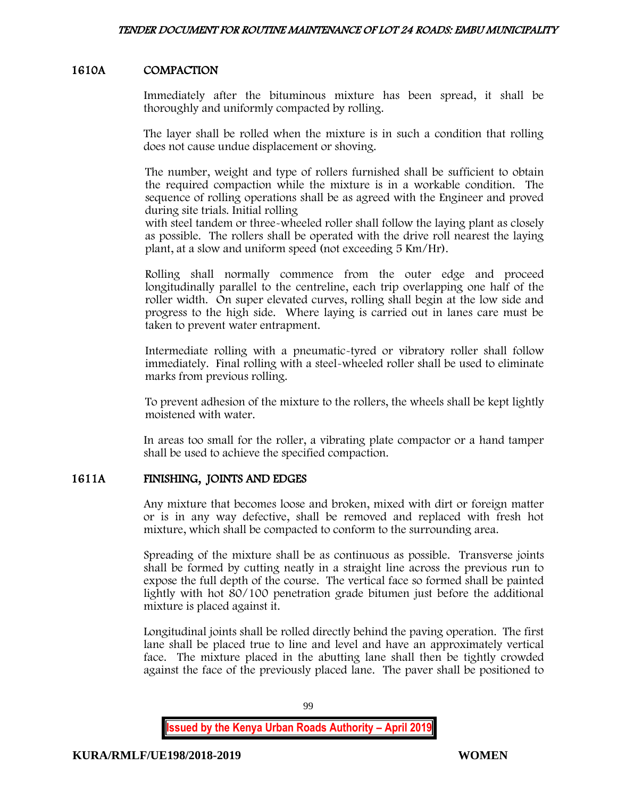## 1610A COMPACTION

Immediately after the bituminous mixture has been spread, it shall be thoroughly and uniformly compacted by rolling.

The layer shall be rolled when the mixture is in such a condition that rolling does not cause undue displacement or shoving.

The number, weight and type of rollers furnished shall be sufficient to obtain the required compaction while the mixture is in a workable condition. The sequence of rolling operations shall be as agreed with the Engineer and proved during site trials. Initial rolling

with steel tandem or three-wheeled roller shall follow the laying plant as closely as possible. The rollers shall be operated with the drive roll nearest the laying plant, at a slow and uniform speed (not exceeding 5 Km/Hr).

Rolling shall normally commence from the outer edge and proceed longitudinally parallel to the centreline, each trip overlapping one half of the roller width. On super elevated curves, rolling shall begin at the low side and progress to the high side. Where laying is carried out in lanes care must be taken to prevent water entrapment.

Intermediate rolling with a pneumatic-tyred or vibratory roller shall follow immediately. Final rolling with a steel-wheeled roller shall be used to eliminate marks from previous rolling.

To prevent adhesion of the mixture to the rollers, the wheels shall be kept lightly moistened with water.

In areas too small for the roller, a vibrating plate compactor or a hand tamper shall be used to achieve the specified compaction.

## 1611A FINISHING, JOINTS AND EDGES

Any mixture that becomes loose and broken, mixed with dirt or foreign matter or is in any way defective, shall be removed and replaced with fresh hot mixture, which shall be compacted to conform to the surrounding area.

Spreading of the mixture shall be as continuous as possible. Transverse joints shall be formed by cutting neatly in a straight line across the previous run to expose the full depth of the course. The vertical face so formed shall be painted lightly with hot 80/100 penetration grade bitumen just before the additional mixture is placed against it.

Longitudinal joints shall be rolled directly behind the paving operation. The first lane shall be placed true to line and level and have an approximately vertical face. The mixture placed in the abutting lane shall then be tightly crowded against the face of the previously placed lane. The paver shall be positioned to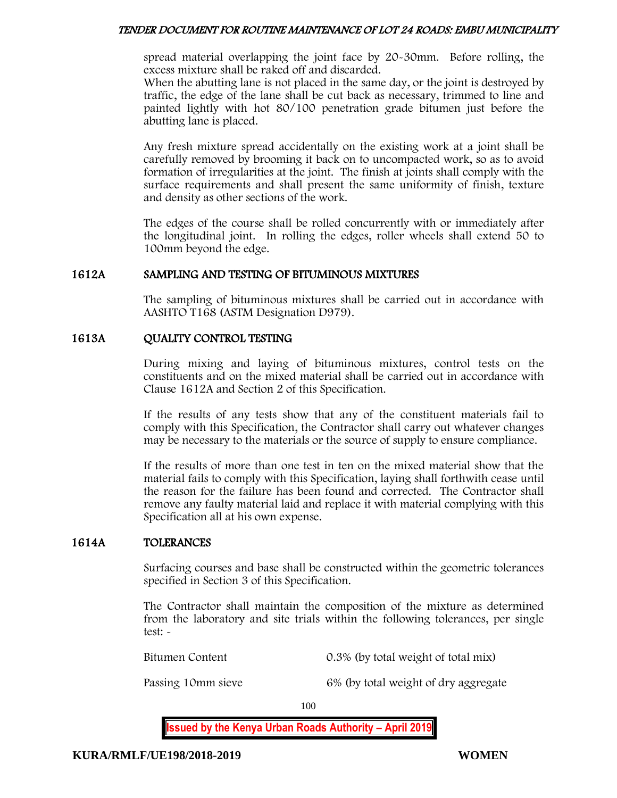spread material overlapping the joint face by 20-30mm. Before rolling, the excess mixture shall be raked off and discarded.

When the abutting lane is not placed in the same day, or the joint is destroyed by traffic, the edge of the lane shall be cut back as necessary, trimmed to line and painted lightly with hot 80/100 penetration grade bitumen just before the abutting lane is placed.

Any fresh mixture spread accidentally on the existing work at a joint shall be carefully removed by brooming it back on to uncompacted work, so as to avoid formation of irregularities at the joint. The finish at joints shall comply with the surface requirements and shall present the same uniformity of finish, texture and density as other sections of the work.

The edges of the course shall be rolled concurrently with or immediately after the longitudinal joint. In rolling the edges, roller wheels shall extend 50 to 100mm beyond the edge.

## 1612A SAMPLING AND TESTING OF BITUMINOUS MIXTURES

The sampling of bituminous mixtures shall be carried out in accordance with AASHTO T168 (ASTM Designation D979).

## 1613A QUALITY CONTROL TESTING

During mixing and laying of bituminous mixtures, control tests on the constituents and on the mixed material shall be carried out in accordance with Clause 1612A and Section 2 of this Specification.

If the results of any tests show that any of the constituent materials fail to comply with this Specification, the Contractor shall carry out whatever changes may be necessary to the materials or the source of supply to ensure compliance.

If the results of more than one test in ten on the mixed material show that the material fails to comply with this Specification, laying shall forthwith cease until the reason for the failure has been found and corrected. The Contractor shall remove any faulty material laid and replace it with material complying with this Specification all at his own expense.

## 1614A TOLERANCES

Surfacing courses and base shall be constructed within the geometric tolerances specified in Section 3 of this Specification.

The Contractor shall maintain the composition of the mixture as determined from the laboratory and site trials within the following tolerances, per single test: -

Bitumen Content 0.3% (by total weight of total mix)

Passing 10mm sieve 6% (by total weight of dry aggregate

100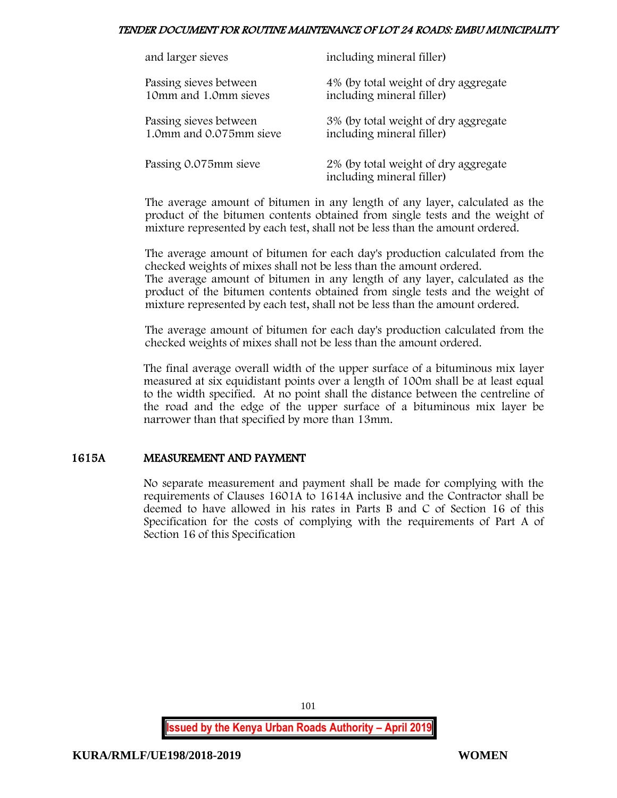| and larger sieves       | including mineral filler)                                         |
|-------------------------|-------------------------------------------------------------------|
| Passing sieves between  | 4% (by total weight of dry aggregate                              |
| 10mm and 1.0mm sieves   | including mineral filler)                                         |
| Passing sieves between  | 3% (by total weight of dry aggregate                              |
| 1.0mm and 0.075mm sieve | including mineral filler)                                         |
| Passing 0.075mm sieve   | 2% (by total weight of dry aggregate<br>including mineral filler) |

The average amount of bitumen in any length of any layer, calculated as the product of the bitumen contents obtained from single tests and the weight of mixture represented by each test, shall not be less than the amount ordered.

The average amount of bitumen for each day's production calculated from the checked weights of mixes shall not be less than the amount ordered. The average amount of bitumen in any length of any layer, calculated as the

product of the bitumen contents obtained from single tests and the weight of mixture represented by each test, shall not be less than the amount ordered.

The average amount of bitumen for each day's production calculated from the checked weights of mixes shall not be less than the amount ordered.

The final average overall width of the upper surface of a bituminous mix layer measured at six equidistant points over a length of 100m shall be at least equal to the width specified. At no point shall the distance between the centreline of the road and the edge of the upper surface of a bituminous mix layer be narrower than that specified by more than 13mm.

# 1615A MEASUREMENT AND PAYMENT

No separate measurement and payment shall be made for complying with the requirements of Clauses 1601A to 1614A inclusive and the Contractor shall be deemed to have allowed in his rates in Parts B and C of Section 16 of this Specification for the costs of complying with the requirements of Part A of Section 16 of this Specification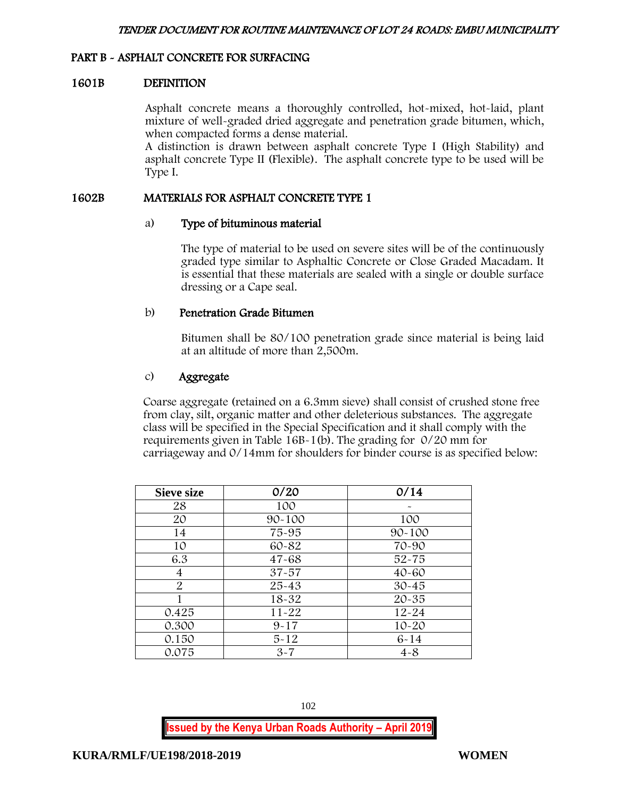## PART B - ASPHALT CONCRETE FOR SURFACING

#### 1601B DEFINITION

Asphalt concrete means a thoroughly controlled, hot-mixed, hot-laid, plant mixture of well-graded dried aggregate and penetration grade bitumen, which, when compacted forms a dense material.

A distinction is drawn between asphalt concrete Type I (High Stability) and asphalt concrete Type II (Flexible). The asphalt concrete type to be used will be Type I.

#### 1602B MATERIALS FOR ASPHALT CONCRETE TYPE 1

#### a) Type of bituminous material

The type of material to be used on severe sites will be of the continuously graded type similar to Asphaltic Concrete or Close Graded Macadam. It is essential that these materials are sealed with a single or double surface dressing or a Cape seal.

### b) Penetration Grade Bitumen

Bitumen shall be 80/100 penetration grade since material is being laid at an altitude of more than 2,500m.

## c) Aggregate

Coarse aggregate (retained on a 6.3mm sieve) shall consist of crushed stone free from clay, silt, organic matter and other deleterious substances. The aggregate class will be specified in the Special Specification and it shall comply with the requirements given in Table 16B-1(b). The grading for 0/20 mm for carriageway and 0/14mm for shoulders for binder course is as specified below:

| <b>Sieve size</b> | 0/20       | 0/14       |
|-------------------|------------|------------|
| 28                | 100        |            |
| 20                | $90 - 100$ | 100        |
| 14                | 75-95      | $90 - 100$ |
| 10                | 60-82      | 70-90      |
| 6.3               | $47 - 68$  | $52 - 75$  |
| 4                 | $37 - 57$  | $40 - 60$  |
| 2                 | $25 - 43$  | $30 - 45$  |
|                   | $18 - 32$  | $20 - 35$  |
| 0.425             | $11 - 22$  | $12 - 24$  |
| 0.300             | $9 - 17$   | $10 - 20$  |
| 0.150             | $5 - 12$   | $6 - 14$   |
| 0.075             | $3 - 7$    | $4 - 8$    |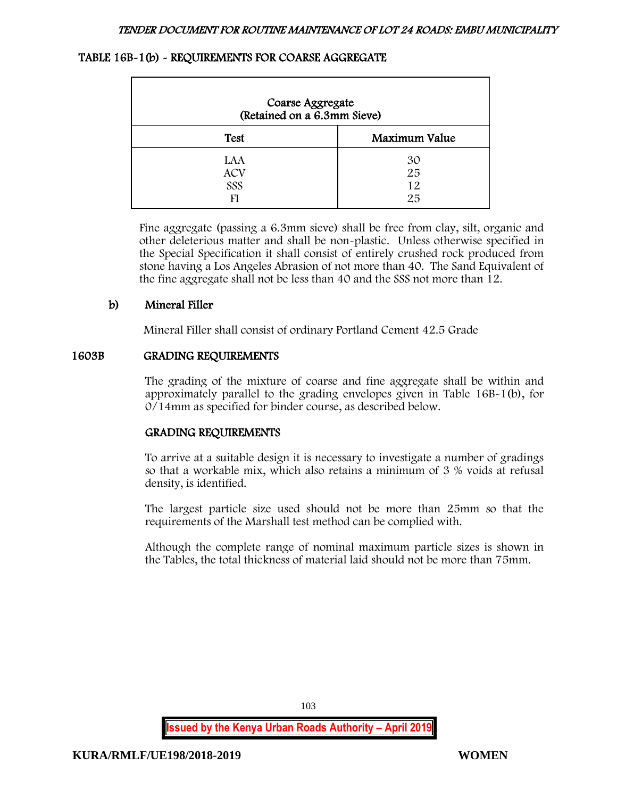# TABLE 16B-1(b) - REQUIREMENTS FOR COARSE AGGREGATE

| Coarse Aggregate<br>(Retained on a 6.3mm Sieve) |                      |
|-------------------------------------------------|----------------------|
| <b>Test</b>                                     | Maximum Value        |
| LAA<br><b>ACV</b><br>SSS<br>FI                  | 30<br>25<br>12<br>25 |

Fine aggregate (passing a 6.3mm sieve) shall be free from clay, silt, organic and other deleterious matter and shall be non-plastic. Unless otherwise specified in the Special Specification it shall consist of entirely crushed rock produced from stone having a Los Angeles Abrasion of not more than 40. The Sand Equivalent of the fine aggregate shall not be less than 40 and the SSS not more than 12.

# b) Mineral Filler

Mineral Filler shall consist of ordinary Portland Cement 42.5 Grade

# 1603B GRADING REQUIREMENTS

The grading of the mixture of coarse and fine aggregate shall be within and approximately parallel to the grading envelopes given in Table 16B-1(b), for 0/14mm as specified for binder course, as described below.

# GRADING REQUIREMENTS

To arrive at a suitable design it is necessary to investigate a number of gradings so that a workable mix, which also retains a minimum of 3 % voids at refusal density, is identified.

The largest particle size used should not be more than 25mm so that the requirements of the Marshall test method can be complied with.

Although the complete range of nominal maximum particle sizes is shown in the Tables, the total thickness of material laid should not be more than 75mm.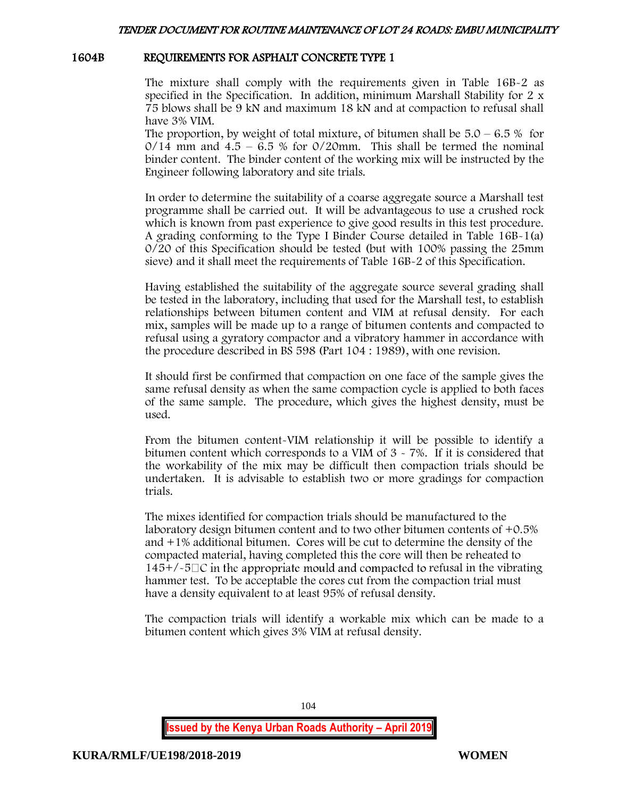### 1604B REQUIREMENTS FOR ASPHALT CONCRETE TYPE 1

The mixture shall comply with the requirements given in Table 16B-2 as specified in the Specification. In addition, minimum Marshall Stability for 2 x 75 blows shall be 9 kN and maximum 18 kN and at compaction to refusal shall have 3% VIM.

The proportion, by weight of total mixture, of bitumen shall be  $5.0 - 6.5\%$  for  $O/14$  mm and  $4.5 - 6.5$  % for  $O/20$ mm. This shall be termed the nominal binder content. The binder content of the working mix will be instructed by the Engineer following laboratory and site trials.

In order to determine the suitability of a coarse aggregate source a Marshall test programme shall be carried out. It will be advantageous to use a crushed rock which is known from past experience to give good results in this test procedure. A grading conforming to the Type I Binder Course detailed in Table 16B-1(a) 0/20 of this Specification should be tested (but with 100% passing the 25mm sieve) and it shall meet the requirements of Table 16B-2 of this Specification.

Having established the suitability of the aggregate source several grading shall be tested in the laboratory, including that used for the Marshall test, to establish relationships between bitumen content and VIM at refusal density. For each mix, samples will be made up to a range of bitumen contents and compacted to refusal using a gyratory compactor and a vibratory hammer in accordance with the procedure described in BS 598 (Part 104 : 1989), with one revision.

It should first be confirmed that compaction on one face of the sample gives the same refusal density as when the same compaction cycle is applied to both faces of the same sample. The procedure, which gives the highest density, must be used.

From the bitumen content-VIM relationship it will be possible to identify a bitumen content which corresponds to a VIM of 3 - 7%. If it is considered that the workability of the mix may be difficult then compaction trials should be undertaken. It is advisable to establish two or more gradings for compaction trials.

The mixes identified for compaction trials should be manufactured to the laboratory design bitumen content and to two other bitumen contents of +0.5% and +1% additional bitumen. Cores will be cut to determine the density of the compacted material, having completed this the core will then be reheated to  $145+/-5\degree$  in the appropriate mould and compacted to refusal in the vibrating hammer test. To be acceptable the cores cut from the compaction trial must have a density equivalent to at least 95% of refusal density.

The compaction trials will identify a workable mix which can be made to a bitumen content which gives 3% VIM at refusal density.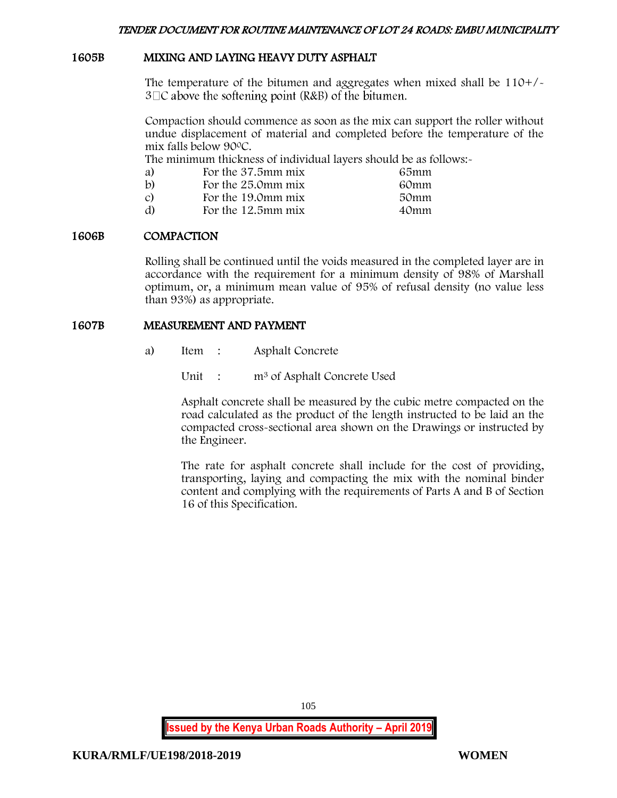## 1605B MIXING AND LAYING HEAVY DUTY ASPHALT

The temperature of the bitumen and aggregates when mixed shall be 110+/-  $3\Box C$  above the softening point (R&B) of the bitumen.

Compaction should commence as soon as the mix can support the roller without undue displacement of material and completed before the temperature of the mix falls below 90<sup>0</sup>C.

The minimum thickness of individual layers should be as follows:-

| a)            | For the 37.5mm mix    | 65mm |
|---------------|-----------------------|------|
| $\mathbf{b}$  | For the 25.0mm mix    | 60mm |
| $\mathcal{C}$ | For the 19.0mm mix    | 50mm |
| d)            | For the $12.5$ mm mix | 40mm |

#### 1606B COMPACTION

Rolling shall be continued until the voids measured in the completed layer are in accordance with the requirement for a minimum density of 98% of Marshall optimum, or, a minimum mean value of 95% of refusal density (no value less than 93%) as appropriate.

#### 1607B MEASUREMENT AND PAYMENT

a) Item : Asphalt Concrete

Unit : m<sup>3</sup> of Asphalt Concrete Used

Asphalt concrete shall be measured by the cubic metre compacted on the road calculated as the product of the length instructed to be laid an the compacted cross-sectional area shown on the Drawings or instructed by the Engineer.

The rate for asphalt concrete shall include for the cost of providing, transporting, laying and compacting the mix with the nominal binder content and complying with the requirements of Parts A and B of Section 16 of this Specification.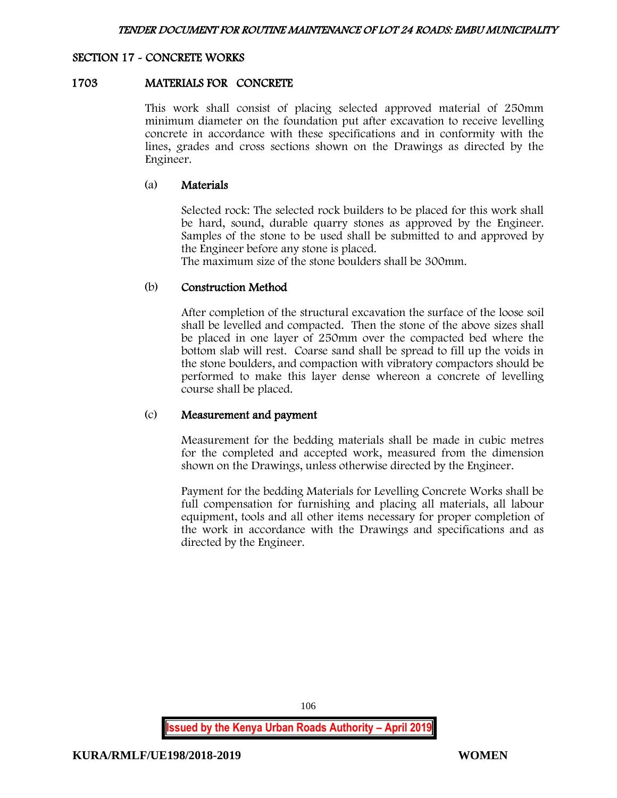#### SECTION 17 - CONCRETE WORKS

#### 1703 MATERIALS FOR CONCRETE

This work shall consist of placing selected approved material of 250mm minimum diameter on the foundation put after excavation to receive levelling concrete in accordance with these specifications and in conformity with the lines, grades and cross sections shown on the Drawings as directed by the Engineer.

#### (a) Materials

Selected rock: The selected rock builders to be placed for this work shall be hard, sound, durable quarry stones as approved by the Engineer. Samples of the stone to be used shall be submitted to and approved by the Engineer before any stone is placed.

The maximum size of the stone boulders shall be 300mm.

#### (b) Construction Method

After completion of the structural excavation the surface of the loose soil shall be levelled and compacted. Then the stone of the above sizes shall be placed in one layer of 250mm over the compacted bed where the bottom slab will rest. Coarse sand shall be spread to fill up the voids in the stone boulders, and compaction with vibratory compactors should be performed to make this layer dense whereon a concrete of levelling course shall be placed.

#### (c) Measurement and payment

Measurement for the bedding materials shall be made in cubic metres for the completed and accepted work, measured from the dimension shown on the Drawings, unless otherwise directed by the Engineer.

Payment for the bedding Materials for Levelling Concrete Works shall be full compensation for furnishing and placing all materials, all labour equipment, tools and all other items necessary for proper completion of the work in accordance with the Drawings and specifications and as directed by the Engineer.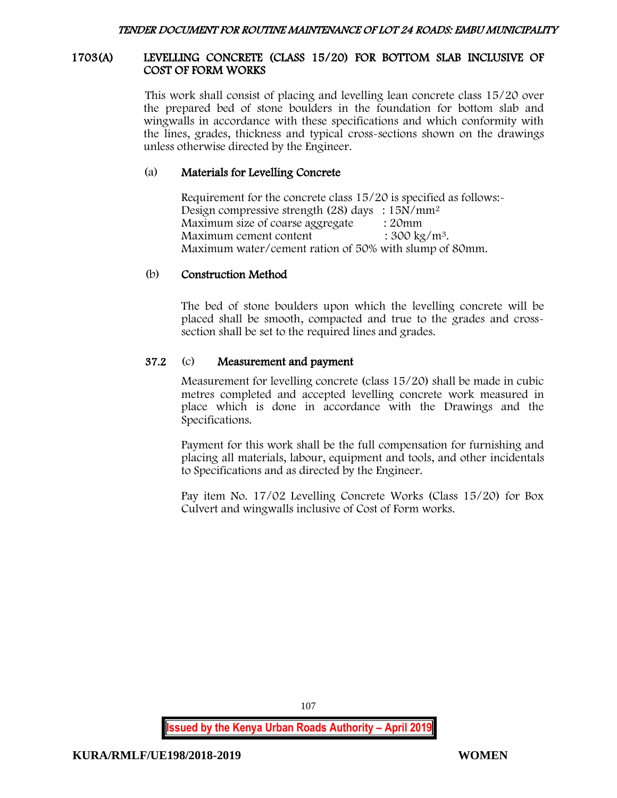### 1703(A) LEVELLING CONCRETE (CLASS 15/20) FOR BOTTOM SLAB INCLUSIVE OF COST OF FORM WORKS

This work shall consist of placing and levelling lean concrete class 15/20 over the prepared bed of stone boulders in the foundation for bottom slab and wingwalls in accordance with these specifications and which conformity with the lines, grades, thickness and typical cross-sections shown on the drawings unless otherwise directed by the Engineer.

## (a) Materials for Levelling Concrete

Requirement for the concrete class 15/20 is specified as follows:- Design compressive strength (28) days : 15N/mm<sup>2</sup> Maximum size of coarse aggregate : 20mm Maximum cement content  $: 300 \text{ kg/m}^3$ . Maximum water/cement ration of 50% with slump of 80mm.

# (b) Construction Method

The bed of stone boulders upon which the levelling concrete will be placed shall be smooth, compacted and true to the grades and crosssection shall be set to the required lines and grades.

# 37.2 (c) Measurement and payment

Measurement for levelling concrete (class 15/20) shall be made in cubic metres completed and accepted levelling concrete work measured in place which is done in accordance with the Drawings and the Specifications.

Payment for this work shall be the full compensation for furnishing and placing all materials, labour, equipment and tools, and other incidentals to Specifications and as directed by the Engineer.

Pay item No. 17/02 Levelling Concrete Works (Class 15/20) for Box Culvert and wingwalls inclusive of Cost of Form works.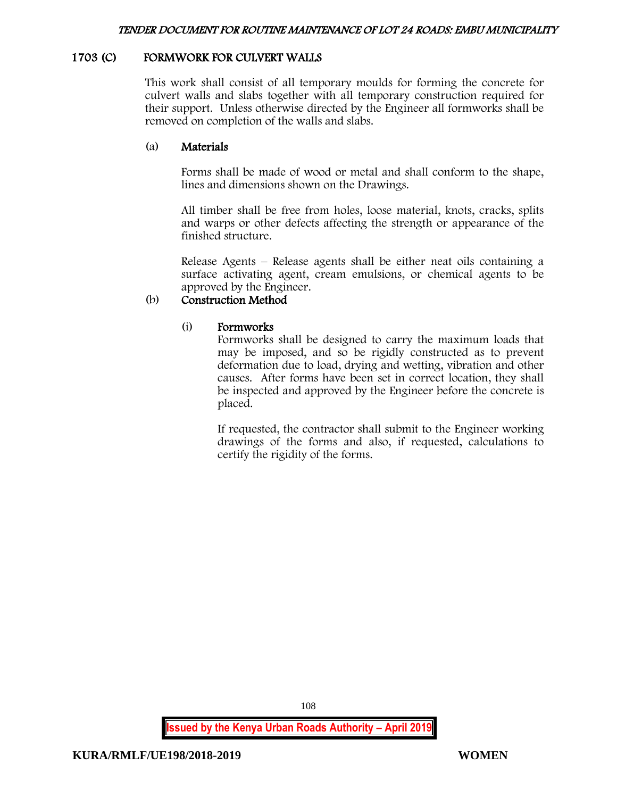# 1703 (C) FORMWORK FOR CULVERT WALLS

This work shall consist of all temporary moulds for forming the concrete for culvert walls and slabs together with all temporary construction required for their support. Unless otherwise directed by the Engineer all formworks shall be removed on completion of the walls and slabs.

# (a) Materials

Forms shall be made of wood or metal and shall conform to the shape, lines and dimensions shown on the Drawings.

All timber shall be free from holes, loose material, knots, cracks, splits and warps or other defects affecting the strength or appearance of the finished structure.

Release Agents – Release agents shall be either neat oils containing a surface activating agent, cream emulsions, or chemical agents to be approved by the Engineer.

# (b) Construction Method

# (i) Formworks

Formworks shall be designed to carry the maximum loads that may be imposed, and so be rigidly constructed as to prevent deformation due to load, drying and wetting, vibration and other causes. After forms have been set in correct location, they shall be inspected and approved by the Engineer before the concrete is placed.

If requested, the contractor shall submit to the Engineer working drawings of the forms and also, if requested, calculations to certify the rigidity of the forms.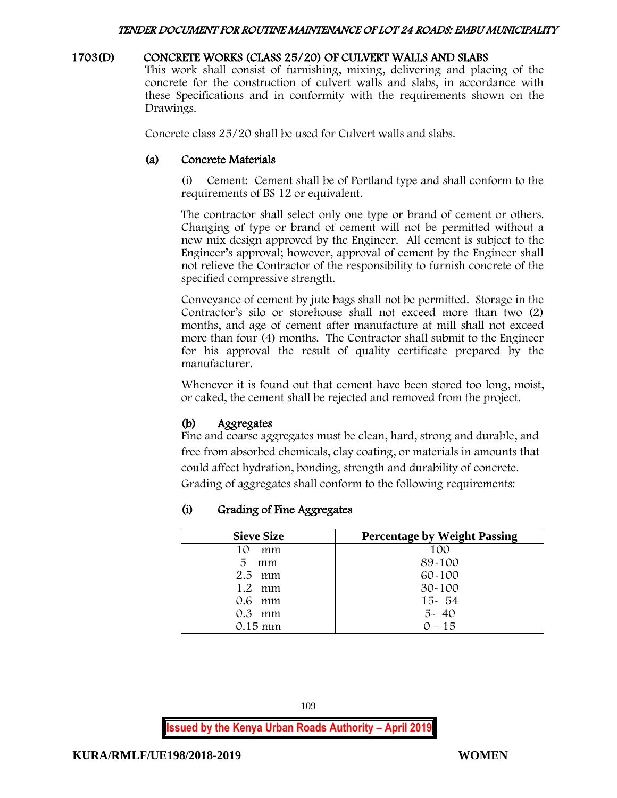### 1703(D) CONCRETE WORKS (CLASS 25/20) OF CULVERT WALLS AND SLABS

This work shall consist of furnishing, mixing, delivering and placing of the concrete for the construction of culvert walls and slabs, in accordance with these Specifications and in conformity with the requirements shown on the Drawings.

Concrete class 25/20 shall be used for Culvert walls and slabs.

# (a) Concrete Materials

(i) Cement: Cement shall be of Portland type and shall conform to the requirements of BS 12 or equivalent.

The contractor shall select only one type or brand of cement or others. Changing of type or brand of cement will not be permitted without a new mix design approved by the Engineer. All cement is subject to the Engineer's approval; however, approval of cement by the Engineer shall not relieve the Contractor of the responsibility to furnish concrete of the specified compressive strength.

Conveyance of cement by jute bags shall not be permitted. Storage in the Contractor's silo or storehouse shall not exceed more than two (2) months, and age of cement after manufacture at mill shall not exceed more than four (4) months. The Contractor shall submit to the Engineer for his approval the result of quality certificate prepared by the manufacturer.

Whenever it is found out that cement have been stored too long, moist, or caked, the cement shall be rejected and removed from the project.

# (b) Aggregates

Fine and coarse aggregates must be clean, hard, strong and durable, and free from absorbed chemicals, clay coating, or materials in amounts that could affect hydration, bonding, strength and durability of concrete. Grading of aggregates shall conform to the following requirements:

# (i) Grading of Fine Aggregates

| <b>Sieve Size</b> | <b>Percentage by Weight Passing</b> |
|-------------------|-------------------------------------|
| 10<br>mm          | 100                                 |
| 5<br>mm           | 89-100                              |
| $2.5$ mm          | 60-100                              |
| 1.2 mm            | $30 - 100$                          |
| 0.6 mm            | $15 - 54$                           |
| $0.3$ mm          | $5 - 40$                            |
| $0.15 \text{ mm}$ | $0 - 15$                            |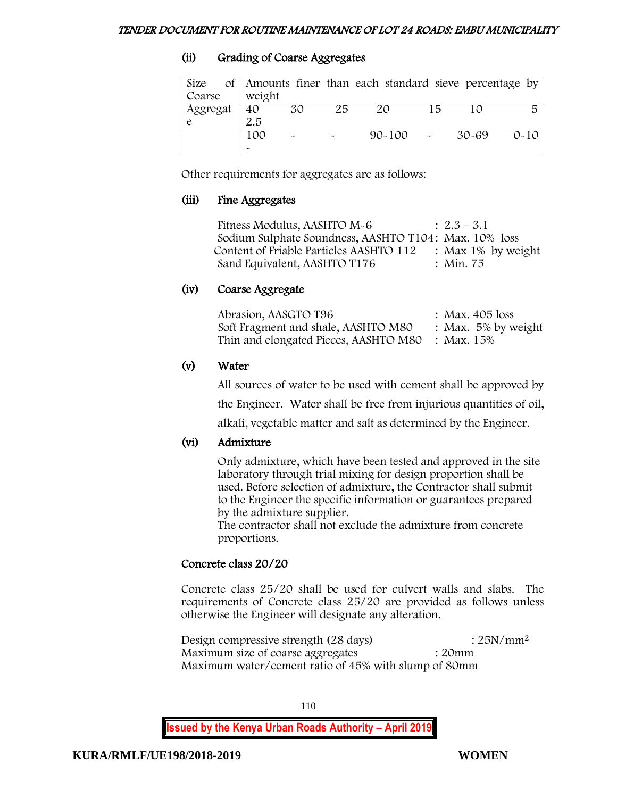# (ii) Grading of Coarse Aggregates

| Size<br>Coarse | weight    |                       |    | of Amounts finer than each standard sieve percentage by |    |           |          |
|----------------|-----------|-----------------------|----|---------------------------------------------------------|----|-----------|----------|
| Aggregat       | 40<br>2.5 | 30                    | 25 | 20                                                      | 15 |           | 局        |
|                | 100       | $\tilde{\phantom{a}}$ |    | $90 - 100$                                              |    | $30 - 69$ | $0 - 10$ |

Other requirements for aggregates are as follows:

# (iii) Fine Aggregates

Fitness Modulus, AASHTO  $M-6$  :  $2.3-3.1$ Sodium Sulphate Soundness, AASHTO T104: Max. 10% loss Content of Friable Particles AASHTO 112 : Max 1% by weight Sand Equivalent, AASHTO T176 : Min. 75

# (iv) Coarse Aggregate

| Abrasion, AASGTO T96                             | : Max. $405$ loss      |
|--------------------------------------------------|------------------------|
| Soft Fragment and shale, AASHTO M80              | : Max. $5\%$ by weight |
| Thin and elongated Pieces, AASHTO M80 : Max. 15% |                        |

# (v) Water

All sources of water to be used with cement shall be approved by

the Engineer. Water shall be free from injurious quantities of oil,

alkali, vegetable matter and salt as determined by the Engineer.

# (vi) Admixture

Only admixture, which have been tested and approved in the site laboratory through trial mixing for design proportion shall be used. Before selection of admixture, the Contractor shall submit to the Engineer the specific information or guarantees prepared by the admixture supplier.

The contractor shall not exclude the admixture from concrete proportions.

# Concrete class 20/20

Concrete class 25/20 shall be used for culvert walls and slabs. The requirements of Concrete class 25/20 are provided as follows unless otherwise the Engineer will designate any alteration.

Design compressive strength (28 days) : 25N/mm<sup>2</sup> Maximum size of coarse aggregates : 20mm Maximum water/cement ratio of 45% with slump of 80mm

110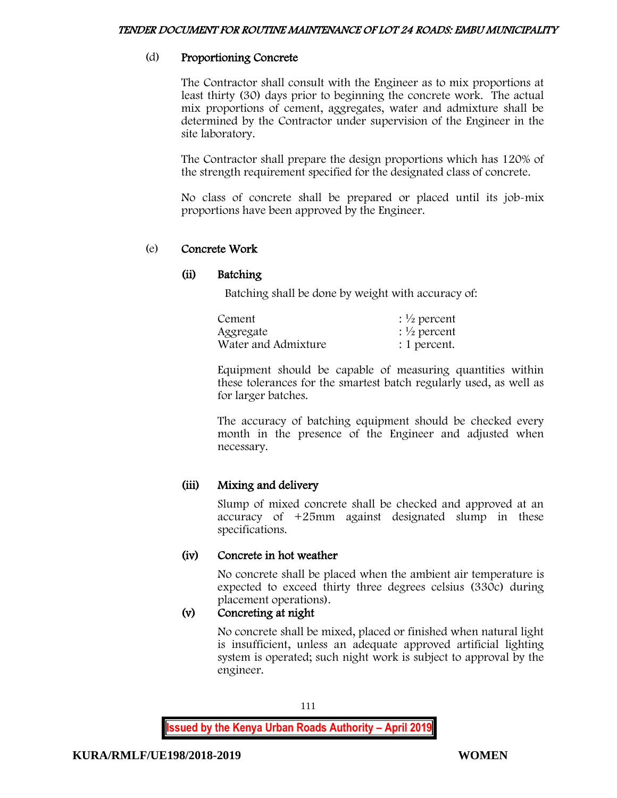# (d) Proportioning Concrete

The Contractor shall consult with the Engineer as to mix proportions at least thirty (30) days prior to beginning the concrete work. The actual mix proportions of cement, aggregates, water and admixture shall be determined by the Contractor under supervision of the Engineer in the site laboratory.

The Contractor shall prepare the design proportions which has 120% of the strength requirement specified for the designated class of concrete.

No class of concrete shall be prepared or placed until its job-mix proportions have been approved by the Engineer.

# (e) Concrete Work

# (ii) Batching

Batching shall be done by weight with accuracy of:

| Cement              | $\frac{1}{2}$ percent   |
|---------------------|-------------------------|
| Aggregate           | : $\frac{1}{2}$ percent |
| Water and Admixture | : 1 percent.            |

Equipment should be capable of measuring quantities within these tolerances for the smartest batch regularly used, as well as for larger batches.

The accuracy of batching equipment should be checked every month in the presence of the Engineer and adjusted when necessary.

# (iii) Mixing and delivery

Slump of mixed concrete shall be checked and approved at an accuracy of +25mm against designated slump in these specifications.

# (iv) Concrete in hot weather

No concrete shall be placed when the ambient air temperature is expected to exceed thirty three degrees celsius (330c) during placement operations).

# (v) Concreting at night

No concrete shall be mixed, placed or finished when natural light is insufficient, unless an adequate approved artificial lighting system is operated; such night work is subject to approval by the engineer.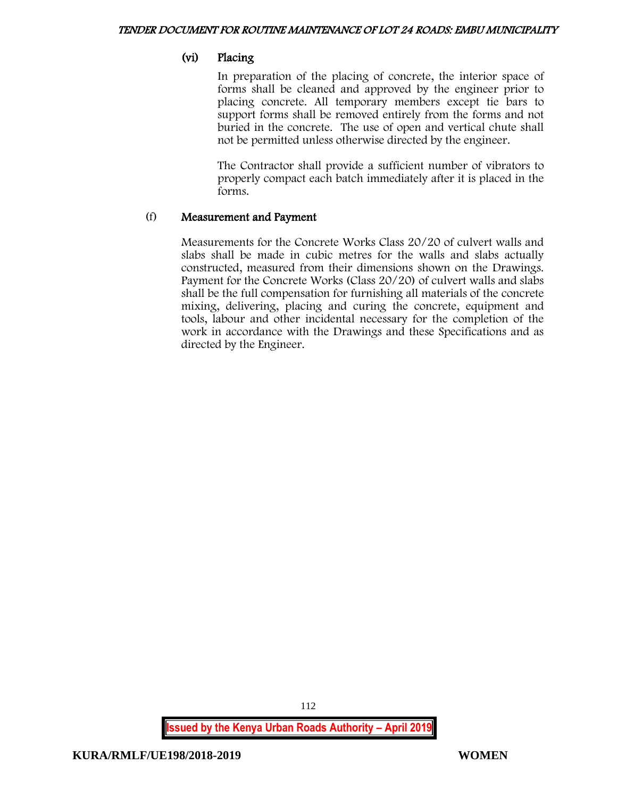# (vi) Placing

In preparation of the placing of concrete, the interior space of forms shall be cleaned and approved by the engineer prior to placing concrete. All temporary members except tie bars to support forms shall be removed entirely from the forms and not buried in the concrete. The use of open and vertical chute shall not be permitted unless otherwise directed by the engineer.

The Contractor shall provide a sufficient number of vibrators to properly compact each batch immediately after it is placed in the forms.

# (f) Measurement and Payment

Measurements for the Concrete Works Class 20/20 of culvert walls and slabs shall be made in cubic metres for the walls and slabs actually constructed, measured from their dimensions shown on the Drawings. Payment for the Concrete Works (Class 20/20) of culvert walls and slabs shall be the full compensation for furnishing all materials of the concrete mixing, delivering, placing and curing the concrete, equipment and tools, labour and other incidental necessary for the completion of the work in accordance with the Drawings and these Specifications and as directed by the Engineer.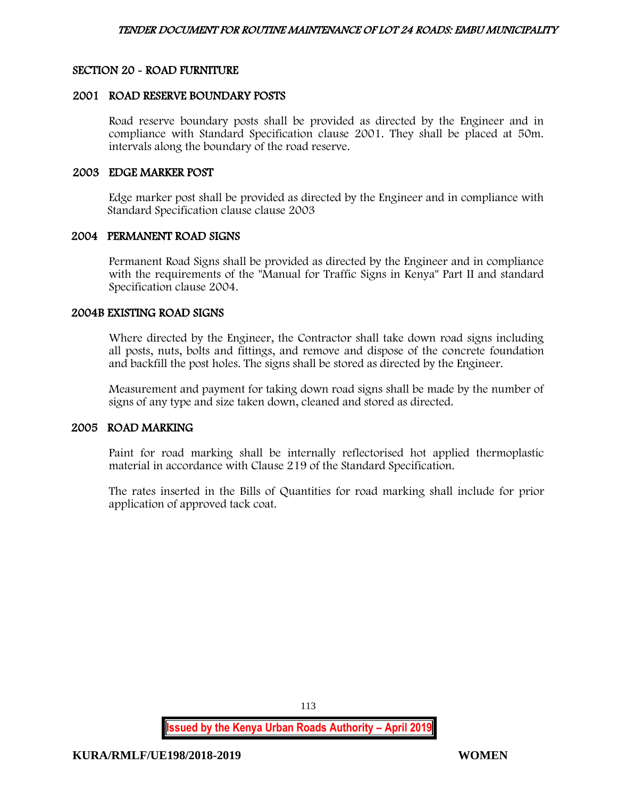# SECTION 20 - ROAD FURNITURE

#### 2001 ROAD RESERVE BOUNDARY POSTS

Road reserve boundary posts shall be provided as directed by the Engineer and in compliance with Standard Specification clause 2001. They shall be placed at 50m. intervals along the boundary of the road reserve.

### 2003 EDGE MARKER POST

Edge marker post shall be provided as directed by the Engineer and in compliance with Standard Specification clause clause 2003

#### 2004 PERMANENT ROAD SIGNS

Permanent Road Signs shall be provided as directed by the Engineer and in compliance with the requirements of the "Manual for Traffic Signs in Kenya" Part II and standard Specification clause 2004.

# 2004B EXISTING ROAD SIGNS

Where directed by the Engineer, the Contractor shall take down road signs including all posts, nuts, bolts and fittings, and remove and dispose of the concrete foundation and backfill the post holes. The signs shall be stored as directed by the Engineer.

Measurement and payment for taking down road signs shall be made by the number of signs of any type and size taken down, cleaned and stored as directed.

# 2005 ROAD MARKING

Paint for road marking shall be internally reflectorised hot applied thermoplastic material in accordance with Clause 219 of the Standard Specification.

The rates inserted in the Bills of Quantities for road marking shall include for prior application of approved tack coat.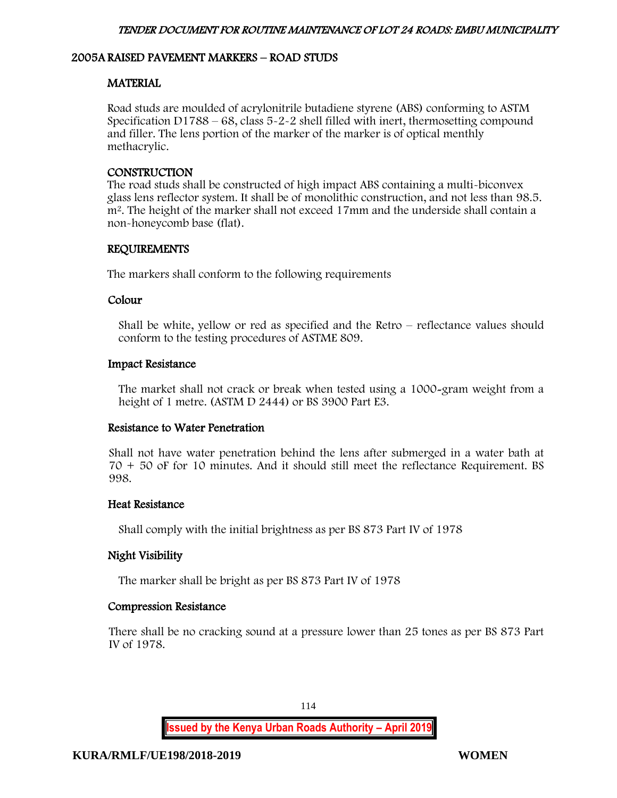# 2005A RAISED PAVEMENT MARKERS – ROAD STUDS

# MATERIAL

Road studs are moulded of acrylonitrile butadiene styrene (ABS) conforming to ASTM Specification D1788 – 68, class  $5-2-2$  shell filled with inert, thermosetting compound and filler. The lens portion of the marker of the marker is of optical menthly methacrylic.

# **CONSTRUCTION**

The road studs shall be constructed of high impact ABS containing a multi-biconvex glass lens reflector system. It shall be of monolithic construction, and not less than 98.5. m<sup>2</sup>. The height of the marker shall not exceed 17mm and the underside shall contain a non-honeycomb base (flat).

# REQUIREMENTS

The markers shall conform to the following requirements

# Colour

Shall be white, yellow or red as specified and the Retro – reflectance values should conform to the testing procedures of ASTME 809.

# Impact Resistance

The market shall not crack or break when tested using a 1000-gram weight from a height of 1 metre. (ASTM D 2444) or BS 3900 Part E3.

# Resistance to Water Penetration

Shall not have water penetration behind the lens after submerged in a water bath at 70 + 50 oF for 10 minutes. And it should still meet the reflectance Requirement. BS 998.

# Heat Resistance

Shall comply with the initial brightness as per BS 873 Part IV of 1978

# Night Visibility

The marker shall be bright as per BS 873 Part IV of 1978

# Compression Resistance

There shall be no cracking sound at a pressure lower than 25 tones as per BS 873 Part IV of 1978.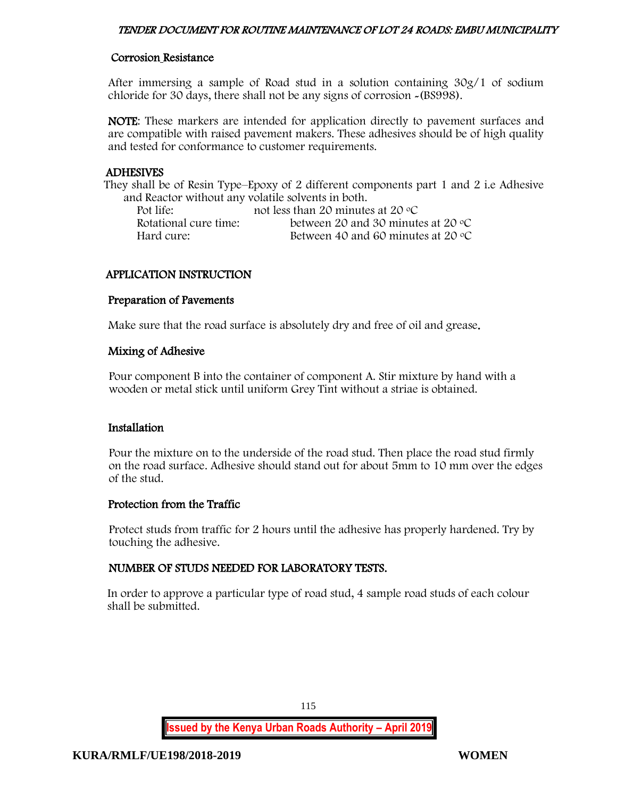# Corrosion Resistance

After immersing a sample of Road stud in a solution containing 30g/1 of sodium chloride for 30 days, there shall not be any signs of corrosion -(BS998).

NOTE: These markers are intended for application directly to pavement surfaces and are compatible with raised pavement makers. These adhesives should be of high quality and tested for conformance to customer requirements.

# ADHESIVES

They shall be of Resin Type–Epoxy of 2 different components part 1 and 2 i.e Adhesive and Reactor without any volatile solvents in both.

| Pot life:             | not less than 20 minutes at 20 $\rm{^{\circ}C}$ |
|-----------------------|-------------------------------------------------|
| Rotational cure time: | between 20 and 30 minutes at 20 $\degree$ C     |
| Hard cure:            | Between 40 and 60 minutes at 20 $\degree$ C     |

# APPLICATION INSTRUCTION

#### Preparation of Pavements

Make sure that the road surface is absolutely dry and free of oil and grease.

# Mixing of Adhesive

Pour component B into the container of component A. Stir mixture by hand with a wooden or metal stick until uniform Grey Tint without a striae is obtained.

# Installation

Pour the mixture on to the underside of the road stud. Then place the road stud firmly on the road surface. Adhesive should stand out for about 5mm to 10 mm over the edges of the stud.

# Protection from the Traffic

Protect studs from traffic for 2 hours until the adhesive has properly hardened. Try by touching the adhesive.

# NUMBER OF STUDS NEEDED FOR LABORATORY TESTS.

In order to approve a particular type of road stud, 4 sample road studs of each colour shall be submitted.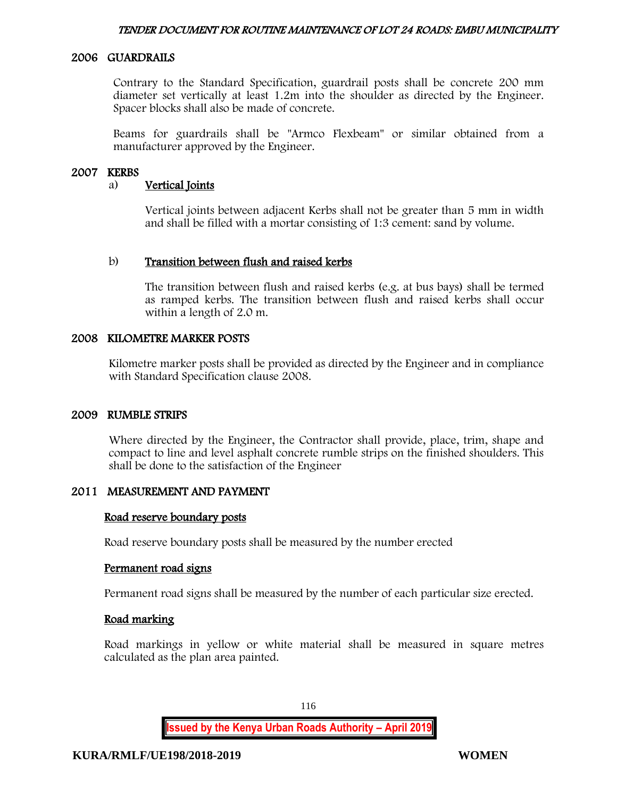# 2006 GUARDRAILS

Contrary to the Standard Specification, guardrail posts shall be concrete 200 mm diameter set vertically at least 1.2m into the shoulder as directed by the Engineer. Spacer blocks shall also be made of concrete.

Beams for guardrails shall be "Armco Flexbeam" or similar obtained from a manufacturer approved by the Engineer.

#### 2007 KERBS

#### a) Vertical Joints

Vertical joints between adjacent Kerbs shall not be greater than 5 mm in width and shall be filled with a mortar consisting of 1:3 cement: sand by volume.

#### b) Transition between flush and raised kerbs

The transition between flush and raised kerbs (e.g. at bus bays) shall be termed as ramped kerbs. The transition between flush and raised kerbs shall occur within a length of 2.0 m.

#### 2008 KILOMETRE MARKER POSTS

Kilometre marker posts shall be provided as directed by the Engineer and in compliance with Standard Specification clause 2008.

#### 2009 RUMBLE STRIPS

Where directed by the Engineer, the Contractor shall provide, place, trim, shape and compact to line and level asphalt concrete rumble strips on the finished shoulders. This shall be done to the satisfaction of the Engineer

# 2011 MEASUREMENT AND PAYMENT

#### Road reserve boundary posts

Road reserve boundary posts shall be measured by the number erected

#### Permanent road signs

Permanent road signs shall be measured by the number of each particular size erected.

#### Road marking

Road markings in yellow or white material shall be measured in square metres calculated as the plan area painted.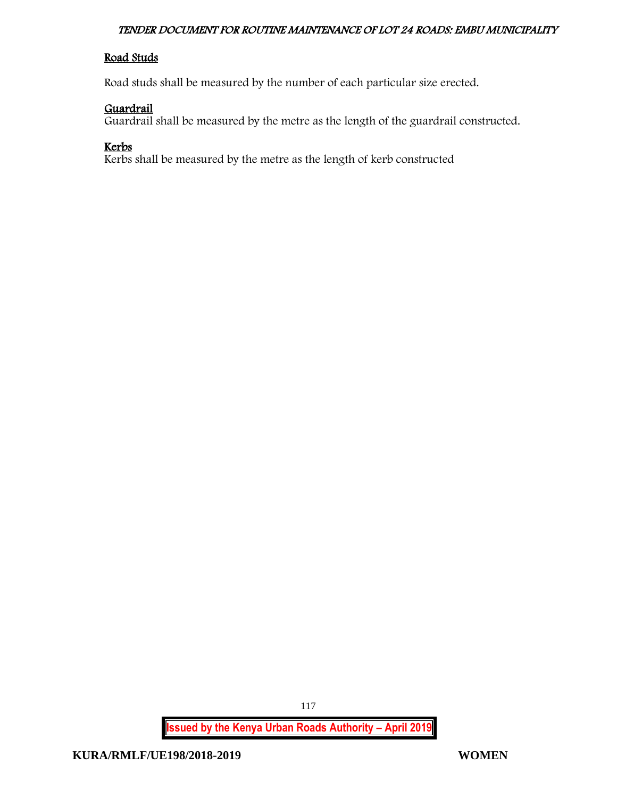# Road Studs

Road studs shall be measured by the number of each particular size erected.

# Guardrail

Guardrail shall be measured by the metre as the length of the guardrail constructed.

# Kerbs

Kerbs shall be measured by the metre as the length of kerb constructed

**Issued by the Kenya Urban Roads Authority – April 2019**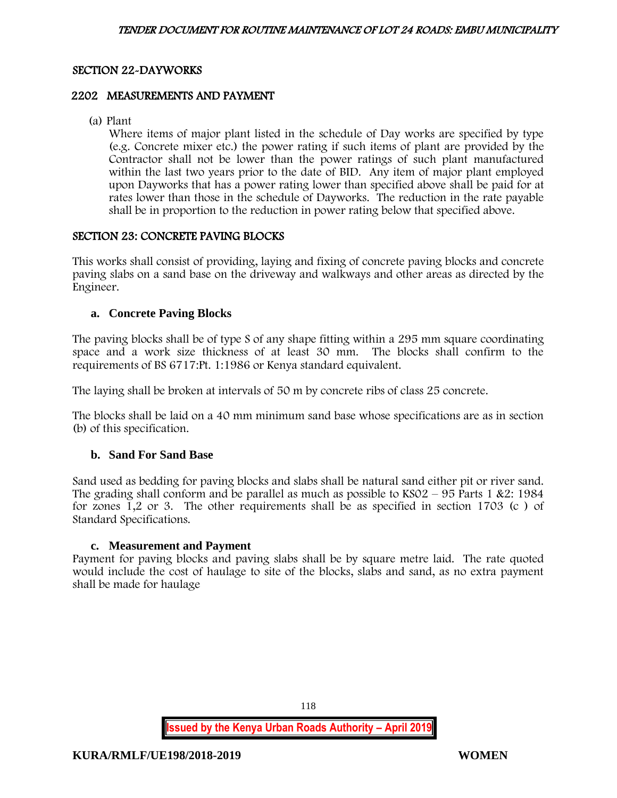# SECTION 22-DAYWORKS

# 2202 MEASUREMENTS AND PAYMENT

(a) Plant

Where items of major plant listed in the schedule of Day works are specified by type (e.g. Concrete mixer etc.) the power rating if such items of plant are provided by the Contractor shall not be lower than the power ratings of such plant manufactured within the last two years prior to the date of BID. Any item of major plant employed upon Dayworks that has a power rating lower than specified above shall be paid for at rates lower than those in the schedule of Dayworks. The reduction in the rate payable shall be in proportion to the reduction in power rating below that specified above.

# SECTION 23: CONCRETE PAVING BLOCKS

This works shall consist of providing, laying and fixing of concrete paving blocks and concrete paving slabs on a sand base on the driveway and walkways and other areas as directed by the Engineer.

# **a. Concrete Paving Blocks**

The paving blocks shall be of type S of any shape fitting within a 295 mm square coordinating space and a work size thickness of at least 30 mm. The blocks shall confirm to the requirements of BS 6717:Pt. 1:1986 or Kenya standard equivalent.

The laying shall be broken at intervals of 50 m by concrete ribs of class 25 concrete.

The blocks shall be laid on a 40 mm minimum sand base whose specifications are as in section (b) of this specification.

# **b. Sand For Sand Base**

Sand used as bedding for paving blocks and slabs shall be natural sand either pit or river sand. The grading shall conform and be parallel as much as possible to  $KSO2 - 95$  Parts 1 &2: 1984 for zones 1,2 or 3. The other requirements shall be as specified in section 1703 (c ) of Standard Specifications.

# **c. Measurement and Payment**

Payment for paving blocks and paving slabs shall be by square metre laid. The rate quoted would include the cost of haulage to site of the blocks, slabs and sand, as no extra payment shall be made for haulage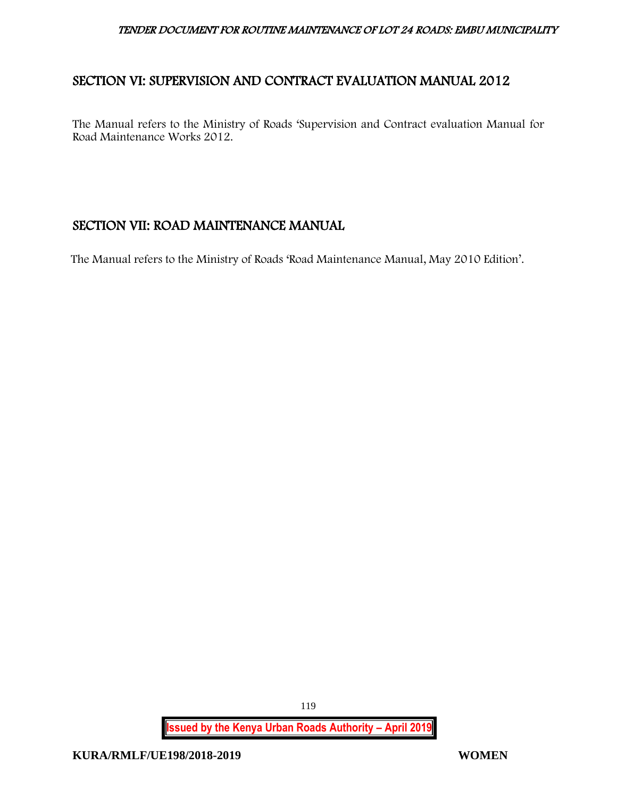# SECTION VI: SUPERVISION AND CONTRACT EVALUATION MANUAL 2012

The Manual refers to the Ministry of Roads 'Supervision and Contract evaluation Manual for Road Maintenance Works 2012.

# SECTION VII: ROAD MAINTENANCE MANUAL

The Manual refers to the Ministry of Roads 'Road Maintenance Manual, May 2010 Edition'.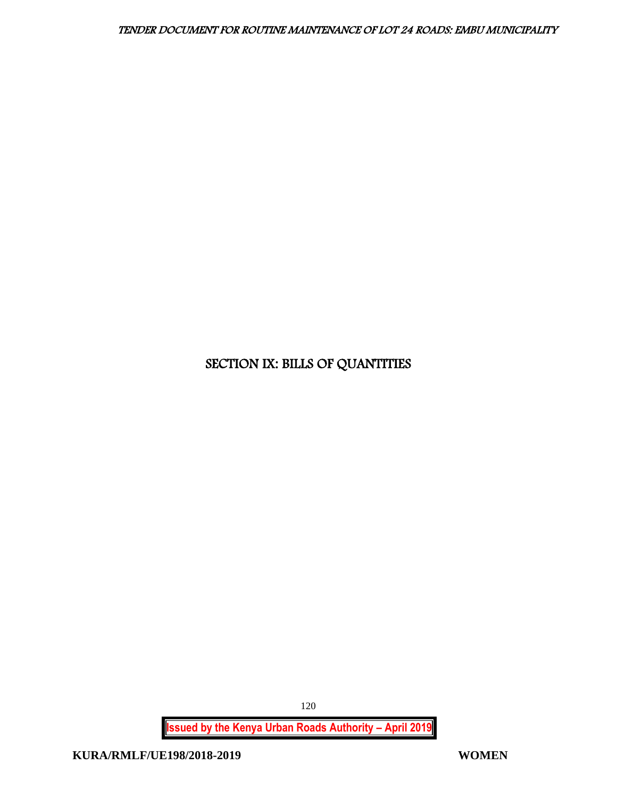# SECTION IX: BILLS OF QUANTITIES

**Issued by the Kenya Urban Roads Authority – April 2019**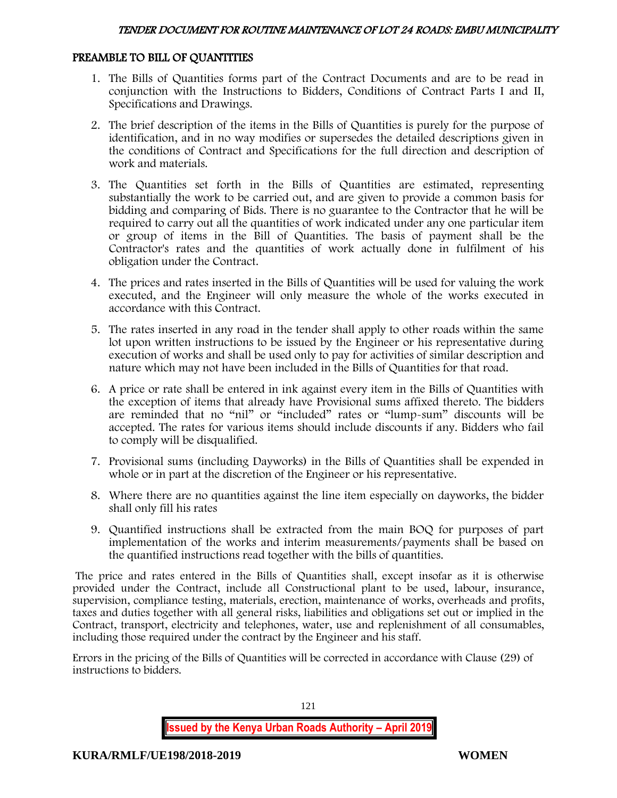# PREAMBLE TO BILL OF QUANTITIES

- 1. The Bills of Quantities forms part of the Contract Documents and are to be read in conjunction with the Instructions to Bidders, Conditions of Contract Parts I and II, Specifications and Drawings.
- 2. The brief description of the items in the Bills of Quantities is purely for the purpose of identification, and in no way modifies or supersedes the detailed descriptions given in the conditions of Contract and Specifications for the full direction and description of work and materials.
- 3. The Quantities set forth in the Bills of Quantities are estimated, representing substantially the work to be carried out, and are given to provide a common basis for bidding and comparing of Bids. There is no guarantee to the Contractor that he will be required to carry out all the quantities of work indicated under any one particular item or group of items in the Bill of Quantities. The basis of payment shall be the Contractor's rates and the quantities of work actually done in fulfilment of his obligation under the Contract.
- 4. The prices and rates inserted in the Bills of Quantities will be used for valuing the work executed, and the Engineer will only measure the whole of the works executed in accordance with this Contract.
- 5. The rates inserted in any road in the tender shall apply to other roads within the same lot upon written instructions to be issued by the Engineer or his representative during execution of works and shall be used only to pay for activities of similar description and nature which may not have been included in the Bills of Quantities for that road.
- 6. A price or rate shall be entered in ink against every item in the Bills of Quantities with the exception of items that already have Provisional sums affixed thereto. The bidders are reminded that no "nil" or "included" rates or "lump-sum" discounts will be accepted. The rates for various items should include discounts if any. Bidders who fail to comply will be disqualified.
- 7. Provisional sums (including Dayworks) in the Bills of Quantities shall be expended in whole or in part at the discretion of the Engineer or his representative.
- 8. Where there are no quantities against the line item especially on dayworks, the bidder shall only fill his rates
- 9. Quantified instructions shall be extracted from the main BOQ for purposes of part implementation of the works and interim measurements/payments shall be based on the quantified instructions read together with the bills of quantities.

The price and rates entered in the Bills of Quantities shall, except insofar as it is otherwise provided under the Contract, include all Constructional plant to be used, labour, insurance, supervision, compliance testing, materials, erection, maintenance of works, overheads and profits, taxes and duties together with all general risks, liabilities and obligations set out or implied in the Contract, transport, electricity and telephones, water, use and replenishment of all consumables, including those required under the contract by the Engineer and his staff.

Errors in the pricing of the Bills of Quantities will be corrected in accordance with Clause (29) of instructions to bidders.

**Issued by the Kenya Urban Roads Authority – April 2019**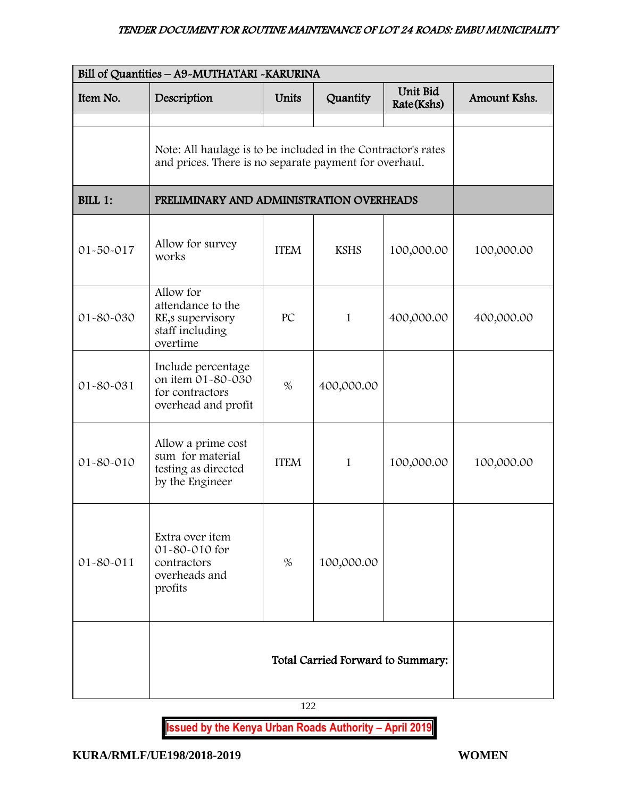| Bill of Quantities - A9-MUTHATARI - KARURINA |                                                                                                                         |             |                                   |            |              |
|----------------------------------------------|-------------------------------------------------------------------------------------------------------------------------|-------------|-----------------------------------|------------|--------------|
| Item No.                                     | Unit Bid<br>Description<br>Units<br>Quantity<br>Rate(Kshs)                                                              |             |                                   |            | Amount Kshs. |
|                                              | Note: All haulage is to be included in the Contractor's rates<br>and prices. There is no separate payment for overhaul. |             |                                   |            |              |
| BILL 1:                                      | PRELIMINARY AND ADMINISTRATION OVERHEADS                                                                                |             |                                   |            |              |
| $01 - 50 - 017$                              | Allow for survey<br>works                                                                                               | <b>ITEM</b> | <b>KSHS</b>                       | 100,000.00 | 100,000.00   |
| 01-80-030                                    | Allow for<br>attendance to the<br>RE, supervisory<br>staff including<br>overtime                                        | PC          | 1                                 | 400,000.00 | 400,000.00   |
| 01-80-031                                    | Include percentage<br>on item 01-80-030<br>for contractors<br>overhead and profit                                       | 400,000.00  |                                   |            |              |
| 01-80-010                                    | Allow a prime cost<br>sum for material<br>testing as directed<br>by the Engineer                                        | <b>ITEM</b> |                                   | 100,000.00 | 100,000.00   |
| $01 - 80 - 011$                              | Extra over item<br>01-80-010 for<br>contractors<br>overheads and<br>profits                                             | $\%$        | 100,000.00                        |            |              |
|                                              |                                                                                                                         |             | Total Carried Forward to Summary: |            |              |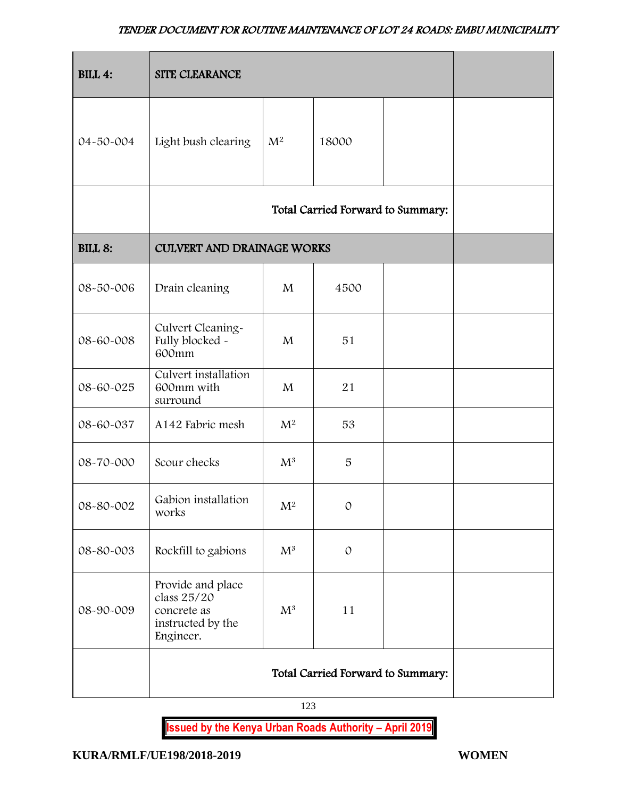| <b>BILL 4:</b> | SITE CLEARANCE                                                                    |                |                                   |  |  |  |  |  |
|----------------|-----------------------------------------------------------------------------------|----------------|-----------------------------------|--|--|--|--|--|
| 04-50-004      | Light bush clearing                                                               | 18000          |                                   |  |  |  |  |  |
|                |                                                                                   |                | Total Carried Forward to Summary: |  |  |  |  |  |
| <b>BILL 8:</b> | <b>CULVERT AND DRAINAGE WORKS</b>                                                 |                |                                   |  |  |  |  |  |
| 08-50-006      | Drain cleaning                                                                    | 4500           |                                   |  |  |  |  |  |
| 08-60-008      | Culvert Cleaning-<br>Fully blocked -<br>600mm                                     | M              | 51                                |  |  |  |  |  |
| 08-60-025      | Culvert installation<br>600mm with<br>surround                                    | $\mathbf{M}$   | 21                                |  |  |  |  |  |
| 08-60-037      | A142 Fabric mesh                                                                  | M <sup>2</sup> | 53                                |  |  |  |  |  |
| 08-70-000      | Scour checks                                                                      | $M^3$          | 5                                 |  |  |  |  |  |
| 08-80-002      | Gabion installation<br>works                                                      | $M^2$          | $\mathcal{O}$                     |  |  |  |  |  |
| 08-80-003      | Rockfill to gabions                                                               | $\mathrm{M}^3$ | $\mathcal{O}$                     |  |  |  |  |  |
| 08-90-009      | Provide and place<br>class 25/20<br>concrete as<br>instructed by the<br>Engineer. |                |                                   |  |  |  |  |  |
|                |                                                                                   |                |                                   |  |  |  |  |  |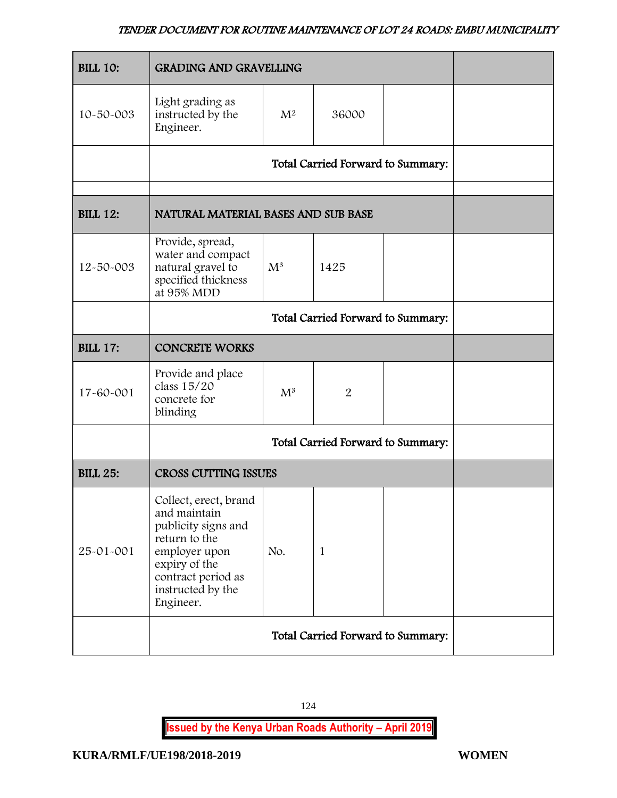| <b>BILL 10:</b> | <b>GRADING AND GRAVELLING</b>                                                                                                                                           |                                   |                                   |  |  |  |  |  |
|-----------------|-------------------------------------------------------------------------------------------------------------------------------------------------------------------------|-----------------------------------|-----------------------------------|--|--|--|--|--|
| 10-50-003       | Light grading as<br>instructed by the<br>Engineer.                                                                                                                      | $M^2$                             | 36000                             |  |  |  |  |  |
|                 |                                                                                                                                                                         |                                   | Total Carried Forward to Summary: |  |  |  |  |  |
| <b>BILL 12:</b> | NATURAL MATERIAL BASES AND SUB BASE                                                                                                                                     |                                   |                                   |  |  |  |  |  |
| 12-50-003       | Provide, spread,<br>water and compact<br>natural gravel to<br>specified thickness<br>at 95% MDD                                                                         |                                   |                                   |  |  |  |  |  |
|                 | Total Carried Forward to Summary:                                                                                                                                       |                                   |                                   |  |  |  |  |  |
| <b>BILL 17:</b> | <b>CONCRETE WORKS</b>                                                                                                                                                   |                                   |                                   |  |  |  |  |  |
| 17-60-001       | Provide and place<br>class 15/20<br>concrete for<br>blinding                                                                                                            | $M^3$                             | $\overline{2}$                    |  |  |  |  |  |
|                 |                                                                                                                                                                         | Total Carried Forward to Summary: |                                   |  |  |  |  |  |
| <b>BILL 25:</b> | <b>CROSS CUTTING ISSUES</b>                                                                                                                                             |                                   |                                   |  |  |  |  |  |
| 25-01-001       | Collect, erect, brand<br>and maintain<br>publicity signs and<br>return to the<br>employer upon<br>expiry of the<br>contract period as<br>instructed by the<br>Engineer. | No.                               | 1                                 |  |  |  |  |  |
|                 |                                                                                                                                                                         |                                   |                                   |  |  |  |  |  |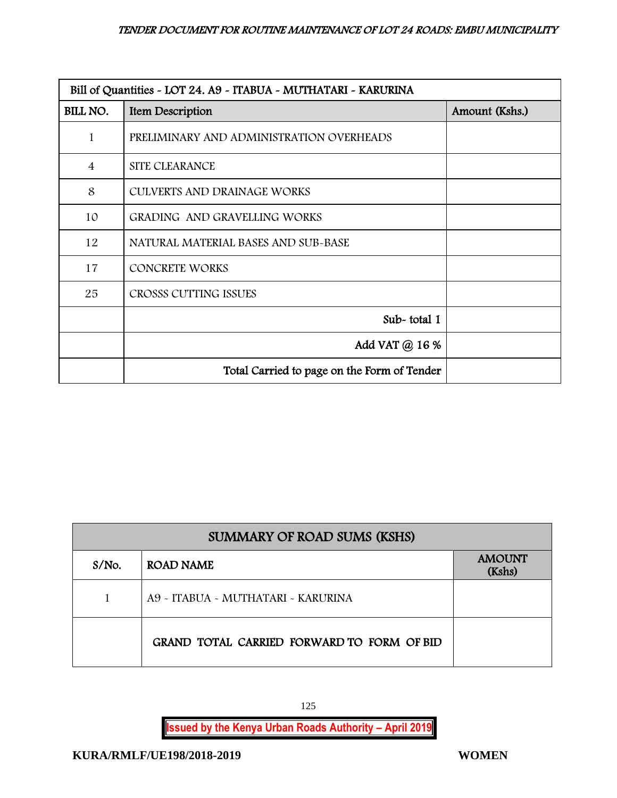| Bill of Quantities - LOT 24. A9 - ITABUA - MUTHATARI - KARURINA |                                             |                |  |  |  |  |
|-----------------------------------------------------------------|---------------------------------------------|----------------|--|--|--|--|
| BILL NO.                                                        | Item Description                            | Amount (Kshs.) |  |  |  |  |
| 1                                                               | PRELIMINARY AND ADMINISTRATION OVERHEADS    |                |  |  |  |  |
| $\overline{4}$                                                  | SITE CLEARANCE                              |                |  |  |  |  |
| 8                                                               | <b>CULVERTS AND DRAINAGE WORKS</b>          |                |  |  |  |  |
| 10                                                              | GRADING AND GRAVELLING WORKS                |                |  |  |  |  |
| 12                                                              | NATURAL MATERIAL BASES AND SUB-BASE         |                |  |  |  |  |
| 17                                                              | <b>CONCRETE WORKS</b>                       |                |  |  |  |  |
| 25                                                              | CROSSS CUTTING ISSUES                       |                |  |  |  |  |
|                                                                 | Sub-total 1                                 |                |  |  |  |  |
|                                                                 | Add VAT @ 16 %                              |                |  |  |  |  |
|                                                                 | Total Carried to page on the Form of Tender |                |  |  |  |  |

| <b>SUMMARY OF ROAD SUMS (KSHS)</b> |                                            |                         |  |  |  |
|------------------------------------|--------------------------------------------|-------------------------|--|--|--|
| $S/NO$ .                           | ROAD NAME                                  | <b>AMOUNT</b><br>(Kshs) |  |  |  |
|                                    | A9 - ITABUA - MUTHATARI - KARURINA         |                         |  |  |  |
|                                    | GRAND TOTAL CARRIED FORWARD TO FORM OF BID |                         |  |  |  |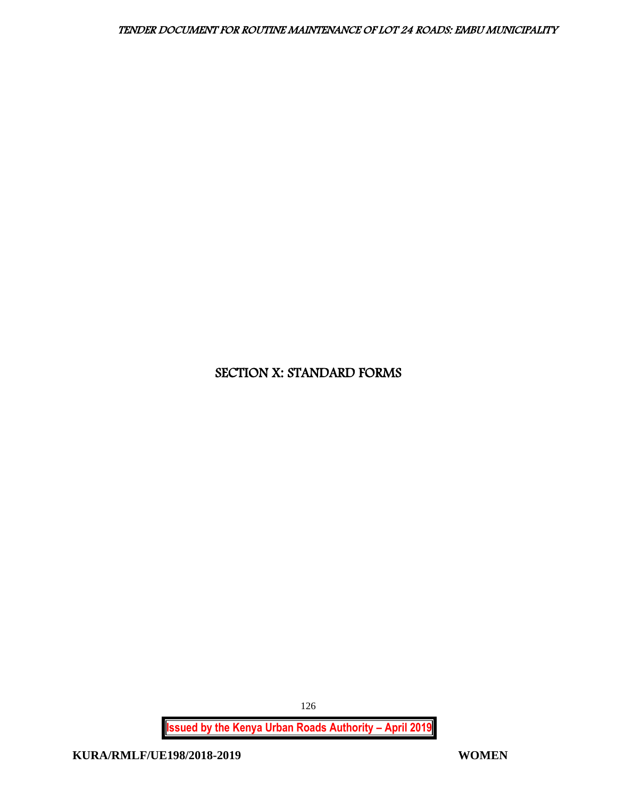# SECTION X: STANDARD FORMS

**Issued by the Kenya Urban Roads Authority – April 2019**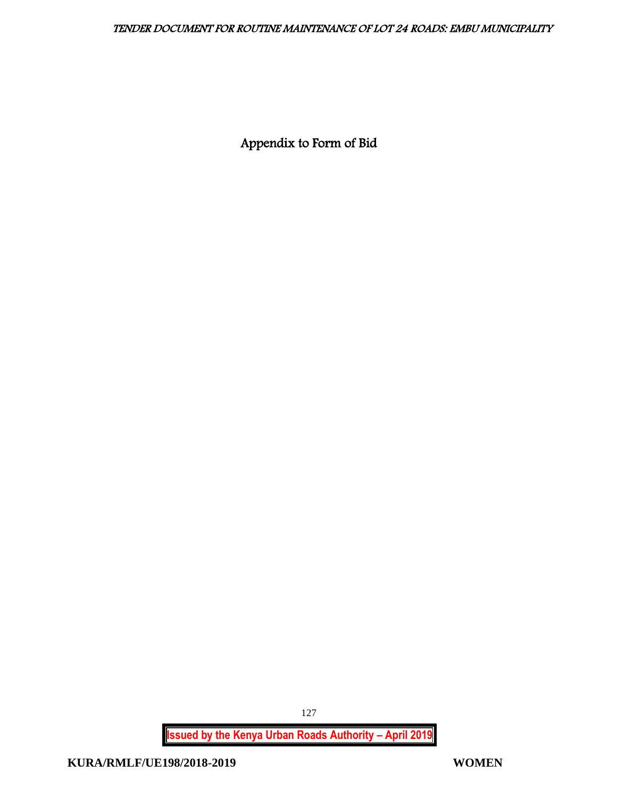Appendix to Form of Bid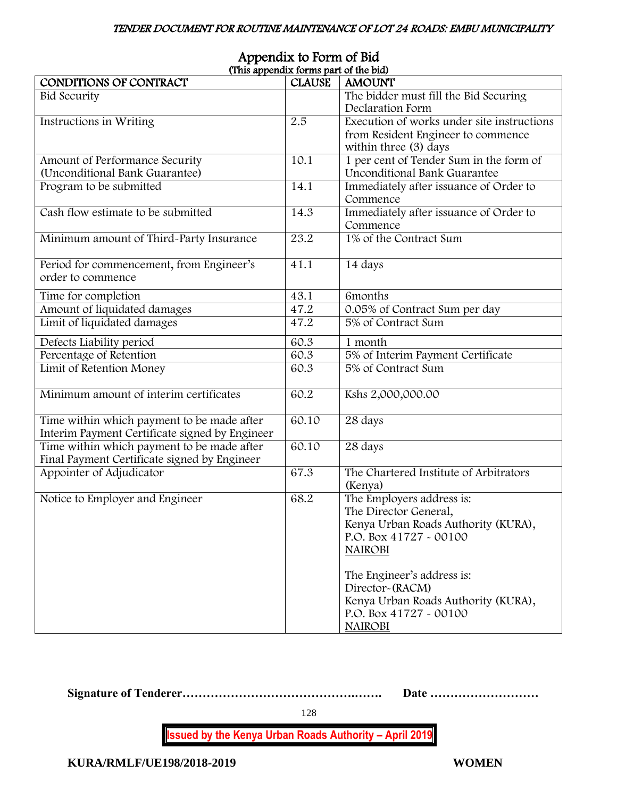| (This appendix forms part of the pla)          |               |                                                     |
|------------------------------------------------|---------------|-----------------------------------------------------|
| CONDITIONS OF CONTRACT                         | <b>CLAUSE</b> | <b>AMOUNT</b>                                       |
| <b>Bid Security</b>                            |               | The bidder must fill the Bid Securing               |
|                                                |               | Declaration Form                                    |
| Instructions in Writing                        | 2.5           | Execution of works under site instructions          |
|                                                |               | from Resident Engineer to commence                  |
|                                                |               | within three (3) days                               |
| Amount of Performance Security                 | 10.1          | 1 per cent of Tender Sum in the form of             |
| (Unconditional Bank Guarantee)                 |               | Unconditional Bank Guarantee                        |
| Program to be submitted                        | 14.1          | Immediately after issuance of Order to              |
|                                                |               | Commence                                            |
| Cash flow estimate to be submitted             | 14.3          | Immediately after issuance of Order to              |
|                                                |               |                                                     |
|                                                |               | Commence                                            |
| Minimum amount of Third-Party Insurance        | 23.2          | 1% of the Contract Sum                              |
|                                                |               |                                                     |
| Period for commencement, from Engineer's       | 41.1          | 14 days                                             |
| order to commence                              |               |                                                     |
| Time for completion                            | 43.1          | 6months                                             |
| Amount of liquidated damages                   | 47.2          |                                                     |
|                                                |               | 0.05% of Contract Sum per day<br>5% of Contract Sum |
| Limit of liquidated damages                    | 47.2          |                                                     |
| Defects Liability period                       | 60.3          | 1 month                                             |
| Percentage of Retention                        | 60.3          | 5% of Interim Payment Certificate                   |
| Limit of Retention Money                       | 60.3          | 5% of Contract Sum                                  |
|                                                |               |                                                     |
| Minimum amount of interim certificates         | 60.2          | Kshs 2,000,000.00                                   |
|                                                |               |                                                     |
| Time within which payment to be made after     | 60.10         | 28 days                                             |
| Interim Payment Certificate signed by Engineer |               |                                                     |
|                                                | 60.10         |                                                     |
| Time within which payment to be made after     |               | 28 days                                             |
| Final Payment Certificate signed by Engineer   |               |                                                     |
| Appointer of Adjudicator                       | 67.3          | The Chartered Institute of Arbitrators              |
|                                                |               | (Kenya)                                             |
| Notice to Employer and Engineer                | 68.2          | The Employers address is:                           |
|                                                |               | The Director General,                               |
|                                                |               | Kenya Urban Roads Authority (KURA),                 |
|                                                |               | P.O. Box 41727 - 00100                              |
|                                                |               | <b>NAIROBI</b>                                      |
|                                                |               |                                                     |
|                                                |               | The Engineer's address is:                          |
|                                                |               | Director-(RACM)                                     |
|                                                |               | Kenya Urban Roads Authority (KURA),                 |
|                                                |               | P.O. Box 41727 - 00100                              |
|                                                |               |                                                     |
|                                                |               | <b>NAIROBI</b>                                      |

### Appendix to Form of Bid (This appendix forms part of the bid)

**Signature of Tenderer…………………………………….……. Date ………………………**

128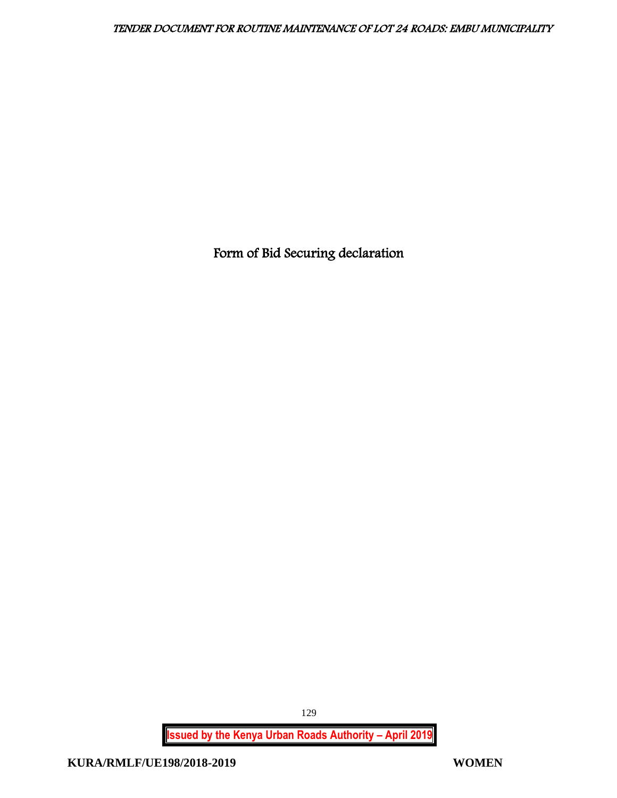Form of Bid Securing declaration

**Issued by the Kenya Urban Roads Authority – April 2019**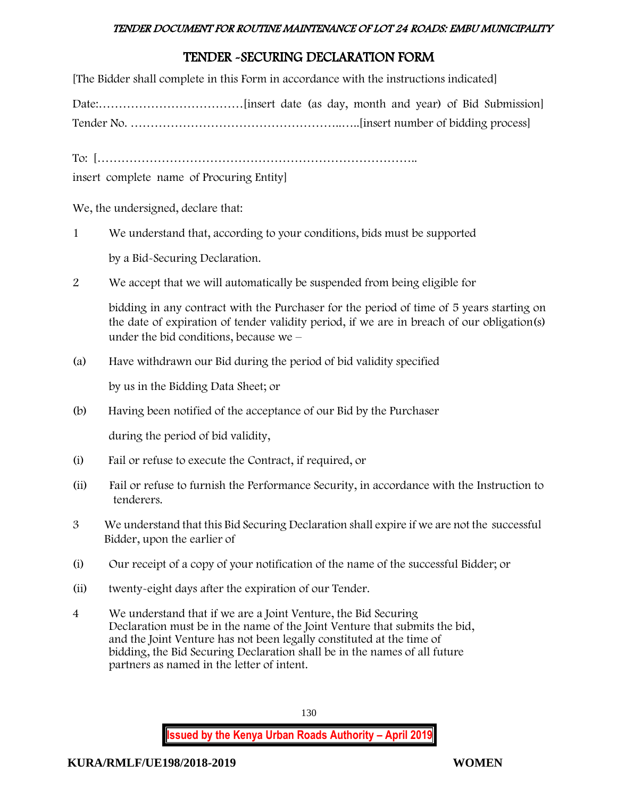# TENDER -SECURING DECLARATION FORM

[The Bidder shall complete in this Form in accordance with the instructions indicated]

Date:………………………………[insert date (as day, month and year) of Bid Submission]

Tender No. ……………………………………………..…..[insert number of bidding process]

To: [……………………………………………………………………..

insert complete name of Procuring Entity]

We, the undersigned, declare that:

- 1 We understand that, according to your conditions, bids must be supported by a Bid-Securing Declaration.
- 2 We accept that we will automatically be suspended from being eligible for

bidding in any contract with the Purchaser for the period of time of 5 years starting on the date of expiration of tender validity period, if we are in breach of our obligation(s) under the bid conditions, because we –

(a) Have withdrawn our Bid during the period of bid validity specified

by us in the Bidding Data Sheet; or

(b) Having been notified of the acceptance of our Bid by the Purchaser

during the period of bid validity,

- (i) Fail or refuse to execute the Contract, if required, or
- (ii) Fail or refuse to furnish the Performance Security, in accordance with the Instruction to tenderers.
- 3 We understand that this Bid Securing Declaration shall expire if we are not the successful Bidder, upon the earlier of
- (i) Our receipt of a copy of your notification of the name of the successful Bidder; or
- (ii) twenty-eight days after the expiration of our Tender.
- 4 We understand that if we are a Joint Venture, the Bid Securing Declaration must be in the name of the Joint Venture that submits the bid, and the Joint Venture has not been legally constituted at the time of bidding, the Bid Securing Declaration shall be in the names of all future partners as named in the letter of intent.

130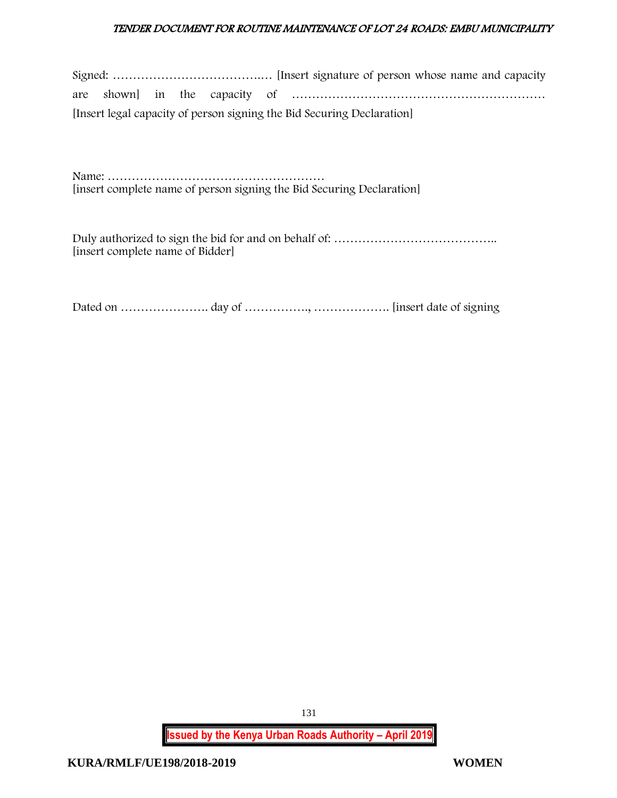|  |  |  | [Insert legal capacity of person signing the Bid Securing Declaration] |
|--|--|--|------------------------------------------------------------------------|

Name: ……………………………………………… [insert complete name of person signing the Bid Securing Declaration]

Duly authorized to sign the bid for and on behalf of: ………………………………….. [insert complete name of Bidder]

Dated on …………………. day of ……………., ………………. [insert date of signing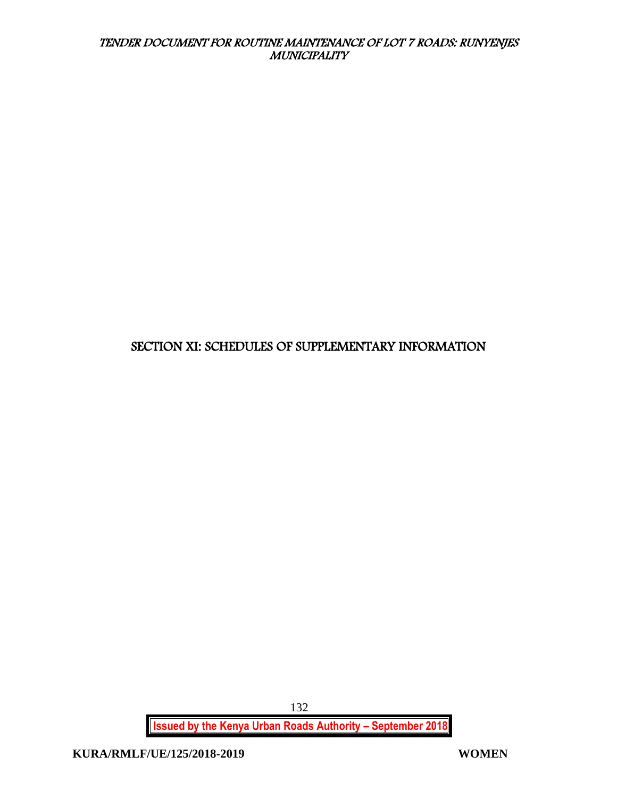# SECTION XI: SCHEDULES OF SUPPLEMENTARY INFORMATION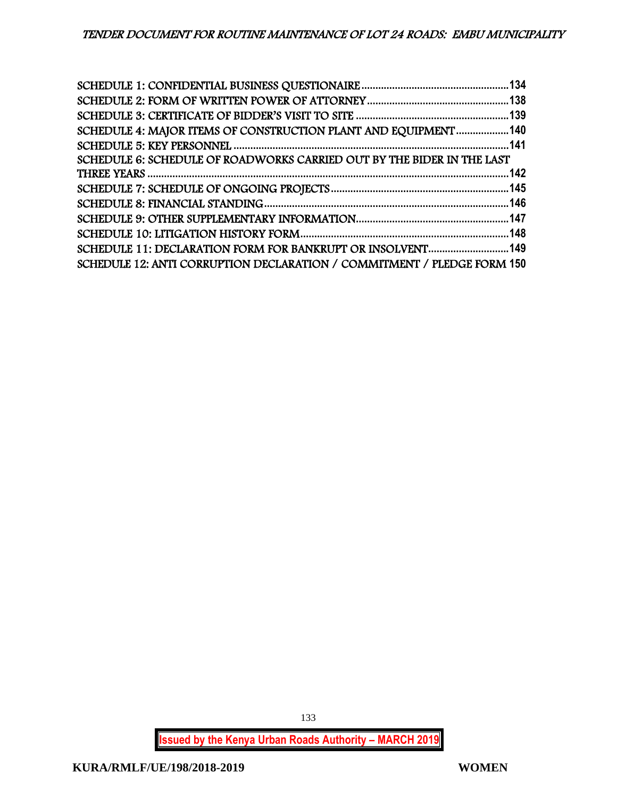| SCHEDULE 4: MAJOR ITEMS OF CONSTRUCTION PLANT AND EQUIPMENT140          |  |
|-------------------------------------------------------------------------|--|
|                                                                         |  |
| SCHEDULE 6: SCHEDULE OF ROADWORKS CARRIED OUT BY THE BIDER IN THE LAST  |  |
|                                                                         |  |
|                                                                         |  |
|                                                                         |  |
|                                                                         |  |
|                                                                         |  |
| SCHEDULE 11: DECLARATION FORM FOR BANKRUPT OR INSOLVENT 149             |  |
| SCHEDULE 12: ANTI CORRUPTION DECLARATION / COMMITMENT / PLEDGE FORM 150 |  |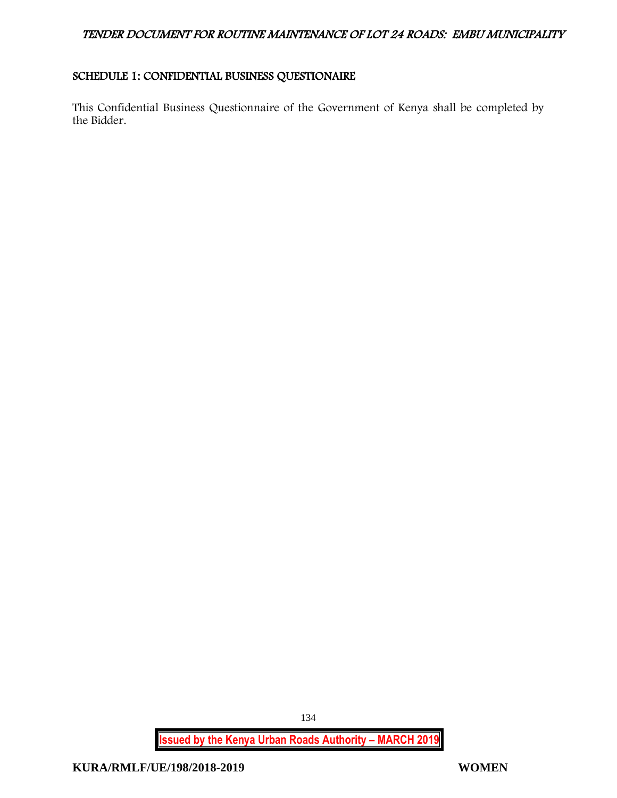# <span id="page-134-0"></span>SCHEDULE 1: CONFIDENTIAL BUSINESS QUESTIONAIRE

This Confidential Business Questionnaire of the Government of Kenya shall be completed by the Bidder.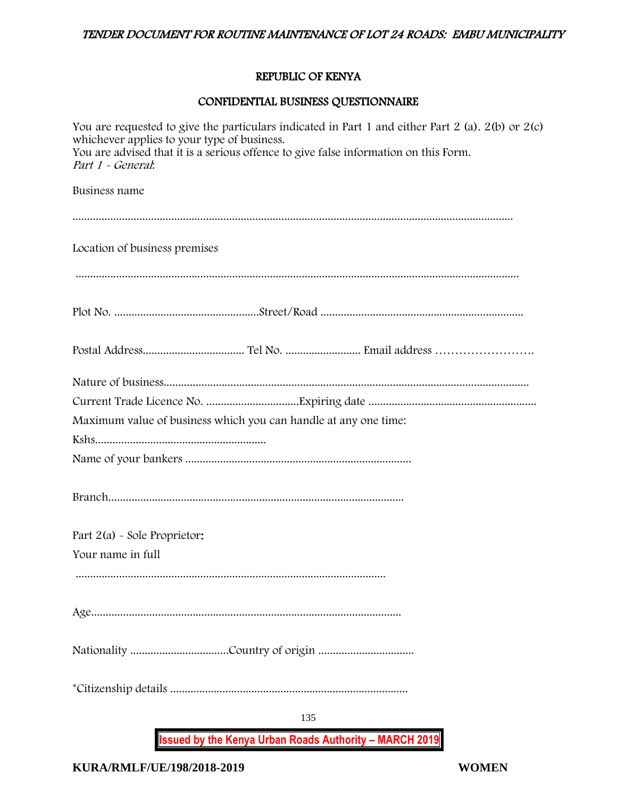### REPUBLIC OF KENYA

# CONFIDENTIAL BUSINESS QUESTIONNAIRE

| <b>Issued by the Kenya Urban Roads Authority - MARCH 2019</b>                                                                                            |
|----------------------------------------------------------------------------------------------------------------------------------------------------------|
| 135                                                                                                                                                      |
|                                                                                                                                                          |
|                                                                                                                                                          |
|                                                                                                                                                          |
| Your name in full                                                                                                                                        |
| Part $2(a)$ - Sole Proprietor:                                                                                                                           |
|                                                                                                                                                          |
|                                                                                                                                                          |
|                                                                                                                                                          |
| Maximum value of business which you can handle at any one time:                                                                                          |
|                                                                                                                                                          |
|                                                                                                                                                          |
|                                                                                                                                                          |
|                                                                                                                                                          |
| Location of business premises                                                                                                                            |
|                                                                                                                                                          |
| Business name                                                                                                                                            |
| whichever applies to your type of business.<br>You are advised that it is a serious offence to give false information on this Form.<br>Part 1 - General: |
| You are requested to give the particulars indicated in Part 1 and either Part 2 (a). $2(b)$ or $2(c)$                                                    |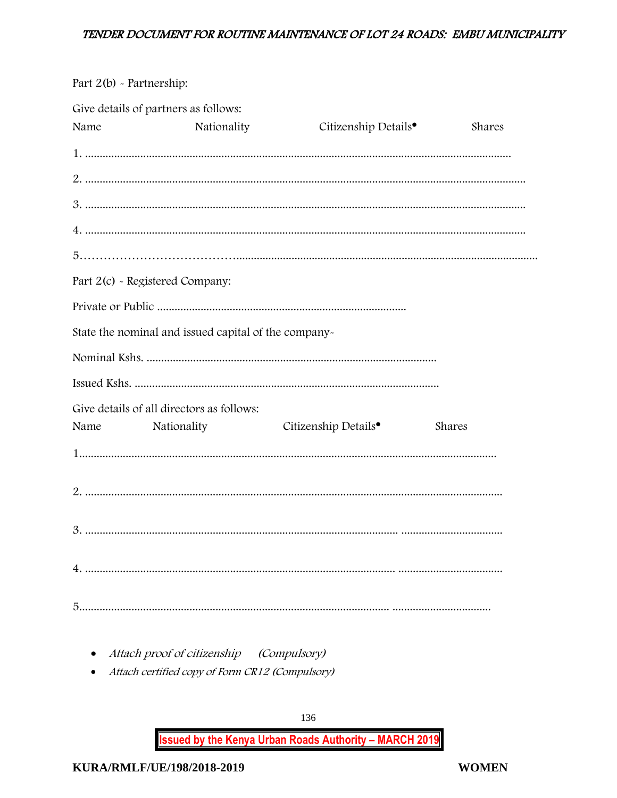Part 2(b) - Partnership:

|      | Give details of partners as follows:                 |                                  |        |
|------|------------------------------------------------------|----------------------------------|--------|
| Name | Nationality                                          | Citizenship Details <sup>•</sup> | Shares |
|      |                                                      |                                  |        |
|      |                                                      |                                  |        |
|      |                                                      |                                  |        |
|      |                                                      |                                  |        |
|      |                                                      |                                  |        |
|      | Part 2(c) - Registered Company:                      |                                  |        |
|      |                                                      |                                  |        |
|      | State the nominal and issued capital of the company- |                                  |        |
|      |                                                      |                                  |        |
|      |                                                      |                                  |        |
|      | Give details of all directors as follows:            |                                  |        |
| Name | Nationality                                          | Citizenship Details <sup>•</sup> | Shares |
|      |                                                      |                                  |        |
|      |                                                      |                                  |        |
|      |                                                      |                                  |        |
|      |                                                      |                                  |        |
|      |                                                      |                                  |        |

- Attach proof of citizenship (Compulsory)
- Attach certified copy of Form CR12 (Compulsory)

136 **Issued by the Kenya Urban Roads Authority - MARCH 2019**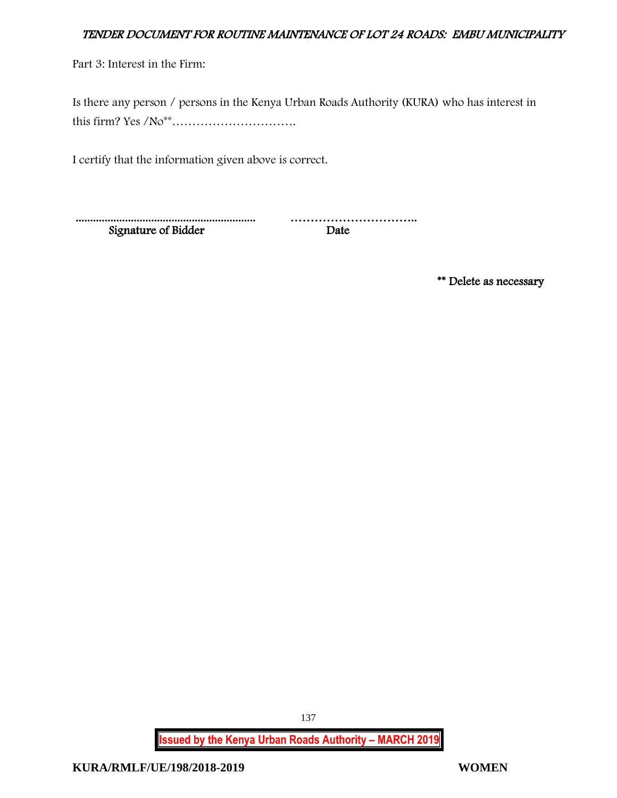Part 3: Interest in the Firm:

Is there any person / persons in the Kenya Urban Roads Authority (KURA) who has interest in this firm? Yes /No\*\*………………………….

I certify that the information given above is correct.

 .............................................................. ………………………….. Signature of Bidder

\*\* Delete as necessary

**Issued by the Kenya Urban Roads Authority – MARCH 2019**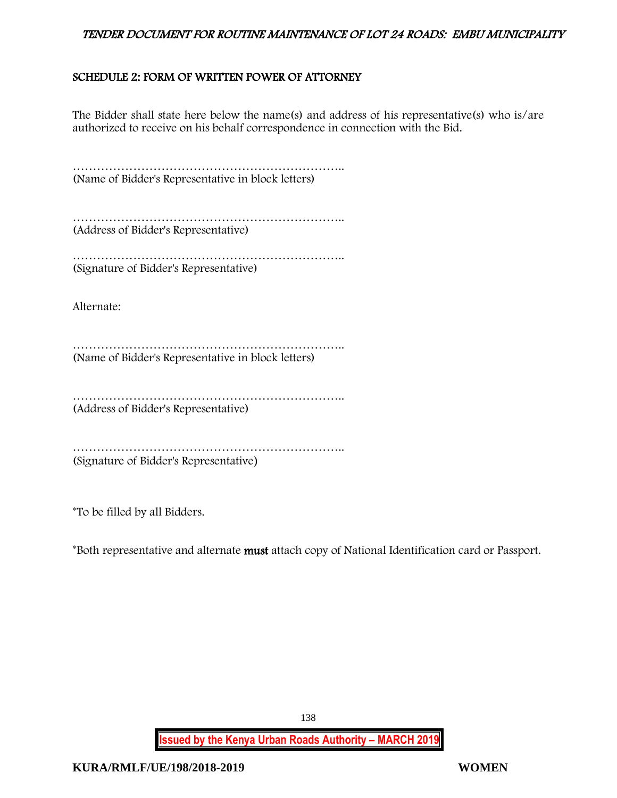# <span id="page-138-0"></span>SCHEDULE 2: FORM OF WRITTEN POWER OF ATTORNEY

The Bidder shall state here below the name(s) and address of his representative(s) who is/are authorized to receive on his behalf correspondence in connection with the Bid.

………………………………………………………….. (Name of Bidder's Representative in block letters)

………………………………………………………….. (Address of Bidder's Representative)

………………………………………………………….. (Signature of Bidder's Representative)

Alternate:

………………………………………………………….. (Name of Bidder's Representative in block letters)

………………………………………………………….. (Address of Bidder's Representative)

………………………………………………………….. (Signature of Bidder's Representative)

\*To be filled by all Bidders.

\*Both representative and alternate must attach copy of National Identification card or Passport.

138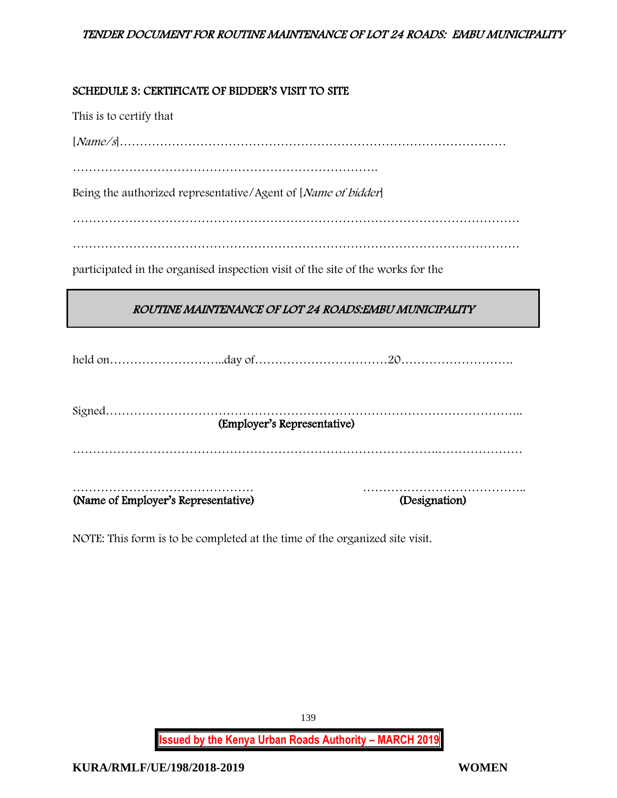### <span id="page-139-0"></span>SCHEDULE 3: CERTIFICATE OF BIDDER'S VISIT TO SITE

This is to certify that

[Name/s]……………………………………………………………………………………

………………………………………………………………….

Being the authorized representative/Agent of [Name of bidder]

…………………………………………………………………………………………………

…………………………………………………………………………………………………

participated in the organised inspection visit of the site of the works for the

# ROUTINE MAINTENANCE OF LOT 24 ROADS:EMBU MUNICIPALITY

held on………………………..day of……………………………20……………………….

Signed………………………………………………………………………………………….. (Employer's Representative) ……………………………………………………………………………….………………… mployer's Representative) and the contraction of the contraction of the contraction of the contraction of the contraction of the contraction of the contraction of the contraction of the contraction of the contraction of th (Name of Employer's Representative)

NOTE: This form is to be completed at the time of the organized site visit.

**Issued by the Kenya Urban Roads Authority – MARCH 2019**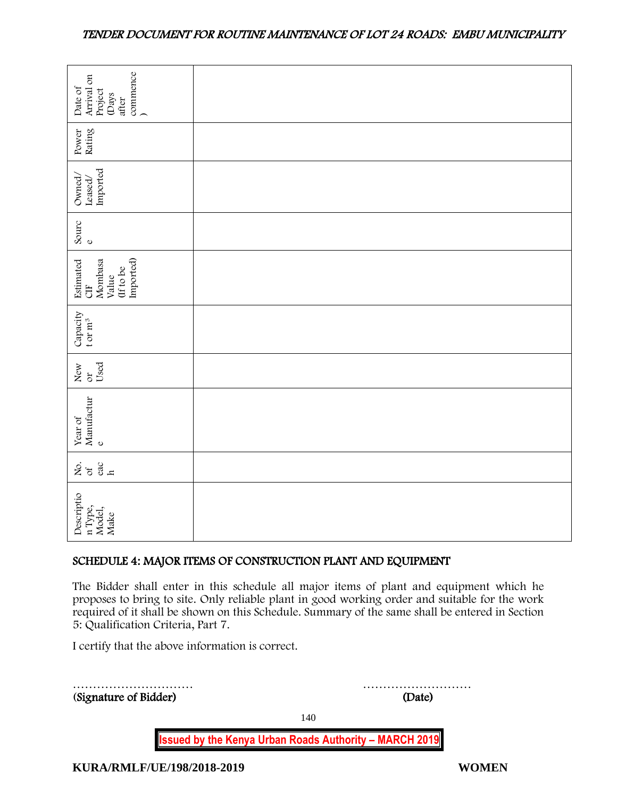| commence<br>Arrival on<br>Date of<br>Project<br>(Days<br>after                                                                                                                                                                                                                                                                     |                                                             |  |
|------------------------------------------------------------------------------------------------------------------------------------------------------------------------------------------------------------------------------------------------------------------------------------------------------------------------------------|-------------------------------------------------------------|--|
|                                                                                                                                                                                                                                                                                                                                    |                                                             |  |
| Rating<br>Power                                                                                                                                                                                                                                                                                                                    |                                                             |  |
| Imported<br>Owned,<br>Leased,                                                                                                                                                                                                                                                                                                      |                                                             |  |
| Sourc<br>$\circ$                                                                                                                                                                                                                                                                                                                   |                                                             |  |
| Imported)<br>Estimated<br>Mombasa<br>(If to be<br>Value<br>$\overline{d}$                                                                                                                                                                                                                                                          |                                                             |  |
| Capacity<br>t or $m^3$                                                                                                                                                                                                                                                                                                             |                                                             |  |
| Used<br>New<br>or                                                                                                                                                                                                                                                                                                                  |                                                             |  |
| Year of Manufactur $_{\rm e}$                                                                                                                                                                                                                                                                                                      |                                                             |  |
| 258                                                                                                                                                                                                                                                                                                                                |                                                             |  |
| Descriptio<br>n Type,<br>Model,<br>Make                                                                                                                                                                                                                                                                                            |                                                             |  |
|                                                                                                                                                                                                                                                                                                                                    | SCHEDULE 4: MAJOR ITEMS OF CONSTRUCTION PLANT AND EQUIPMENT |  |
| The Bidder shall enter in this schedule all major items of plant and equipment which he<br>proposes to bring to site. Only reliable plant in good working order and suitable for the work<br>required of it shall be shown on this Schedule. Summary of the same shall be entered in Section<br>5: Qualification Criteria, Part 7. |                                                             |  |
| I certify that the above information is correct.                                                                                                                                                                                                                                                                                   |                                                             |  |
| (Signature of Bidder)                                                                                                                                                                                                                                                                                                              | (Date)                                                      |  |

# <span id="page-140-0"></span>SCHEDULE 4: MAJOR ITEMS OF CONSTRUCTION PLANT AND EQUIPMENT

| (Signature of Bidder)      | (Date)                                                        |       |
|----------------------------|---------------------------------------------------------------|-------|
|                            | 140                                                           |       |
|                            | <b>Issued by the Kenya Urban Roads Authority - MARCH 2019</b> |       |
| KURA/RMLF/UE/198/2018-2019 |                                                               | WOMEN |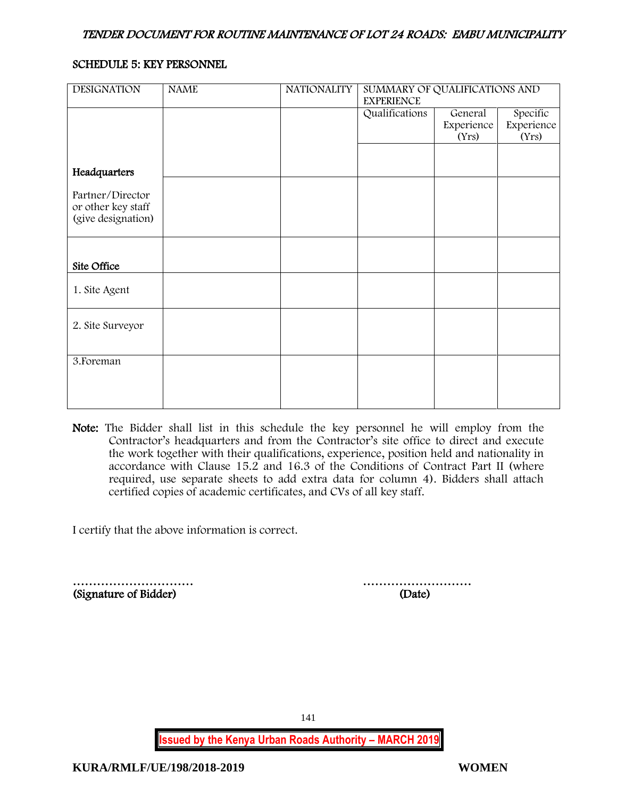#### <span id="page-141-0"></span>SCHEDULE 5: KEY PERSONNEL

| <b>DESIGNATION</b> | <b>NAME</b> | <b>NATIONALITY</b> | SUMMARY OF QUALIFICATIONS AND<br><b>EXPERIENCE</b> |            |            |
|--------------------|-------------|--------------------|----------------------------------------------------|------------|------------|
|                    |             |                    | Qualifications                                     | General    | Specific   |
|                    |             |                    |                                                    | Experience | Experience |
|                    |             |                    |                                                    | (Yrs)      | (Yrs)      |
|                    |             |                    |                                                    |            |            |
| Headquarters       |             |                    |                                                    |            |            |
|                    |             |                    |                                                    |            |            |
| Partner/Director   |             |                    |                                                    |            |            |
| or other key staff |             |                    |                                                    |            |            |
| (give designation) |             |                    |                                                    |            |            |
|                    |             |                    |                                                    |            |            |
|                    |             |                    |                                                    |            |            |
| Site Office        |             |                    |                                                    |            |            |
|                    |             |                    |                                                    |            |            |
| 1. Site Agent      |             |                    |                                                    |            |            |
|                    |             |                    |                                                    |            |            |
|                    |             |                    |                                                    |            |            |
| 2. Site Surveyor   |             |                    |                                                    |            |            |
|                    |             |                    |                                                    |            |            |
| 3. Foreman         |             |                    |                                                    |            |            |
|                    |             |                    |                                                    |            |            |
|                    |             |                    |                                                    |            |            |
|                    |             |                    |                                                    |            |            |
|                    |             |                    |                                                    |            |            |

Note: The Bidder shall list in this schedule the key personnel he will employ from the Contractor's headquarters and from the Contractor's site office to direct and execute the work together with their qualifications, experience, position held and nationality in accordance with Clause 15.2 and 16.3 of the Conditions of Contract Part II (where required, use separate sheets to add extra data for column 4). Bidders shall attach certified copies of academic certificates, and CVs of all key staff.

I certify that the above information is correct.

(Signature of Bidder) (Date)

………………………… ………………………

141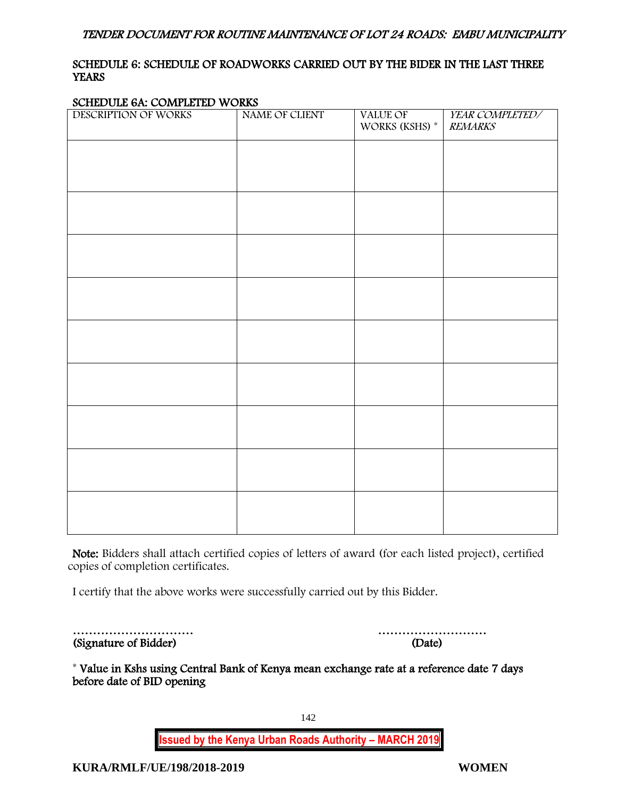# <span id="page-142-0"></span>SCHEDULE 6: SCHEDULE OF ROADWORKS CARRIED OUT BY THE BIDER IN THE LAST THREE **YEARS**

#### SCHEDULE 6A: COMPLETED WORKS

| DESCRIPTION OF WORKS | NAME OF CLIENT | VALUE OF<br>WORKS (KSHS) * | YEAR COMPLETED/<br><b>REMARKS</b> |
|----------------------|----------------|----------------------------|-----------------------------------|
|                      |                |                            |                                   |
|                      |                |                            |                                   |
|                      |                |                            |                                   |
|                      |                |                            |                                   |
|                      |                |                            |                                   |
|                      |                |                            |                                   |
|                      |                |                            |                                   |
|                      |                |                            |                                   |
|                      |                |                            |                                   |
|                      |                |                            |                                   |
|                      |                |                            |                                   |
|                      |                |                            |                                   |
|                      |                |                            |                                   |
|                      |                |                            |                                   |

Note: Bidders shall attach certified copies of letters of award (for each listed project), certified copies of completion certificates.

I certify that the above works were successfully carried out by this Bidder.

| (Signature of Bidder) | (Date) |
|-----------------------|--------|

………………………… ………………………

\* Value in Kshs using Central Bank of Kenya mean exchange rate at a reference date 7 days before date of BID opening

> **Issued by the Kenya Urban Roads Authority – MARCH 2019** 142

**KURA/RMLF/UE/198/2018-2019 WOMEN**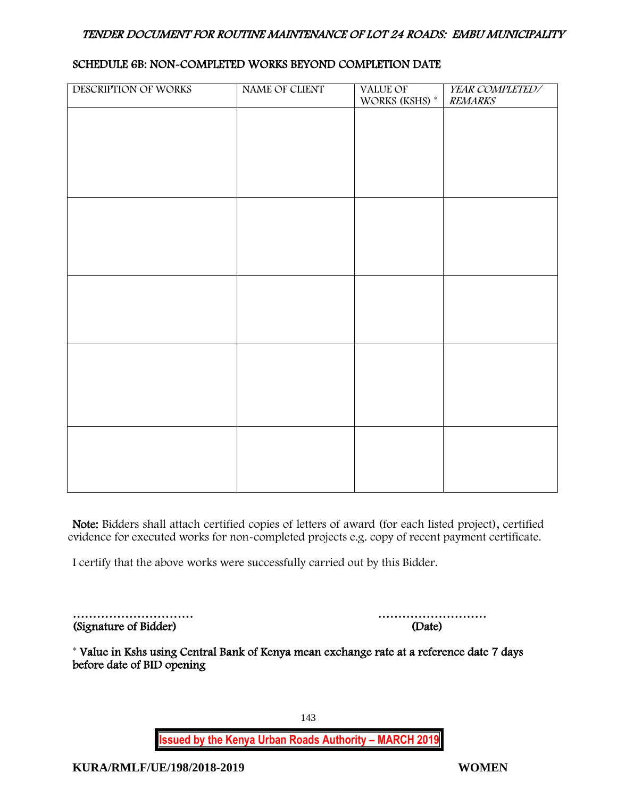### SCHEDULE 6B: NON-COMPLETED WORKS BEYOND COMPLETION DATE

| DESCRIPTION OF WORKS | NAME OF CLIENT | VALUE OF             | YEAR COMPLETED/ |
|----------------------|----------------|----------------------|-----------------|
|                      |                | WORKS (KSHS) $^\ast$ | <b>REMARKS</b>  |
|                      |                |                      |                 |
|                      |                |                      |                 |
|                      |                |                      |                 |
|                      |                |                      |                 |
|                      |                |                      |                 |
|                      |                |                      |                 |
|                      |                |                      |                 |
|                      |                |                      |                 |
|                      |                |                      |                 |
|                      |                |                      |                 |
|                      |                |                      |                 |
|                      |                |                      |                 |
|                      |                |                      |                 |
|                      |                |                      |                 |
|                      |                |                      |                 |
|                      |                |                      |                 |
|                      |                |                      |                 |
|                      |                |                      |                 |
|                      |                |                      |                 |
|                      |                |                      |                 |
|                      |                |                      |                 |
|                      |                |                      |                 |
|                      |                |                      |                 |
|                      |                |                      |                 |
|                      |                |                      |                 |
|                      |                |                      |                 |
|                      |                |                      |                 |
|                      |                |                      |                 |
|                      |                |                      |                 |
|                      |                |                      |                 |

Note: Bidders shall attach certified copies of letters of award (for each listed project), certified evidence for executed works for non-completed projects e.g. copy of recent payment certificate.

I certify that the above works were successfully carried out by this Bidder.

| (Signature of Bidder) | (Date) |
|-----------------------|--------|

| (Signature of Bidder) | (Date) |
|-----------------------|--------|

\* Value in Kshs using Central Bank of Kenya mean exchange rate at a reference date 7 days before date of BID opening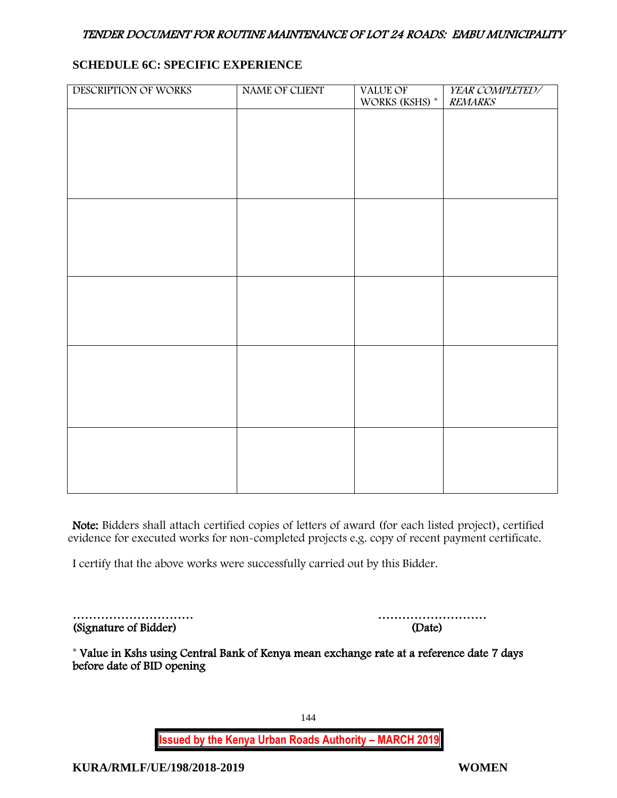## **SCHEDULE 6C: SPECIFIC EXPERIENCE**

| DESCRIPTION OF WORKS | NAME OF CLIENT | VALUE OF<br>WORKS (KSHS) <sup>*</sup> | YEAR COMPLETED/<br><b>REMARKS</b> |
|----------------------|----------------|---------------------------------------|-----------------------------------|
|                      |                |                                       |                                   |
|                      |                |                                       |                                   |
|                      |                |                                       |                                   |
|                      |                |                                       |                                   |
|                      |                |                                       |                                   |
|                      |                |                                       |                                   |
|                      |                |                                       |                                   |
|                      |                |                                       |                                   |
|                      |                |                                       |                                   |
|                      |                |                                       |                                   |
|                      |                |                                       |                                   |
|                      |                |                                       |                                   |
|                      |                |                                       |                                   |
|                      |                |                                       |                                   |
|                      |                |                                       |                                   |
|                      |                |                                       |                                   |
|                      |                |                                       |                                   |

Note: Bidders shall attach certified copies of letters of award (for each listed project), certified evidence for executed works for non-completed projects e.g. copy of recent payment certificate.

I certify that the above works were successfully carried out by this Bidder.

| (Signature of Bidder) | (Date) |
|-----------------------|--------|

| (Signature of Bidder) | (Date) |
|-----------------------|--------|

\* Value in Kshs using Central Bank of Kenya mean exchange rate at a reference date 7 days before date of BID opening

**Issued by the Kenya Urban Roads Authority – MARCH 2019**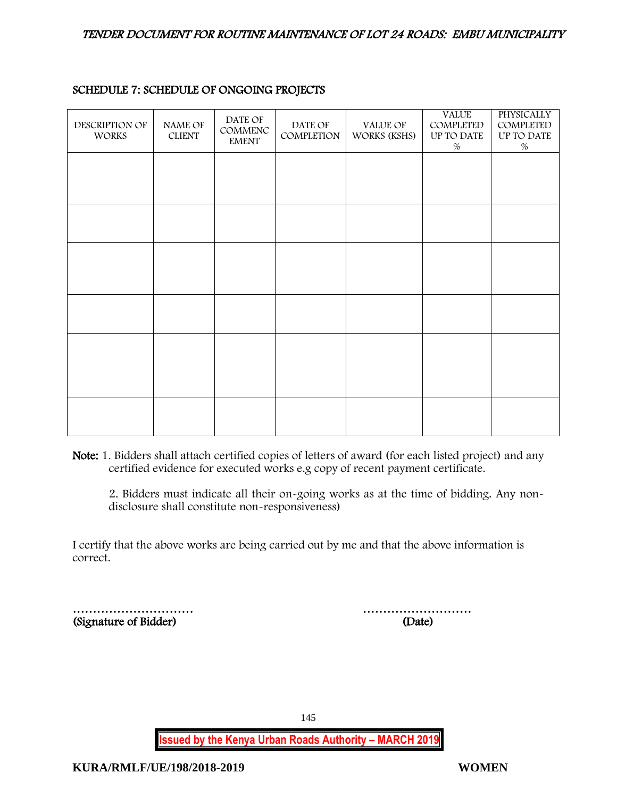| DESCRIPTION OF<br><b>WORKS</b> | NAME OF<br><b>CLIENT</b> | DATE OF<br>COMMENC<br><b>EMENT</b> | DATE OF<br>COMPLETION | VALUE OF<br>WORKS (KSHS) | <b>VALUE</b><br>COMPLETED<br>UP TO DATE<br>$\%$ | <b>PHYSICALLY</b><br>COMPLETED<br>UP TO DATE<br>$\%$ |
|--------------------------------|--------------------------|------------------------------------|-----------------------|--------------------------|-------------------------------------------------|------------------------------------------------------|
|                                |                          |                                    |                       |                          |                                                 |                                                      |
|                                |                          |                                    |                       |                          |                                                 |                                                      |
|                                |                          |                                    |                       |                          |                                                 |                                                      |
|                                |                          |                                    |                       |                          |                                                 |                                                      |
|                                |                          |                                    |                       |                          |                                                 |                                                      |
|                                |                          |                                    |                       |                          |                                                 |                                                      |

# SCHEDULE 7: SCHEDULE OF ONGOING PROJECTS

Note: 1. Bidders shall attach certified copies of letters of award (for each listed project) and any certified evidence for executed works e.g copy of recent payment certificate.

2. Bidders must indicate all their on-going works as at the time of bidding. Any nondisclosure shall constitute non-responsiveness)

I certify that the above works are being carried out by me and that the above information is correct.

|                       | .      |
|-----------------------|--------|
| (Signature of Bidder) | (Date) |

………………………… ………………………

145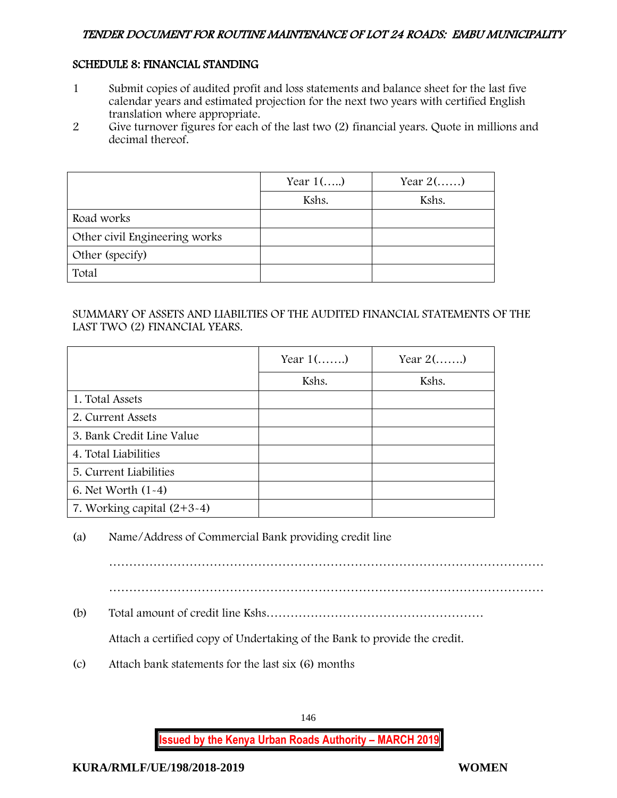# SCHEDULE 8: FINANCIAL STANDING

- 1 Submit copies of audited profit and loss statements and balance sheet for the last five calendar years and estimated projection for the next two years with certified English translation where appropriate.
- 2 Give turnover figures for each of the last two (2) financial years. Quote in millions and decimal thereof.

|                               | Year $1$ () | Year $2(\ldots)$ |
|-------------------------------|-------------|------------------|
|                               | Kshs.       | Kshs.            |
| Road works                    |             |                  |
| Other civil Engineering works |             |                  |
| Other (specify)               |             |                  |
| Total                         |             |                  |

## SUMMARY OF ASSETS AND LIABILTIES OF THE AUDITED FINANCIAL STATEMENTS OF THE LAST TWO (2) FINANCIAL YEARS.

|                              | Year $1$ () | Year $2(\ldots)$ |
|------------------------------|-------------|------------------|
|                              | Kshs.       | Kshs.            |
| 1. Total Assets              |             |                  |
| 2. Current Assets            |             |                  |
| 3. Bank Credit Line Value    |             |                  |
| 4. Total Liabilities         |             |                  |
| 5. Current Liabilities       |             |                  |
| 6. Net Worth $(1-4)$         |             |                  |
| 7. Working capital $(2+3-4)$ |             |                  |

# (a) Name/Address of Commercial Bank providing credit line

………………………………………………………………………………………………

(b) Total amount of credit line Kshs………………………………………………

Attach a certified copy of Undertaking of the Bank to provide the credit.

(c) Attach bank statements for the last six (6) months

146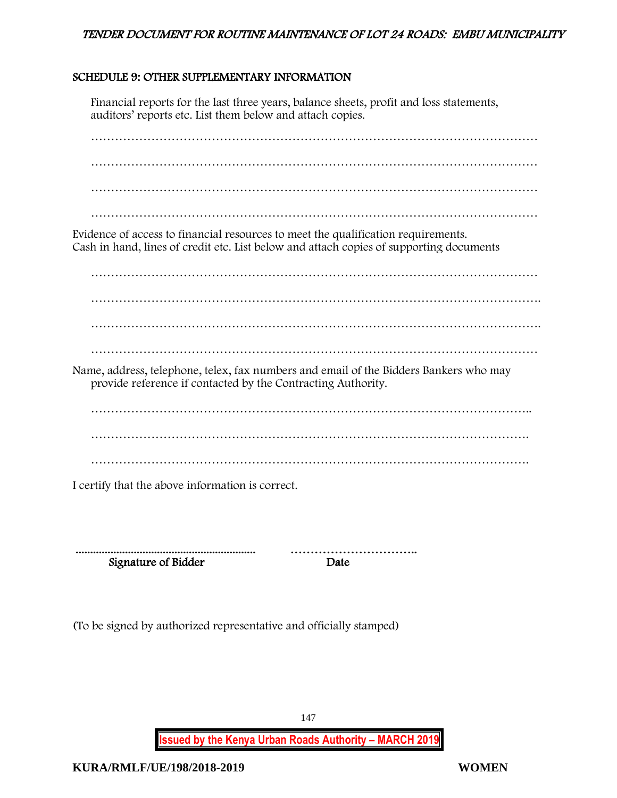# SCHEDULE 9: OTHER SUPPLEMENTARY INFORMATION

Financial reports for the last three years, balance sheets, profit and loss statements, auditors' reports etc. List them below and attach copies.

………………………………………………………………………………………………… ………………………………………………………………………………………………… ………………………………………………………………………………………………… Evidence of access to financial resources to meet the qualification requirements. Cash in hand, lines of credit etc. List below and attach copies of supporting documents ………………………………………………………………………………………………… …………………………………………………………………………………………………. …………………………………………………………………………………………………. Name, address, telephone, telex, fax numbers and email of the Bidders Bankers who may provide reference if contacted by the Contracting Authority. ……………………………………………………………………………………………….. ………………………………………………………………………………………………. ……………………………………………………………………………………………….

I certify that the above information is correct.

 .............................................................. ………………………….. Signature of Bidder Date

(To be signed by authorized representative and officially stamped)

147

**Issued by the Kenya Urban Roads Authority – MARCH 2019**

**KURA/RMLF/UE/198/2018-2019 WOMEN**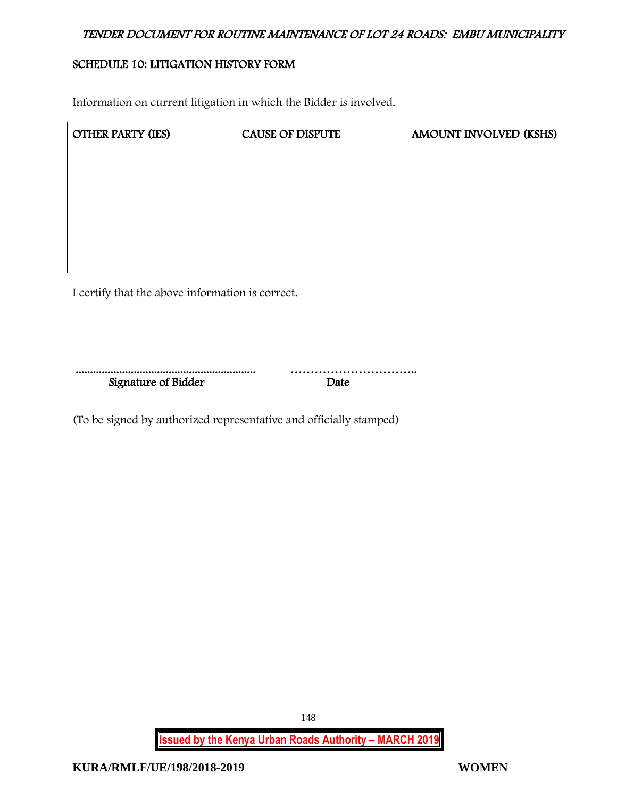# SCHEDULE 10: LITIGATION HISTORY FORM

Information on current litigation in which the Bidder is involved.

| <b>OTHER PARTY (IES)</b> | <b>CAUSE OF DISPUTE</b> | AMOUNT INVOLVED (KSHS) |
|--------------------------|-------------------------|------------------------|
|                          |                         |                        |
|                          |                         |                        |
|                          |                         |                        |
|                          |                         |                        |
|                          |                         |                        |

I certify that the above information is correct.

| Signature of Bidder |  |
|---------------------|--|

(To be signed by authorized representative and officially stamped)

**Issued by the Kenya Urban Roads Authority – MARCH 2019**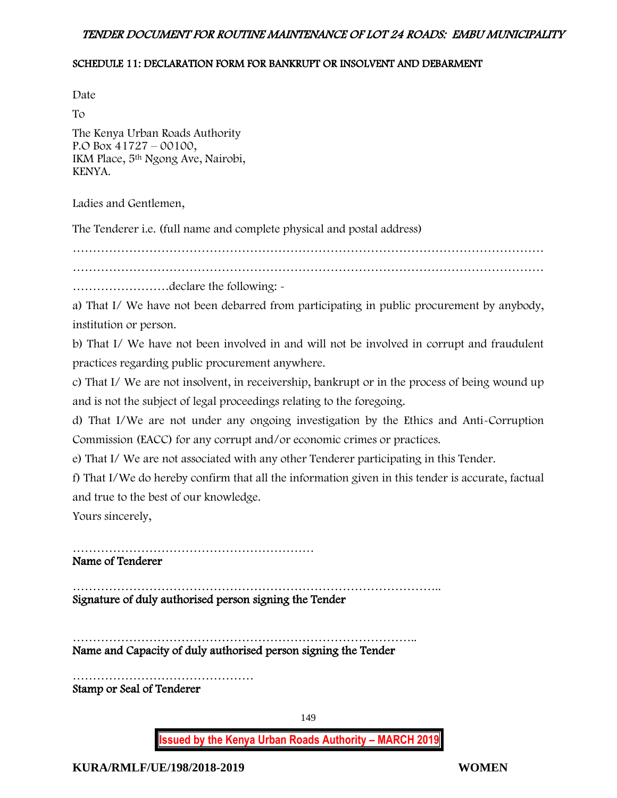#### SCHEDULE 11: DECLARATION FORM FOR BANKRUPT OR INSOLVENT AND DEBARMENT

Date

To The Kenya Urban Roads Authority P.O Box 41727 – 00100, IKM Place, 5th Ngong Ave, Nairobi, KENYA.

Ladies and Gentlemen,

The Tenderer i.e. (full name and complete physical and postal address)

………………………………………………………………………………………………………

……………………declare the following: -

a) That I/ We have not been debarred from participating in public procurement by anybody, institution or person.

b) That I/ We have not been involved in and will not be involved in corrupt and fraudulent practices regarding public procurement anywhere.

c) That I/ We are not insolvent, in receivership, bankrupt or in the process of being wound up and is not the subject of legal proceedings relating to the foregoing.

d) That I/We are not under any ongoing investigation by the Ethics and Anti-Corruption Commission (EACC) for any corrupt and/or economic crimes or practices.

e) That I/ We are not associated with any other Tenderer participating in this Tender.

f) That I/We do hereby confirm that all the information given in this tender is accurate, factual and true to the best of our knowledge.

Yours sincerely,

……………………………………………………

Name of Tenderer

……………………………………………………………………………….. Signature of duly authorised person signing the Tender

………………………………………………………………………….. Name and Capacity of duly authorised person signing the Tender

……………………………………… Stamp or Seal of Tenderer

149

**Issued by the Kenya Urban Roads Authority – MARCH 2019**

**KURA/RMLF/UE/198/2018-2019 WOMEN**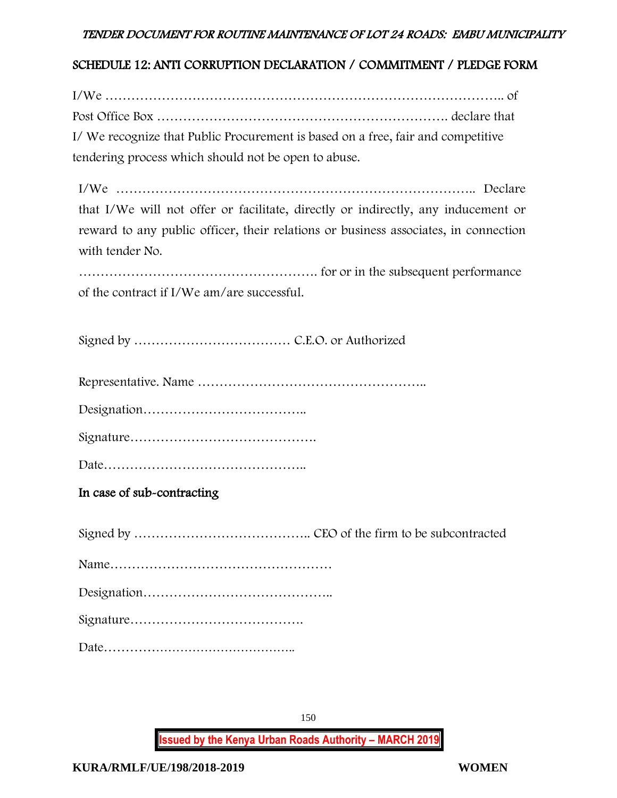# SCHEDULE 12: ANTI CORRUPTION DECLARATION / COMMITMENT / PLEDGE FORM

I/We ……………………………………………………………………………….. of Post Office Box …………………………………………………………. declare that I/ We recognize that Public Procurement is based on a free, fair and competitive tendering process which should not be open to abuse.

I/We ……………………………………………………………………….. Declare that I/We will not offer or facilitate, directly or indirectly, any inducement or reward to any public officer, their relations or business associates, in connection with tender No.

………………………………………………. for or in the subsequent performance of the contract if I/We am/are successful.

Signed by ……………………………… C.E.O. or Authorized

Representative. Name ……………………………………………..

Designation………………………………..

Signature…………………………………….

Date………………………………………..

In case of sub-contracting

Signed by ………………………………….. CEO of the firm to be subcontracted

Name……………………………………………

Designation……………………………………..

Signature………………………………….

Date………………………………………..

150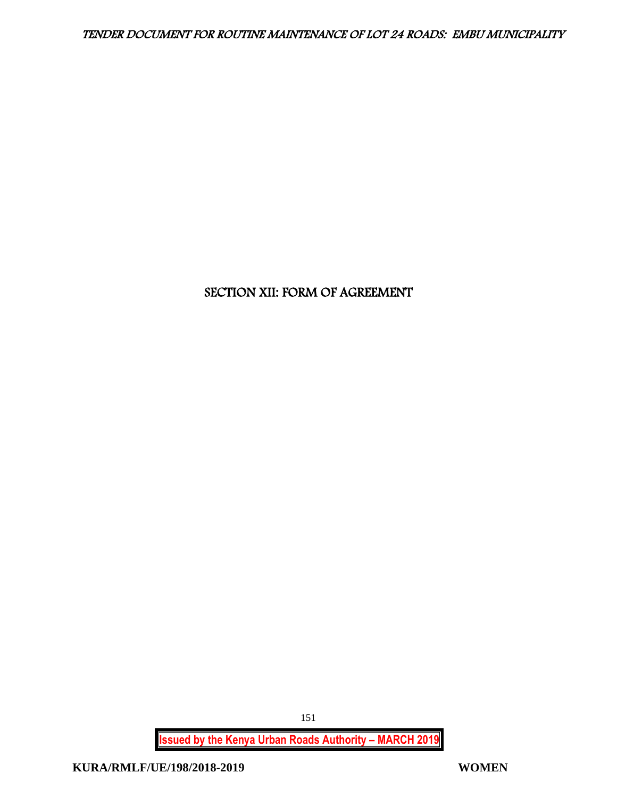# SECTION XII: FORM OF AGREEMENT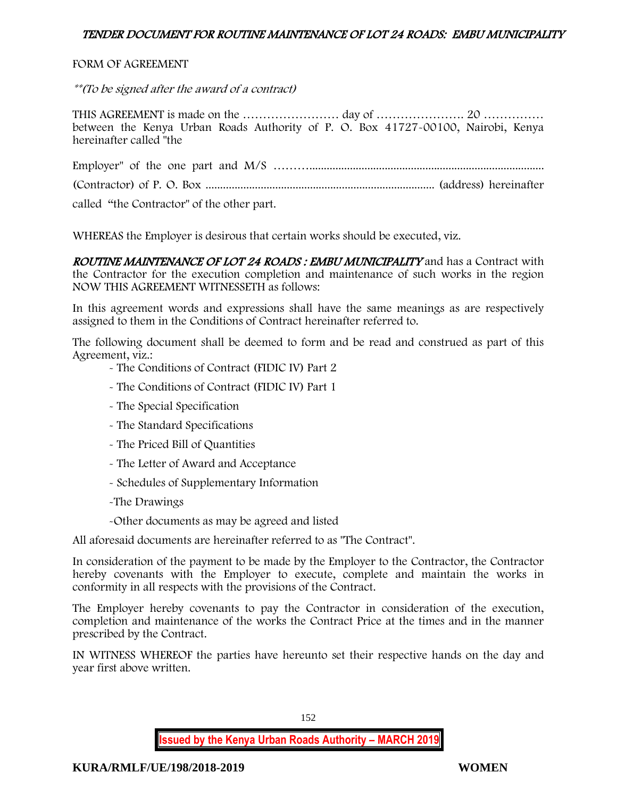#### FORM OF AGREEMENT

\*\*(To be signed after the award of a contract)

THIS AGREEMENT is made on the …………………… day of …………………. 20 …………… between the Kenya Urban Roads Authority of P. O. Box 41727-00100, Nairobi, Kenya hereinafter called "the

Employer" of the one part and M/S ………................................................................................. (Contractor) of P. O. Box ............................................................................... (address) hereinafter

called "the Contractor" of the other part.

WHEREAS the Employer is desirous that certain works should be executed, viz.

ROUTINE MAINTENANCE OF LOT 24 ROADS: EMBU MUNICIPALITY and has a Contract with the Contractor for the execution completion and maintenance of such works in the region NOW THIS AGREEMENT WITNESSETH as follows:

In this agreement words and expressions shall have the same meanings as are respectively assigned to them in the Conditions of Contract hereinafter referred to.

The following document shall be deemed to form and be read and construed as part of this Agreement, viz.:

- The Conditions of Contract (FIDIC IV) Part 2

- The Conditions of Contract (FIDIC IV) Part 1
- The Special Specification
- The Standard Specifications
- The Priced Bill of Quantities
- The Letter of Award and Acceptance
- Schedules of Supplementary Information
- -The Drawings
- -Other documents as may be agreed and listed

All aforesaid documents are hereinafter referred to as "The Contract".

In consideration of the payment to be made by the Employer to the Contractor, the Contractor hereby covenants with the Employer to execute, complete and maintain the works in conformity in all respects with the provisions of the Contract.

The Employer hereby covenants to pay the Contractor in consideration of the execution, completion and maintenance of the works the Contract Price at the times and in the manner prescribed by the Contract.

IN WITNESS WHEREOF the parties have hereunto set their respective hands on the day and year first above written.

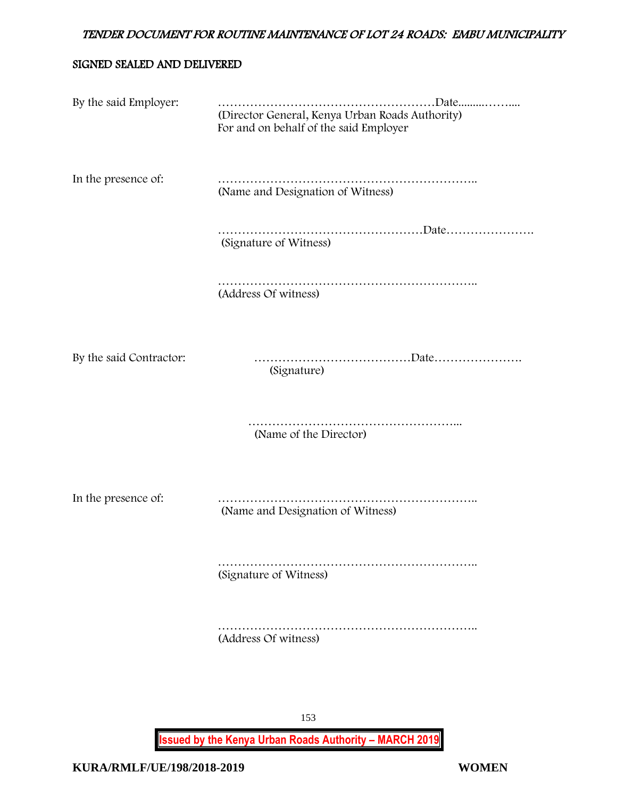## SIGNED SEALED AND DELIVERED

| By the said Employer:   | (Director General, Kenya Urban Roads Authority)<br>For and on behalf of the said Employer |
|-------------------------|-------------------------------------------------------------------------------------------|
| In the presence of:     | (Name and Designation of Witness)                                                         |
|                         | (Signature of Witness)                                                                    |
|                         | (Address Of witness)                                                                      |
| By the said Contractor: | (Signature)                                                                               |
|                         | (Name of the Director)                                                                    |
| In the presence of:     | (Name and Designation of Witness)                                                         |
|                         | (Signature of Witness)                                                                    |
|                         | (Address Of witness)                                                                      |
|                         | 153                                                                                       |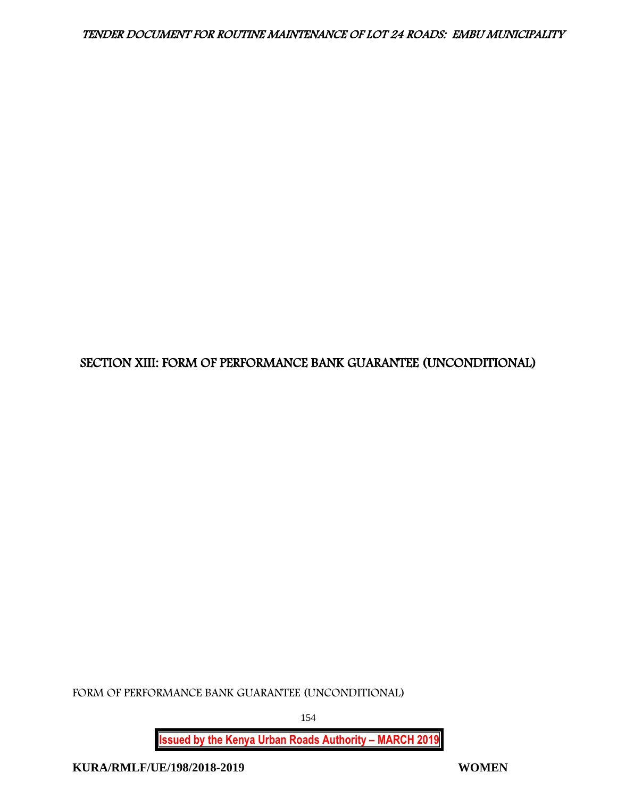# SECTION XIII: FORM OF PERFORMANCE BANK GUARANTEE (UNCONDITIONAL)

FORM OF PERFORMANCE BANK GUARANTEE (UNCONDITIONAL)

154

**Issued by the Kenya Urban Roads Authority – MARCH 2019**

**KURA/RMLF/UE/198/2018-2019 WOMEN**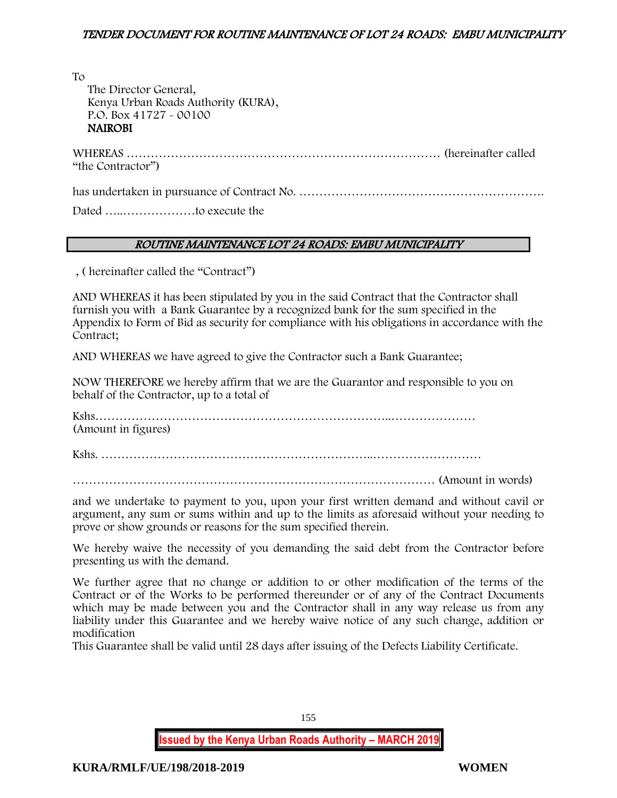To

 The Director General, Kenya Urban Roads Authority (KURA), P.O. Box 41727 - 00100 NAIROBI

WHEREAS …………………………………………………………………… (hereinafter called "the Contractor")

has undertaken in pursuance of Contract No. …………………………………………………….

Dated …..………………to execute the

# ROUTINE MAINTENANCE LOT 24 ROADS: EMBU MUNICIPALITY

, ( hereinafter called the "Contract")

AND WHEREAS it has been stipulated by you in the said Contract that the Contractor shall furnish you with a Bank Guarantee by a recognized bank for the sum specified in the Appendix to Form of Bid as security for compliance with his obligations in accordance with the Contract;

AND WHEREAS we have agreed to give the Contractor such a Bank Guarantee;

NOW THEREFORE we hereby affirm that we are the Guarantor and responsible to you on behalf of the Contractor, up to a total of

Kshs………………………………………………………………..………………… (Amount in figures)

Kshs. …………………………………………………………..………………………

……………………………………………………………………………… (Amount in words)

and we undertake to payment to you, upon your first written demand and without cavil or argument, any sum or sums within and up to the limits as aforesaid without your needing to prove or show grounds or reasons for the sum specified therein.

We hereby waive the necessity of you demanding the said debt from the Contractor before presenting us with the demand.

We further agree that no change or addition to or other modification of the terms of the Contract or of the Works to be performed thereunder or of any of the Contract Documents which may be made between you and the Contractor shall in any way release us from any liability under this Guarantee and we hereby waive notice of any such change, addition or modification

This Guarantee shall be valid until 28 days after issuing of the Defects Liability Certificate.